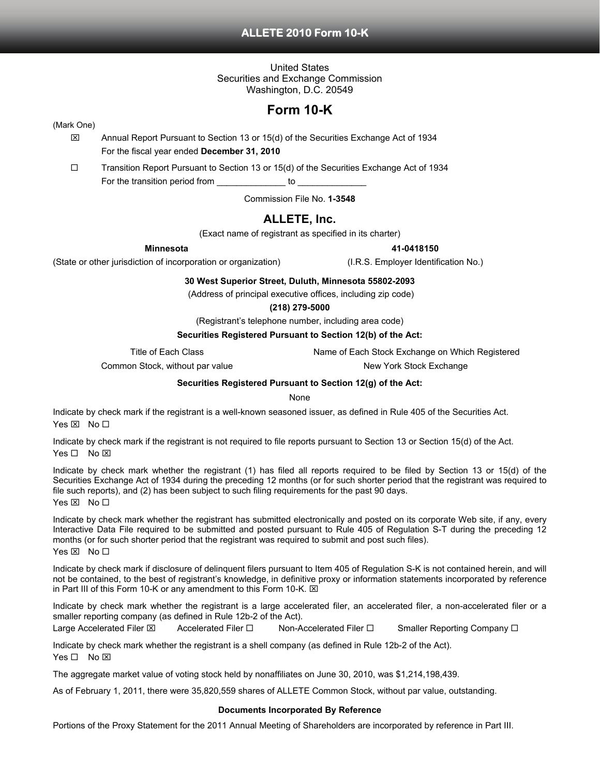# **ALLETE 2010 Form 10-K**

United States Securities and Exchange Commission Washington, D.C. 20549

# **Form 10-K**

## (Mark One)

- $\boxtimes$  Annual Report Pursuant to Section 13 or 15(d) of the Securities Exchange Act of 1934 For the fiscal year ended **December 31, 2010**
- $\Box$  Transition Report Pursuant to Section 13 or 15(d) of the Securities Exchange Act of 1934 For the transition period from \_\_\_\_\_\_\_\_\_\_\_\_\_\_\_\_ to \_

Commission File No. **1-3548**

# **ALLETE, Inc.**

(Exact name of registrant as specified in its charter)

**Minnesota 41-0418150** 

(State or other jurisdiction of incorporation or organization) (I.R.S. Employer Identification No.)

**30 West Superior Street, Duluth, Minnesota 55802-2093** 

(Address of principal executive offices, including zip code)

## **(218) 279-5000**

(Registrant's telephone number, including area code)

## **Securities Registered Pursuant to Section 12(b) of the Act:**

Title of Each Class Name of Each Stock Exchange on Which Registered

Common Stock, without par value New York Stock Exchange

**Securities Registered Pursuant to Section 12(g) of the Act:** 

**None** 

Indicate by check mark if the registrant is a well-known seasoned issuer, as defined in Rule 405 of the Securities Act. Yes ⊠ No □

Indicate by check mark if the registrant is not required to file reports pursuant to Section 13 or Section 15(d) of the Act. Yes □ No ⊠

Indicate by check mark whether the registrant (1) has filed all reports required to be filed by Section 13 or 15(d) of the Securities Exchange Act of 1934 during the preceding 12 months (or for such shorter period that the registrant was required to file such reports), and (2) has been subject to such filing requirements for the past 90 days. Yes **⊠** No □

Indicate by check mark whether the registrant has submitted electronically and posted on its corporate Web site, if any, every Interactive Data File required to be submitted and posted pursuant to Rule 405 of Regulation S-T during the preceding 12 months (or for such shorter period that the registrant was required to submit and post such files). Yes  $\boxtimes$  No  $\square$ 

Indicate by check mark if disclosure of delinquent filers pursuant to Item 405 of Regulation S-K is not contained herein, and will not be contained, to the best of registrant's knowledge, in definitive proxy or information statements incorporated by reference in Part III of this Form 10-K or any amendment to this Form 10-K.  $\boxtimes$ 

Indicate by check mark whether the registrant is a large accelerated filer, an accelerated filer, a non-accelerated filer or a smaller reporting company (as defined in Rule 12b-2 of the Act).

Large Accelerated Filer  $\boxtimes$  Accelerated Filer  $\square$  Non-Accelerated Filer  $\square$  Smaller Reporting Company  $\square$ 

Indicate by check mark whether the registrant is a shell company (as defined in Rule 12b-2 of the Act).

Yes  $\Box$  No  $\boxtimes$ 

The aggregate market value of voting stock held by nonaffiliates on June 30, 2010, was \$1,214,198,439.

As of February 1, 2011, there were 35,820,559 shares of ALLETE Common Stock, without par value, outstanding.

## **Documents Incorporated By Reference**

Portions of the Proxy Statement for the 2011 Annual Meeting of Shareholders are incorporated by reference in Part III.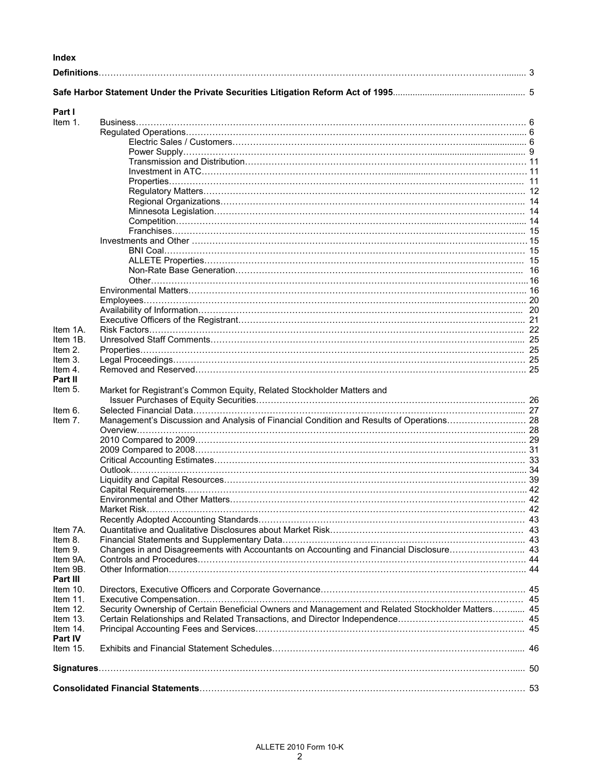# **Index**

| Part I      |                                                                                                   |  |
|-------------|---------------------------------------------------------------------------------------------------|--|
| Item 1.     |                                                                                                   |  |
|             |                                                                                                   |  |
|             |                                                                                                   |  |
|             |                                                                                                   |  |
|             |                                                                                                   |  |
|             |                                                                                                   |  |
|             |                                                                                                   |  |
|             |                                                                                                   |  |
|             |                                                                                                   |  |
|             |                                                                                                   |  |
|             |                                                                                                   |  |
|             |                                                                                                   |  |
|             |                                                                                                   |  |
|             |                                                                                                   |  |
|             |                                                                                                   |  |
|             |                                                                                                   |  |
|             |                                                                                                   |  |
|             |                                                                                                   |  |
|             |                                                                                                   |  |
|             |                                                                                                   |  |
|             |                                                                                                   |  |
|             |                                                                                                   |  |
| Item 1A.    |                                                                                                   |  |
| Item 1B.    |                                                                                                   |  |
| Item 2.     |                                                                                                   |  |
| Item 3.     |                                                                                                   |  |
| Item 4.     |                                                                                                   |  |
| Part II     |                                                                                                   |  |
| Item 5.     | Market for Registrant's Common Equity, Related Stockholder Matters and                            |  |
|             |                                                                                                   |  |
| Item 6.     |                                                                                                   |  |
| Item 7.     | Management's Discussion and Analysis of Financial Condition and Results of Operations 28          |  |
|             |                                                                                                   |  |
|             |                                                                                                   |  |
|             |                                                                                                   |  |
|             |                                                                                                   |  |
|             |                                                                                                   |  |
|             |                                                                                                   |  |
|             |                                                                                                   |  |
|             |                                                                                                   |  |
|             |                                                                                                   |  |
|             |                                                                                                   |  |
| Item 7A.    |                                                                                                   |  |
| Item 8.     |                                                                                                   |  |
|             | Changes in and Disagreements with Accountants on Accounting and Financial Disclosure 43           |  |
| Item 9.     |                                                                                                   |  |
| Item 9A.    |                                                                                                   |  |
| Item 9B.    |                                                                                                   |  |
| Part III    |                                                                                                   |  |
| Item $10.$  |                                                                                                   |  |
| Item $11$ . |                                                                                                   |  |
| Item $12$ . | Security Ownership of Certain Beneficial Owners and Management and Related Stockholder Matters 45 |  |
| Item $13.$  |                                                                                                   |  |
| Item $14$ . |                                                                                                   |  |
| Part IV     |                                                                                                   |  |
| Item $15.$  |                                                                                                   |  |
|             |                                                                                                   |  |
|             |                                                                                                   |  |
|             |                                                                                                   |  |
|             |                                                                                                   |  |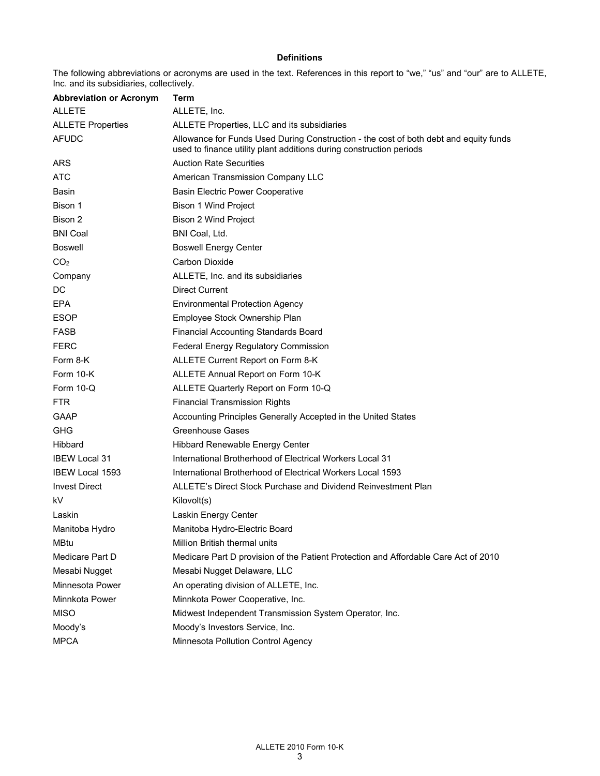## **Definitions**

The following abbreviations or acronyms are used in the text. References in this report to "we," "us" and "our" are to ALLETE, Inc. and its subsidiaries, collectively.

| <b>Abbreviation or Acronym</b> | Term                                                                                                                                                         |
|--------------------------------|--------------------------------------------------------------------------------------------------------------------------------------------------------------|
| <b>ALLETE</b>                  | ALLETE, Inc.                                                                                                                                                 |
| <b>ALLETE Properties</b>       | ALLETE Properties, LLC and its subsidiaries                                                                                                                  |
| <b>AFUDC</b>                   | Allowance for Funds Used During Construction - the cost of both debt and equity funds<br>used to finance utility plant additions during construction periods |
| <b>ARS</b>                     | <b>Auction Rate Securities</b>                                                                                                                               |
| <b>ATC</b>                     | American Transmission Company LLC                                                                                                                            |
| Basin                          | <b>Basin Electric Power Cooperative</b>                                                                                                                      |
| Bison 1                        | Bison 1 Wind Project                                                                                                                                         |
| Bison 2                        | <b>Bison 2 Wind Project</b>                                                                                                                                  |
| <b>BNI Coal</b>                | BNI Coal, Ltd.                                                                                                                                               |
| <b>Boswell</b>                 | <b>Boswell Energy Center</b>                                                                                                                                 |
| CO <sub>2</sub>                | Carbon Dioxide                                                                                                                                               |
| Company                        | ALLETE, Inc. and its subsidiaries                                                                                                                            |
| DC                             | <b>Direct Current</b>                                                                                                                                        |
| <b>EPA</b>                     | <b>Environmental Protection Agency</b>                                                                                                                       |
| <b>ESOP</b>                    | Employee Stock Ownership Plan                                                                                                                                |
| <b>FASB</b>                    | <b>Financial Accounting Standards Board</b>                                                                                                                  |
| <b>FERC</b>                    | Federal Energy Regulatory Commission                                                                                                                         |
| Form 8-K                       | ALLETE Current Report on Form 8-K                                                                                                                            |
| Form 10-K                      | ALLETE Annual Report on Form 10-K                                                                                                                            |
| Form $10-Q$                    | ALLETE Quarterly Report on Form 10-Q                                                                                                                         |
| <b>FTR</b>                     | <b>Financial Transmission Rights</b>                                                                                                                         |
| GAAP                           | Accounting Principles Generally Accepted in the United States                                                                                                |
| <b>GHG</b>                     | <b>Greenhouse Gases</b>                                                                                                                                      |
| Hibbard                        | Hibbard Renewable Energy Center                                                                                                                              |
| <b>IBEW Local 31</b>           | International Brotherhood of Electrical Workers Local 31                                                                                                     |
| <b>IBEW Local 1593</b>         | International Brotherhood of Electrical Workers Local 1593                                                                                                   |
| <b>Invest Direct</b>           | ALLETE's Direct Stock Purchase and Dividend Reinvestment Plan                                                                                                |
| kV                             | Kilovolt(s)                                                                                                                                                  |
| Laskin                         | Laskin Energy Center                                                                                                                                         |
| Manitoba Hydro                 | Manitoba Hydro-Electric Board                                                                                                                                |
| <b>MBtu</b>                    | Million British thermal units                                                                                                                                |
| Medicare Part D                | Medicare Part D provision of the Patient Protection and Affordable Care Act of 2010                                                                          |
| Mesabi Nugget                  | Mesabi Nugget Delaware, LLC                                                                                                                                  |
| Minnesota Power                | An operating division of ALLETE, Inc.                                                                                                                        |
| Minnkota Power                 | Minnkota Power Cooperative, Inc.                                                                                                                             |
| <b>MISO</b>                    | Midwest Independent Transmission System Operator, Inc.                                                                                                       |
| Moody's                        | Moody's Investors Service, Inc.                                                                                                                              |
| <b>MPCA</b>                    | Minnesota Pollution Control Agency                                                                                                                           |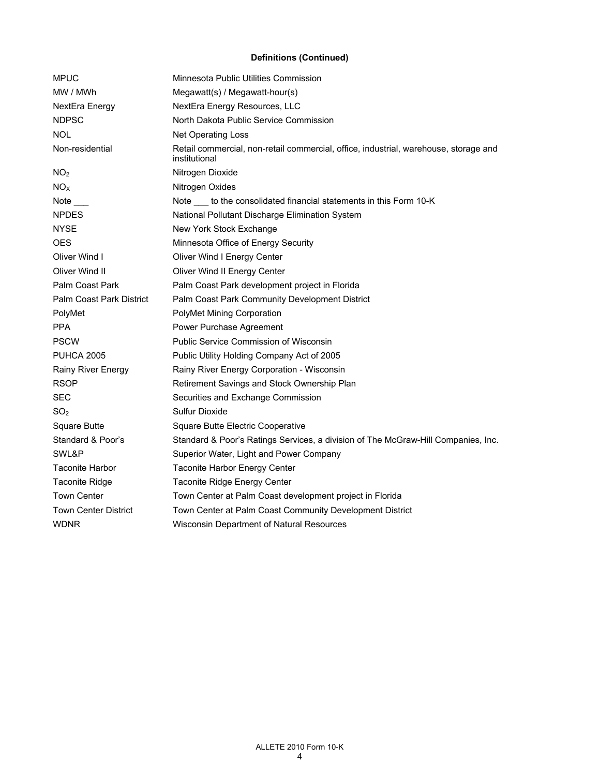## **Definitions (Continued)**

| <b>MPUC</b>                 | Minnesota Public Utilities Commission                                                                 |  |  |  |  |  |
|-----------------------------|-------------------------------------------------------------------------------------------------------|--|--|--|--|--|
| MW / MWh                    | Megawatt(s) / Megawatt-hour(s)                                                                        |  |  |  |  |  |
| NextEra Energy              | NextEra Energy Resources, LLC                                                                         |  |  |  |  |  |
| <b>NDPSC</b>                | North Dakota Public Service Commission                                                                |  |  |  |  |  |
| NOL                         | <b>Net Operating Loss</b>                                                                             |  |  |  |  |  |
| Non-residential             | Retail commercial, non-retail commercial, office, industrial, warehouse, storage and<br>institutional |  |  |  |  |  |
| NO <sub>2</sub>             | Nitrogen Dioxide                                                                                      |  |  |  |  |  |
| NO <sub>X</sub>             | Nitrogen Oxides                                                                                       |  |  |  |  |  |
| Note                        | Note ____ to the consolidated financial statements in this Form 10-K                                  |  |  |  |  |  |
| <b>NPDES</b>                | National Pollutant Discharge Elimination System                                                       |  |  |  |  |  |
| <b>NYSE</b>                 | New York Stock Exchange                                                                               |  |  |  |  |  |
| <b>OES</b>                  | Minnesota Office of Energy Security                                                                   |  |  |  |  |  |
| Oliver Wind I               | Oliver Wind I Energy Center                                                                           |  |  |  |  |  |
| Oliver Wind II              | Oliver Wind II Energy Center                                                                          |  |  |  |  |  |
| Palm Coast Park             | Palm Coast Park development project in Florida                                                        |  |  |  |  |  |
| Palm Coast Park District    | Palm Coast Park Community Development District                                                        |  |  |  |  |  |
| PolyMet                     | PolyMet Mining Corporation                                                                            |  |  |  |  |  |
| <b>PPA</b>                  | Power Purchase Agreement                                                                              |  |  |  |  |  |
| <b>PSCW</b>                 | Public Service Commission of Wisconsin                                                                |  |  |  |  |  |
| <b>PUHCA 2005</b>           | Public Utility Holding Company Act of 2005                                                            |  |  |  |  |  |
| Rainy River Energy          | Rainy River Energy Corporation - Wisconsin                                                            |  |  |  |  |  |
| <b>RSOP</b>                 | Retirement Savings and Stock Ownership Plan                                                           |  |  |  |  |  |
| <b>SEC</b>                  | Securities and Exchange Commission                                                                    |  |  |  |  |  |
| SO <sub>2</sub>             | Sulfur Dioxide                                                                                        |  |  |  |  |  |
| Square Butte                | Square Butte Electric Cooperative                                                                     |  |  |  |  |  |
| Standard & Poor's           | Standard & Poor's Ratings Services, a division of The McGraw-Hill Companies, Inc.                     |  |  |  |  |  |
| SWL&P                       | Superior Water, Light and Power Company                                                               |  |  |  |  |  |
| <b>Taconite Harbor</b>      | Taconite Harbor Energy Center                                                                         |  |  |  |  |  |
| <b>Taconite Ridge</b>       | Taconite Ridge Energy Center                                                                          |  |  |  |  |  |
| <b>Town Center</b>          | Town Center at Palm Coast development project in Florida                                              |  |  |  |  |  |
| <b>Town Center District</b> | Town Center at Palm Coast Community Development District                                              |  |  |  |  |  |
| <b>WDNR</b>                 | Wisconsin Department of Natural Resources                                                             |  |  |  |  |  |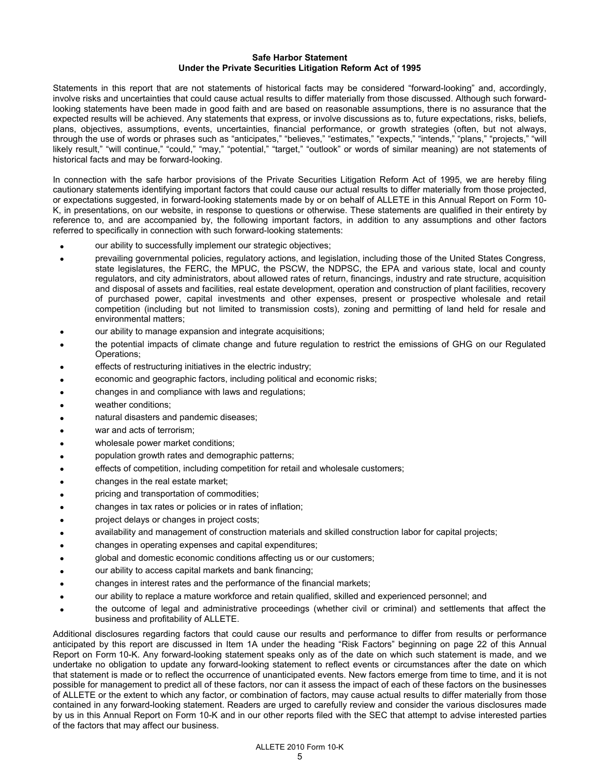## **Safe Harbor Statement Under the Private Securities Litigation Reform Act of 1995**

Statements in this report that are not statements of historical facts may be considered "forward-looking" and, accordingly, involve risks and uncertainties that could cause actual results to differ materially from those discussed. Although such forwardlooking statements have been made in good faith and are based on reasonable assumptions, there is no assurance that the expected results will be achieved. Any statements that express, or involve discussions as to, future expectations, risks, beliefs, plans, objectives, assumptions, events, uncertainties, financial performance, or growth strategies (often, but not always, through the use of words or phrases such as "anticipates," "believes," "estimates," "expects," "intends," "plans," "projects," "will likely result," "will continue," "could," "may," "potential," "target," "outlook" or words of similar meaning) are not statements of historical facts and may be forward-looking.

In connection with the safe harbor provisions of the Private Securities Litigation Reform Act of 1995, we are hereby filing cautionary statements identifying important factors that could cause our actual results to differ materially from those projected, or expectations suggested, in forward-looking statements made by or on behalf of ALLETE in this Annual Report on Form 10- K, in presentations, on our website, in response to questions or otherwise. These statements are qualified in their entirety by reference to, and are accompanied by, the following important factors, in addition to any assumptions and other factors referred to specifically in connection with such forward-looking statements:

- our ability to successfully implement our strategic objectives;
- prevailing governmental policies, regulatory actions, and legislation, including those of the United States Congress, state legislatures, the FERC, the MPUC, the PSCW, the NDPSC, the EPA and various state, local and county regulators, and city administrators, about allowed rates of return, financings, industry and rate structure, acquisition and disposal of assets and facilities, real estate development, operation and construction of plant facilities, recovery of purchased power, capital investments and other expenses, present or prospective wholesale and retail competition (including but not limited to transmission costs), zoning and permitting of land held for resale and environmental matters;
- our ability to manage expansion and integrate acquisitions;
- the potential impacts of climate change and future regulation to restrict the emissions of GHG on our Regulated Operations;
- effects of restructuring initiatives in the electric industry;
- economic and geographic factors, including political and economic risks;
- changes in and compliance with laws and regulations;
- weather conditions;
- natural disasters and pandemic diseases;
- war and acts of terrorism;
- wholesale power market conditions;
- population growth rates and demographic patterns;
- effects of competition, including competition for retail and wholesale customers;
- changes in the real estate market;
- pricing and transportation of commodities;
- changes in tax rates or policies or in rates of inflation;
- project delays or changes in project costs;
- availability and management of construction materials and skilled construction labor for capital projects;
- changes in operating expenses and capital expenditures;
- global and domestic economic conditions affecting us or our customers;
- our ability to access capital markets and bank financing;
- changes in interest rates and the performance of the financial markets;
- our ability to replace a mature workforce and retain qualified, skilled and experienced personnel; and
- the outcome of legal and administrative proceedings (whether civil or criminal) and settlements that affect the business and profitability of ALLETE.

Additional disclosures regarding factors that could cause our results and performance to differ from results or performance anticipated by this report are discussed in Item 1A under the heading "Risk Factors" beginning on page 22 of this Annual Report on Form 10-K. Any forward-looking statement speaks only as of the date on which such statement is made, and we undertake no obligation to update any forward-looking statement to reflect events or circumstances after the date on which that statement is made or to reflect the occurrence of unanticipated events. New factors emerge from time to time, and it is not possible for management to predict all of these factors, nor can it assess the impact of each of these factors on the businesses of ALLETE or the extent to which any factor, or combination of factors, may cause actual results to differ materially from those contained in any forward-looking statement. Readers are urged to carefully review and consider the various disclosures made by us in this Annual Report on Form 10-K and in our other reports filed with the SEC that attempt to advise interested parties of the factors that may affect our business.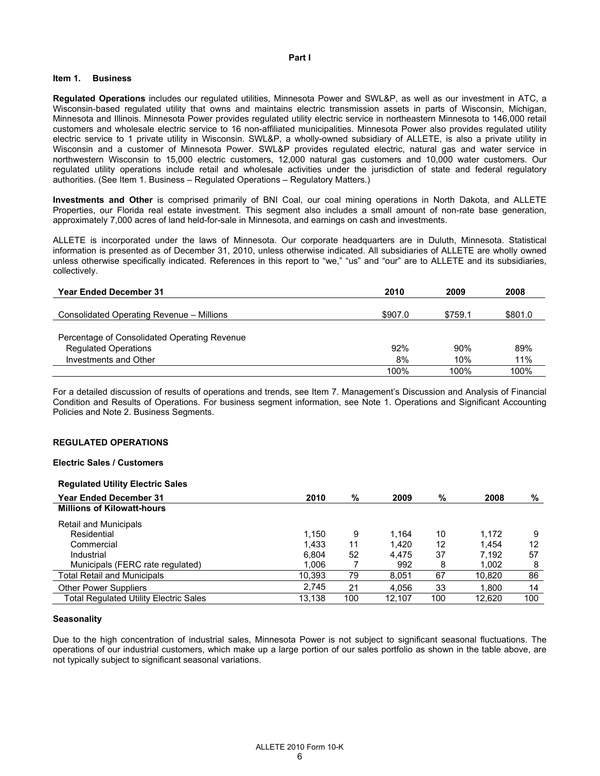#### **Part I**

#### **Item 1. Business**

**Regulated Operations** includes our regulated utilities, Minnesota Power and SWL&P, as well as our investment in ATC, a Wisconsin-based regulated utility that owns and maintains electric transmission assets in parts of Wisconsin, Michigan, Minnesota and Illinois. Minnesota Power provides regulated utility electric service in northeastern Minnesota to 146,000 retail customers and wholesale electric service to 16 non-affiliated municipalities. Minnesota Power also provides regulated utility electric service to 1 private utility in Wisconsin. SWL&P, a wholly-owned subsidiary of ALLETE, is also a private utility in Wisconsin and a customer of Minnesota Power. SWL&P provides regulated electric, natural gas and water service in northwestern Wisconsin to 15,000 electric customers, 12,000 natural gas customers and 10,000 water customers. Our regulated utility operations include retail and wholesale activities under the jurisdiction of state and federal regulatory authorities. (See Item 1. Business – Regulated Operations – Regulatory Matters.)

**Investments and Other** is comprised primarily of BNI Coal, our coal mining operations in North Dakota, and ALLETE Properties, our Florida real estate investment. This segment also includes a small amount of non-rate base generation, approximately 7,000 acres of land held-for-sale in Minnesota, and earnings on cash and investments.

ALLETE is incorporated under the laws of Minnesota. Our corporate headquarters are in Duluth, Minnesota. Statistical information is presented as of December 31, 2010, unless otherwise indicated. All subsidiaries of ALLETE are wholly owned unless otherwise specifically indicated. References in this report to "we," "us" and "our" are to ALLETE and its subsidiaries, collectively.

| <b>Year Ended December 31</b>                | 2010    | 2009    | 2008    |
|----------------------------------------------|---------|---------|---------|
|                                              | \$907.0 | \$759.1 | \$801.0 |
| Consolidated Operating Revenue – Millions    |         |         |         |
| Percentage of Consolidated Operating Revenue |         |         |         |
| <b>Regulated Operations</b>                  | 92%     | 90%     | 89%     |
| Investments and Other                        | 8%      | 10%     | 11%     |
|                                              | 100%    | 100%    | 100%    |

For a detailed discussion of results of operations and trends, see Item 7. Management's Discussion and Analysis of Financial Condition and Results of Operations. For business segment information, see Note 1. Operations and Significant Accounting Policies and Note 2. Business Segments.

#### **REGULATED OPERATIONS**

#### **Electric Sales / Customers**

#### **Regulated Utility Electric Sales**

| <b>Year Ended December 31</b>          | 2010   | %   | 2009   | %   | 2008   | %   |
|----------------------------------------|--------|-----|--------|-----|--------|-----|
| <b>Millions of Kilowatt-hours</b>      |        |     |        |     |        |     |
| Retail and Municipals                  |        |     |        |     |        |     |
| Residential                            | 1.150  | 9   | 1.164  | 10  | 1.172  | 9   |
| Commercial                             | 1.433  | 11  | 1.420  | 12  | 1.454  | 12  |
| Industrial                             | 6.804  | 52  | 4.475  | 37  | 7.192  | 57  |
| Municipals (FERC rate regulated)       | 1.006  |     | 992    | 8   | 1.002  | 8   |
| <b>Total Retail and Municipals</b>     | 10.393 | 79  | 8.051  | 67  | 10,820 | 86  |
| <b>Other Power Suppliers</b>           | 2.745  | 21  | 4.056  | 33  | 1.800  | 14  |
| Total Regulated Utility Electric Sales | 13.138 | 100 | 12.107 | 100 | 12.620 | 100 |

#### **Seasonality**

Due to the high concentration of industrial sales, Minnesota Power is not subject to significant seasonal fluctuations. The operations of our industrial customers, which make up a large portion of our sales portfolio as shown in the table above, are not typically subject to significant seasonal variations.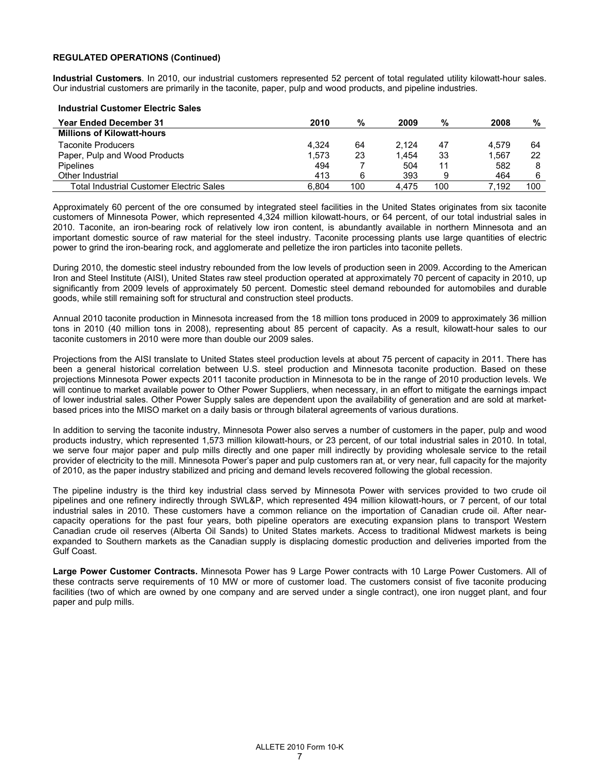## **REGULATED OPERATIONS (Continued)**

**Industrial Customers**. In 2010, our industrial customers represented 52 percent of total regulated utility kilowatt-hour sales. Our industrial customers are primarily in the taconite, paper, pulp and wood products, and pipeline industries.

#### **Industrial Customer Electric Sales**

| <b>Year Ended December 31</b>            | 2010  | %   | 2009  | %   | 2008  | %   |
|------------------------------------------|-------|-----|-------|-----|-------|-----|
| <b>Millions of Kilowatt-hours</b>        |       |     |       |     |       |     |
| Taconite Producers                       | 4.324 | 64  | 2.124 | 47  | 4.579 | 64  |
| Paper, Pulp and Wood Products            | 1.573 | 23  | 1.454 | 33  | 1.567 | 22  |
| <b>Pipelines</b>                         | 494   |     | 504   |     | 582   |     |
| Other Industrial                         | 413   | 6   | 393   |     | 464   |     |
| Total Industrial Customer Electric Sales | 6.804 | 100 | 4.475 | 100 | 7.192 | 100 |

Approximately 60 percent of the ore consumed by integrated steel facilities in the United States originates from six taconite customers of Minnesota Power, which represented 4,324 million kilowatt-hours, or 64 percent, of our total industrial sales in 2010. Taconite, an iron-bearing rock of relatively low iron content, is abundantly available in northern Minnesota and an important domestic source of raw material for the steel industry. Taconite processing plants use large quantities of electric power to grind the iron-bearing rock, and agglomerate and pelletize the iron particles into taconite pellets.

During 2010, the domestic steel industry rebounded from the low levels of production seen in 2009. According to the American Iron and Steel Institute (AISI), United States raw steel production operated at approximately 70 percent of capacity in 2010, up significantly from 2009 levels of approximately 50 percent. Domestic steel demand rebounded for automobiles and durable goods, while still remaining soft for structural and construction steel products.

Annual 2010 taconite production in Minnesota increased from the 18 million tons produced in 2009 to approximately 36 million tons in 2010 (40 million tons in 2008), representing about 85 percent of capacity. As a result, kilowatt-hour sales to our taconite customers in 2010 were more than double our 2009 sales.

Projections from the AISI translate to United States steel production levels at about 75 percent of capacity in 2011. There has been a general historical correlation between U.S. steel production and Minnesota taconite production. Based on these projections Minnesota Power expects 2011 taconite production in Minnesota to be in the range of 2010 production levels. We will continue to market available power to Other Power Suppliers, when necessary, in an effort to mitigate the earnings impact of lower industrial sales. Other Power Supply sales are dependent upon the availability of generation and are sold at marketbased prices into the MISO market on a daily basis or through bilateral agreements of various durations.

In addition to serving the taconite industry, Minnesota Power also serves a number of customers in the paper, pulp and wood products industry, which represented 1,573 million kilowatt-hours, or 23 percent, of our total industrial sales in 2010. In total, we serve four major paper and pulp mills directly and one paper mill indirectly by providing wholesale service to the retail provider of electricity to the mill. Minnesota Power's paper and pulp customers ran at, or very near, full capacity for the majority of 2010, as the paper industry stabilized and pricing and demand levels recovered following the global recession.

The pipeline industry is the third key industrial class served by Minnesota Power with services provided to two crude oil pipelines and one refinery indirectly through SWL&P, which represented 494 million kilowatt-hours, or 7 percent, of our total industrial sales in 2010. These customers have a common reliance on the importation of Canadian crude oil. After nearcapacity operations for the past four years, both pipeline operators are executing expansion plans to transport Western Canadian crude oil reserves (Alberta Oil Sands) to United States markets. Access to traditional Midwest markets is being expanded to Southern markets as the Canadian supply is displacing domestic production and deliveries imported from the Gulf Coast.

**Large Power Customer Contracts.** Minnesota Power has 9 Large Power contracts with 10 Large Power Customers. All of these contracts serve requirements of 10 MW or more of customer load. The customers consist of five taconite producing facilities (two of which are owned by one company and are served under a single contract), one iron nugget plant, and four paper and pulp mills.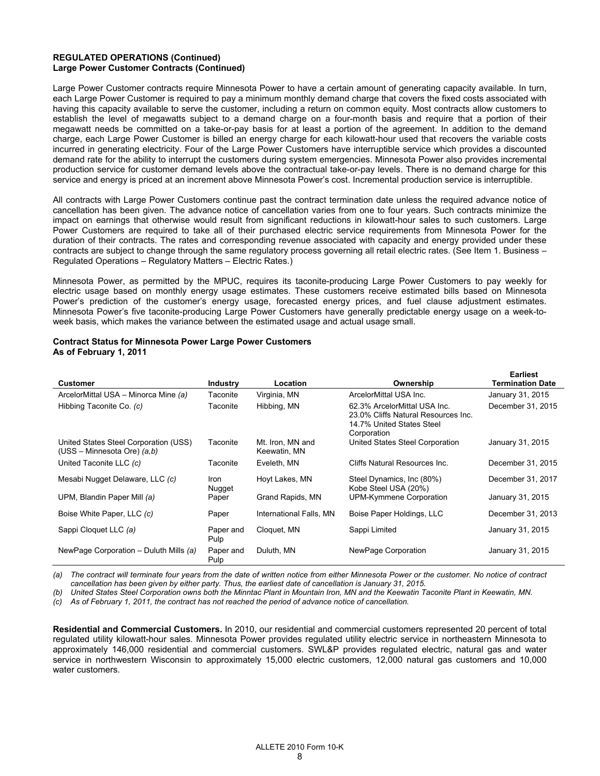## **REGULATED OPERATIONS (Continued) Large Power Customer Contracts (Continued)**

Large Power Customer contracts require Minnesota Power to have a certain amount of generating capacity available. In turn, each Large Power Customer is required to pay a minimum monthly demand charge that covers the fixed costs associated with having this capacity available to serve the customer, including a return on common equity. Most contracts allow customers to establish the level of megawatts subject to a demand charge on a four-month basis and require that a portion of their megawatt needs be committed on a take-or-pay basis for at least a portion of the agreement. In addition to the demand charge, each Large Power Customer is billed an energy charge for each kilowatt-hour used that recovers the variable costs incurred in generating electricity. Four of the Large Power Customers have interruptible service which provides a discounted demand rate for the ability to interrupt the customers during system emergencies. Minnesota Power also provides incremental production service for customer demand levels above the contractual take-or-pay levels. There is no demand charge for this service and energy is priced at an increment above Minnesota Power's cost. Incremental production service is interruptible.

All contracts with Large Power Customers continue past the contract termination date unless the required advance notice of cancellation has been given. The advance notice of cancellation varies from one to four years. Such contracts minimize the impact on earnings that otherwise would result from significant reductions in kilowatt-hour sales to such customers. Large Power Customers are required to take all of their purchased electric service requirements from Minnesota Power for the duration of their contracts. The rates and corresponding revenue associated with capacity and energy provided under these contracts are subject to change through the same regulatory process governing all retail electric rates. (See Item 1. Business – Regulated Operations – Regulatory Matters – Electric Rates.)

Minnesota Power, as permitted by the MPUC, requires its taconite-producing Large Power Customers to pay weekly for electric usage based on monthly energy usage estimates. These customers receive estimated bills based on Minnesota Power's prediction of the customer's energy usage, forecasted energy prices, and fuel clause adjustment estimates. Minnesota Power's five taconite-producing Large Power Customers have generally predictable energy usage on a week-toweek basis, which makes the variance between the estimated usage and actual usage small.

# **Contract Status for Minnesota Power Large Power Customers**

**As of February 1, 2011** 

|                                                                          |                   |                                  |                                                                                                                 | Earliest          |
|--------------------------------------------------------------------------|-------------------|----------------------------------|-----------------------------------------------------------------------------------------------------------------|-------------------|
| <b>Customer</b>                                                          | <b>Industry</b>   | Location                         | Ownership                                                                                                       | Termination Date  |
| ArcelorMittal USA - Minorca Mine (a)                                     | Taconite          | Virginia, MN                     | ArcelorMittal USA Inc.                                                                                          | January 31, 2015  |
| Hibbing Taconite Co. (c)                                                 | Taconite          | Hibbing, MN                      | 62.3% ArcelorMittal USA Inc.<br>23.0% Cliffs Natural Resources Inc.<br>14.7% United States Steel<br>Corporation | December 31, 2015 |
| United States Steel Corporation (USS)<br>$(USS - Minnesota Ore)$ $(a,b)$ | Taconite          | Mt. Iron, MN and<br>Keewatin, MN | United States Steel Corporation                                                                                 | January 31, 2015  |
| United Taconite LLC (c)                                                  | Taconite          | Eveleth, MN                      | Cliffs Natural Resources Inc.                                                                                   | December 31, 2015 |
| Mesabi Nugget Delaware, LLC (c)                                          | Iron<br>Nugget    | Hoyt Lakes, MN                   | Steel Dynamics, Inc (80%)<br>Kobe Steel USA (20%)                                                               | December 31, 2017 |
| UPM, Blandin Paper Mill (a)                                              | Paper             | Grand Rapids, MN                 | UPM-Kymmene Corporation                                                                                         | January 31, 2015  |
| Boise White Paper, LLC (c)                                               | Paper             | International Falls, MN          | Boise Paper Holdings, LLC                                                                                       | December 31, 2013 |
| Sappi Cloquet LLC (a)                                                    | Paper and<br>Pulp | Cloquet, MN                      | Sappi Limited                                                                                                   | January 31, 2015  |
| NewPage Corporation – Duluth Mills (a)                                   | Paper and<br>Pulp | Duluth, MN                       | NewPage Corporation                                                                                             | January 31, 2015  |

*(a) The contract will terminate four years from the date of written notice from either Minnesota Power or the customer. No notice of contract cancellation has been given by either party. Thus, the earliest date of cancellation is January 31, 2015.* 

*(b) United States Steel Corporation owns both the Minntac Plant in Mountain Iron, MN and the Keewatin Taconite Plant in Keewatin, MN.* 

*(c) As of February 1, 2011, the contract has not reached the period of advance notice of cancellation.* 

**Residential and Commercial Customers.** In 2010, our residential and commercial customers represented 20 percent of total regulated utility kilowatt-hour sales. Minnesota Power provides regulated utility electric service in northeastern Minnesota to approximately 146,000 residential and commercial customers. SWL&P provides regulated electric, natural gas and water service in northwestern Wisconsin to approximately 15,000 electric customers, 12,000 natural gas customers and 10,000 water customers.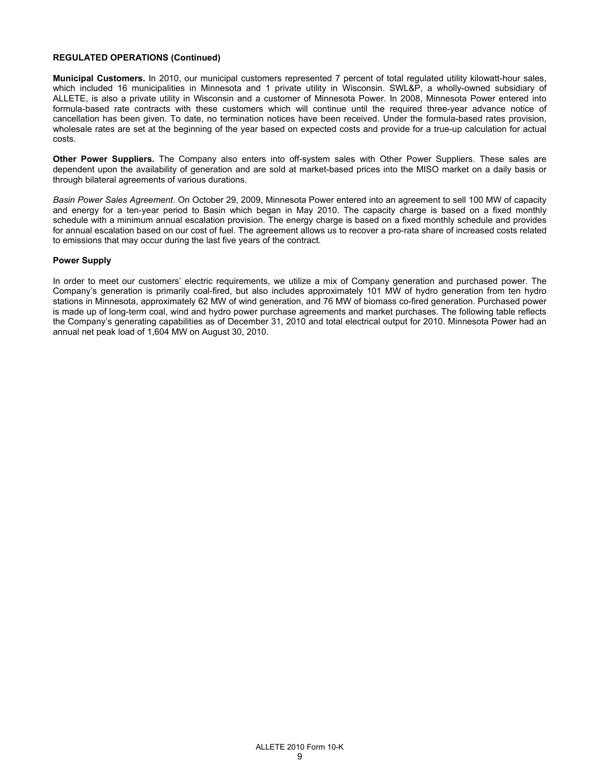## **REGULATED OPERATIONS (Continued)**

**Municipal Customers.** In 2010, our municipal customers represented 7 percent of total regulated utility kilowatt-hour sales, which included 16 municipalities in Minnesota and 1 private utility in Wisconsin. SWL&P, a wholly-owned subsidiary of ALLETE, is also a private utility in Wisconsin and a customer of Minnesota Power. In 2008, Minnesota Power entered into formula-based rate contracts with these customers which will continue until the required three-year advance notice of cancellation has been given. To date, no termination notices have been received. Under the formula-based rates provision, wholesale rates are set at the beginning of the year based on expected costs and provide for a true-up calculation for actual costs.

**Other Power Suppliers.** The Company also enters into off-system sales with Other Power Suppliers. These sales are dependent upon the availability of generation and are sold at market-based prices into the MISO market on a daily basis or through bilateral agreements of various durations.

*Basin Power Sales Agreement.* On October 29, 2009, Minnesota Power entered into an agreement to sell 100 MW of capacity and energy for a ten-year period to Basin which began in May 2010. The capacity charge is based on a fixed monthly schedule with a minimum annual escalation provision. The energy charge is based on a fixed monthly schedule and provides for annual escalation based on our cost of fuel. The agreement allows us to recover a pro-rata share of increased costs related to emissions that may occur during the last five years of the contract.

#### **Power Supply**

In order to meet our customers' electric requirements, we utilize a mix of Company generation and purchased power. The Company's generation is primarily coal-fired, but also includes approximately 101 MW of hydro generation from ten hydro stations in Minnesota, approximately 62 MW of wind generation, and 76 MW of biomass co-fired generation. Purchased power is made up of long-term coal, wind and hydro power purchase agreements and market purchases. The following table reflects the Company's generating capabilities as of December 31, 2010 and total electrical output for 2010. Minnesota Power had an annual net peak load of 1,604 MW on August 30, 2010.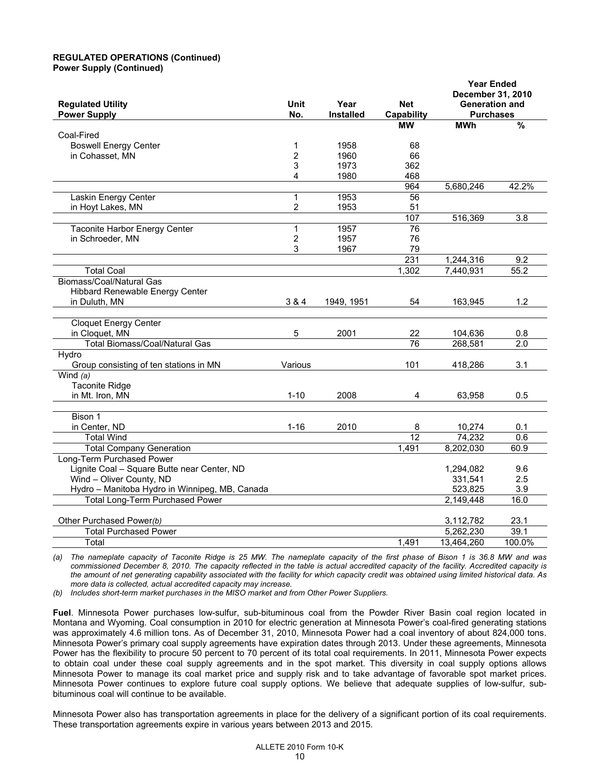## **REGULATED OPERATIONS (Continued) Power Supply (Continued)**

|                                                |                |                  |                 | <b>Year Ended</b><br>December 31, 2010 |               |  |
|------------------------------------------------|----------------|------------------|-----------------|----------------------------------------|---------------|--|
| <b>Regulated Utility</b>                       | <b>Unit</b>    | Year             | <b>Net</b>      | <b>Generation and</b>                  |               |  |
| <b>Power Supply</b>                            | No.            | <b>Installed</b> | Capability      | <b>Purchases</b>                       |               |  |
|                                                |                |                  | МW              | <b>MWh</b>                             | $\frac{9}{6}$ |  |
| Coal-Fired                                     |                |                  |                 |                                        |               |  |
| <b>Boswell Energy Center</b>                   | 1              | 1958             | 68              |                                        |               |  |
| in Cohasset, MN                                | $\overline{c}$ | 1960             | 66              |                                        |               |  |
|                                                | 3              | 1973             | 362             |                                        |               |  |
|                                                | 4              | 1980             | 468             |                                        |               |  |
|                                                |                |                  | 964             | 5,680,246                              | 42.2%         |  |
| Laskin Energy Center                           | 1              | 1953             | $\overline{56}$ |                                        |               |  |
| in Hoyt Lakes, MN                              | $\overline{c}$ | 1953             | 51              |                                        |               |  |
|                                                |                |                  | 107             | 516,369                                | 3.8           |  |
| Taconite Harbor Energy Center                  | $\mathbf{1}$   | 1957             | 76              |                                        |               |  |
| in Schroeder, MN                               | 2              | 1957             | 76              |                                        |               |  |
|                                                | 3              | 1967             | 79              |                                        |               |  |
|                                                |                |                  | 231             | 1,244,316                              | 9.2           |  |
| <b>Total Coal</b>                              |                |                  | 1,302           | 7,440,931                              | 55.2          |  |
| Biomass/Coal/Natural Gas                       |                |                  |                 |                                        |               |  |
| Hibbard Renewable Energy Center                |                |                  |                 |                                        |               |  |
| in Duluth, MN                                  | 3 & 4          | 1949, 1951       | 54              | 163,945                                | 1.2           |  |
|                                                |                |                  |                 |                                        |               |  |
| <b>Cloquet Energy Center</b>                   |                |                  |                 |                                        |               |  |
| in Cloquet, MN                                 | 5              | 2001             | 22              | 104,636                                | 0.8           |  |
| <b>Total Biomass/Coal/Natural Gas</b>          |                |                  | 76              | 268,581                                | 2.0           |  |
| Hydro                                          |                |                  |                 |                                        |               |  |
| Group consisting of ten stations in MN         | Various        |                  | 101             | 418,286                                | 3.1           |  |
| Wind $(a)$                                     |                |                  |                 |                                        |               |  |
| <b>Taconite Ridge</b>                          |                |                  |                 |                                        |               |  |
| in Mt. Iron, MN                                | $1 - 10$       | 2008             | 4               | 63,958                                 | 0.5           |  |
| Bison 1                                        |                |                  |                 |                                        |               |  |
| in Center, ND                                  | $1 - 16$       | 2010             | 8               | 10,274                                 | 0.1           |  |
| <b>Total Wind</b>                              |                |                  | $\overline{12}$ | 74,232                                 | 0.6           |  |
| <b>Total Company Generation</b>                |                |                  | 1,491           | 8,202,030                              | 60.9          |  |
| Long-Term Purchased Power                      |                |                  |                 |                                        |               |  |
| Lignite Coal - Square Butte near Center, ND    |                |                  |                 | 1,294,082                              | 9.6           |  |
| Wind - Oliver County, ND                       |                |                  |                 | 331,541                                | 2.5           |  |
| Hydro - Manitoba Hydro in Winnipeg, MB, Canada |                |                  |                 | 523,825                                | 3.9           |  |
| <b>Total Long-Term Purchased Power</b>         |                |                  |                 | 2,149,448                              | 16.0          |  |
|                                                |                |                  |                 |                                        |               |  |
| Other Purchased Power(b)                       |                |                  |                 | 3,112,782                              | 23.1          |  |
| <b>Total Purchased Power</b>                   |                |                  |                 | 5,262,230                              | 39.1          |  |
| Total                                          |                |                  | 1,491           | 13,464,260                             | 100.0%        |  |
|                                                |                |                  |                 |                                        |               |  |

*(a) The nameplate capacity of Taconite Ridge is 25 MW. The nameplate capacity of the first phase of Bison 1 is 36.8 MW and was commissioned December 8, 2010. The capacity reflected in the table is actual accredited capacity of the facility. Accredited capacity is the amount of net generating capability associated with the facility for which capacity credit was obtained using limited historical data. As more data is collected, actual accredited capacity may increase.* 

*(b) Includes short-term market purchases in the MISO market and from Other Power Suppliers.* 

**Fuel**. Minnesota Power purchases low-sulfur, sub-bituminous coal from the Powder River Basin coal region located in Montana and Wyoming. Coal consumption in 2010 for electric generation at Minnesota Power's coal-fired generating stations was approximately 4.6 million tons. As of December 31, 2010, Minnesota Power had a coal inventory of about 824,000 tons. Minnesota Power's primary coal supply agreements have expiration dates through 2013. Under these agreements, Minnesota Power has the flexibility to procure 50 percent to 70 percent of its total coal requirements. In 2011, Minnesota Power expects to obtain coal under these coal supply agreements and in the spot market. This diversity in coal supply options allows Minnesota Power to manage its coal market price and supply risk and to take advantage of favorable spot market prices. Minnesota Power continues to explore future coal supply options. We believe that adequate supplies of low-sulfur, subbituminous coal will continue to be available.

Minnesota Power also has transportation agreements in place for the delivery of a significant portion of its coal requirements. These transportation agreements expire in various years between 2013 and 2015.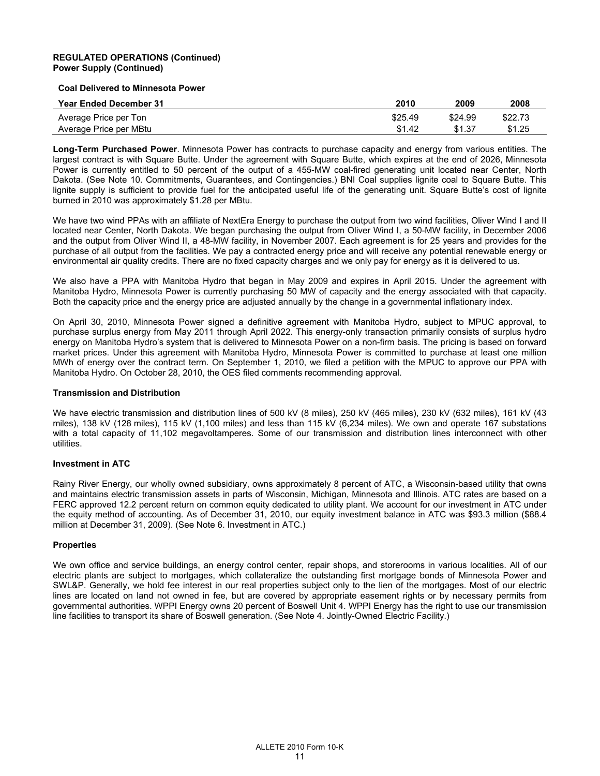## **REGULATED OPERATIONS (Continued) Power Supply (Continued)**

#### **Coal Delivered to Minnesota Power**

| <b>Year Ended December 31</b> | 2010    | 2009    | 2008    |
|-------------------------------|---------|---------|---------|
| Average Price per Ton         | \$25.49 | \$24.99 | \$22.73 |
| Average Price per MBtu        | \$1.42  | \$1.37  | \$1.25  |

**Long-Term Purchased Power**. Minnesota Power has contracts to purchase capacity and energy from various entities. The largest contract is with Square Butte. Under the agreement with Square Butte, which expires at the end of 2026, Minnesota Power is currently entitled to 50 percent of the output of a 455-MW coal-fired generating unit located near Center, North Dakota. (See Note 10. Commitments, Guarantees, and Contingencies.) BNI Coal supplies lignite coal to Square Butte. This lignite supply is sufficient to provide fuel for the anticipated useful life of the generating unit. Square Butte's cost of lignite burned in 2010 was approximately \$1.28 per MBtu.

We have two wind PPAs with an affiliate of NextEra Energy to purchase the output from two wind facilities, Oliver Wind I and II located near Center, North Dakota. We began purchasing the output from Oliver Wind I, a 50-MW facility, in December 2006 and the output from Oliver Wind II, a 48-MW facility, in November 2007. Each agreement is for 25 years and provides for the purchase of all output from the facilities. We pay a contracted energy price and will receive any potential renewable energy or environmental air quality credits. There are no fixed capacity charges and we only pay for energy as it is delivered to us.

We also have a PPA with Manitoba Hydro that began in May 2009 and expires in April 2015. Under the agreement with Manitoba Hydro, Minnesota Power is currently purchasing 50 MW of capacity and the energy associated with that capacity. Both the capacity price and the energy price are adjusted annually by the change in a governmental inflationary index.

On April 30, 2010, Minnesota Power signed a definitive agreement with Manitoba Hydro, subject to MPUC approval, to purchase surplus energy from May 2011 through April 2022. This energy-only transaction primarily consists of surplus hydro energy on Manitoba Hydro's system that is delivered to Minnesota Power on a non-firm basis. The pricing is based on forward market prices. Under this agreement with Manitoba Hydro, Minnesota Power is committed to purchase at least one million MWh of energy over the contract term. On September 1, 2010, we filed a petition with the MPUC to approve our PPA with Manitoba Hydro. On October 28, 2010, the OES filed comments recommending approval.

## **Transmission and Distribution**

We have electric transmission and distribution lines of 500 kV (8 miles), 250 kV (465 miles), 230 kV (632 miles), 161 kV (43 miles), 138 kV (128 miles), 115 kV (1,100 miles) and less than 115 kV (6,234 miles). We own and operate 167 substations with a total capacity of 11,102 megavoltamperes. Some of our transmission and distribution lines interconnect with other utilities.

## **Investment in ATC**

Rainy River Energy, our wholly owned subsidiary, owns approximately 8 percent of ATC, a Wisconsin-based utility that owns and maintains electric transmission assets in parts of Wisconsin, Michigan, Minnesota and Illinois. ATC rates are based on a FERC approved 12.2 percent return on common equity dedicated to utility plant. We account for our investment in ATC under the equity method of accounting. As of December 31, 2010, our equity investment balance in ATC was \$93.3 million (\$88.4 million at December 31, 2009). (See Note 6. Investment in ATC.)

## **Properties**

We own office and service buildings, an energy control center, repair shops, and storerooms in various localities. All of our electric plants are subject to mortgages, which collateralize the outstanding first mortgage bonds of Minnesota Power and SWL&P. Generally, we hold fee interest in our real properties subject only to the lien of the mortgages. Most of our electric lines are located on land not owned in fee, but are covered by appropriate easement rights or by necessary permits from governmental authorities. WPPI Energy owns 20 percent of Boswell Unit 4. WPPI Energy has the right to use our transmission line facilities to transport its share of Boswell generation. (See Note 4. Jointly-Owned Electric Facility.)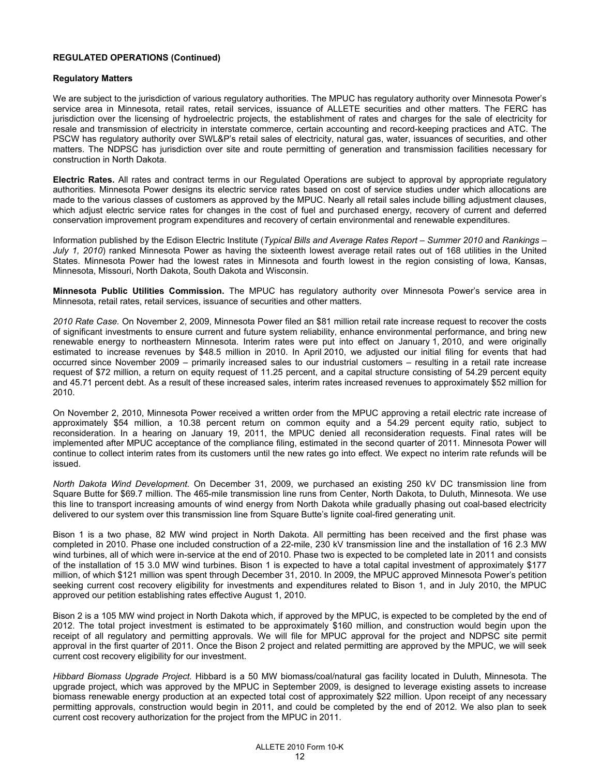## **REGULATED OPERATIONS (Continued)**

## **Regulatory Matters**

We are subject to the jurisdiction of various regulatory authorities. The MPUC has regulatory authority over Minnesota Power's service area in Minnesota, retail rates, retail services, issuance of ALLETE securities and other matters. The FERC has jurisdiction over the licensing of hydroelectric projects, the establishment of rates and charges for the sale of electricity for resale and transmission of electricity in interstate commerce, certain accounting and record-keeping practices and ATC. The PSCW has regulatory authority over SWL&P's retail sales of electricity, natural gas, water, issuances of securities, and other matters. The NDPSC has jurisdiction over site and route permitting of generation and transmission facilities necessary for construction in North Dakota.

**Electric Rates.** All rates and contract terms in our Regulated Operations are subject to approval by appropriate regulatory authorities. Minnesota Power designs its electric service rates based on cost of service studies under which allocations are made to the various classes of customers as approved by the MPUC. Nearly all retail sales include billing adjustment clauses, which adjust electric service rates for changes in the cost of fuel and purchased energy, recovery of current and deferred conservation improvement program expenditures and recovery of certain environmental and renewable expenditures.

Information published by the Edison Electric Institute (*Typical Bills and Average Rates Report – Summer 2010* and *Rankings – July 1, 2010*) ranked Minnesota Power as having the sixteenth lowest average retail rates out of 168 utilities in the United States. Minnesota Power had the lowest rates in Minnesota and fourth lowest in the region consisting of Iowa, Kansas, Minnesota, Missouri, North Dakota, South Dakota and Wisconsin.

**Minnesota Public Utilities Commission.** The MPUC has regulatory authority over Minnesota Power's service area in Minnesota, retail rates, retail services, issuance of securities and other matters.

*2010 Rate Case.* On November 2, 2009, Minnesota Power filed an \$81 million retail rate increase request to recover the costs of significant investments to ensure current and future system reliability, enhance environmental performance, and bring new renewable energy to northeastern Minnesota. Interim rates were put into effect on January 1, 2010, and were originally estimated to increase revenues by \$48.5 million in 2010. In April 2010, we adjusted our initial filing for events that had occurred since November 2009 – primarily increased sales to our industrial customers – resulting in a retail rate increase request of \$72 million, a return on equity request of 11.25 percent, and a capital structure consisting of 54.29 percent equity and 45.71 percent debt. As a result of these increased sales, interim rates increased revenues to approximately \$52 million for 2010.

On November 2, 2010, Minnesota Power received a written order from the MPUC approving a retail electric rate increase of approximately \$54 million, a 10.38 percent return on common equity and a 54.29 percent equity ratio, subject to reconsideration. In a hearing on January 19, 2011, the MPUC denied all reconsideration requests. Final rates will be implemented after MPUC acceptance of the compliance filing, estimated in the second quarter of 2011. Minnesota Power will continue to collect interim rates from its customers until the new rates go into effect. We expect no interim rate refunds will be issued.

*North Dakota Wind Development.* On December 31, 2009, we purchased an existing 250 kV DC transmission line from Square Butte for \$69.7 million. The 465-mile transmission line runs from Center, North Dakota, to Duluth, Minnesota. We use this line to transport increasing amounts of wind energy from North Dakota while gradually phasing out coal-based electricity delivered to our system over this transmission line from Square Butte's lignite coal-fired generating unit.

Bison 1 is a two phase, 82 MW wind project in North Dakota. All permitting has been received and the first phase was completed in 2010. Phase one included construction of a 22-mile, 230 kV transmission line and the installation of 16 2.3 MW wind turbines, all of which were in-service at the end of 2010. Phase two is expected to be completed late in 2011 and consists of the installation of 15 3.0 MW wind turbines. Bison 1 is expected to have a total capital investment of approximately \$177 million, of which \$121 million was spent through December 31, 2010. In 2009, the MPUC approved Minnesota Power's petition seeking current cost recovery eligibility for investments and expenditures related to Bison 1, and in July 2010, the MPUC approved our petition establishing rates effective August 1, 2010.

Bison 2 is a 105 MW wind project in North Dakota which, if approved by the MPUC, is expected to be completed by the end of 2012. The total project investment is estimated to be approximately \$160 million, and construction would begin upon the receipt of all regulatory and permitting approvals. We will file for MPUC approval for the project and NDPSC site permit approval in the first quarter of 2011. Once the Bison 2 project and related permitting are approved by the MPUC, we will seek current cost recovery eligibility for our investment.

*Hibbard Biomass Upgrade Project.* Hibbard is a 50 MW biomass/coal/natural gas facility located in Duluth, Minnesota. The upgrade project, which was approved by the MPUC in September 2009, is designed to leverage existing assets to increase biomass renewable energy production at an expected total cost of approximately \$22 million. Upon receipt of any necessary permitting approvals, construction would begin in 2011, and could be completed by the end of 2012. We also plan to seek current cost recovery authorization for the project from the MPUC in 2011.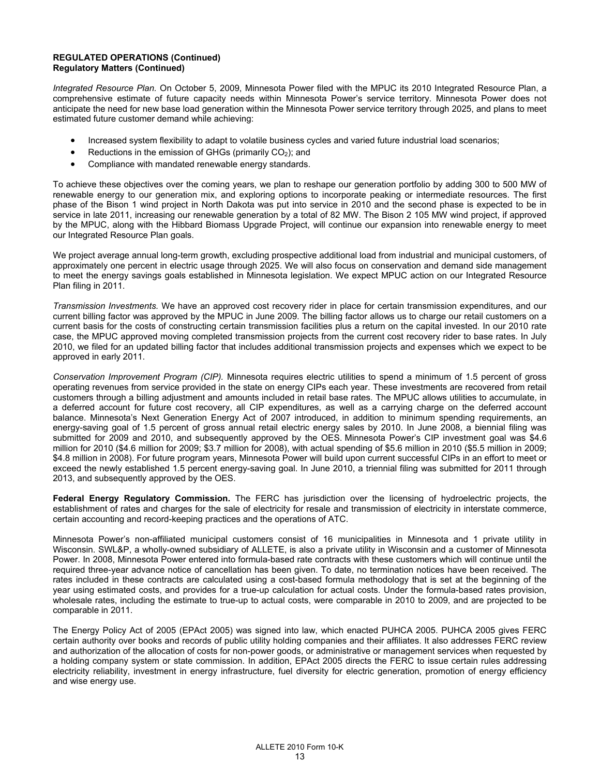## **REGULATED OPERATIONS (Continued) Regulatory Matters (Continued)**

*Integrated Resource Plan.* On October 5, 2009, Minnesota Power filed with the MPUC its 2010 Integrated Resource Plan, a comprehensive estimate of future capacity needs within Minnesota Power's service territory. Minnesota Power does not anticipate the need for new base load generation within the Minnesota Power service territory through 2025, and plans to meet estimated future customer demand while achieving:

- Increased system flexibility to adapt to volatile business cycles and varied future industrial load scenarios;
- Reductions in the emission of GHGs (primarily  $CO<sub>2</sub>$ ); and
- Compliance with mandated renewable energy standards.

To achieve these objectives over the coming years, we plan to reshape our generation portfolio by adding 300 to 500 MW of renewable energy to our generation mix, and exploring options to incorporate peaking or intermediate resources. The first phase of the Bison 1 wind project in North Dakota was put into service in 2010 and the second phase is expected to be in service in late 2011, increasing our renewable generation by a total of 82 MW. The Bison 2 105 MW wind project, if approved by the MPUC, along with the Hibbard Biomass Upgrade Project, will continue our expansion into renewable energy to meet our Integrated Resource Plan goals.

We project average annual long-term growth, excluding prospective additional load from industrial and municipal customers, of approximately one percent in electric usage through 2025. We will also focus on conservation and demand side management to meet the energy savings goals established in Minnesota legislation. We expect MPUC action on our Integrated Resource Plan filing in 2011.

*Transmission Investments.* We have an approved cost recovery rider in place for certain transmission expenditures, and our current billing factor was approved by the MPUC in June 2009. The billing factor allows us to charge our retail customers on a current basis for the costs of constructing certain transmission facilities plus a return on the capital invested. In our 2010 rate case, the MPUC approved moving completed transmission projects from the current cost recovery rider to base rates. In July 2010, we filed for an updated billing factor that includes additional transmission projects and expenses which we expect to be approved in early 2011.

*Conservation Improvement Program (CIP).* Minnesota requires electric utilities to spend a minimum of 1.5 percent of gross operating revenues from service provided in the state on energy CIPs each year. These investments are recovered from retail customers through a billing adjustment and amounts included in retail base rates. The MPUC allows utilities to accumulate, in a deferred account for future cost recovery, all CIP expenditures, as well as a carrying charge on the deferred account balance. Minnesota's Next Generation Energy Act of 2007 introduced, in addition to minimum spending requirements, an energy-saving goal of 1.5 percent of gross annual retail electric energy sales by 2010. In June 2008, a biennial filing was submitted for 2009 and 2010, and subsequently approved by the OES. Minnesota Power's CIP investment goal was \$4.6 million for 2010 (\$4.6 million for 2009; \$3.7 million for 2008), with actual spending of \$5.6 million in 2010 (\$5.5 million in 2009; \$4.8 million in 2008). For future program years, Minnesota Power will build upon current successful CIPs in an effort to meet or exceed the newly established 1.5 percent energy-saving goal. In June 2010, a triennial filing was submitted for 2011 through 2013, and subsequently approved by the OES.

**Federal Energy Regulatory Commission.** The FERC has jurisdiction over the licensing of hydroelectric projects, the establishment of rates and charges for the sale of electricity for resale and transmission of electricity in interstate commerce, certain accounting and record-keeping practices and the operations of ATC.

Minnesota Power's non-affiliated municipal customers consist of 16 municipalities in Minnesota and 1 private utility in Wisconsin. SWL&P, a wholly-owned subsidiary of ALLETE, is also a private utility in Wisconsin and a customer of Minnesota Power. In 2008, Minnesota Power entered into formula-based rate contracts with these customers which will continue until the required three-year advance notice of cancellation has been given. To date, no termination notices have been received. The rates included in these contracts are calculated using a cost-based formula methodology that is set at the beginning of the year using estimated costs, and provides for a true-up calculation for actual costs. Under the formula-based rates provision, wholesale rates, including the estimate to true-up to actual costs, were comparable in 2010 to 2009, and are projected to be comparable in 2011.

The Energy Policy Act of 2005 (EPAct 2005) was signed into law, which enacted PUHCA 2005. PUHCA 2005 gives FERC certain authority over books and records of public utility holding companies and their affiliates. It also addresses FERC review and authorization of the allocation of costs for non-power goods, or administrative or management services when requested by a holding company system or state commission. In addition, EPAct 2005 directs the FERC to issue certain rules addressing electricity reliability, investment in energy infrastructure, fuel diversity for electric generation, promotion of energy efficiency and wise energy use.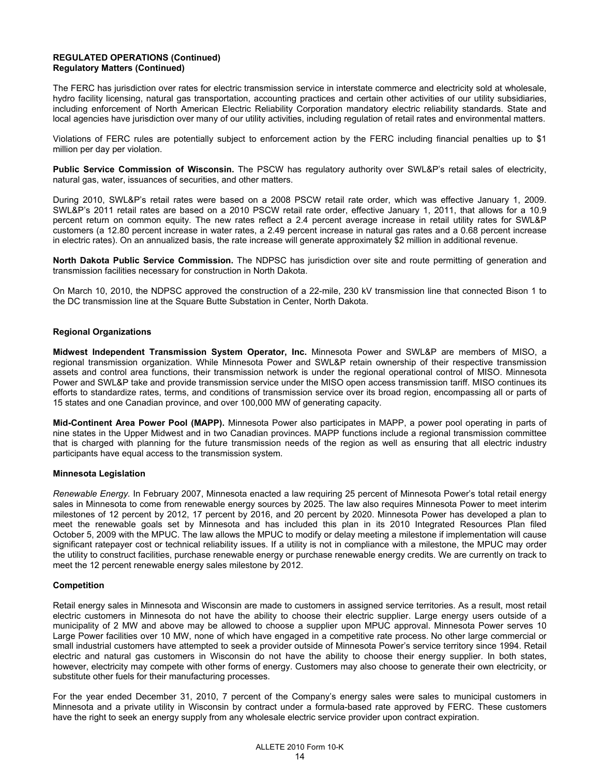## **REGULATED OPERATIONS (Continued) Regulatory Matters (Continued)**

The FERC has jurisdiction over rates for electric transmission service in interstate commerce and electricity sold at wholesale, hydro facility licensing, natural gas transportation, accounting practices and certain other activities of our utility subsidiaries, including enforcement of North American Electric Reliability Corporation mandatory electric reliability standards. State and local agencies have jurisdiction over many of our utility activities, including regulation of retail rates and environmental matters.

Violations of FERC rules are potentially subject to enforcement action by the FERC including financial penalties up to \$1 million per day per violation.

**Public Service Commission of Wisconsin.** The PSCW has regulatory authority over SWL&P's retail sales of electricity, natural gas, water, issuances of securities, and other matters.

During 2010, SWL&P's retail rates were based on a 2008 PSCW retail rate order, which was effective January 1, 2009. SWL&P's 2011 retail rates are based on a 2010 PSCW retail rate order, effective January 1, 2011, that allows for a 10.9 percent return on common equity. The new rates reflect a 2.4 percent average increase in retail utility rates for SWL&P customers (a 12.80 percent increase in water rates, a 2.49 percent increase in natural gas rates and a 0.68 percent increase in electric rates). On an annualized basis, the rate increase will generate approximately \$2 million in additional revenue.

**North Dakota Public Service Commission.** The NDPSC has jurisdiction over site and route permitting of generation and transmission facilities necessary for construction in North Dakota.

On March 10, 2010, the NDPSC approved the construction of a 22-mile, 230 kV transmission line that connected Bison 1 to the DC transmission line at the Square Butte Substation in Center, North Dakota.

## **Regional Organizations**

**Midwest Independent Transmission System Operator, Inc.** Minnesota Power and SWL&P are members of MISO, a regional transmission organization. While Minnesota Power and SWL&P retain ownership of their respective transmission assets and control area functions, their transmission network is under the regional operational control of MISO. Minnesota Power and SWL&P take and provide transmission service under the MISO open access transmission tariff. MISO continues its efforts to standardize rates, terms, and conditions of transmission service over its broad region, encompassing all or parts of 15 states and one Canadian province, and over 100,000 MW of generating capacity.

**Mid-Continent Area Power Pool (MAPP).** Minnesota Power also participates in MAPP, a power pool operating in parts of nine states in the Upper Midwest and in two Canadian provinces. MAPP functions include a regional transmission committee that is charged with planning for the future transmission needs of the region as well as ensuring that all electric industry participants have equal access to the transmission system.

#### **Minnesota Legislation**

*Renewable Energy.* In February 2007, Minnesota enacted a law requiring 25 percent of Minnesota Power's total retail energy sales in Minnesota to come from renewable energy sources by 2025. The law also requires Minnesota Power to meet interim milestones of 12 percent by 2012, 17 percent by 2016, and 20 percent by 2020. Minnesota Power has developed a plan to meet the renewable goals set by Minnesota and has included this plan in its 2010 Integrated Resources Plan filed October 5, 2009 with the MPUC. The law allows the MPUC to modify or delay meeting a milestone if implementation will cause significant ratepayer cost or technical reliability issues. If a utility is not in compliance with a milestone, the MPUC may order the utility to construct facilities, purchase renewable energy or purchase renewable energy credits. We are currently on track to meet the 12 percent renewable energy sales milestone by 2012.

#### **Competition**

Retail energy sales in Minnesota and Wisconsin are made to customers in assigned service territories. As a result, most retail electric customers in Minnesota do not have the ability to choose their electric supplier. Large energy users outside of a municipality of 2 MW and above may be allowed to choose a supplier upon MPUC approval. Minnesota Power serves 10 Large Power facilities over 10 MW, none of which have engaged in a competitive rate process. No other large commercial or small industrial customers have attempted to seek a provider outside of Minnesota Power's service territory since 1994. Retail electric and natural gas customers in Wisconsin do not have the ability to choose their energy supplier. In both states, however, electricity may compete with other forms of energy. Customers may also choose to generate their own electricity, or substitute other fuels for their manufacturing processes.

For the year ended December 31, 2010, 7 percent of the Company's energy sales were sales to municipal customers in Minnesota and a private utility in Wisconsin by contract under a formula-based rate approved by FERC. These customers have the right to seek an energy supply from any wholesale electric service provider upon contract expiration.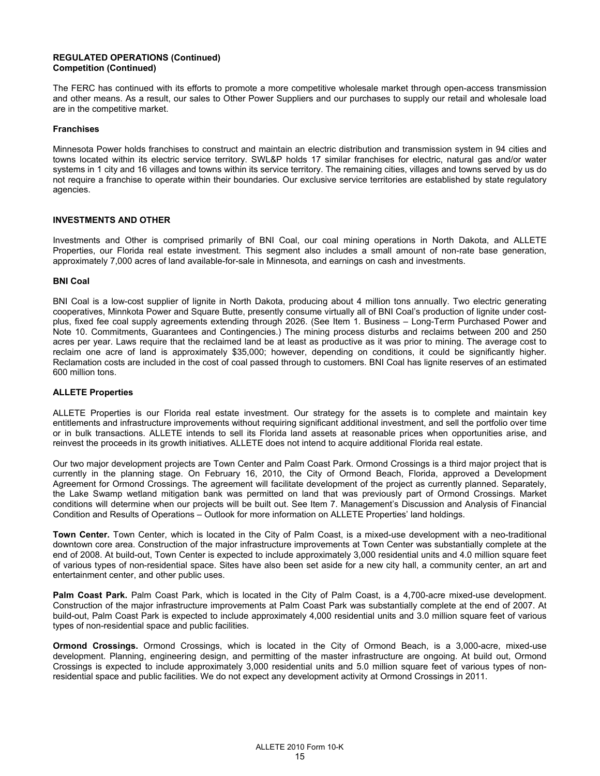## **REGULATED OPERATIONS (Continued) Competition (Continued)**

The FERC has continued with its efforts to promote a more competitive wholesale market through open-access transmission and other means. As a result, our sales to Other Power Suppliers and our purchases to supply our retail and wholesale load are in the competitive market.

## **Franchises**

Minnesota Power holds franchises to construct and maintain an electric distribution and transmission system in 94 cities and towns located within its electric service territory. SWL&P holds 17 similar franchises for electric, natural gas and/or water systems in 1 city and 16 villages and towns within its service territory. The remaining cities, villages and towns served by us do not require a franchise to operate within their boundaries. Our exclusive service territories are established by state regulatory agencies.

## **INVESTMENTS AND OTHER**

Investments and Other is comprised primarily of BNI Coal, our coal mining operations in North Dakota, and ALLETE Properties, our Florida real estate investment. This segment also includes a small amount of non-rate base generation, approximately 7,000 acres of land available-for-sale in Minnesota, and earnings on cash and investments.

## **BNI Coal**

BNI Coal is a low-cost supplier of lignite in North Dakota, producing about 4 million tons annually. Two electric generating cooperatives, Minnkota Power and Square Butte, presently consume virtually all of BNI Coal's production of lignite under costplus, fixed fee coal supply agreements extending through 2026. (See Item 1. Business – Long-Term Purchased Power and Note 10. Commitments, Guarantees and Contingencies.) The mining process disturbs and reclaims between 200 and 250 acres per year. Laws require that the reclaimed land be at least as productive as it was prior to mining. The average cost to reclaim one acre of land is approximately \$35,000; however, depending on conditions, it could be significantly higher. Reclamation costs are included in the cost of coal passed through to customers. BNI Coal has lignite reserves of an estimated 600 million tons.

## **ALLETE Properties**

ALLETE Properties is our Florida real estate investment. Our strategy for the assets is to complete and maintain key entitlements and infrastructure improvements without requiring significant additional investment, and sell the portfolio over time or in bulk transactions. ALLETE intends to sell its Florida land assets at reasonable prices when opportunities arise, and reinvest the proceeds in its growth initiatives. ALLETE does not intend to acquire additional Florida real estate.

Our two major development projects are Town Center and Palm Coast Park. Ormond Crossings is a third major project that is currently in the planning stage. On February 16, 2010, the City of Ormond Beach, Florida, approved a Development Agreement for Ormond Crossings. The agreement will facilitate development of the project as currently planned. Separately, the Lake Swamp wetland mitigation bank was permitted on land that was previously part of Ormond Crossings. Market conditions will determine when our projects will be built out. See Item 7. Management's Discussion and Analysis of Financial Condition and Results of Operations – Outlook for more information on ALLETE Properties' land holdings.

**Town Center.** Town Center, which is located in the City of Palm Coast, is a mixed-use development with a neo-traditional downtown core area. Construction of the major infrastructure improvements at Town Center was substantially complete at the end of 2008. At build-out, Town Center is expected to include approximately 3,000 residential units and 4.0 million square feet of various types of non-residential space. Sites have also been set aside for a new city hall, a community center, an art and entertainment center, and other public uses.

**Palm Coast Park.** Palm Coast Park, which is located in the City of Palm Coast, is a 4,700-acre mixed-use development. Construction of the major infrastructure improvements at Palm Coast Park was substantially complete at the end of 2007. At build-out, Palm Coast Park is expected to include approximately 4,000 residential units and 3.0 million square feet of various types of non-residential space and public facilities.

**Ormond Crossings.** Ormond Crossings, which is located in the City of Ormond Beach, is a 3,000-acre, mixed-use development. Planning, engineering design, and permitting of the master infrastructure are ongoing. At build out, Ormond Crossings is expected to include approximately 3,000 residential units and 5.0 million square feet of various types of nonresidential space and public facilities. We do not expect any development activity at Ormond Crossings in 2011.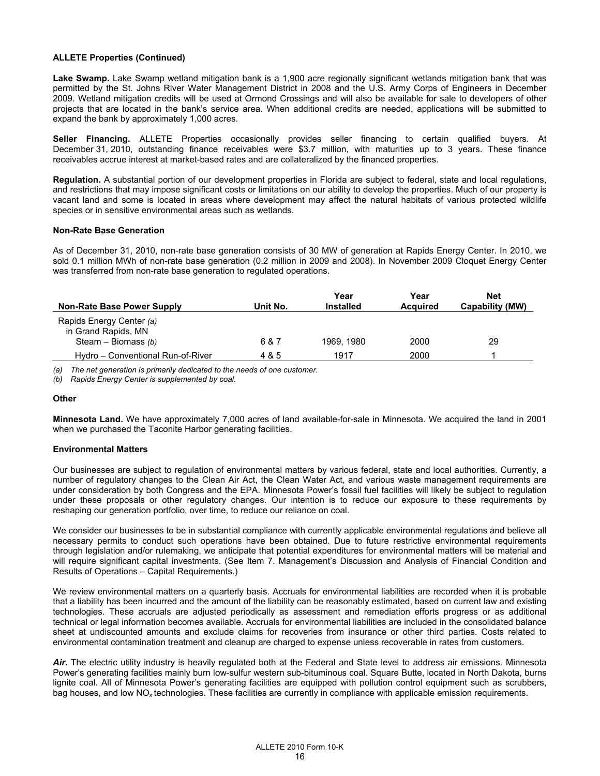## **ALLETE Properties (Continued)**

**Lake Swamp.** Lake Swamp wetland mitigation bank is a 1,900 acre regionally significant wetlands mitigation bank that was permitted by the St. Johns River Water Management District in 2008 and the U.S. Army Corps of Engineers in December 2009. Wetland mitigation credits will be used at Ormond Crossings and will also be available for sale to developers of other projects that are located in the bank's service area. When additional credits are needed, applications will be submitted to expand the bank by approximately 1,000 acres.

**Seller Financing.** ALLETE Properties occasionally provides seller financing to certain qualified buyers. At December 31, 2010, outstanding finance receivables were \$3.7 million, with maturities up to 3 years. These finance receivables accrue interest at market-based rates and are collateralized by the financed properties.

**Regulation.** A substantial portion of our development properties in Florida are subject to federal, state and local regulations, and restrictions that may impose significant costs or limitations on our ability to develop the properties. Much of our property is vacant land and some is located in areas where development may affect the natural habitats of various protected wildlife species or in sensitive environmental areas such as wetlands.

#### **Non-Rate Base Generation**

As of December 31, 2010, non-rate base generation consists of 30 MW of generation at Rapids Energy Center. In 2010, we sold 0.1 million MWh of non-rate base generation (0.2 million in 2009 and 2008). In November 2009 Cloquet Energy Center was transferred from non-rate base generation to regulated operations.

| Non-Rate Base Power Supply                                               | Unit No. | Year<br><b>Installed</b> | Year<br><b>Acquired</b> | Net<br>Capability (MW) |
|--------------------------------------------------------------------------|----------|--------------------------|-------------------------|------------------------|
| Rapids Energy Center (a)<br>in Grand Rapids, MN<br>Steam – Biomass $(b)$ | 6 & 7    | 1969.1980                | 2000                    | 29                     |
| Hydro – Conventional Run-of-River                                        | 4 & 5    | 1917                     | 2000                    |                        |

*(a) The net generation is primarily dedicated to the needs of one customer.* 

*(b) Rapids Energy Center is supplemented by coal.* 

## **Other**

**Minnesota Land.** We have approximately 7,000 acres of land available-for-sale in Minnesota. We acquired the land in 2001 when we purchased the Taconite Harbor generating facilities.

## **Environmental Matters**

Our businesses are subject to regulation of environmental matters by various federal, state and local authorities. Currently, a number of regulatory changes to the Clean Air Act, the Clean Water Act, and various waste management requirements are under consideration by both Congress and the EPA. Minnesota Power's fossil fuel facilities will likely be subject to regulation under these proposals or other regulatory changes. Our intention is to reduce our exposure to these requirements by reshaping our generation portfolio, over time, to reduce our reliance on coal.

We consider our businesses to be in substantial compliance with currently applicable environmental regulations and believe all necessary permits to conduct such operations have been obtained. Due to future restrictive environmental requirements through legislation and/or rulemaking, we anticipate that potential expenditures for environmental matters will be material and will require significant capital investments. (See Item 7. Management's Discussion and Analysis of Financial Condition and Results of Operations – Capital Requirements.)

We review environmental matters on a quarterly basis. Accruals for environmental liabilities are recorded when it is probable that a liability has been incurred and the amount of the liability can be reasonably estimated, based on current law and existing technologies. These accruals are adjusted periodically as assessment and remediation efforts progress or as additional technical or legal information becomes available. Accruals for environmental liabilities are included in the consolidated balance sheet at undiscounted amounts and exclude claims for recoveries from insurance or other third parties. Costs related to environmental contamination treatment and cleanup are charged to expense unless recoverable in rates from customers.

Air. The electric utility industry is heavily regulated both at the Federal and State level to address air emissions. Minnesota Power's generating facilities mainly burn low-sulfur western sub-bituminous coal. Square Butte, located in North Dakota, burns lignite coal. All of Minnesota Power's generating facilities are equipped with pollution control equipment such as scrubbers, bag houses, and low  $NO<sub>x</sub>$  technologies. These facilities are currently in compliance with applicable emission requirements.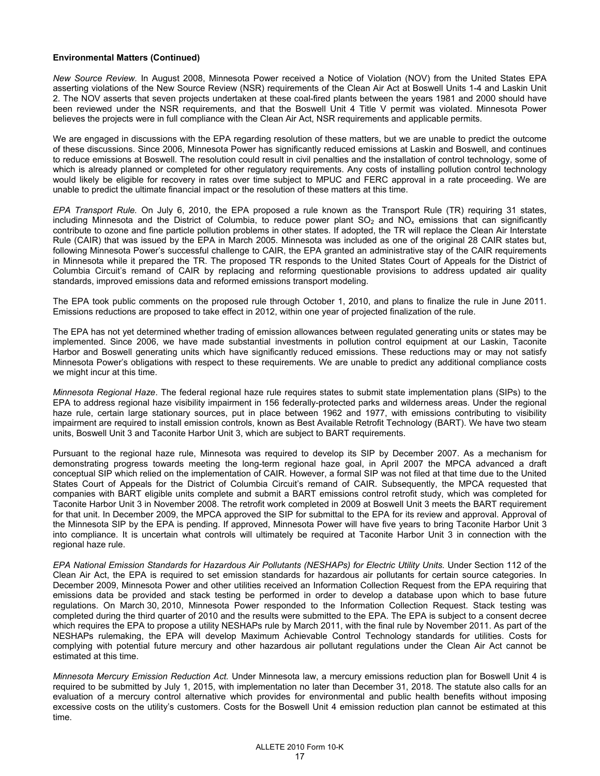*New Source Review.* In August 2008, Minnesota Power received a Notice of Violation (NOV) from the United States EPA asserting violations of the New Source Review (NSR) requirements of the Clean Air Act at Boswell Units 1-4 and Laskin Unit 2. The NOV asserts that seven projects undertaken at these coal-fired plants between the years 1981 and 2000 should have been reviewed under the NSR requirements, and that the Boswell Unit 4 Title V permit was violated. Minnesota Power believes the projects were in full compliance with the Clean Air Act, NSR requirements and applicable permits.

We are engaged in discussions with the EPA regarding resolution of these matters, but we are unable to predict the outcome of these discussions. Since 2006, Minnesota Power has significantly reduced emissions at Laskin and Boswell, and continues to reduce emissions at Boswell. The resolution could result in civil penalties and the installation of control technology, some of which is already planned or completed for other regulatory requirements. Any costs of installing pollution control technology would likely be eligible for recovery in rates over time subject to MPUC and FERC approval in a rate proceeding. We are unable to predict the ultimate financial impact or the resolution of these matters at this time.

*EPA Transport Rule.* On July 6, 2010, the EPA proposed a rule known as the Transport Rule (TR) requiring 31 states, including Minnesota and the District of Columbia, to reduce power plant  $SO_2$  and  $NO_x$  emissions that can significantly contribute to ozone and fine particle pollution problems in other states. If adopted, the TR will replace the Clean Air Interstate Rule (CAIR) that was issued by the EPA in March 2005. Minnesota was included as one of the original 28 CAIR states but, following Minnesota Power's successful challenge to CAIR, the EPA granted an administrative stay of the CAIR requirements in Minnesota while it prepared the TR. The proposed TR responds to the United States Court of Appeals for the District of Columbia Circuit's remand of CAIR by replacing and reforming questionable provisions to address updated air quality standards, improved emissions data and reformed emissions transport modeling.

The EPA took public comments on the proposed rule through October 1, 2010, and plans to finalize the rule in June 2011. Emissions reductions are proposed to take effect in 2012, within one year of projected finalization of the rule.

The EPA has not yet determined whether trading of emission allowances between regulated generating units or states may be implemented. Since 2006, we have made substantial investments in pollution control equipment at our Laskin, Taconite Harbor and Boswell generating units which have significantly reduced emissions. These reductions may or may not satisfy Minnesota Power's obligations with respect to these requirements. We are unable to predict any additional compliance costs we might incur at this time.

*Minnesota Regional Haze*. The federal regional haze rule requires states to submit state implementation plans (SIPs) to the EPA to address regional haze visibility impairment in 156 federally-protected parks and wilderness areas. Under the regional haze rule, certain large stationary sources, put in place between 1962 and 1977, with emissions contributing to visibility impairment are required to install emission controls, known as Best Available Retrofit Technology (BART). We have two steam units, Boswell Unit 3 and Taconite Harbor Unit 3, which are subject to BART requirements.

Pursuant to the regional haze rule, Minnesota was required to develop its SIP by December 2007. As a mechanism for demonstrating progress towards meeting the long-term regional haze goal, in April 2007 the MPCA advanced a draft conceptual SIP which relied on the implementation of CAIR. However, a formal SIP was not filed at that time due to the United States Court of Appeals for the District of Columbia Circuit's remand of CAIR. Subsequently, the MPCA requested that companies with BART eligible units complete and submit a BART emissions control retrofit study, which was completed for Taconite Harbor Unit 3 in November 2008. The retrofit work completed in 2009 at Boswell Unit 3 meets the BART requirement for that unit. In December 2009, the MPCA approved the SIP for submittal to the EPA for its review and approval. Approval of the Minnesota SIP by the EPA is pending. If approved, Minnesota Power will have five years to bring Taconite Harbor Unit 3 into compliance. It is uncertain what controls will ultimately be required at Taconite Harbor Unit 3 in connection with the regional haze rule.

*EPA National Emission Standards for Hazardous Air Pollutants (NESHAPs) for Electric Utility Units.* Under Section 112 of the Clean Air Act, the EPA is required to set emission standards for hazardous air pollutants for certain source categories. In December 2009, Minnesota Power and other utilities received an Information Collection Request from the EPA requiring that emissions data be provided and stack testing be performed in order to develop a database upon which to base future regulations. On March 30, 2010, Minnesota Power responded to the Information Collection Request. Stack testing was completed during the third quarter of 2010 and the results were submitted to the EPA. The EPA is subject to a consent decree which requires the EPA to propose a utility NESHAPs rule by March 2011, with the final rule by November 2011. As part of the NESHAPs rulemaking, the EPA will develop Maximum Achievable Control Technology standards for utilities. Costs for complying with potential future mercury and other hazardous air pollutant regulations under the Clean Air Act cannot be estimated at this time.

*Minnesota Mercury Emission Reduction Act.* Under Minnesota law, a mercury emissions reduction plan for Boswell Unit 4 is required to be submitted by July 1, 2015, with implementation no later than December 31, 2018. The statute also calls for an evaluation of a mercury control alternative which provides for environmental and public health benefits without imposing excessive costs on the utility's customers. Costs for the Boswell Unit 4 emission reduction plan cannot be estimated at this time.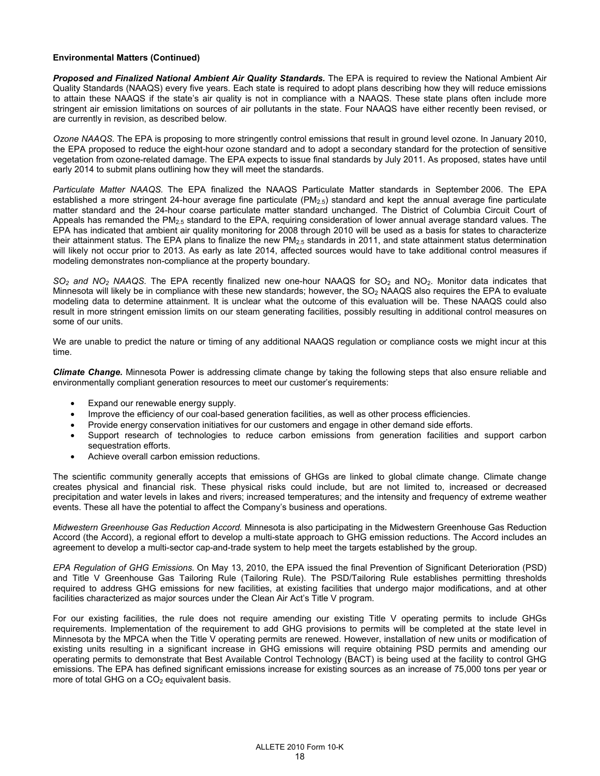**Proposed and Finalized National Ambient Air Quality Standards.** The EPA is required to review the National Ambient Air Quality Standards (NAAQS) every five years. Each state is required to adopt plans describing how they will reduce emissions to attain these NAAQS if the state's air quality is not in compliance with a NAAQS. These state plans often include more stringent air emission limitations on sources of air pollutants in the state. Four NAAQS have either recently been revised, or are currently in revision, as described below.

*Ozone NAAQS.* The EPA is proposing to more stringently control emissions that result in ground level ozone. In January 2010, the EPA proposed to reduce the eight-hour ozone standard and to adopt a secondary standard for the protection of sensitive vegetation from ozone-related damage. The EPA expects to issue final standards by July 2011. As proposed, states have until early 2014 to submit plans outlining how they will meet the standards.

*Particulate Matter NAAQS.* The EPA finalized the NAAQS Particulate Matter standards in September 2006. The EPA established a more stringent 24-hour average fine particulate (PM<sub>2.5</sub>) standard and kept the annual average fine particulate matter standard and the 24-hour coarse particulate matter standard unchanged. The District of Columbia Circuit Court of Appeals has remanded the PM<sub>2.5</sub> standard to the EPA, requiring consideration of lower annual average standard values. The EPA has indicated that ambient air quality monitoring for 2008 through 2010 will be used as a basis for states to characterize their attainment status. The EPA plans to finalize the new  $PM_{2.5}$  standards in 2011, and state attainment status determination will likely not occur prior to 2013. As early as late 2014, affected sources would have to take additional control measures if modeling demonstrates non-compliance at the property boundary.

SO<sub>2</sub> and NO<sub>2</sub> NAAQS. The EPA recently finalized new one-hour NAAQS for SO<sub>2</sub> and NO<sub>2</sub>. Monitor data indicates that Minnesota will likely be in compliance with these new standards; however, the  $SO<sub>2</sub>$  NAAQS also requires the EPA to evaluate modeling data to determine attainment. It is unclear what the outcome of this evaluation will be. These NAAQS could also result in more stringent emission limits on our steam generating facilities, possibly resulting in additional control measures on some of our units.

We are unable to predict the nature or timing of any additional NAAQS regulation or compliance costs we might incur at this time.

*Climate Change.* Minnesota Power is addressing climate change by taking the following steps that also ensure reliable and environmentally compliant generation resources to meet our customer's requirements:

- Expand our renewable energy supply.
- Improve the efficiency of our coal-based generation facilities, as well as other process efficiencies.
- Provide energy conservation initiatives for our customers and engage in other demand side efforts.
- Support research of technologies to reduce carbon emissions from generation facilities and support carbon sequestration efforts.
- Achieve overall carbon emission reductions.

The scientific community generally accepts that emissions of GHGs are linked to global climate change. Climate change creates physical and financial risk. These physical risks could include, but are not limited to, increased or decreased precipitation and water levels in lakes and rivers; increased temperatures; and the intensity and frequency of extreme weather events. These all have the potential to affect the Company's business and operations.

*Midwestern Greenhouse Gas Reduction Accord.* Minnesota is also participating in the Midwestern Greenhouse Gas Reduction Accord (the Accord), a regional effort to develop a multi-state approach to GHG emission reductions. The Accord includes an agreement to develop a multi-sector cap-and-trade system to help meet the targets established by the group.

*EPA Regulation of GHG Emissions.* On May 13, 2010, the EPA issued the final Prevention of Significant Deterioration (PSD) and Title V Greenhouse Gas Tailoring Rule (Tailoring Rule). The PSD/Tailoring Rule establishes permitting thresholds required to address GHG emissions for new facilities, at existing facilities that undergo major modifications, and at other facilities characterized as major sources under the Clean Air Act's Title V program.

For our existing facilities, the rule does not require amending our existing Title V operating permits to include GHGs requirements. Implementation of the requirement to add GHG provisions to permits will be completed at the state level in Minnesota by the MPCA when the Title V operating permits are renewed. However, installation of new units or modification of existing units resulting in a significant increase in GHG emissions will require obtaining PSD permits and amending our operating permits to demonstrate that Best Available Control Technology (BACT) is being used at the facility to control GHG emissions. The EPA has defined significant emissions increase for existing sources as an increase of 75,000 tons per year or more of total GHG on a  $CO<sub>2</sub>$  equivalent basis.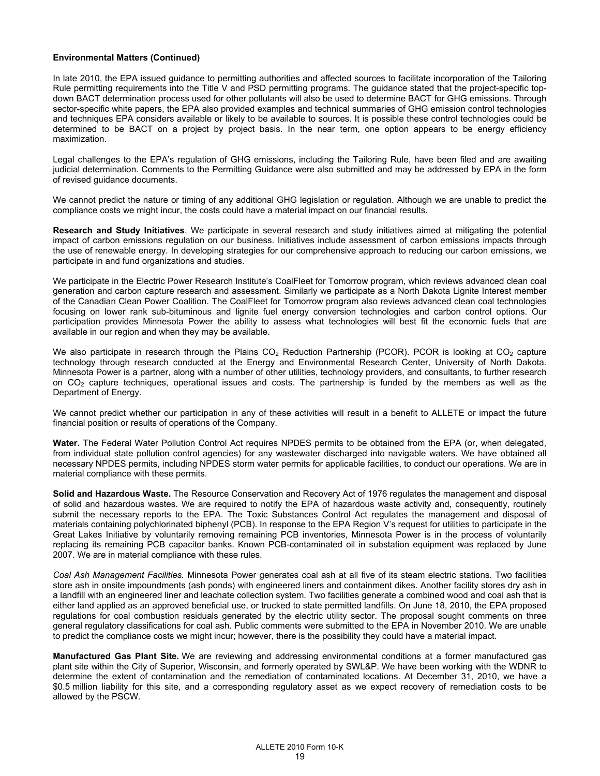In late 2010, the EPA issued guidance to permitting authorities and affected sources to facilitate incorporation of the Tailoring Rule permitting requirements into the Title V and PSD permitting programs. The guidance stated that the project-specific topdown BACT determination process used for other pollutants will also be used to determine BACT for GHG emissions. Through sector-specific white papers, the EPA also provided examples and technical summaries of GHG emission control technologies and techniques EPA considers available or likely to be available to sources. It is possible these control technologies could be determined to be BACT on a project by project basis. In the near term, one option appears to be energy efficiency maximization.

Legal challenges to the EPA's regulation of GHG emissions, including the Tailoring Rule, have been filed and are awaiting judicial determination. Comments to the Permitting Guidance were also submitted and may be addressed by EPA in the form of revised guidance documents.

We cannot predict the nature or timing of any additional GHG legislation or regulation. Although we are unable to predict the compliance costs we might incur, the costs could have a material impact on our financial results.

**Research and Study Initiatives**. We participate in several research and study initiatives aimed at mitigating the potential impact of carbon emissions regulation on our business. Initiatives include assessment of carbon emissions impacts through the use of renewable energy. In developing strategies for our comprehensive approach to reducing our carbon emissions, we participate in and fund organizations and studies.

We participate in the Electric Power Research Institute's CoalFleet for Tomorrow program, which reviews advanced clean coal generation and carbon capture research and assessment. Similarly we participate as a North Dakota Lignite Interest member of the Canadian Clean Power Coalition. The CoalFleet for Tomorrow program also reviews advanced clean coal technologies focusing on lower rank sub-bituminous and lignite fuel energy conversion technologies and carbon control options. Our participation provides Minnesota Power the ability to assess what technologies will best fit the economic fuels that are available in our region and when they may be available.

We also participate in research through the Plains  $CO<sub>2</sub>$  Reduction Partnership (PCOR). PCOR is looking at  $CO<sub>2</sub>$  capture technology through research conducted at the Energy and Environmental Research Center, University of North Dakota. Minnesota Power is a partner, along with a number of other utilities, technology providers, and consultants, to further research on CO2 capture techniques, operational issues and costs. The partnership is funded by the members as well as the Department of Energy.

We cannot predict whether our participation in any of these activities will result in a benefit to ALLETE or impact the future financial position or results of operations of the Company.

**Water.** The Federal Water Pollution Control Act requires NPDES permits to be obtained from the EPA (or, when delegated, from individual state pollution control agencies) for any wastewater discharged into navigable waters. We have obtained all necessary NPDES permits, including NPDES storm water permits for applicable facilities, to conduct our operations. We are in material compliance with these permits.

**Solid and Hazardous Waste.** The Resource Conservation and Recovery Act of 1976 regulates the management and disposal of solid and hazardous wastes. We are required to notify the EPA of hazardous waste activity and, consequently, routinely submit the necessary reports to the EPA. The Toxic Substances Control Act regulates the management and disposal of materials containing polychlorinated biphenyl (PCB). In response to the EPA Region V's request for utilities to participate in the Great Lakes Initiative by voluntarily removing remaining PCB inventories, Minnesota Power is in the process of voluntarily replacing its remaining PCB capacitor banks. Known PCB-contaminated oil in substation equipment was replaced by June 2007. We are in material compliance with these rules.

*Coal Ash Management Facilities.* Minnesota Power generates coal ash at all five of its steam electric stations. Two facilities store ash in onsite impoundments (ash ponds) with engineered liners and containment dikes. Another facility stores dry ash in a landfill with an engineered liner and leachate collection system. Two facilities generate a combined wood and coal ash that is either land applied as an approved beneficial use, or trucked to state permitted landfills. On June 18, 2010, the EPA proposed regulations for coal combustion residuals generated by the electric utility sector. The proposal sought comments on three general regulatory classifications for coal ash. Public comments were submitted to the EPA in November 2010. We are unable to predict the compliance costs we might incur; however, there is the possibility they could have a material impact.

**Manufactured Gas Plant Site***.* We are reviewing and addressing environmental conditions at a former manufactured gas plant site within the City of Superior, Wisconsin, and formerly operated by SWL&P. We have been working with the WDNR to determine the extent of contamination and the remediation of contaminated locations. At December 31, 2010, we have a \$0.5 million liability for this site, and a corresponding regulatory asset as we expect recovery of remediation costs to be allowed by the PSCW.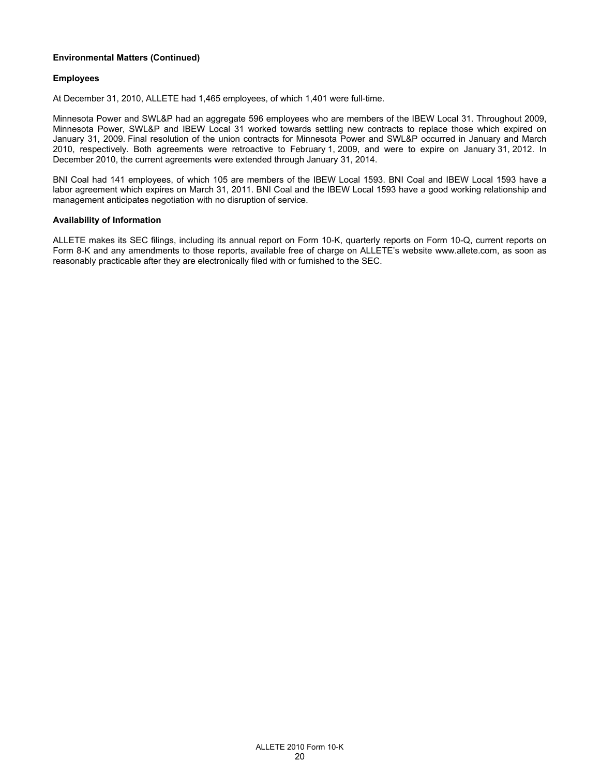## **Employees**

At December 31, 2010, ALLETE had 1,465 employees, of which 1,401 were full-time.

Minnesota Power and SWL&P had an aggregate 596 employees who are members of the IBEW Local 31. Throughout 2009, Minnesota Power, SWL&P and IBEW Local 31 worked towards settling new contracts to replace those which expired on January 31, 2009. Final resolution of the union contracts for Minnesota Power and SWL&P occurred in January and March 2010, respectively. Both agreements were retroactive to February 1, 2009, and were to expire on January 31, 2012. In December 2010, the current agreements were extended through January 31, 2014.

BNI Coal had 141 employees, of which 105 are members of the IBEW Local 1593. BNI Coal and IBEW Local 1593 have a labor agreement which expires on March 31, 2011. BNI Coal and the IBEW Local 1593 have a good working relationship and management anticipates negotiation with no disruption of service.

## **Availability of Information**

ALLETE makes its SEC filings, including its annual report on Form 10-K, quarterly reports on Form 10-Q, current reports on Form 8-K and any amendments to those reports, available free of charge on ALLETE's website www.allete.com, as soon as reasonably practicable after they are electronically filed with or furnished to the SEC.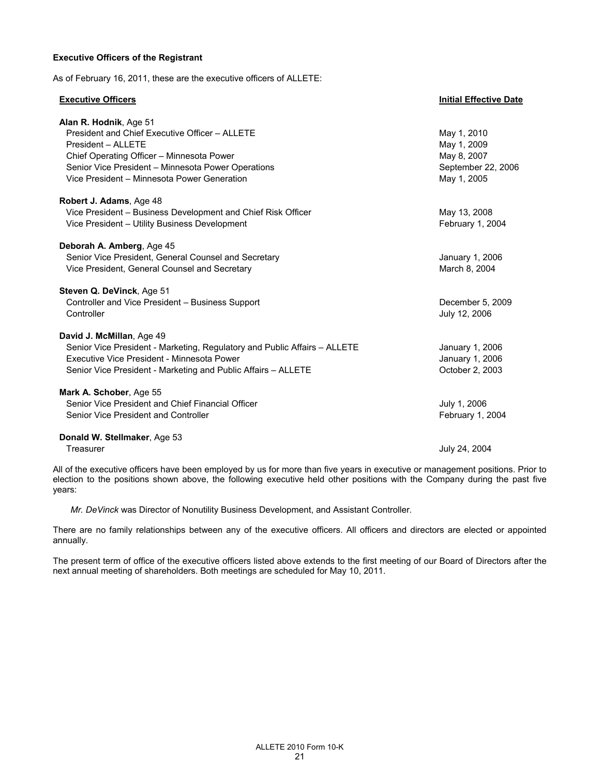## **Executive Officers of the Registrant**

As of February 16, 2011, these are the executive officers of ALLETE:

### **Executive Officers Initial Effective Date**

| Alan R. Hodnik, Age 51<br>President and Chief Executive Officer - ALLETE<br>President - ALLETE<br>Chief Operating Officer - Minnesota Power<br>Senior Vice President - Minnesota Power Operations<br>Vice President - Minnesota Power Generation | May 1, 2010<br>May 1, 2009<br>May 8, 2007<br>September 22, 2006<br>May 1, 2005 |
|--------------------------------------------------------------------------------------------------------------------------------------------------------------------------------------------------------------------------------------------------|--------------------------------------------------------------------------------|
| Robert J. Adams, Age 48<br>Vice President - Business Development and Chief Risk Officer<br>Vice President - Utility Business Development                                                                                                         | May 13, 2008<br>February 1, 2004                                               |
| Deborah A. Amberg, Age 45<br>Senior Vice President, General Counsel and Secretary<br>Vice President, General Counsel and Secretary                                                                                                               | January 1, 2006<br>March 8, 2004                                               |
| Steven Q. DeVinck, Age 51<br>Controller and Vice President - Business Support<br>Controller                                                                                                                                                      | December 5, 2009<br>July 12, 2006                                              |
| David J. McMillan, Age 49<br>Senior Vice President - Marketing, Regulatory and Public Affairs - ALLETE<br>Executive Vice President - Minnesota Power<br>Senior Vice President - Marketing and Public Affairs - ALLETE                            | January 1, 2006<br>January 1, 2006<br>October 2, 2003                          |
| Mark A. Schober, Age 55<br>Senior Vice President and Chief Financial Officer<br>Senior Vice President and Controller                                                                                                                             | July 1, 2006<br>February 1, 2004                                               |
| Donald W. Stellmaker, Age 53<br>Treasurer                                                                                                                                                                                                        | July 24, 2004                                                                  |

All of the executive officers have been employed by us for more than five years in executive or management positions. Prior to election to the positions shown above, the following executive held other positions with the Company during the past five years:

*Mr. DeVinck* was Director of Nonutility Business Development, and Assistant Controller*.* 

There are no family relationships between any of the executive officers. All officers and directors are elected or appointed annually.

The present term of office of the executive officers listed above extends to the first meeting of our Board of Directors after the next annual meeting of shareholders. Both meetings are scheduled for May 10, 2011.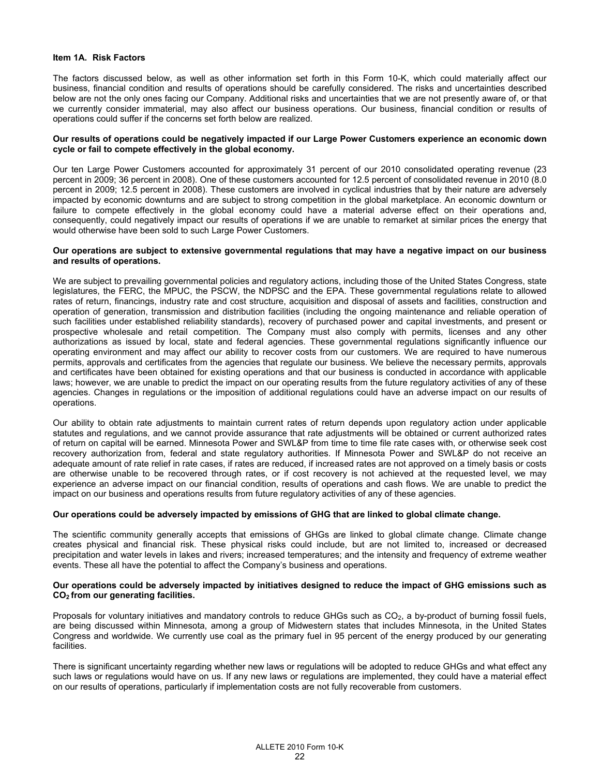#### **Item 1A. Risk Factors**

The factors discussed below, as well as other information set forth in this Form 10-K, which could materially affect our business, financial condition and results of operations should be carefully considered. The risks and uncertainties described below are not the only ones facing our Company. Additional risks and uncertainties that we are not presently aware of, or that we currently consider immaterial, may also affect our business operations. Our business, financial condition or results of operations could suffer if the concerns set forth below are realized.

#### **Our results of operations could be negatively impacted if our Large Power Customers experience an economic down cycle or fail to compete effectively in the global economy.**

Our ten Large Power Customers accounted for approximately 31 percent of our 2010 consolidated operating revenue (23 percent in 2009; 36 percent in 2008). One of these customers accounted for 12.5 percent of consolidated revenue in 2010 (8.0 percent in 2009; 12.5 percent in 2008). These customers are involved in cyclical industries that by their nature are adversely impacted by economic downturns and are subject to strong competition in the global marketplace. An economic downturn or failure to compete effectively in the global economy could have a material adverse effect on their operations and, consequently, could negatively impact our results of operations if we are unable to remarket at similar prices the energy that would otherwise have been sold to such Large Power Customers.

#### **Our operations are subject to extensive governmental regulations that may have a negative impact on our business and results of operations.**

We are subject to prevailing governmental policies and regulatory actions, including those of the United States Congress, state legislatures, the FERC, the MPUC, the PSCW, the NDPSC and the EPA. These governmental regulations relate to allowed rates of return, financings, industry rate and cost structure, acquisition and disposal of assets and facilities, construction and operation of generation, transmission and distribution facilities (including the ongoing maintenance and reliable operation of such facilities under established reliability standards), recovery of purchased power and capital investments, and present or prospective wholesale and retail competition. The Company must also comply with permits, licenses and any other authorizations as issued by local, state and federal agencies. These governmental regulations significantly influence our operating environment and may affect our ability to recover costs from our customers. We are required to have numerous permits, approvals and certificates from the agencies that regulate our business. We believe the necessary permits, approvals and certificates have been obtained for existing operations and that our business is conducted in accordance with applicable laws; however, we are unable to predict the impact on our operating results from the future regulatory activities of any of these agencies. Changes in regulations or the imposition of additional regulations could have an adverse impact on our results of operations.

Our ability to obtain rate adjustments to maintain current rates of return depends upon regulatory action under applicable statutes and regulations, and we cannot provide assurance that rate adjustments will be obtained or current authorized rates of return on capital will be earned. Minnesota Power and SWL&P from time to time file rate cases with, or otherwise seek cost recovery authorization from, federal and state regulatory authorities. If Minnesota Power and SWL&P do not receive an adequate amount of rate relief in rate cases, if rates are reduced, if increased rates are not approved on a timely basis or costs are otherwise unable to be recovered through rates, or if cost recovery is not achieved at the requested level, we may experience an adverse impact on our financial condition, results of operations and cash flows. We are unable to predict the impact on our business and operations results from future regulatory activities of any of these agencies.

## **Our operations could be adversely impacted by emissions of GHG that are linked to global climate change.**

The scientific community generally accepts that emissions of GHGs are linked to global climate change. Climate change creates physical and financial risk. These physical risks could include, but are not limited to, increased or decreased precipitation and water levels in lakes and rivers; increased temperatures; and the intensity and frequency of extreme weather events. These all have the potential to affect the Company's business and operations.

#### **Our operations could be adversely impacted by initiatives designed to reduce the impact of GHG emissions such as CO2 from our generating facilities.**

Proposals for voluntary initiatives and mandatory controls to reduce GHGs such as  $CO<sub>2</sub>$ , a by-product of burning fossil fuels, are being discussed within Minnesota, among a group of Midwestern states that includes Minnesota, in the United States Congress and worldwide. We currently use coal as the primary fuel in 95 percent of the energy produced by our generating facilities.

There is significant uncertainty regarding whether new laws or regulations will be adopted to reduce GHGs and what effect any such laws or regulations would have on us. If any new laws or regulations are implemented, they could have a material effect on our results of operations, particularly if implementation costs are not fully recoverable from customers.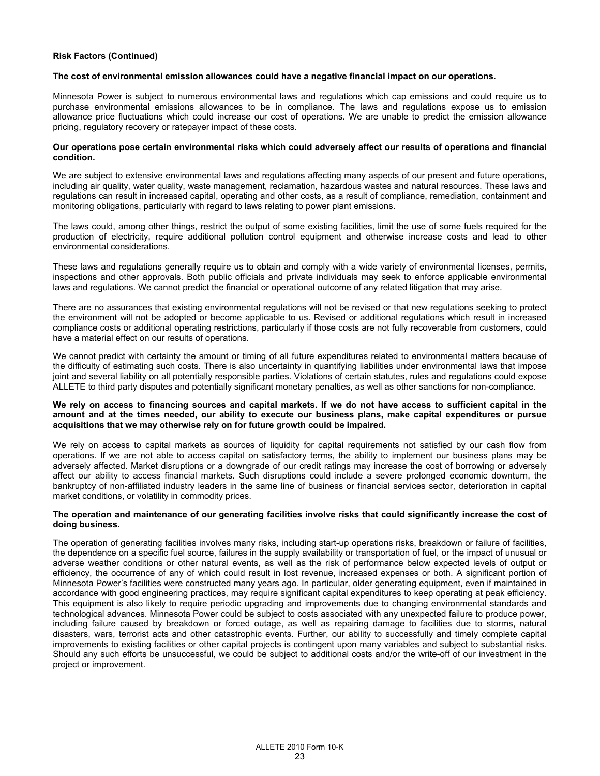## **Risk Factors (Continued)**

#### **The cost of environmental emission allowances could have a negative financial impact on our operations.**

Minnesota Power is subject to numerous environmental laws and regulations which cap emissions and could require us to purchase environmental emissions allowances to be in compliance. The laws and regulations expose us to emission allowance price fluctuations which could increase our cost of operations. We are unable to predict the emission allowance pricing, regulatory recovery or ratepayer impact of these costs.

#### **Our operations pose certain environmental risks which could adversely affect our results of operations and financial condition.**

We are subject to extensive environmental laws and regulations affecting many aspects of our present and future operations, including air quality, water quality, waste management, reclamation, hazardous wastes and natural resources. These laws and regulations can result in increased capital, operating and other costs, as a result of compliance, remediation, containment and monitoring obligations, particularly with regard to laws relating to power plant emissions.

The laws could, among other things, restrict the output of some existing facilities, limit the use of some fuels required for the production of electricity, require additional pollution control equipment and otherwise increase costs and lead to other environmental considerations.

These laws and regulations generally require us to obtain and comply with a wide variety of environmental licenses, permits, inspections and other approvals. Both public officials and private individuals may seek to enforce applicable environmental laws and regulations. We cannot predict the financial or operational outcome of any related litigation that may arise.

There are no assurances that existing environmental regulations will not be revised or that new regulations seeking to protect the environment will not be adopted or become applicable to us. Revised or additional regulations which result in increased compliance costs or additional operating restrictions, particularly if those costs are not fully recoverable from customers, could have a material effect on our results of operations.

We cannot predict with certainty the amount or timing of all future expenditures related to environmental matters because of the difficulty of estimating such costs. There is also uncertainty in quantifying liabilities under environmental laws that impose joint and several liability on all potentially responsible parties. Violations of certain statutes, rules and regulations could expose ALLETE to third party disputes and potentially significant monetary penalties, as well as other sanctions for non-compliance.

## **We rely on access to financing sources and capital markets. If we do not have access to sufficient capital in the amount and at the times needed, our ability to execute our business plans, make capital expenditures or pursue acquisitions that we may otherwise rely on for future growth could be impaired.**

We rely on access to capital markets as sources of liquidity for capital requirements not satisfied by our cash flow from operations. If we are not able to access capital on satisfactory terms, the ability to implement our business plans may be adversely affected. Market disruptions or a downgrade of our credit ratings may increase the cost of borrowing or adversely affect our ability to access financial markets. Such disruptions could include a severe prolonged economic downturn, the bankruptcy of non-affiliated industry leaders in the same line of business or financial services sector, deterioration in capital market conditions, or volatility in commodity prices.

#### **The operation and maintenance of our generating facilities involve risks that could significantly increase the cost of doing business.**

The operation of generating facilities involves many risks, including start-up operations risks, breakdown or failure of facilities, the dependence on a specific fuel source, failures in the supply availability or transportation of fuel, or the impact of unusual or adverse weather conditions or other natural events, as well as the risk of performance below expected levels of output or efficiency, the occurrence of any of which could result in lost revenue, increased expenses or both. A significant portion of Minnesota Power's facilities were constructed many years ago. In particular, older generating equipment, even if maintained in accordance with good engineering practices, may require significant capital expenditures to keep operating at peak efficiency. This equipment is also likely to require periodic upgrading and improvements due to changing environmental standards and technological advances. Minnesota Power could be subject to costs associated with any unexpected failure to produce power, including failure caused by breakdown or forced outage, as well as repairing damage to facilities due to storms, natural disasters, wars, terrorist acts and other catastrophic events. Further, our ability to successfully and timely complete capital improvements to existing facilities or other capital projects is contingent upon many variables and subject to substantial risks. Should any such efforts be unsuccessful, we could be subject to additional costs and/or the write-off of our investment in the project or improvement.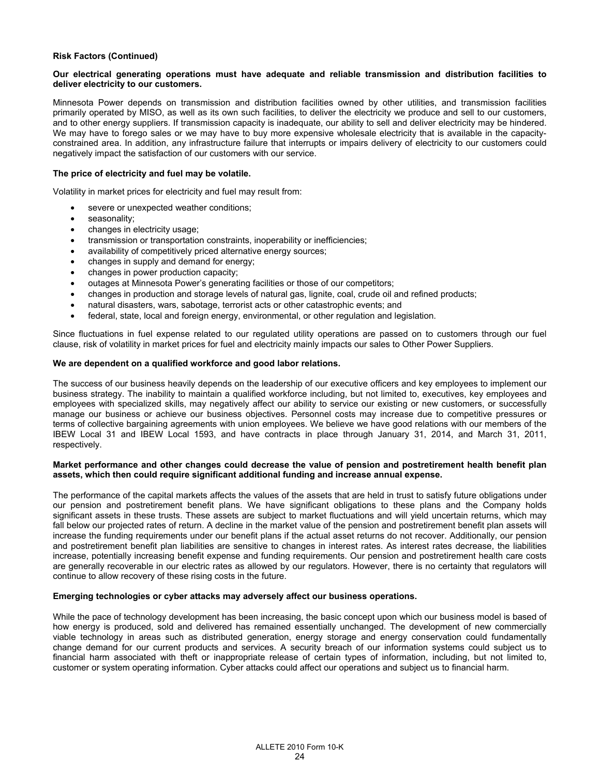## **Risk Factors (Continued)**

## **Our electrical generating operations must have adequate and reliable transmission and distribution facilities to deliver electricity to our customers.**

Minnesota Power depends on transmission and distribution facilities owned by other utilities, and transmission facilities primarily operated by MISO, as well as its own such facilities, to deliver the electricity we produce and sell to our customers, and to other energy suppliers. If transmission capacity is inadequate, our ability to sell and deliver electricity may be hindered. We may have to forego sales or we may have to buy more expensive wholesale electricity that is available in the capacityconstrained area. In addition, any infrastructure failure that interrupts or impairs delivery of electricity to our customers could negatively impact the satisfaction of our customers with our service.

#### **The price of electricity and fuel may be volatile.**

Volatility in market prices for electricity and fuel may result from:

- severe or unexpected weather conditions;
- seasonality;
- changes in electricity usage;
- transmission or transportation constraints, inoperability or inefficiencies;
- availability of competitively priced alternative energy sources;
- changes in supply and demand for energy;
- changes in power production capacity;
- outages at Minnesota Power's generating facilities or those of our competitors;
- changes in production and storage levels of natural gas, lignite, coal, crude oil and refined products;
- natural disasters, wars, sabotage, terrorist acts or other catastrophic events; and
- federal, state, local and foreign energy, environmental, or other regulation and legislation.

Since fluctuations in fuel expense related to our regulated utility operations are passed on to customers through our fuel clause, risk of volatility in market prices for fuel and electricity mainly impacts our sales to Other Power Suppliers.

#### **We are dependent on a qualified workforce and good labor relations.**

The success of our business heavily depends on the leadership of our executive officers and key employees to implement our business strategy. The inability to maintain a qualified workforce including, but not limited to, executives, key employees and employees with specialized skills, may negatively affect our ability to service our existing or new customers, or successfully manage our business or achieve our business objectives. Personnel costs may increase due to competitive pressures or terms of collective bargaining agreements with union employees. We believe we have good relations with our members of the IBEW Local 31 and IBEW Local 1593, and have contracts in place through January 31, 2014, and March 31, 2011, respectively.

#### **Market performance and other changes could decrease the value of pension and postretirement health benefit plan assets, which then could require significant additional funding and increase annual expense.**

The performance of the capital markets affects the values of the assets that are held in trust to satisfy future obligations under our pension and postretirement benefit plans. We have significant obligations to these plans and the Company holds significant assets in these trusts. These assets are subject to market fluctuations and will yield uncertain returns, which may fall below our projected rates of return. A decline in the market value of the pension and postretirement benefit plan assets will increase the funding requirements under our benefit plans if the actual asset returns do not recover. Additionally, our pension and postretirement benefit plan liabilities are sensitive to changes in interest rates. As interest rates decrease, the liabilities increase, potentially increasing benefit expense and funding requirements. Our pension and postretirement health care costs are generally recoverable in our electric rates as allowed by our regulators. However, there is no certainty that regulators will continue to allow recovery of these rising costs in the future.

#### **Emerging technologies or cyber attacks may adversely affect our business operations.**

While the pace of technology development has been increasing, the basic concept upon which our business model is based of how energy is produced, sold and delivered has remained essentially unchanged. The development of new commercially viable technology in areas such as distributed generation, energy storage and energy conservation could fundamentally change demand for our current products and services. A security breach of our information systems could subject us to financial harm associated with theft or inappropriate release of certain types of information, including, but not limited to, customer or system operating information. Cyber attacks could affect our operations and subject us to financial harm.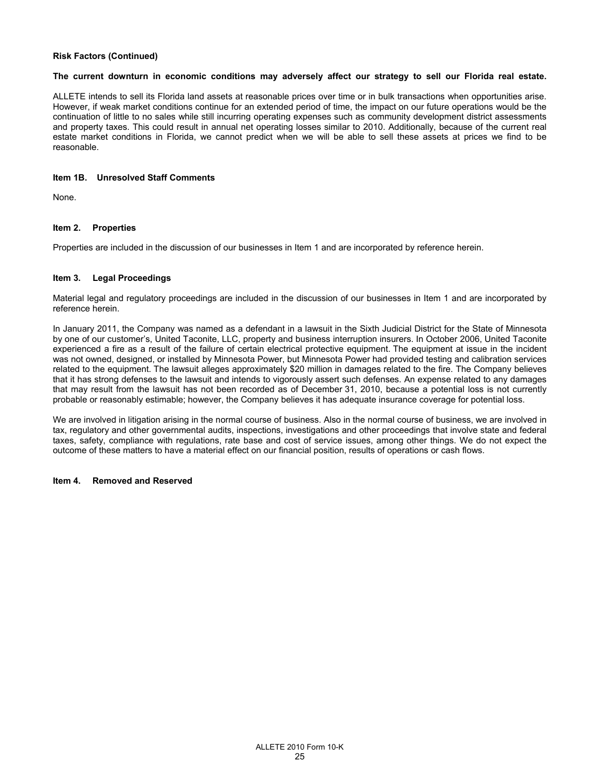## **Risk Factors (Continued)**

#### **The current downturn in economic conditions may adversely affect our strategy to sell our Florida real estate.**

ALLETE intends to sell its Florida land assets at reasonable prices over time or in bulk transactions when opportunities arise. However, if weak market conditions continue for an extended period of time, the impact on our future operations would be the continuation of little to no sales while still incurring operating expenses such as community development district assessments and property taxes. This could result in annual net operating losses similar to 2010. Additionally, because of the current real estate market conditions in Florida, we cannot predict when we will be able to sell these assets at prices we find to be reasonable.

## **Item 1B. Unresolved Staff Comments**

None.

## **Item 2. Properties**

Properties are included in the discussion of our businesses in Item 1 and are incorporated by reference herein.

## **Item 3. Legal Proceedings**

Material legal and regulatory proceedings are included in the discussion of our businesses in Item 1 and are incorporated by reference herein.

In January 2011, the Company was named as a defendant in a lawsuit in the Sixth Judicial District for the State of Minnesota by one of our customer's, United Taconite, LLC, property and business interruption insurers. In October 2006, United Taconite experienced a fire as a result of the failure of certain electrical protective equipment. The equipment at issue in the incident was not owned, designed, or installed by Minnesota Power, but Minnesota Power had provided testing and calibration services related to the equipment. The lawsuit alleges approximately \$20 million in damages related to the fire. The Company believes that it has strong defenses to the lawsuit and intends to vigorously assert such defenses. An expense related to any damages that may result from the lawsuit has not been recorded as of December 31, 2010, because a potential loss is not currently probable or reasonably estimable; however, the Company believes it has adequate insurance coverage for potential loss.

We are involved in litigation arising in the normal course of business. Also in the normal course of business, we are involved in tax, regulatory and other governmental audits, inspections, investigations and other proceedings that involve state and federal taxes, safety, compliance with regulations, rate base and cost of service issues, among other things. We do not expect the outcome of these matters to have a material effect on our financial position, results of operations or cash flows.

## **Item 4. Removed and Reserved**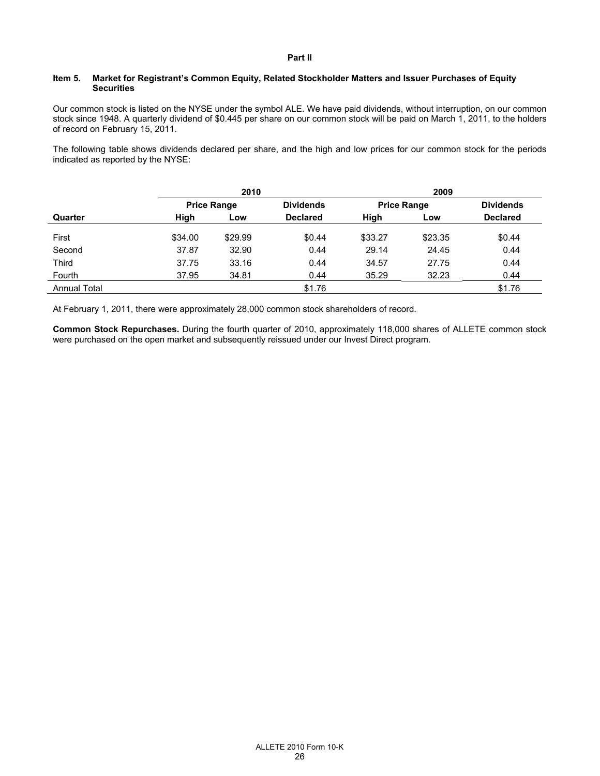## **Part II**

## **Item 5. Market for Registrant's Common Equity, Related Stockholder Matters and Issuer Purchases of Equity Securities**

Our common stock is listed on the NYSE under the symbol ALE. We have paid dividends, without interruption, on our common stock since 1948. A quarterly dividend of \$0.445 per share on our common stock will be paid on March 1, 2011, to the holders of record on February 15, 2011.

The following table shows dividends declared per share, and the high and low prices for our common stock for the periods indicated as reported by the NYSE:

|                     |         | 2009<br>2010       |                                        |             |                  |        |  |                 |  |  |
|---------------------|---------|--------------------|----------------------------------------|-------------|------------------|--------|--|-----------------|--|--|
|                     |         | <b>Price Range</b> | <b>Dividends</b><br><b>Price Range</b> |             | <b>Dividends</b> |        |  |                 |  |  |
| Quarter             | High    | Low                | <b>Declared</b>                        | High<br>Low |                  |        |  | <b>Declared</b> |  |  |
| First               | \$34.00 | \$29.99            | \$0.44                                 | \$33.27     | \$23.35          | \$0.44 |  |                 |  |  |
| Second              | 37.87   | 32.90              | 0.44                                   | 29.14       | 24.45            | 0.44   |  |                 |  |  |
| Third               | 37.75   | 33.16              | 0.44                                   | 34.57       | 27.75            | 0.44   |  |                 |  |  |
| Fourth              | 37.95   | 34.81              | 0.44                                   | 35.29       | 32.23            | 0.44   |  |                 |  |  |
| <b>Annual Total</b> |         |                    | \$1.76                                 |             |                  | \$1.76 |  |                 |  |  |

At February 1, 2011, there were approximately 28,000 common stock shareholders of record.

**Common Stock Repurchases.** During the fourth quarter of 2010, approximately 118,000 shares of ALLETE common stock were purchased on the open market and subsequently reissued under our Invest Direct program.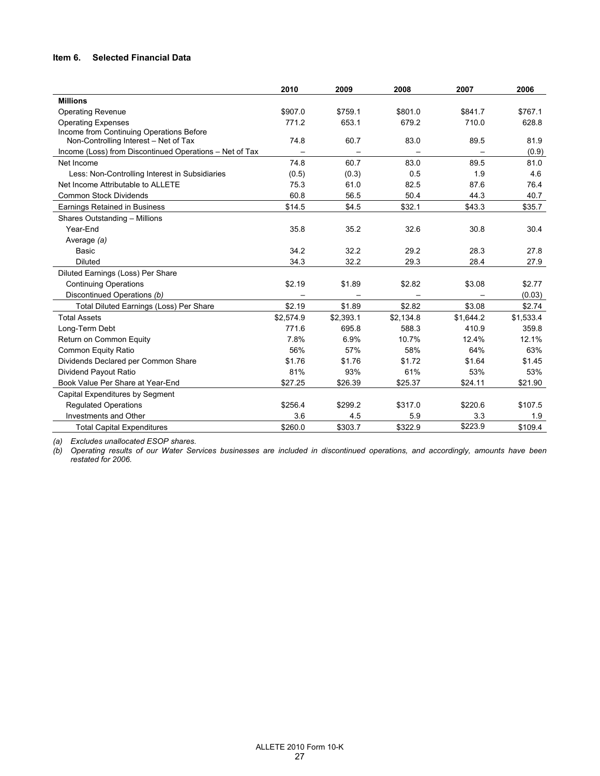## **Item 6. Selected Financial Data**

|                                                         | 2010      | 2009      | 2008      | 2007                     | 2006      |
|---------------------------------------------------------|-----------|-----------|-----------|--------------------------|-----------|
| <b>Millions</b>                                         |           |           |           |                          |           |
| <b>Operating Revenue</b>                                | \$907.0   | \$759.1   | \$801.0   | \$841.7                  | \$767.1   |
| <b>Operating Expenses</b>                               | 771.2     | 653.1     | 679.2     | 710.0                    | 628.8     |
| Income from Continuing Operations Before                |           |           |           |                          |           |
| Non-Controlling Interest - Net of Tax                   | 74.8      | 60.7      | 83.0      | 89.5                     | 81.9      |
| Income (Loss) from Discontinued Operations - Net of Tax |           |           |           | $\overline{\phantom{0}}$ | (0.9)     |
| Net Income                                              | 74.8      | 60.7      | 83.0      | 89.5                     | 81.0      |
| Less: Non-Controlling Interest in Subsidiaries          | (0.5)     | (0.3)     | 0.5       | 1.9                      | 4.6       |
| Net Income Attributable to ALLETE                       | 75.3      | 61.0      | 82.5      | 87.6                     | 76.4      |
| <b>Common Stock Dividends</b>                           | 60.8      | 56.5      | 50.4      | 44.3                     | 40.7      |
| Earnings Retained in Business                           | \$14.5    | \$4.5     | \$32.1    | \$43.3                   | \$35.7    |
| Shares Outstanding - Millions                           |           |           |           |                          |           |
| Year-End                                                | 35.8      | 35.2      | 32.6      | 30.8                     | 30.4      |
| Average (a)                                             |           |           |           |                          |           |
| Basic                                                   | 34.2      | 32.2      | 29.2      | 28.3                     | 27.8      |
| <b>Diluted</b>                                          | 34.3      | 32.2      | 29.3      | 28.4                     | 27.9      |
| Diluted Earnings (Loss) Per Share                       |           |           |           |                          |           |
| <b>Continuing Operations</b>                            | \$2.19    | \$1.89    | \$2.82    | \$3.08                   | \$2.77    |
| Discontinued Operations (b)                             |           |           |           |                          | (0.03)    |
| Total Diluted Earnings (Loss) Per Share                 | \$2.19    | \$1.89    | \$2.82    | \$3.08                   | \$2.74    |
| <b>Total Assets</b>                                     | \$2,574.9 | \$2,393.1 | \$2,134.8 | \$1,644.2                | \$1,533.4 |
| Long-Term Debt                                          | 771.6     | 695.8     | 588.3     | 410.9                    | 359.8     |
| Return on Common Equity                                 | 7.8%      | 6.9%      | 10.7%     | 12.4%                    | 12.1%     |
| Common Equity Ratio                                     | 56%       | 57%       | 58%       | 64%                      | 63%       |
| Dividends Declared per Common Share                     | \$1.76    | \$1.76    | \$1.72    | \$1.64                   | \$1.45    |
| Dividend Payout Ratio                                   | 81%       | 93%       | 61%       | 53%                      | 53%       |
| Book Value Per Share at Year-End                        | \$27.25   | \$26.39   | \$25.37   | \$24.11                  | \$21.90   |
| Capital Expenditures by Segment                         |           |           |           |                          |           |
| <b>Regulated Operations</b>                             | \$256.4   | \$299.2   | \$317.0   | \$220.6                  | \$107.5   |
| Investments and Other                                   | 3.6       | 4.5       | 5.9       | 3.3                      | 1.9       |
| <b>Total Capital Expenditures</b>                       | \$260.0   | \$303.7   | \$322.9   | \$223.9                  | \$109.4   |

*(a) Excludes unallocated ESOP shares.* 

*(b) Operating results of our Water Services businesses are included in discontinued operations, and accordingly, amounts have been restated for 2006.*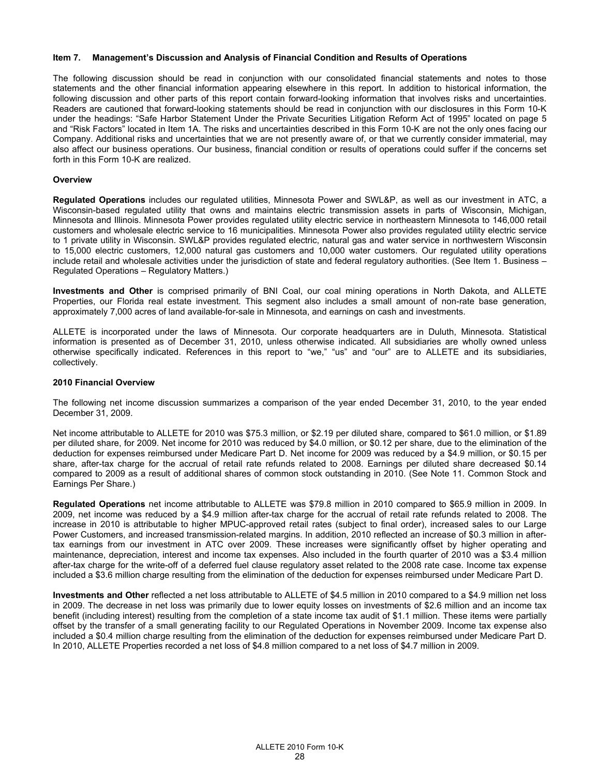#### **Item 7. Management's Discussion and Analysis of Financial Condition and Results of Operations**

The following discussion should be read in conjunction with our consolidated financial statements and notes to those statements and the other financial information appearing elsewhere in this report. In addition to historical information, the following discussion and other parts of this report contain forward-looking information that involves risks and uncertainties. Readers are cautioned that forward-looking statements should be read in conjunction with our disclosures in this Form 10-K under the headings: "Safe Harbor Statement Under the Private Securities Litigation Reform Act of 1995" located on page 5 and "Risk Factors" located in Item 1A. The risks and uncertainties described in this Form 10-K are not the only ones facing our Company. Additional risks and uncertainties that we are not presently aware of, or that we currently consider immaterial, may also affect our business operations. Our business, financial condition or results of operations could suffer if the concerns set forth in this Form 10-K are realized.

#### **Overview**

**Regulated Operations** includes our regulated utilities, Minnesota Power and SWL&P, as well as our investment in ATC, a Wisconsin-based regulated utility that owns and maintains electric transmission assets in parts of Wisconsin, Michigan, Minnesota and Illinois. Minnesota Power provides regulated utility electric service in northeastern Minnesota to 146,000 retail customers and wholesale electric service to 16 municipalities. Minnesota Power also provides regulated utility electric service to 1 private utility in Wisconsin. SWL&P provides regulated electric, natural gas and water service in northwestern Wisconsin to 15,000 electric customers, 12,000 natural gas customers and 10,000 water customers. Our regulated utility operations include retail and wholesale activities under the jurisdiction of state and federal regulatory authorities. (See Item 1. Business – Regulated Operations – Regulatory Matters.)

**Investments and Other** is comprised primarily of BNI Coal, our coal mining operations in North Dakota, and ALLETE Properties, our Florida real estate investment. This segment also includes a small amount of non-rate base generation, approximately 7,000 acres of land available-for-sale in Minnesota, and earnings on cash and investments.

ALLETE is incorporated under the laws of Minnesota. Our corporate headquarters are in Duluth, Minnesota. Statistical information is presented as of December 31, 2010, unless otherwise indicated. All subsidiaries are wholly owned unless otherwise specifically indicated. References in this report to "we," "us" and "our" are to ALLETE and its subsidiaries, collectively.

#### **2010 Financial Overview**

The following net income discussion summarizes a comparison of the year ended December 31, 2010, to the year ended December 31, 2009.

Net income attributable to ALLETE for 2010 was \$75.3 million, or \$2.19 per diluted share, compared to \$61.0 million, or \$1.89 per diluted share, for 2009. Net income for 2010 was reduced by \$4.0 million, or \$0.12 per share, due to the elimination of the deduction for expenses reimbursed under Medicare Part D. Net income for 2009 was reduced by a \$4.9 million, or \$0.15 per share, after-tax charge for the accrual of retail rate refunds related to 2008. Earnings per diluted share decreased \$0.14 compared to 2009 as a result of additional shares of common stock outstanding in 2010. (See Note 11. Common Stock and Earnings Per Share.)

**Regulated Operations** net income attributable to ALLETE was \$79.8 million in 2010 compared to \$65.9 million in 2009. In 2009, net income was reduced by a \$4.9 million after-tax charge for the accrual of retail rate refunds related to 2008. The increase in 2010 is attributable to higher MPUC-approved retail rates (subject to final order), increased sales to our Large Power Customers, and increased transmission-related margins. In addition, 2010 reflected an increase of \$0.3 million in aftertax earnings from our investment in ATC over 2009. These increases were significantly offset by higher operating and maintenance, depreciation, interest and income tax expenses. Also included in the fourth quarter of 2010 was a \$3.4 million after-tax charge for the write-off of a deferred fuel clause regulatory asset related to the 2008 rate case. Income tax expense included a \$3.6 million charge resulting from the elimination of the deduction for expenses reimbursed under Medicare Part D.

**Investments and Other** reflected a net loss attributable to ALLETE of \$4.5 million in 2010 compared to a \$4.9 million net loss in 2009. The decrease in net loss was primarily due to lower equity losses on investments of \$2.6 million and an income tax benefit (including interest) resulting from the completion of a state income tax audit of \$1.1 million. These items were partially offset by the transfer of a small generating facility to our Regulated Operations in November 2009. Income tax expense also included a \$0.4 million charge resulting from the elimination of the deduction for expenses reimbursed under Medicare Part D. In 2010, ALLETE Properties recorded a net loss of \$4.8 million compared to a net loss of \$4.7 million in 2009.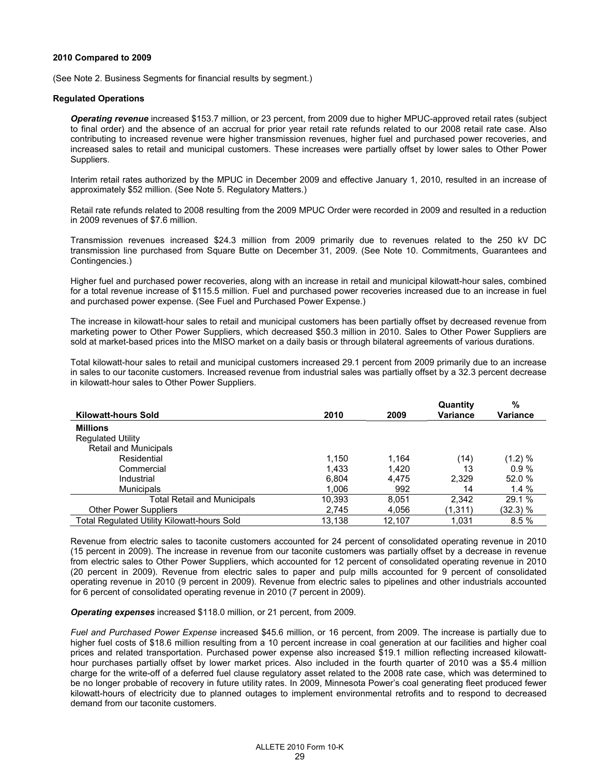#### **2010 Compared to 2009**

(See Note 2. Business Segments for financial results by segment.)

#### **Regulated Operations**

*Operating revenue* increased \$153.7 million, or 23 percent, from 2009 due to higher MPUC-approved retail rates (subject to final order) and the absence of an accrual for prior year retail rate refunds related to our 2008 retail rate case. Also contributing to increased revenue were higher transmission revenues, higher fuel and purchased power recoveries, and increased sales to retail and municipal customers. These increases were partially offset by lower sales to Other Power Suppliers.

Interim retail rates authorized by the MPUC in December 2009 and effective January 1, 2010, resulted in an increase of approximately \$52 million. (See Note 5. Regulatory Matters.)

Retail rate refunds related to 2008 resulting from the 2009 MPUC Order were recorded in 2009 and resulted in a reduction in 2009 revenues of \$7.6 million.

Transmission revenues increased \$24.3 million from 2009 primarily due to revenues related to the 250 kV DC transmission line purchased from Square Butte on December 31, 2009. (See Note 10. Commitments, Guarantees and Contingencies.)

Higher fuel and purchased power recoveries, along with an increase in retail and municipal kilowatt-hour sales, combined for a total revenue increase of \$115.5 million. Fuel and purchased power recoveries increased due to an increase in fuel and purchased power expense. (See Fuel and Purchased Power Expense.)

The increase in kilowatt-hour sales to retail and municipal customers has been partially offset by decreased revenue from marketing power to Other Power Suppliers, which decreased \$50.3 million in 2010. Sales to Other Power Suppliers are sold at market-based prices into the MISO market on a daily basis or through bilateral agreements of various durations.

Total kilowatt-hour sales to retail and municipal customers increased 29.1 percent from 2009 primarily due to an increase in sales to our taconite customers. Increased revenue from industrial sales was partially offset by a 32.3 percent decrease in kilowatt-hour sales to Other Power Suppliers.

|                                             |        |        | Quantity | %               |
|---------------------------------------------|--------|--------|----------|-----------------|
| <b>Kilowatt-hours Sold</b>                  | 2010   | 2009   | Variance | <b>Variance</b> |
| <b>Millions</b>                             |        |        |          |                 |
| <b>Regulated Utility</b>                    |        |        |          |                 |
| Retail and Municipals                       |        |        |          |                 |
| Residential                                 | 1,150  | 1.164  | (14)     | (1.2) %         |
| Commercial                                  | 1.433  | 1.420  | 13       | 0.9%            |
| Industrial                                  | 6.804  | 4.475  | 2.329    | 52.0 %          |
| <b>Municipals</b>                           | 1.006  | 992    | 14       | $1.4 \%$        |
| <b>Total Retail and Municipals</b>          | 10,393 | 8.051  | 2.342    | 29.1 %          |
| <b>Other Power Suppliers</b>                | 2,745  | 4,056  | (1,311)  | (32.3) %        |
| Total Regulated Utility Kilowatt-hours Sold | 13.138 | 12.107 | 1.031    | 8.5%            |

Revenue from electric sales to taconite customers accounted for 24 percent of consolidated operating revenue in 2010 (15 percent in 2009). The increase in revenue from our taconite customers was partially offset by a decrease in revenue from electric sales to Other Power Suppliers, which accounted for 12 percent of consolidated operating revenue in 2010 (20 percent in 2009). Revenue from electric sales to paper and pulp mills accounted for 9 percent of consolidated operating revenue in 2010 (9 percent in 2009). Revenue from electric sales to pipelines and other industrials accounted for 6 percent of consolidated operating revenue in 2010 (7 percent in 2009).

## *Operating expenses* increased \$118.0 million, or 21 percent, from 2009.

*Fuel and Purchased Power Expense* increased \$45.6 million, or 16 percent, from 2009. The increase is partially due to higher fuel costs of \$18.6 million resulting from a 10 percent increase in coal generation at our facilities and higher coal prices and related transportation. Purchased power expense also increased \$19.1 million reflecting increased kilowatthour purchases partially offset by lower market prices. Also included in the fourth quarter of 2010 was a \$5.4 million charge for the write-off of a deferred fuel clause regulatory asset related to the 2008 rate case, which was determined to be no longer probable of recovery in future utility rates. In 2009, Minnesota Power's coal generating fleet produced fewer kilowatt-hours of electricity due to planned outages to implement environmental retrofits and to respond to decreased demand from our taconite customers.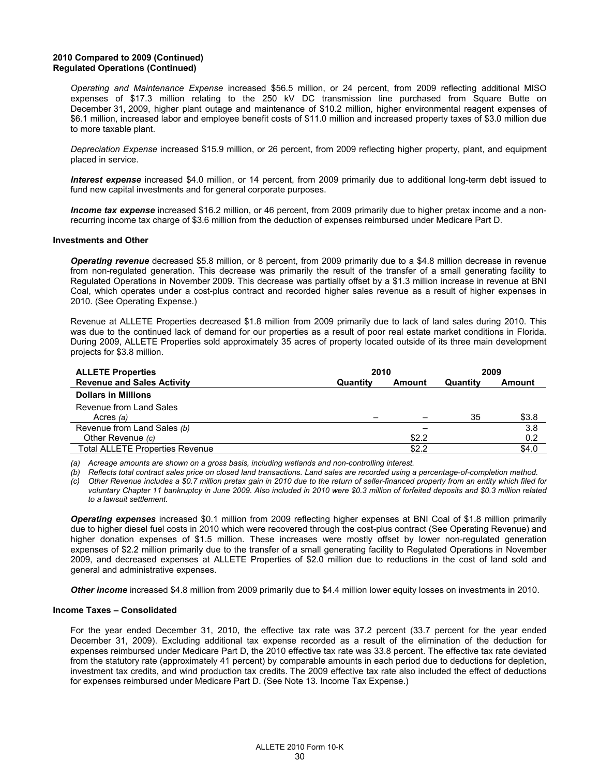## **2010 Compared to 2009 (Continued) Regulated Operations (Continued)**

*Operating and Maintenance Expense* increased \$56.5 million, or 24 percent, from 2009 reflecting additional MISO expenses of \$17.3 million relating to the 250 kV DC transmission line purchased from Square Butte on December 31, 2009, higher plant outage and maintenance of \$10.2 million, higher environmental reagent expenses of \$6.1 million, increased labor and employee benefit costs of \$11.0 million and increased property taxes of \$3.0 million due to more taxable plant.

*Depreciation Expense* increased \$15.9 million, or 26 percent, from 2009 reflecting higher property, plant, and equipment placed in service.

*Interest expense* increased \$4.0 million, or 14 percent, from 2009 primarily due to additional long-term debt issued to fund new capital investments and for general corporate purposes.

*Income tax expense* increased \$16.2 million, or 46 percent, from 2009 primarily due to higher pretax income and a nonrecurring income tax charge of \$3.6 million from the deduction of expenses reimbursed under Medicare Part D.

#### **Investments and Other**

*Operating revenue* decreased \$5.8 million, or 8 percent, from 2009 primarily due to a \$4.8 million decrease in revenue from non-regulated generation. This decrease was primarily the result of the transfer of a small generating facility to Regulated Operations in November 2009. This decrease was partially offset by a \$1.3 million increase in revenue at BNI Coal, which operates under a cost-plus contract and recorded higher sales revenue as a result of higher expenses in 2010. (See Operating Expense.)

Revenue at ALLETE Properties decreased \$1.8 million from 2009 primarily due to lack of land sales during 2010. This was due to the continued lack of demand for our properties as a result of poor real estate market conditions in Florida. During 2009, ALLETE Properties sold approximately 35 acres of property located outside of its three main development projects for \$3.8 million.

| <b>ALLETE Properties</b>               | 2010     |        | 2009     |               |
|----------------------------------------|----------|--------|----------|---------------|
| <b>Revenue and Sales Activity</b>      | Quantity | Amount | Quantity | <b>Amount</b> |
| <b>Dollars in Millions</b>             |          |        |          |               |
| Revenue from Land Sales                |          |        |          |               |
| Acres (a)                              |          |        | 35       | \$3.8         |
| Revenue from Land Sales (b)            |          |        |          | 3.8           |
| Other Revenue (c)                      |          | \$2.2  |          | 0.2           |
| <b>Total ALLETE Properties Revenue</b> |          | \$2.2  |          | \$4.0         |
|                                        |          |        |          |               |

 *(a) Acreage amounts are shown on a gross basis, including wetlands and non-controlling interest.* 

 *(b) Reflects total contract sales price on closed land transactions. Land sales are recorded using a percentage-of-completion method.* 

 *(c) Other Revenue includes a \$0.7 million pretax gain in 2010 due to the return of seller-financed property from an entity which filed for voluntary Chapter 11 bankruptcy in June 2009*. *Also included in 2010 were \$0.3 million of forfeited deposits and \$0.3 million related to a lawsuit settlement.* 

*Operating expenses* increased \$0.1 million from 2009 reflecting higher expenses at BNI Coal of \$1.8 million primarily due to higher diesel fuel costs in 2010 which were recovered through the cost-plus contract (See Operating Revenue) and higher donation expenses of \$1.5 million. These increases were mostly offset by lower non-regulated generation expenses of \$2.2 million primarily due to the transfer of a small generating facility to Regulated Operations in November 2009, and decreased expenses at ALLETE Properties of \$2.0 million due to reductions in the cost of land sold and general and administrative expenses.

*Other income* increased \$4.8 million from 2009 primarily due to \$4.4 million lower equity losses on investments in 2010.

#### **Income Taxes – Consolidated**

For the year ended December 31, 2010, the effective tax rate was 37.2 percent (33.7 percent for the year ended December 31, 2009). Excluding additional tax expense recorded as a result of the elimination of the deduction for expenses reimbursed under Medicare Part D, the 2010 effective tax rate was 33.8 percent. The effective tax rate deviated from the statutory rate (approximately 41 percent) by comparable amounts in each period due to deductions for depletion, investment tax credits, and wind production tax credits. The 2009 effective tax rate also included the effect of deductions for expenses reimbursed under Medicare Part D. (See Note 13. Income Tax Expense.)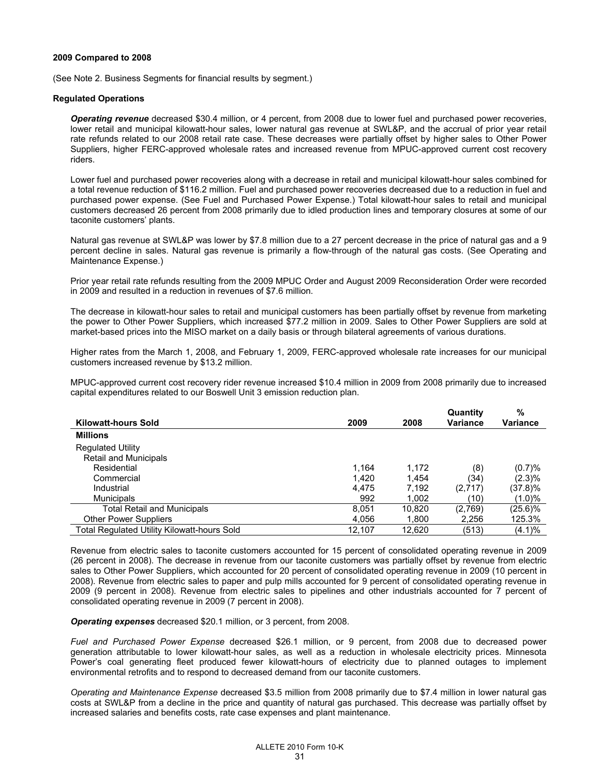#### **2009 Compared to 2008**

(See Note 2. Business Segments for financial results by segment.)

#### **Regulated Operations**

*Operating revenue* decreased \$30.4 million, or 4 percent, from 2008 due to lower fuel and purchased power recoveries, lower retail and municipal kilowatt-hour sales, lower natural gas revenue at SWL&P, and the accrual of prior year retail rate refunds related to our 2008 retail rate case. These decreases were partially offset by higher sales to Other Power Suppliers, higher FERC-approved wholesale rates and increased revenue from MPUC-approved current cost recovery riders.

Lower fuel and purchased power recoveries along with a decrease in retail and municipal kilowatt-hour sales combined for a total revenue reduction of \$116.2 million. Fuel and purchased power recoveries decreased due to a reduction in fuel and purchased power expense. (See Fuel and Purchased Power Expense.) Total kilowatt-hour sales to retail and municipal customers decreased 26 percent from 2008 primarily due to idled production lines and temporary closures at some of our taconite customers' plants.

Natural gas revenue at SWL&P was lower by \$7.8 million due to a 27 percent decrease in the price of natural gas and a 9 percent decline in sales. Natural gas revenue is primarily a flow-through of the natural gas costs. (See Operating and Maintenance Expense.)

Prior year retail rate refunds resulting from the 2009 MPUC Order and August 2009 Reconsideration Order were recorded in 2009 and resulted in a reduction in revenues of \$7.6 million.

The decrease in kilowatt-hour sales to retail and municipal customers has been partially offset by revenue from marketing the power to Other Power Suppliers, which increased \$77.2 million in 2009. Sales to Other Power Suppliers are sold at market-based prices into the MISO market on a daily basis or through bilateral agreements of various durations.

Higher rates from the March 1, 2008, and February 1, 2009, FERC-approved wholesale rate increases for our municipal customers increased revenue by \$13.2 million.

MPUC-approved current cost recovery rider revenue increased \$10.4 million in 2009 from 2008 primarily due to increased capital expenditures related to our Boswell Unit 3 emission reduction plan.

|                                             |        |        | Quantity | %               |
|---------------------------------------------|--------|--------|----------|-----------------|
| <b>Kilowatt-hours Sold</b>                  | 2009   | 2008   | Variance | <b>Variance</b> |
| <b>Millions</b>                             |        |        |          |                 |
| <b>Regulated Utility</b>                    |        |        |          |                 |
| Retail and Municipals                       |        |        |          |                 |
| Residential                                 | 1.164  | 1.172  | (8)      | (0.7)%          |
| Commercial                                  | 1.420  | 1.454  | (34)     | (2.3)%          |
| Industrial                                  | 4.475  | 7.192  | (2,717)  | (37.8)%         |
| <b>Municipals</b>                           | 992    | 1.002  | (10)     | $(1.0)\%$       |
| <b>Total Retail and Municipals</b>          | 8,051  | 10.820 | (2,769)  | $(25.6)\%$      |
| <b>Other Power Suppliers</b>                | 4.056  | 1.800  | 2,256    | 125.3%          |
| Total Regulated Utility Kilowatt-hours Sold | 12.107 | 12.620 | (513)    | $(4.1)\%$       |

Revenue from electric sales to taconite customers accounted for 15 percent of consolidated operating revenue in 2009 (26 percent in 2008). The decrease in revenue from our taconite customers was partially offset by revenue from electric sales to Other Power Suppliers, which accounted for 20 percent of consolidated operating revenue in 2009 (10 percent in 2008). Revenue from electric sales to paper and pulp mills accounted for 9 percent of consolidated operating revenue in 2009 (9 percent in 2008). Revenue from electric sales to pipelines and other industrials accounted for 7 percent of consolidated operating revenue in 2009 (7 percent in 2008).

*Operating expenses* decreased \$20.1 million, or 3 percent, from 2008.

*Fuel and Purchased Power Expense* decreased \$26.1 million, or 9 percent, from 2008 due to decreased power generation attributable to lower kilowatt-hour sales, as well as a reduction in wholesale electricity prices. Minnesota Power's coal generating fleet produced fewer kilowatt-hours of electricity due to planned outages to implement environmental retrofits and to respond to decreased demand from our taconite customers.

*Operating and Maintenance Expense* decreased \$3.5 million from 2008 primarily due to \$7.4 million in lower natural gas costs at SWL&P from a decline in the price and quantity of natural gas purchased. This decrease was partially offset by increased salaries and benefits costs, rate case expenses and plant maintenance.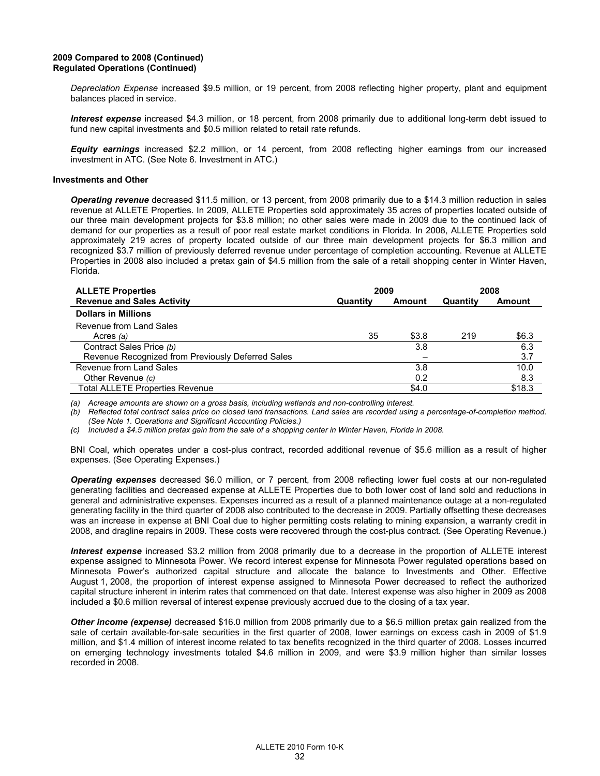## **2009 Compared to 2008 (Continued) Regulated Operations (Continued)**

*Depreciation Expense* increased \$9.5 million, or 19 percent, from 2008 reflecting higher property, plant and equipment balances placed in service.

*Interest expense* increased \$4.3 million, or 18 percent, from 2008 primarily due to additional long-term debt issued to fund new capital investments and \$0.5 million related to retail rate refunds.

*Equity earnings* increased \$2.2 million, or 14 percent, from 2008 reflecting higher earnings from our increased investment in ATC. (See Note 6. Investment in ATC.)

#### **Investments and Other**

*Operating revenue* decreased \$11.5 million, or 13 percent, from 2008 primarily due to a \$14.3 million reduction in sales revenue at ALLETE Properties. In 2009, ALLETE Properties sold approximately 35 acres of properties located outside of our three main development projects for \$3.8 million; no other sales were made in 2009 due to the continued lack of demand for our properties as a result of poor real estate market conditions in Florida. In 2008, ALLETE Properties sold approximately 219 acres of property located outside of our three main development projects for \$6.3 million and recognized \$3.7 million of previously deferred revenue under percentage of completion accounting. Revenue at ALLETE Properties in 2008 also included a pretax gain of \$4.5 million from the sale of a retail shopping center in Winter Haven, Florida.

| <b>ALLETE Properties</b>                          | 2009     |        | 2008     |               |
|---------------------------------------------------|----------|--------|----------|---------------|
| <b>Revenue and Sales Activity</b>                 | Quantity | Amount | Quantity | <b>Amount</b> |
| <b>Dollars in Millions</b>                        |          |        |          |               |
| Revenue from Land Sales                           |          |        |          |               |
| Acres $(a)$                                       | 35       | \$3.8  | 219      | \$6.3         |
| Contract Sales Price (b)                          |          | 3.8    |          | 6.3           |
| Revenue Recognized from Previously Deferred Sales |          |        |          | 3.7           |
| Revenue from Land Sales                           |          | 3.8    |          | 10.0          |
| Other Revenue (c)                                 |          | 0.2    |          | 8.3           |
| <b>Total ALLETE Properties Revenue</b>            |          | \$4.0  |          | \$18.3        |

*(a) Acreage amounts are shown on a gross basis, including wetlands and non-controlling interest.* 

*(b) Reflected total contract sales price on closed land transactions. Land sales are recorded using a percentage-of-completion method. (See Note 1. Operations and Significant Accounting Policies.)* 

*(c) Included a \$4.5 million pretax gain from the sale of a shopping center in Winter Haven, Florida in 2008.* 

BNI Coal, which operates under a cost-plus contract, recorded additional revenue of \$5.6 million as a result of higher expenses. (See Operating Expenses.)

*Operating expenses* decreased \$6.0 million, or 7 percent, from 2008 reflecting lower fuel costs at our non-regulated generating facilities and decreased expense at ALLETE Properties due to both lower cost of land sold and reductions in general and administrative expenses. Expenses incurred as a result of a planned maintenance outage at a non-regulated generating facility in the third quarter of 2008 also contributed to the decrease in 2009. Partially offsetting these decreases was an increase in expense at BNI Coal due to higher permitting costs relating to mining expansion, a warranty credit in 2008, and dragline repairs in 2009. These costs were recovered through the cost-plus contract. (See Operating Revenue.)

*Interest expense* increased \$3.2 million from 2008 primarily due to a decrease in the proportion of ALLETE interest expense assigned to Minnesota Power. We record interest expense for Minnesota Power regulated operations based on Minnesota Power's authorized capital structure and allocate the balance to Investments and Other. Effective August 1, 2008, the proportion of interest expense assigned to Minnesota Power decreased to reflect the authorized capital structure inherent in interim rates that commenced on that date. Interest expense was also higher in 2009 as 2008 included a \$0.6 million reversal of interest expense previously accrued due to the closing of a tax year.

*Other income (expense)* decreased \$16.0 million from 2008 primarily due to a \$6.5 million pretax gain realized from the sale of certain available-for-sale securities in the first quarter of 2008, lower earnings on excess cash in 2009 of \$1.9 million, and \$1.4 million of interest income related to tax benefits recognized in the third quarter of 2008. Losses incurred on emerging technology investments totaled \$4.6 million in 2009, and were \$3.9 million higher than similar losses recorded in 2008.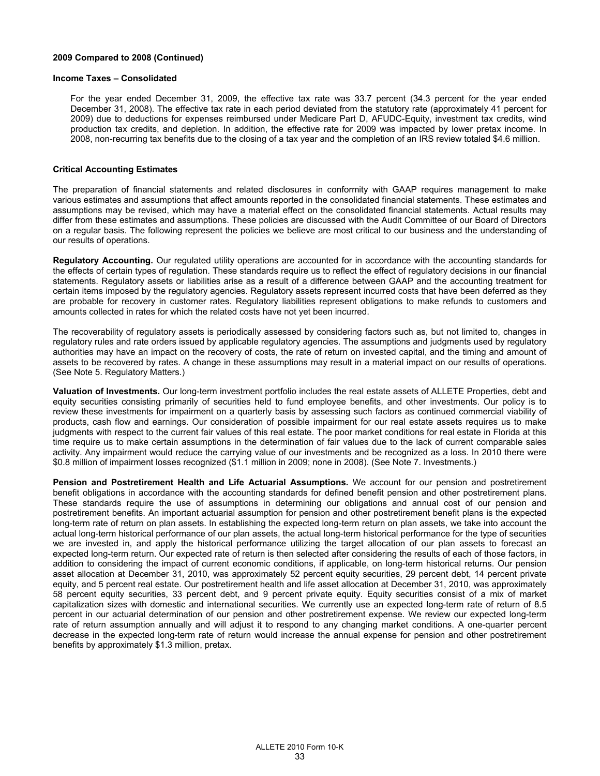## **2009 Compared to 2008 (Continued)**

#### **Income Taxes – Consolidated**

For the year ended December 31, 2009, the effective tax rate was 33.7 percent (34.3 percent for the year ended December 31, 2008). The effective tax rate in each period deviated from the statutory rate (approximately 41 percent for 2009) due to deductions for expenses reimbursed under Medicare Part D, AFUDC-Equity, investment tax credits, wind production tax credits, and depletion. In addition, the effective rate for 2009 was impacted by lower pretax income. In 2008, non-recurring tax benefits due to the closing of a tax year and the completion of an IRS review totaled \$4.6 million.

#### **Critical Accounting Estimates**

The preparation of financial statements and related disclosures in conformity with GAAP requires management to make various estimates and assumptions that affect amounts reported in the consolidated financial statements. These estimates and assumptions may be revised, which may have a material effect on the consolidated financial statements. Actual results may differ from these estimates and assumptions. These policies are discussed with the Audit Committee of our Board of Directors on a regular basis. The following represent the policies we believe are most critical to our business and the understanding of our results of operations.

**Regulatory Accounting.** Our regulated utility operations are accounted for in accordance with the accounting standards for the effects of certain types of regulation. These standards require us to reflect the effect of regulatory decisions in our financial statements. Regulatory assets or liabilities arise as a result of a difference between GAAP and the accounting treatment for certain items imposed by the regulatory agencies. Regulatory assets represent incurred costs that have been deferred as they are probable for recovery in customer rates. Regulatory liabilities represent obligations to make refunds to customers and amounts collected in rates for which the related costs have not yet been incurred.

The recoverability of regulatory assets is periodically assessed by considering factors such as, but not limited to, changes in regulatory rules and rate orders issued by applicable regulatory agencies. The assumptions and judgments used by regulatory authorities may have an impact on the recovery of costs, the rate of return on invested capital, and the timing and amount of assets to be recovered by rates. A change in these assumptions may result in a material impact on our results of operations. (See Note 5. Regulatory Matters.)

**Valuation of Investments.** Our long-term investment portfolio includes the real estate assets of ALLETE Properties, debt and equity securities consisting primarily of securities held to fund employee benefits, and other investments. Our policy is to review these investments for impairment on a quarterly basis by assessing such factors as continued commercial viability of products, cash flow and earnings. Our consideration of possible impairment for our real estate assets requires us to make judgments with respect to the current fair values of this real estate. The poor market conditions for real estate in Florida at this time require us to make certain assumptions in the determination of fair values due to the lack of current comparable sales activity. Any impairment would reduce the carrying value of our investments and be recognized as a loss. In 2010 there were \$0.8 million of impairment losses recognized (\$1.1 million in 2009; none in 2008). (See Note 7. Investments.)

**Pension and Postretirement Health and Life Actuarial Assumptions.** We account for our pension and postretirement benefit obligations in accordance with the accounting standards for defined benefit pension and other postretirement plans. These standards require the use of assumptions in determining our obligations and annual cost of our pension and postretirement benefits. An important actuarial assumption for pension and other postretirement benefit plans is the expected long-term rate of return on plan assets. In establishing the expected long-term return on plan assets, we take into account the actual long-term historical performance of our plan assets, the actual long-term historical performance for the type of securities we are invested in, and apply the historical performance utilizing the target allocation of our plan assets to forecast an expected long-term return. Our expected rate of return is then selected after considering the results of each of those factors, in addition to considering the impact of current economic conditions, if applicable, on long-term historical returns. Our pension asset allocation at December 31, 2010, was approximately 52 percent equity securities, 29 percent debt, 14 percent private equity, and 5 percent real estate. Our postretirement health and life asset allocation at December 31, 2010, was approximately 58 percent equity securities, 33 percent debt, and 9 percent private equity. Equity securities consist of a mix of market capitalization sizes with domestic and international securities. We currently use an expected long-term rate of return of 8.5 percent in our actuarial determination of our pension and other postretirement expense. We review our expected long-term rate of return assumption annually and will adjust it to respond to any changing market conditions. A one-quarter percent decrease in the expected long-term rate of return would increase the annual expense for pension and other postretirement benefits by approximately \$1.3 million, pretax.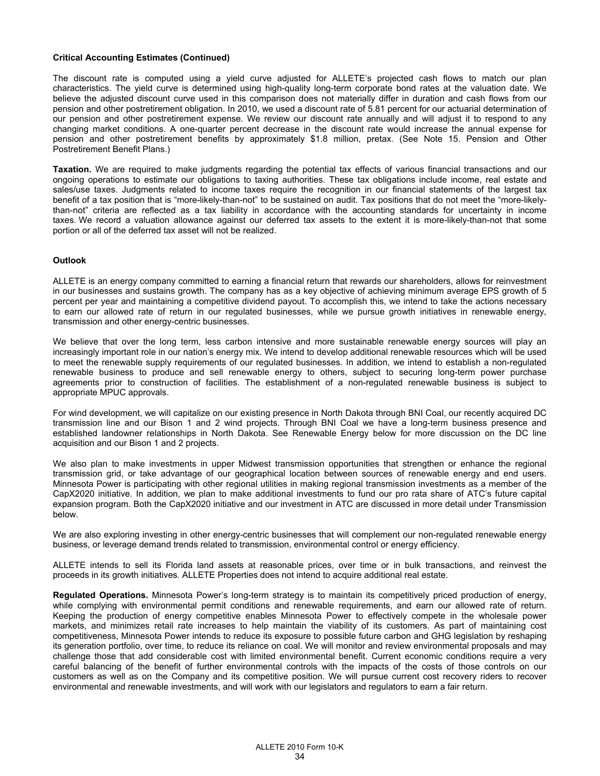#### **Critical Accounting Estimates (Continued)**

The discount rate is computed using a yield curve adjusted for ALLETE's projected cash flows to match our plan characteristics. The yield curve is determined using high-quality long-term corporate bond rates at the valuation date. We believe the adjusted discount curve used in this comparison does not materially differ in duration and cash flows from our pension and other postretirement obligation. In 2010, we used a discount rate of 5.81 percent for our actuarial determination of our pension and other postretirement expense. We review our discount rate annually and will adjust it to respond to any changing market conditions. A one-quarter percent decrease in the discount rate would increase the annual expense for pension and other postretirement benefits by approximately \$1.8 million, pretax. (See Note 15. Pension and Other Postretirement Benefit Plans.)

**Taxation.** We are required to make judgments regarding the potential tax effects of various financial transactions and our ongoing operations to estimate our obligations to taxing authorities. These tax obligations include income, real estate and sales/use taxes. Judgments related to income taxes require the recognition in our financial statements of the largest tax benefit of a tax position that is "more-likely-than-not" to be sustained on audit. Tax positions that do not meet the "more-likelythan-not" criteria are reflected as a tax liability in accordance with the accounting standards for uncertainty in income taxes. We record a valuation allowance against our deferred tax assets to the extent it is more-likely-than-not that some portion or all of the deferred tax asset will not be realized.

#### **Outlook**

ALLETE is an energy company committed to earning a financial return that rewards our shareholders, allows for reinvestment in our businesses and sustains growth. The company has as a key objective of achieving minimum average EPS growth of 5 percent per year and maintaining a competitive dividend payout. To accomplish this, we intend to take the actions necessary to earn our allowed rate of return in our regulated businesses, while we pursue growth initiatives in renewable energy, transmission and other energy-centric businesses.

We believe that over the long term, less carbon intensive and more sustainable renewable energy sources will play an increasingly important role in our nation's energy mix. We intend to develop additional renewable resources which will be used to meet the renewable supply requirements of our regulated businesses. In addition, we intend to establish a non-regulated renewable business to produce and sell renewable energy to others, subject to securing long-term power purchase agreements prior to construction of facilities. The establishment of a non-regulated renewable business is subject to appropriate MPUC approvals.

For wind development, we will capitalize on our existing presence in North Dakota through BNI Coal, our recently acquired DC transmission line and our Bison 1 and 2 wind projects. Through BNI Coal we have a long-term business presence and established landowner relationships in North Dakota. See Renewable Energy below for more discussion on the DC line acquisition and our Bison 1 and 2 projects.

We also plan to make investments in upper Midwest transmission opportunities that strengthen or enhance the regional transmission grid, or take advantage of our geographical location between sources of renewable energy and end users. Minnesota Power is participating with other regional utilities in making regional transmission investments as a member of the CapX2020 initiative. In addition, we plan to make additional investments to fund our pro rata share of ATC's future capital expansion program. Both the CapX2020 initiative and our investment in ATC are discussed in more detail under Transmission below.

We are also exploring investing in other energy-centric businesses that will complement our non-regulated renewable energy business, or leverage demand trends related to transmission, environmental control or energy efficiency.

ALLETE intends to sell its Florida land assets at reasonable prices, over time or in bulk transactions, and reinvest the proceeds in its growth initiatives. ALLETE Properties does not intend to acquire additional real estate.

**Regulated Operations.** Minnesota Power's long-term strategy is to maintain its competitively priced production of energy, while complying with environmental permit conditions and renewable requirements, and earn our allowed rate of return. Keeping the production of energy competitive enables Minnesota Power to effectively compete in the wholesale power markets, and minimizes retail rate increases to help maintain the viability of its customers. As part of maintaining cost competitiveness, Minnesota Power intends to reduce its exposure to possible future carbon and GHG legislation by reshaping its generation portfolio, over time, to reduce its reliance on coal. We will monitor and review environmental proposals and may challenge those that add considerable cost with limited environmental benefit. Current economic conditions require a very careful balancing of the benefit of further environmental controls with the impacts of the costs of those controls on our customers as well as on the Company and its competitive position. We will pursue current cost recovery riders to recover environmental and renewable investments, and will work with our legislators and regulators to earn a fair return.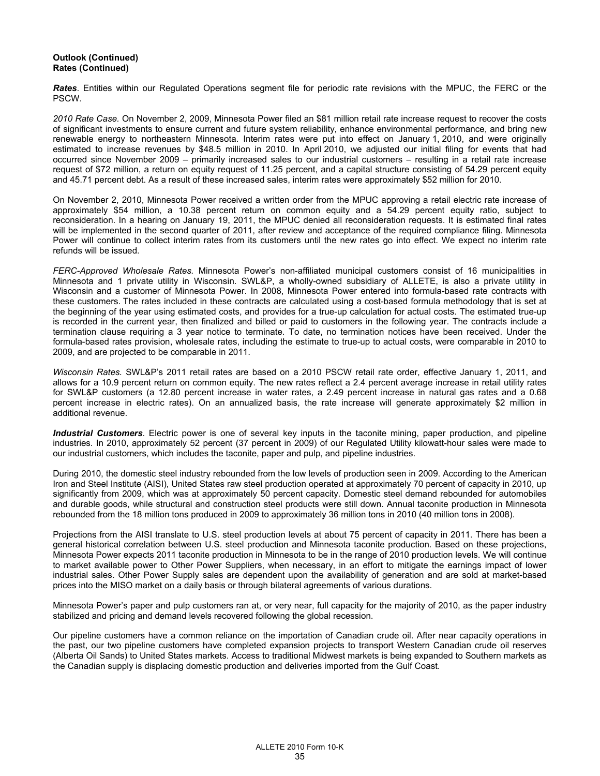## **Outlook (Continued) Rates (Continued)**

*Rates*. Entities within our Regulated Operations segment file for periodic rate revisions with the MPUC, the FERC or the PSCW.

*2010 Rate Case.* On November 2, 2009, Minnesota Power filed an \$81 million retail rate increase request to recover the costs of significant investments to ensure current and future system reliability, enhance environmental performance, and bring new renewable energy to northeastern Minnesota. Interim rates were put into effect on January 1, 2010, and were originally estimated to increase revenues by \$48.5 million in 2010. In April 2010, we adjusted our initial filing for events that had occurred since November 2009 – primarily increased sales to our industrial customers – resulting in a retail rate increase request of \$72 million, a return on equity request of 11.25 percent, and a capital structure consisting of 54.29 percent equity and 45.71 percent debt. As a result of these increased sales, interim rates were approximately \$52 million for 2010.

On November 2, 2010, Minnesota Power received a written order from the MPUC approving a retail electric rate increase of approximately \$54 million, a 10.38 percent return on common equity and a 54.29 percent equity ratio, subject to reconsideration. In a hearing on January 19, 2011, the MPUC denied all reconsideration requests. It is estimated final rates will be implemented in the second quarter of 2011, after review and acceptance of the required compliance filing. Minnesota Power will continue to collect interim rates from its customers until the new rates go into effect. We expect no interim rate refunds will be issued.

*FERC-Approved Wholesale Rates.* Minnesota Power's non-affiliated municipal customers consist of 16 municipalities in Minnesota and 1 private utility in Wisconsin. SWL&P, a wholly-owned subsidiary of ALLETE, is also a private utility in Wisconsin and a customer of Minnesota Power. In 2008, Minnesota Power entered into formula-based rate contracts with these customers. The rates included in these contracts are calculated using a cost-based formula methodology that is set at the beginning of the year using estimated costs, and provides for a true-up calculation for actual costs. The estimated true-up is recorded in the current year, then finalized and billed or paid to customers in the following year. The contracts include a termination clause requiring a 3 year notice to terminate. To date, no termination notices have been received. Under the formula-based rates provision, wholesale rates, including the estimate to true-up to actual costs, were comparable in 2010 to 2009, and are projected to be comparable in 2011.

*Wisconsin Rates.* SWL&P's 2011 retail rates are based on a 2010 PSCW retail rate order, effective January 1, 2011, and allows for a 10.9 percent return on common equity. The new rates reflect a 2.4 percent average increase in retail utility rates for SWL&P customers (a 12.80 percent increase in water rates, a 2.49 percent increase in natural gas rates and a 0.68 percent increase in electric rates). On an annualized basis, the rate increase will generate approximately \$2 million in additional revenue.

*Industrial Customers.* Electric power is one of several key inputs in the taconite mining, paper production, and pipeline industries. In 2010, approximately 52 percent (37 percent in 2009) of our Regulated Utility kilowatt-hour sales were made to our industrial customers, which includes the taconite, paper and pulp, and pipeline industries.

During 2010, the domestic steel industry rebounded from the low levels of production seen in 2009. According to the American Iron and Steel Institute (AISI), United States raw steel production operated at approximately 70 percent of capacity in 2010, up significantly from 2009, which was at approximately 50 percent capacity. Domestic steel demand rebounded for automobiles and durable goods, while structural and construction steel products were still down. Annual taconite production in Minnesota rebounded from the 18 million tons produced in 2009 to approximately 36 million tons in 2010 (40 million tons in 2008).

Projections from the AISI translate to U.S. steel production levels at about 75 percent of capacity in 2011. There has been a general historical correlation between U.S. steel production and Minnesota taconite production. Based on these projections, Minnesota Power expects 2011 taconite production in Minnesota to be in the range of 2010 production levels. We will continue to market available power to Other Power Suppliers, when necessary, in an effort to mitigate the earnings impact of lower industrial sales. Other Power Supply sales are dependent upon the availability of generation and are sold at market-based prices into the MISO market on a daily basis or through bilateral agreements of various durations.

Minnesota Power's paper and pulp customers ran at, or very near, full capacity for the majority of 2010, as the paper industry stabilized and pricing and demand levels recovered following the global recession.

Our pipeline customers have a common reliance on the importation of Canadian crude oil. After near capacity operations in the past, our two pipeline customers have completed expansion projects to transport Western Canadian crude oil reserves (Alberta Oil Sands) to United States markets. Access to traditional Midwest markets is being expanded to Southern markets as the Canadian supply is displacing domestic production and deliveries imported from the Gulf Coast.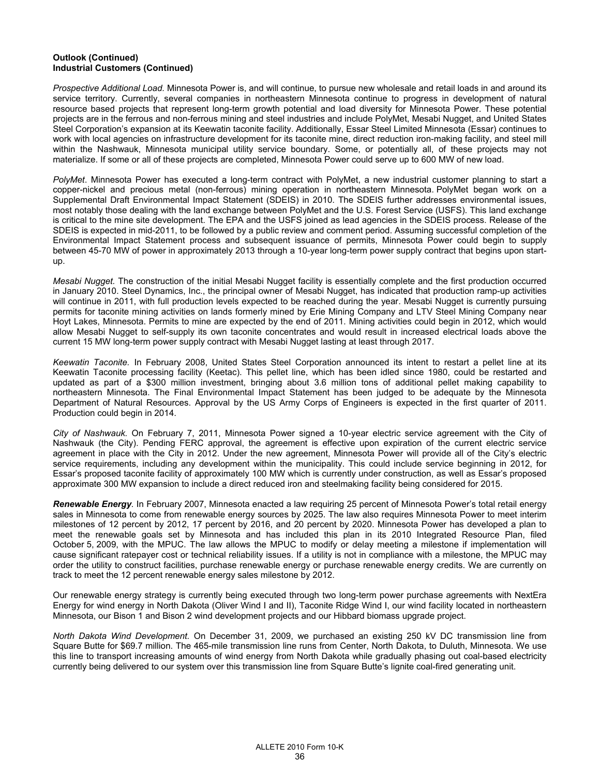## **Outlook (Continued) Industrial Customers (Continued)**

*Prospective Additional Load.* Minnesota Power is, and will continue, to pursue new wholesale and retail loads in and around its service territory. Currently, several companies in northeastern Minnesota continue to progress in development of natural resource based projects that represent long-term growth potential and load diversity for Minnesota Power. These potential projects are in the ferrous and non-ferrous mining and steel industries and include PolyMet, Mesabi Nugget, and United States Steel Corporation's expansion at its Keewatin taconite facility. Additionally, Essar Steel Limited Minnesota (Essar) continues to work with local agencies on infrastructure development for its taconite mine, direct reduction iron-making facility, and steel mill within the Nashwauk, Minnesota municipal utility service boundary. Some, or potentially all, of these projects may not materialize. If some or all of these projects are completed, Minnesota Power could serve up to 600 MW of new load.

*PolyMet*. Minnesota Power has executed a long-term contract with PolyMet, a new industrial customer planning to start a copper-nickel and precious metal (non-ferrous) mining operation in northeastern Minnesota. PolyMet began work on a Supplemental Draft Environmental Impact Statement (SDEIS) in 2010. The SDEIS further addresses environmental issues, most notably those dealing with the land exchange between PolyMet and the U.S. Forest Service (USFS). This land exchange is critical to the mine site development. The EPA and the USFS joined as lead agencies in the SDEIS process. Release of the SDEIS is expected in mid-2011, to be followed by a public review and comment period. Assuming successful completion of the Environmental Impact Statement process and subsequent issuance of permits, Minnesota Power could begin to supply between 45-70 MW of power in approximately 2013 through a 10-year long-term power supply contract that begins upon startup.

*Mesabi Nugget.* The construction of the initial Mesabi Nugget facility is essentially complete and the first production occurred in January 2010. Steel Dynamics, Inc., the principal owner of Mesabi Nugget, has indicated that production ramp-up activities will continue in 2011, with full production levels expected to be reached during the year. Mesabi Nugget is currently pursuing permits for taconite mining activities on lands formerly mined by Erie Mining Company and LTV Steel Mining Company near Hoyt Lakes, Minnesota. Permits to mine are expected by the end of 2011. Mining activities could begin in 2012, which would allow Mesabi Nugget to self-supply its own taconite concentrates and would result in increased electrical loads above the current 15 MW long-term power supply contract with Mesabi Nugget lasting at least through 2017.

*Keewatin Taconite.* In February 2008, United States Steel Corporation announced its intent to restart a pellet line at its Keewatin Taconite processing facility (Keetac). This pellet line, which has been idled since 1980, could be restarted and updated as part of a \$300 million investment, bringing about 3.6 million tons of additional pellet making capability to northeastern Minnesota. The Final Environmental Impact Statement has been judged to be adequate by the Minnesota Department of Natural Resources. Approval by the US Army Corps of Engineers is expected in the first quarter of 2011. Production could begin in 2014.

*City of Nashwauk.* On February 7, 2011, Minnesota Power signed a 10-year electric service agreement with the City of Nashwauk (the City). Pending FERC approval, the agreement is effective upon expiration of the current electric service agreement in place with the City in 2012. Under the new agreement, Minnesota Power will provide all of the City's electric service requirements, including any development within the municipality. This could include service beginning in 2012, for Essar's proposed taconite facility of approximately 100 MW which is currently under construction, as well as Essar's proposed approximate 300 MW expansion to include a direct reduced iron and steelmaking facility being considered for 2015.

*Renewable Energy.* In February 2007, Minnesota enacted a law requiring 25 percent of Minnesota Power's total retail energy sales in Minnesota to come from renewable energy sources by 2025. The law also requires Minnesota Power to meet interim milestones of 12 percent by 2012, 17 percent by 2016, and 20 percent by 2020. Minnesota Power has developed a plan to meet the renewable goals set by Minnesota and has included this plan in its 2010 Integrated Resource Plan, filed October 5, 2009, with the MPUC. The law allows the MPUC to modify or delay meeting a milestone if implementation will cause significant ratepayer cost or technical reliability issues. If a utility is not in compliance with a milestone, the MPUC may order the utility to construct facilities, purchase renewable energy or purchase renewable energy credits. We are currently on track to meet the 12 percent renewable energy sales milestone by 2012.

Our renewable energy strategy is currently being executed through two long-term power purchase agreements with NextEra Energy for wind energy in North Dakota (Oliver Wind I and II), Taconite Ridge Wind I, our wind facility located in northeastern Minnesota, our Bison 1 and Bison 2 wind development projects and our Hibbard biomass upgrade project.

*North Dakota Wind Development.* On December 31, 2009, we purchased an existing 250 kV DC transmission line from Square Butte for \$69.7 million. The 465-mile transmission line runs from Center, North Dakota, to Duluth, Minnesota. We use this line to transport increasing amounts of wind energy from North Dakota while gradually phasing out coal-based electricity currently being delivered to our system over this transmission line from Square Butte's lignite coal-fired generating unit.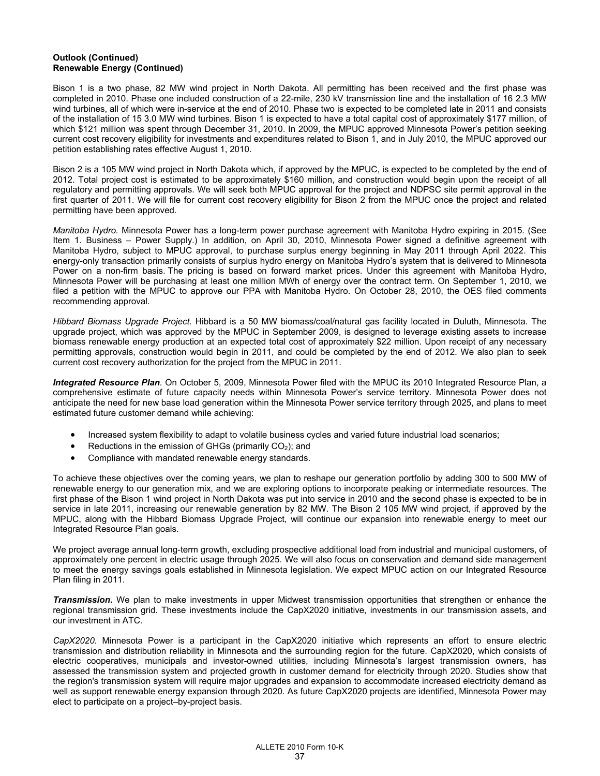## **Outlook (Continued) Renewable Energy (Continued)**

Bison 1 is a two phase, 82 MW wind project in North Dakota. All permitting has been received and the first phase was completed in 2010. Phase one included construction of a 22-mile, 230 kV transmission line and the installation of 16 2.3 MW wind turbines, all of which were in-service at the end of 2010. Phase two is expected to be completed late in 2011 and consists of the installation of 15 3.0 MW wind turbines. Bison 1 is expected to have a total capital cost of approximately \$177 million, of which \$121 million was spent through December 31, 2010. In 2009, the MPUC approved Minnesota Power's petition seeking current cost recovery eligibility for investments and expenditures related to Bison 1, and in July 2010, the MPUC approved our petition establishing rates effective August 1, 2010.

Bison 2 is a 105 MW wind project in North Dakota which, if approved by the MPUC, is expected to be completed by the end of 2012. Total project cost is estimated to be approximately \$160 million, and construction would begin upon the receipt of all regulatory and permitting approvals. We will seek both MPUC approval for the project and NDPSC site permit approval in the first quarter of 2011. We will file for current cost recovery eligibility for Bison 2 from the MPUC once the project and related permitting have been approved.

*Manitoba Hydro.* Minnesota Power has a long-term power purchase agreement with Manitoba Hydro expiring in 2015. (See Item 1. Business – Power Supply.) In addition, on April 30, 2010, Minnesota Power signed a definitive agreement with Manitoba Hydro, subject to MPUC approval, to purchase surplus energy beginning in May 2011 through April 2022. This energy-only transaction primarily consists of surplus hydro energy on Manitoba Hydro's system that is delivered to Minnesota Power on a non-firm basis. The pricing is based on forward market prices. Under this agreement with Manitoba Hydro, Minnesota Power will be purchasing at least one million MWh of energy over the contract term. On September 1, 2010, we filed a petition with the MPUC to approve our PPA with Manitoba Hydro. On October 28, 2010, the OES filed comments recommending approval.

*Hibbard Biomass Upgrade Project.* Hibbard is a 50 MW biomass/coal/natural gas facility located in Duluth, Minnesota. The upgrade project, which was approved by the MPUC in September 2009, is designed to leverage existing assets to increase biomass renewable energy production at an expected total cost of approximately \$22 million. Upon receipt of any necessary permitting approvals, construction would begin in 2011, and could be completed by the end of 2012. We also plan to seek current cost recovery authorization for the project from the MPUC in 2011.

*Integrated Resource Plan.* On October 5, 2009, Minnesota Power filed with the MPUC its 2010 Integrated Resource Plan, a comprehensive estimate of future capacity needs within Minnesota Power's service territory. Minnesota Power does not anticipate the need for new base load generation within the Minnesota Power service territory through 2025, and plans to meet estimated future customer demand while achieving:

- Increased system flexibility to adapt to volatile business cycles and varied future industrial load scenarios;
- Reductions in the emission of GHGs (primarily  $CO<sub>2</sub>$ ); and
- Compliance with mandated renewable energy standards.

To achieve these objectives over the coming years, we plan to reshape our generation portfolio by adding 300 to 500 MW of renewable energy to our generation mix, and we are exploring options to incorporate peaking or intermediate resources. The first phase of the Bison 1 wind project in North Dakota was put into service in 2010 and the second phase is expected to be in service in late 2011, increasing our renewable generation by 82 MW. The Bison 2 105 MW wind project, if approved by the MPUC, along with the Hibbard Biomass Upgrade Project, will continue our expansion into renewable energy to meet our Integrated Resource Plan goals.

We project average annual long-term growth, excluding prospective additional load from industrial and municipal customers, of approximately one percent in electric usage through 2025. We will also focus on conservation and demand side management to meet the energy savings goals established in Minnesota legislation. We expect MPUC action on our Integrated Resource Plan filing in 2011.

*Transmission*. We plan to make investments in upper Midwest transmission opportunities that strengthen or enhance the regional transmission grid. These investments include the CapX2020 initiative, investments in our transmission assets, and our investment in ATC.

*CapX2020*. Minnesota Power is a participant in the CapX2020 initiative which represents an effort to ensure electric transmission and distribution reliability in Minnesota and the surrounding region for the future. CapX2020, which consists of electric cooperatives, municipals and investor-owned utilities, including Minnesota's largest transmission owners, has assessed the transmission system and projected growth in customer demand for electricity through 2020. Studies show that the region's transmission system will require major upgrades and expansion to accommodate increased electricity demand as well as support renewable energy expansion through 2020. As future CapX2020 projects are identified, Minnesota Power may elect to participate on a project–by-project basis.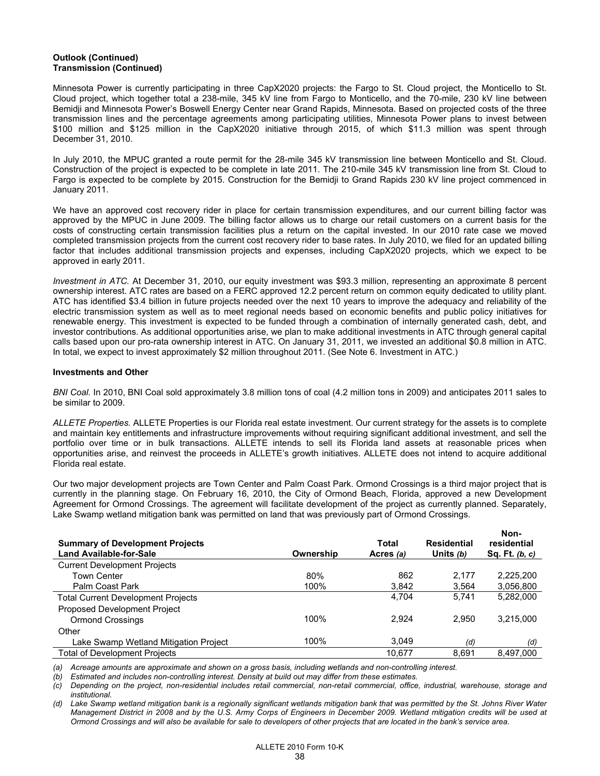## **Outlook (Continued) Transmission (Continued)**

Minnesota Power is currently participating in three CapX2020 projects: the Fargo to St. Cloud project, the Monticello to St. Cloud project, which together total a 238-mile, 345 kV line from Fargo to Monticello, and the 70-mile, 230 kV line between Bemidji and Minnesota Power's Boswell Energy Center near Grand Rapids, Minnesota. Based on projected costs of the three transmission lines and the percentage agreements among participating utilities, Minnesota Power plans to invest between \$100 million and \$125 million in the CapX2020 initiative through 2015, of which \$11.3 million was spent through December 31, 2010.

In July 2010, the MPUC granted a route permit for the 28-mile 345 kV transmission line between Monticello and St. Cloud. Construction of the project is expected to be complete in late 2011. The 210-mile 345 kV transmission line from St. Cloud to Fargo is expected to be complete by 2015. Construction for the Bemidji to Grand Rapids 230 kV line project commenced in January 2011.

We have an approved cost recovery rider in place for certain transmission expenditures, and our current billing factor was approved by the MPUC in June 2009. The billing factor allows us to charge our retail customers on a current basis for the costs of constructing certain transmission facilities plus a return on the capital invested. In our 2010 rate case we moved completed transmission projects from the current cost recovery rider to base rates. In July 2010, we filed for an updated billing factor that includes additional transmission projects and expenses, including CapX2020 projects, which we expect to be approved in early 2011.

*Investment in ATC.* At December 31, 2010, our equity investment was \$93.3 million, representing an approximate 8 percent ownership interest. ATC rates are based on a FERC approved 12.2 percent return on common equity dedicated to utility plant. ATC has identified \$3.4 billion in future projects needed over the next 10 years to improve the adequacy and reliability of the electric transmission system as well as to meet regional needs based on economic benefits and public policy initiatives for renewable energy. This investment is expected to be funded through a combination of internally generated cash, debt, and investor contributions. As additional opportunities arise, we plan to make additional investments in ATC through general capital calls based upon our pro-rata ownership interest in ATC. On January 31, 2011, we invested an additional \$0.8 million in ATC. In total, we expect to invest approximately \$2 million throughout 2011. (See Note 6. Investment in ATC.)

## **Investments and Other**

*BNI Coal.* In 2010, BNI Coal sold approximately 3.8 million tons of coal (4.2 million tons in 2009) and anticipates 2011 sales to be similar to 2009.

*ALLETE Properties.* ALLETE Properties is our Florida real estate investment. Our current strategy for the assets is to complete and maintain key entitlements and infrastructure improvements without requiring significant additional investment, and sell the portfolio over time or in bulk transactions. ALLETE intends to sell its Florida land assets at reasonable prices when opportunities arise, and reinvest the proceeds in ALLETE's growth initiatives. ALLETE does not intend to acquire additional Florida real estate.

Our two major development projects are Town Center and Palm Coast Park. Ormond Crossings is a third major project that is currently in the planning stage. On February 16, 2010, the City of Ormond Beach, Florida, approved a new Development Agreement for Ormond Crossings. The agreement will facilitate development of the project as currently planned. Separately, Lake Swamp wetland mitigation bank was permitted on land that was previously part of Ormond Crossings.

| <b>Summary of Development Projects</b><br><b>Land Available-for-Sale</b> | Ownership | Total<br>Acres (a) | <b>Residential</b><br>Units $(b)$ | Non-<br>residential<br>Sq. Ft. $(b, c)$ |
|--------------------------------------------------------------------------|-----------|--------------------|-----------------------------------|-----------------------------------------|
| <b>Current Development Projects</b>                                      |           |                    |                                   |                                         |
| Town Center                                                              | 80%       | 862                | 2.177                             | 2.225.200                               |
| Palm Coast Park                                                          | 100%      | 3.842              | 3.564                             | 3.056.800                               |
| <b>Total Current Development Projects</b>                                |           | 4.704              | 5.741                             | 5,282,000                               |
| Proposed Development Project                                             |           |                    |                                   |                                         |
| <b>Ormond Crossings</b>                                                  | 100%      | 2.924              | 2.950                             | 3.215.000                               |
| Other                                                                    |           |                    |                                   |                                         |
| Lake Swamp Wetland Mitigation Project                                    | 100%      | 3.049              | (d)                               | (d)                                     |
| <b>Total of Development Projects</b>                                     |           | 10.677             | 8.691                             | 8,497,000                               |

*(a) Acreage amounts are approximate and shown on a gross basis, including wetlands and non-controlling interest.* 

*(b) Estimated and includes non-controlling interest. Density at build out may differ from these estimates.* 

*(c) Depending on the project, non-residential includes retail commercial, non-retail commercial, office, industrial, warehouse, storage and institutional.* 

*(d) Lake Swamp wetland mitigation bank is a regionally significant wetlands mitigation bank that was permitted by the St. Johns River Water Management District in 2008 and by the U.S. Army Corps of Engineers in December 2009. Wetland mitigation credits will be used at Ormond Crossings and will also be available for sale to developers of other projects that are located in the bank's service area.*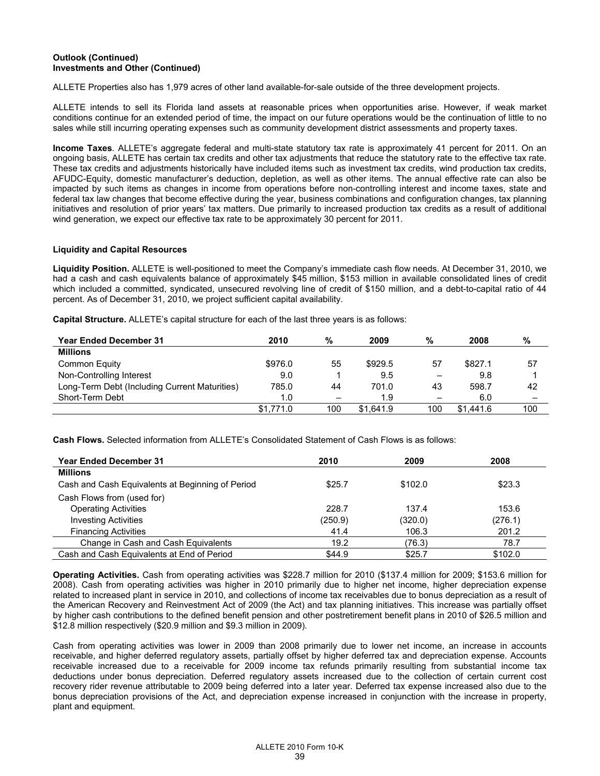# **Outlook (Continued) Investments and Other (Continued)**

ALLETE Properties also has 1,979 acres of other land available-for-sale outside of the three development projects.

ALLETE intends to sell its Florida land assets at reasonable prices when opportunities arise. However, if weak market conditions continue for an extended period of time, the impact on our future operations would be the continuation of little to no sales while still incurring operating expenses such as community development district assessments and property taxes.

**Income Taxes***.* ALLETE's aggregate federal and multi-state statutory tax rate is approximately 41 percent for 2011. On an ongoing basis, ALLETE has certain tax credits and other tax adjustments that reduce the statutory rate to the effective tax rate. These tax credits and adjustments historically have included items such as investment tax credits, wind production tax credits, AFUDC-Equity, domestic manufacturer's deduction, depletion, as well as other items. The annual effective rate can also be impacted by such items as changes in income from operations before non-controlling interest and income taxes, state and federal tax law changes that become effective during the year, business combinations and configuration changes, tax planning initiatives and resolution of prior years' tax matters. Due primarily to increased production tax credits as a result of additional wind generation, we expect our effective tax rate to be approximately 30 percent for 2011.

## **Liquidity and Capital Resources**

**Liquidity Position.** ALLETE is well-positioned to meet the Company's immediate cash flow needs. At December 31, 2010, we had a cash and cash equivalents balance of approximately \$45 million, \$153 million in available consolidated lines of credit which included a committed, syndicated, unsecured revolving line of credit of \$150 million, and a debt-to-capital ratio of 44 percent. As of December 31, 2010, we project sufficient capital availability.

**Capital Structure.** ALLETE's capital structure for each of the last three years is as follows:

| <b>Year Ended December 31</b>                 | 2010      | %   | 2009      | %                        | 2008      | %                        |
|-----------------------------------------------|-----------|-----|-----------|--------------------------|-----------|--------------------------|
| <b>Millions</b>                               |           |     |           |                          |           |                          |
| Common Equity                                 | \$976.0   | 55  | \$929.5   | 57                       | \$827.1   | 57                       |
| Non-Controlling Interest                      | 9.0       |     | 9.5       | -                        | 9.8       |                          |
| Long-Term Debt (Including Current Maturities) | 785.0     | 44  | 701.0     | 43                       | 598.7     | 42                       |
| Short-Term Debt                               | 1.0       |     | 1.9       | $\overline{\phantom{0}}$ | 6.0       | $\overline{\phantom{0}}$ |
|                                               | \$1,771.0 | 100 | \$1.641.9 | 100                      | \$1,441.6 | 100                      |

**Cash Flows.** Selected information from ALLETE's Consolidated Statement of Cash Flows is as follows:

| <b>Year Ended December 31</b>                    | 2010    | 2009    | 2008    |
|--------------------------------------------------|---------|---------|---------|
| <b>Millions</b>                                  |         |         |         |
| Cash and Cash Equivalents at Beginning of Period | \$25.7  | \$102.0 | \$23.3  |
| Cash Flows from (used for)                       |         |         |         |
| <b>Operating Activities</b>                      | 228.7   | 137.4   | 153.6   |
| <b>Investing Activities</b>                      | (250.9) | (320.0) | (276.1) |
| <b>Financing Activities</b>                      | 41.4    | 106.3   | 201.2   |
| Change in Cash and Cash Equivalents              | 19.2    | (76.3)  | 78.7    |
| Cash and Cash Equivalents at End of Period       | \$44.9  | \$25.7  | \$102.0 |

**Operating Activities.** Cash from operating activities was \$228.7 million for 2010 (\$137.4 million for 2009; \$153.6 million for 2008). Cash from operating activities was higher in 2010 primarily due to higher net income, higher depreciation expense related to increased plant in service in 2010, and collections of income tax receivables due to bonus depreciation as a result of the American Recovery and Reinvestment Act of 2009 (the Act) and tax planning initiatives. This increase was partially offset by higher cash contributions to the defined benefit pension and other postretirement benefit plans in 2010 of \$26.5 million and \$12.8 million respectively (\$20.9 million and \$9.3 million in 2009).

Cash from operating activities was lower in 2009 than 2008 primarily due to lower net income, an increase in accounts receivable, and higher deferred regulatory assets, partially offset by higher deferred tax and depreciation expense. Accounts receivable increased due to a receivable for 2009 income tax refunds primarily resulting from substantial income tax deductions under bonus depreciation. Deferred regulatory assets increased due to the collection of certain current cost recovery rider revenue attributable to 2009 being deferred into a later year. Deferred tax expense increased also due to the bonus depreciation provisions of the Act, and depreciation expense increased in conjunction with the increase in property, plant and equipment.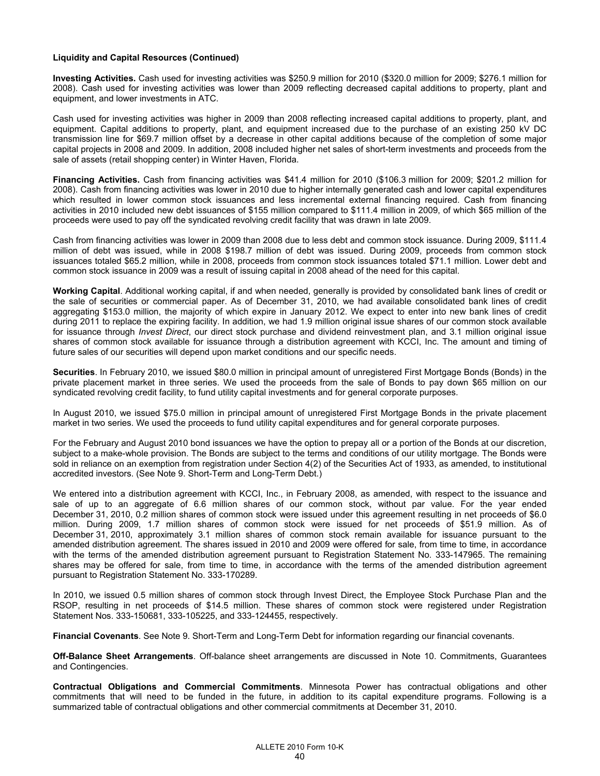### **Liquidity and Capital Resources (Continued)**

**Investing Activities.** Cash used for investing activities was \$250.9 million for 2010 (\$320.0 million for 2009; \$276.1 million for 2008). Cash used for investing activities was lower than 2009 reflecting decreased capital additions to property, plant and equipment, and lower investments in ATC.

Cash used for investing activities was higher in 2009 than 2008 reflecting increased capital additions to property, plant, and equipment. Capital additions to property, plant, and equipment increased due to the purchase of an existing 250 kV DC transmission line for \$69.7 million offset by a decrease in other capital additions because of the completion of some major capital projects in 2008 and 2009. In addition, 2008 included higher net sales of short-term investments and proceeds from the sale of assets (retail shopping center) in Winter Haven, Florida.

**Financing Activities.** Cash from financing activities was \$41.4 million for 2010 (\$106.3 million for 2009; \$201.2 million for 2008). Cash from financing activities was lower in 2010 due to higher internally generated cash and lower capital expenditures which resulted in lower common stock issuances and less incremental external financing required. Cash from financing activities in 2010 included new debt issuances of \$155 million compared to \$111.4 million in 2009, of which \$65 million of the proceeds were used to pay off the syndicated revolving credit facility that was drawn in late 2009.

Cash from financing activities was lower in 2009 than 2008 due to less debt and common stock issuance. During 2009, \$111.4 million of debt was issued, while in 2008 \$198.7 million of debt was issued. During 2009, proceeds from common stock issuances totaled \$65.2 million, while in 2008, proceeds from common stock issuances totaled \$71.1 million. Lower debt and common stock issuance in 2009 was a result of issuing capital in 2008 ahead of the need for this capital.

**Working Capital**. Additional working capital, if and when needed, generally is provided by consolidated bank lines of credit or the sale of securities or commercial paper. As of December 31, 2010, we had available consolidated bank lines of credit aggregating \$153.0 million, the majority of which expire in January 2012. We expect to enter into new bank lines of credit during 2011 to replace the expiring facility. In addition, we had 1.9 million original issue shares of our common stock available for issuance through *Invest Direct*, our direct stock purchase and dividend reinvestment plan, and 3.1 million original issue shares of common stock available for issuance through a distribution agreement with KCCI, Inc. The amount and timing of future sales of our securities will depend upon market conditions and our specific needs.

**Securities**. In February 2010, we issued \$80.0 million in principal amount of unregistered First Mortgage Bonds (Bonds) in the private placement market in three series. We used the proceeds from the sale of Bonds to pay down \$65 million on our syndicated revolving credit facility, to fund utility capital investments and for general corporate purposes.

In August 2010, we issued \$75.0 million in principal amount of unregistered First Mortgage Bonds in the private placement market in two series. We used the proceeds to fund utility capital expenditures and for general corporate purposes.

For the February and August 2010 bond issuances we have the option to prepay all or a portion of the Bonds at our discretion, subject to a make-whole provision. The Bonds are subject to the terms and conditions of our utility mortgage. The Bonds were sold in reliance on an exemption from registration under Section 4(2) of the Securities Act of 1933, as amended, to institutional accredited investors. (See Note 9. Short-Term and Long-Term Debt.)

We entered into a distribution agreement with KCCI, Inc., in February 2008, as amended, with respect to the issuance and sale of up to an aggregate of 6.6 million shares of our common stock, without par value. For the year ended December 31, 2010, 0.2 million shares of common stock were issued under this agreement resulting in net proceeds of \$6.0 million. During 2009, 1.7 million shares of common stock were issued for net proceeds of \$51.9 million. As of December 31, 2010, approximately 3.1 million shares of common stock remain available for issuance pursuant to the amended distribution agreement. The shares issued in 2010 and 2009 were offered for sale, from time to time, in accordance with the terms of the amended distribution agreement pursuant to Registration Statement No. 333-147965. The remaining shares may be offered for sale, from time to time, in accordance with the terms of the amended distribution agreement pursuant to Registration Statement No. 333-170289.

In 2010, we issued 0.5 million shares of common stock through Invest Direct, the Employee Stock Purchase Plan and the RSOP, resulting in net proceeds of \$14.5 million. These shares of common stock were registered under Registration Statement Nos. 333-150681, 333-105225, and 333-124455, respectively.

**Financial Covenants**. See Note 9. Short-Term and Long-Term Debt for information regarding our financial covenants.

**Off-Balance Sheet Arrangements**. Off-balance sheet arrangements are discussed in Note 10. Commitments, Guarantees and Contingencies.

**Contractual Obligations and Commercial Commitments**. Minnesota Power has contractual obligations and other commitments that will need to be funded in the future, in addition to its capital expenditure programs. Following is a summarized table of contractual obligations and other commercial commitments at December 31, 2010.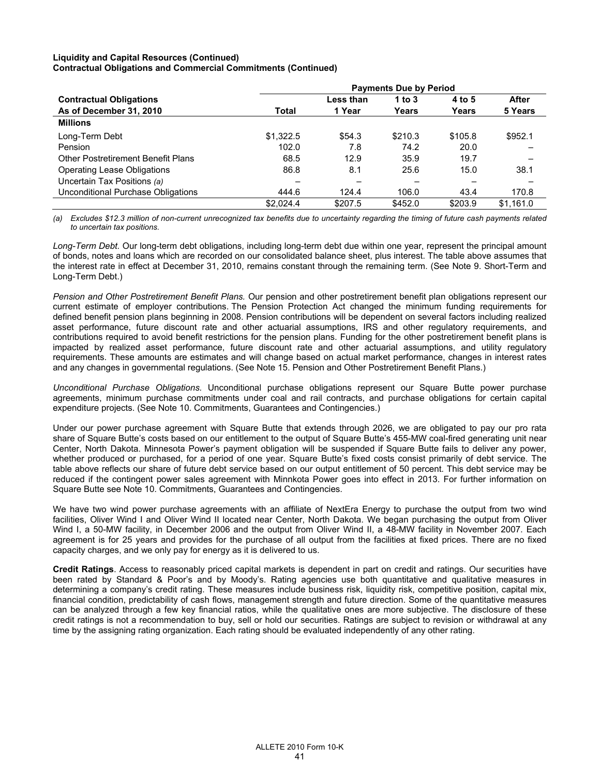## **Liquidity and Capital Resources (Continued) Contractual Obligations and Commercial Commitments (Continued)**

|                                           | <b>Payments Due by Period</b> |           |          |         |           |  |  |  |
|-------------------------------------------|-------------------------------|-----------|----------|---------|-----------|--|--|--|
| <b>Contractual Obligations</b>            |                               | Less than | 1 to $3$ | 4 to 5  | After     |  |  |  |
| As of December 31, 2010                   | <b>Total</b>                  | 1 Year    | Years    | Years   | 5 Years   |  |  |  |
| <b>Millions</b>                           |                               |           |          |         |           |  |  |  |
| Long-Term Debt                            | \$1,322.5                     | \$54.3    | \$210.3  | \$105.8 | \$952.1   |  |  |  |
| Pension                                   | 102.0                         | 7.8       | 74.2     | 20.0    |           |  |  |  |
| <b>Other Postretirement Benefit Plans</b> | 68.5                          | 12.9      | 35.9     | 19.7    |           |  |  |  |
| Operating Lease Obligations               | 86.8                          | 8.1       | 25.6     | 15.0    | 38.1      |  |  |  |
| Uncertain Tax Positions (a)               |                               |           |          |         |           |  |  |  |
| Unconditional Purchase Obligations        | 444.6                         | 124.4     | 106.0    | 43.4    | 170.8     |  |  |  |
|                                           | \$2.024.4                     | \$207.5   | \$452.0  | \$203.9 | \$1,161.0 |  |  |  |

*(a) Excludes \$12.3 million of non-current unrecognized tax benefits due to uncertainty regarding the timing of future cash payments related to uncertain tax positions.* 

*Long-Term Debt.* Our long-term debt obligations, including long-term debt due within one year, represent the principal amount of bonds, notes and loans which are recorded on our consolidated balance sheet, plus interest. The table above assumes that the interest rate in effect at December 31, 2010, remains constant through the remaining term. (See Note 9. Short-Term and Long-Term Debt.)

*Pension and Other Postretirement Benefit Plans.* Our pension and other postretirement benefit plan obligations represent our current estimate of employer contributions. The Pension Protection Act changed the minimum funding requirements for defined benefit pension plans beginning in 2008. Pension contributions will be dependent on several factors including realized asset performance, future discount rate and other actuarial assumptions, IRS and other regulatory requirements, and contributions required to avoid benefit restrictions for the pension plans. Funding for the other postretirement benefit plans is impacted by realized asset performance, future discount rate and other actuarial assumptions, and utility regulatory requirements. These amounts are estimates and will change based on actual market performance, changes in interest rates and any changes in governmental regulations. (See Note 15. Pension and Other Postretirement Benefit Plans.)

*Unconditional Purchase Obligations.* Unconditional purchase obligations represent our Square Butte power purchase agreements, minimum purchase commitments under coal and rail contracts, and purchase obligations for certain capital expenditure projects. (See Note 10. Commitments, Guarantees and Contingencies.)

Under our power purchase agreement with Square Butte that extends through 2026, we are obligated to pay our pro rata share of Square Butte's costs based on our entitlement to the output of Square Butte's 455-MW coal-fired generating unit near Center, North Dakota. Minnesota Power's payment obligation will be suspended if Square Butte fails to deliver any power, whether produced or purchased, for a period of one year. Square Butte's fixed costs consist primarily of debt service. The table above reflects our share of future debt service based on our output entitlement of 50 percent. This debt service may be reduced if the contingent power sales agreement with Minnkota Power goes into effect in 2013. For further information on Square Butte see Note 10. Commitments, Guarantees and Contingencies.

We have two wind power purchase agreements with an affiliate of NextEra Energy to purchase the output from two wind facilities, Oliver Wind I and Oliver Wind II located near Center, North Dakota. We began purchasing the output from Oliver Wind I, a 50-MW facility, in December 2006 and the output from Oliver Wind II, a 48-MW facility in November 2007. Each agreement is for 25 years and provides for the purchase of all output from the facilities at fixed prices. There are no fixed capacity charges, and we only pay for energy as it is delivered to us.

**Credit Ratings**. Access to reasonably priced capital markets is dependent in part on credit and ratings. Our securities have been rated by Standard & Poor's and by Moody's. Rating agencies use both quantitative and qualitative measures in determining a company's credit rating. These measures include business risk, liquidity risk, competitive position, capital mix, financial condition, predictability of cash flows, management strength and future direction. Some of the quantitative measures can be analyzed through a few key financial ratios, while the qualitative ones are more subjective. The disclosure of these credit ratings is not a recommendation to buy, sell or hold our securities. Ratings are subject to revision or withdrawal at any time by the assigning rating organization. Each rating should be evaluated independently of any other rating.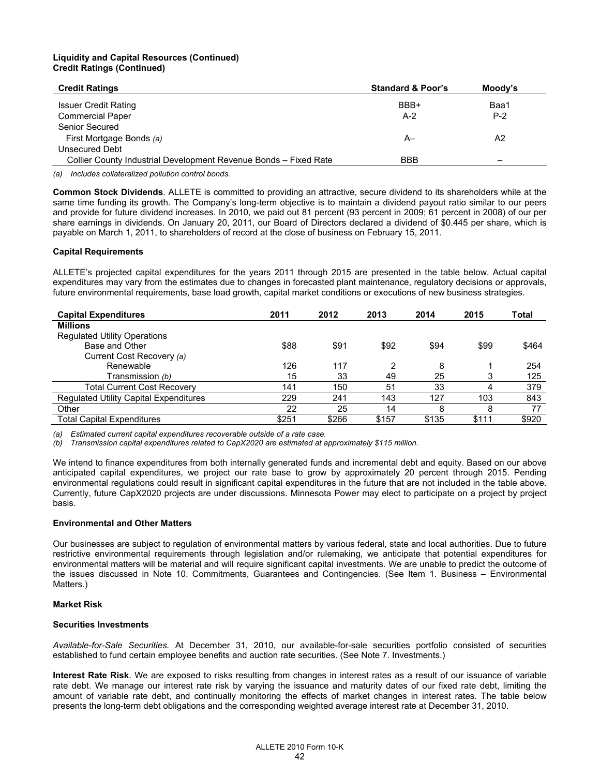# **Liquidity and Capital Resources (Continued) Credit Ratings (Continued)**

| <b>Credit Ratings</b>                                            | <b>Standard &amp; Poor's</b> | Moody's |
|------------------------------------------------------------------|------------------------------|---------|
| <b>Issuer Credit Rating</b>                                      | BBB+                         | Baa1    |
| <b>Commercial Paper</b>                                          | $A-2$                        | $P-2$   |
| Senior Secured                                                   |                              |         |
| First Mortgage Bonds (a)                                         | A–                           | A2      |
| Unsecured Debt                                                   |                              |         |
| Collier County Industrial Development Revenue Bonds - Fixed Rate | <b>BBB</b>                   | -       |

*(a) Includes collateralized pollution control bonds.*

**Common Stock Dividends**. ALLETE is committed to providing an attractive, secure dividend to its shareholders while at the same time funding its growth. The Company's long-term objective is to maintain a dividend payout ratio similar to our peers and provide for future dividend increases. In 2010, we paid out 81 percent (93 percent in 2009; 61 percent in 2008) of our per share earnings in dividends. On January 20, 2011, our Board of Directors declared a dividend of \$0.445 per share, which is payable on March 1, 2011, to shareholders of record at the close of business on February 15, 2011.

# **Capital Requirements**

ALLETE's projected capital expenditures for the years 2011 through 2015 are presented in the table below. Actual capital expenditures may vary from the estimates due to changes in forecasted plant maintenance, regulatory decisions or approvals, future environmental requirements, base load growth, capital market conditions or executions of new business strategies.

| <b>Capital Expenditures</b>                   | 2011  | 2012  | 2013  | 2014  | 2015  | Total |
|-----------------------------------------------|-------|-------|-------|-------|-------|-------|
| <b>Millions</b>                               |       |       |       |       |       |       |
| <b>Regulated Utility Operations</b>           |       |       |       |       |       |       |
| Base and Other                                | \$88  | \$91  | \$92  | \$94  | \$99  | \$464 |
| Current Cost Recovery (a)                     |       |       |       |       |       |       |
| Renewable                                     | 126   | 117   | 2     | 8     |       | 254   |
| Transmission (b)                              | 15    | 33    | 49    | 25    | 3     | 125   |
| <b>Total Current Cost Recovery</b>            | 141   | 150   | 51    | 33    | 4     | 379   |
| <b>Requlated Utility Capital Expenditures</b> | 229   | 241   | 143   | 127   | 103   | 843   |
| Other                                         | 22    | 25    | 14    | 8     | 8     | 77    |
| <b>Total Capital Expenditures</b>             | \$251 | \$266 | \$157 | \$135 | \$111 | \$920 |

*(a) Estimated current capital expenditures recoverable outside of a rate case.*

*(b) Transmission capital expenditures related to CapX2020 are estimated at approximately \$115 million.*

We intend to finance expenditures from both internally generated funds and incremental debt and equity. Based on our above anticipated capital expenditures, we project our rate base to grow by approximately 20 percent through 2015. Pending environmental regulations could result in significant capital expenditures in the future that are not included in the table above. Currently, future CapX2020 projects are under discussions. Minnesota Power may elect to participate on a project by project basis.

## **Environmental and Other Matters**

Our businesses are subject to regulation of environmental matters by various federal, state and local authorities. Due to future restrictive environmental requirements through legislation and/or rulemaking, we anticipate that potential expenditures for environmental matters will be material and will require significant capital investments. We are unable to predict the outcome of the issues discussed in Note 10. Commitments, Guarantees and Contingencies. (See Item 1. Business – Environmental Matters.)

## **Market Risk**

## **Securities Investments**

*Available-for-Sale Securities.* At December 31, 2010, our available-for-sale securities portfolio consisted of securities established to fund certain employee benefits and auction rate securities. (See Note 7. Investments.)

**Interest Rate Risk**. We are exposed to risks resulting from changes in interest rates as a result of our issuance of variable rate debt. We manage our interest rate risk by varying the issuance and maturity dates of our fixed rate debt, limiting the amount of variable rate debt, and continually monitoring the effects of market changes in interest rates. The table below presents the long-term debt obligations and the corresponding weighted average interest rate at December 31, 2010.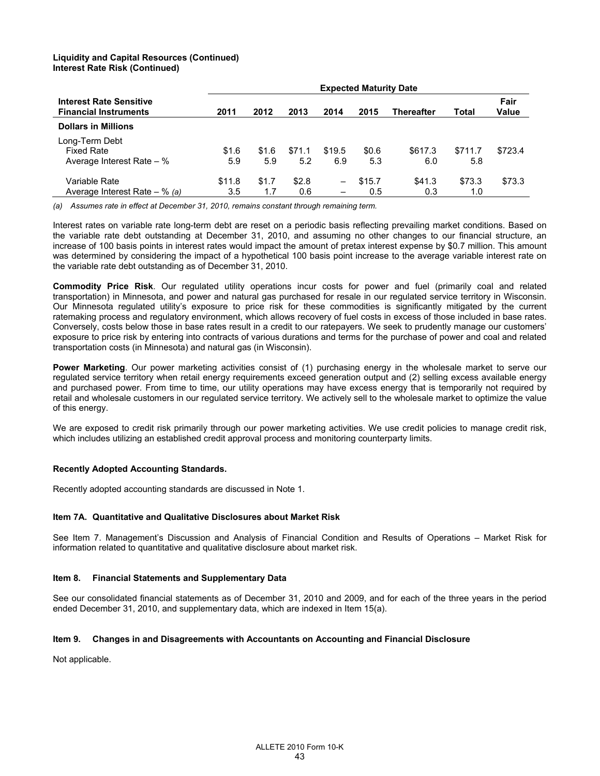## **Liquidity and Capital Resources (Continued) Interest Rate Risk (Continued)**

|                                                                |        |       |        |                          | <b>Expected Maturity Date</b> |                   |         |               |
|----------------------------------------------------------------|--------|-------|--------|--------------------------|-------------------------------|-------------------|---------|---------------|
| <b>Interest Rate Sensitive</b><br><b>Financial Instruments</b> | 2011   | 2012  | 2013   | 2014                     | 2015                          | <b>Thereafter</b> | Total   | Fair<br>Value |
| <b>Dollars in Millions</b>                                     |        |       |        |                          |                               |                   |         |               |
| Long-Term Debt                                                 |        |       |        |                          |                               |                   |         |               |
| <b>Fixed Rate</b>                                              | \$1.6  | \$1.6 | \$71.1 | \$19.5                   | \$0.6                         | \$617.3           | \$711.7 | \$723.4       |
| Average Interest Rate $-$ %                                    | 5.9    | 5.9   | 5.2    | 6.9                      | 5.3                           | 6.0               | 5.8     |               |
| Variable Rate                                                  | \$11.8 | \$1.7 | \$2.8  | $\overline{\phantom{m}}$ | \$15.7                        | \$41.3            | \$73.3  | \$73.3        |
| Average Interest Rate $-$ % (a)                                | 3.5    | 1.7   | 0.6    | -                        | 0.5                           | 0.3               | 1.0     |               |

*(a) Assumes rate in effect at December 31, 2010, remains constant through remaining term.* 

Interest rates on variable rate long-term debt are reset on a periodic basis reflecting prevailing market conditions. Based on the variable rate debt outstanding at December 31, 2010, and assuming no other changes to our financial structure, an increase of 100 basis points in interest rates would impact the amount of pretax interest expense by \$0.7 million. This amount was determined by considering the impact of a hypothetical 100 basis point increase to the average variable interest rate on the variable rate debt outstanding as of December 31, 2010.

**Commodity Price Risk**. Our regulated utility operations incur costs for power and fuel (primarily coal and related transportation) in Minnesota, and power and natural gas purchased for resale in our regulated service territory in Wisconsin. Our Minnesota regulated utility's exposure to price risk for these commodities is significantly mitigated by the current ratemaking process and regulatory environment, which allows recovery of fuel costs in excess of those included in base rates. Conversely, costs below those in base rates result in a credit to our ratepayers. We seek to prudently manage our customers' exposure to price risk by entering into contracts of various durations and terms for the purchase of power and coal and related transportation costs (in Minnesota) and natural gas (in Wisconsin).

**Power Marketing**. Our power marketing activities consist of (1) purchasing energy in the wholesale market to serve our regulated service territory when retail energy requirements exceed generation output and (2) selling excess available energy and purchased power. From time to time, our utility operations may have excess energy that is temporarily not required by retail and wholesale customers in our regulated service territory. We actively sell to the wholesale market to optimize the value of this energy.

We are exposed to credit risk primarily through our power marketing activities. We use credit policies to manage credit risk, which includes utilizing an established credit approval process and monitoring counterparty limits.

# **Recently Adopted Accounting Standards.**

Recently adopted accounting standards are discussed in Note 1.

## **Item 7A. Quantitative and Qualitative Disclosures about Market Risk**

See Item 7. Management's Discussion and Analysis of Financial Condition and Results of Operations – Market Risk for information related to quantitative and qualitative disclosure about market risk.

## **Item 8. Financial Statements and Supplementary Data**

See our consolidated financial statements as of December 31, 2010 and 2009, and for each of the three years in the period ended December 31, 2010, and supplementary data, which are indexed in Item 15(a).

## **Item 9. Changes in and Disagreements with Accountants on Accounting and Financial Disclosure**

Not applicable.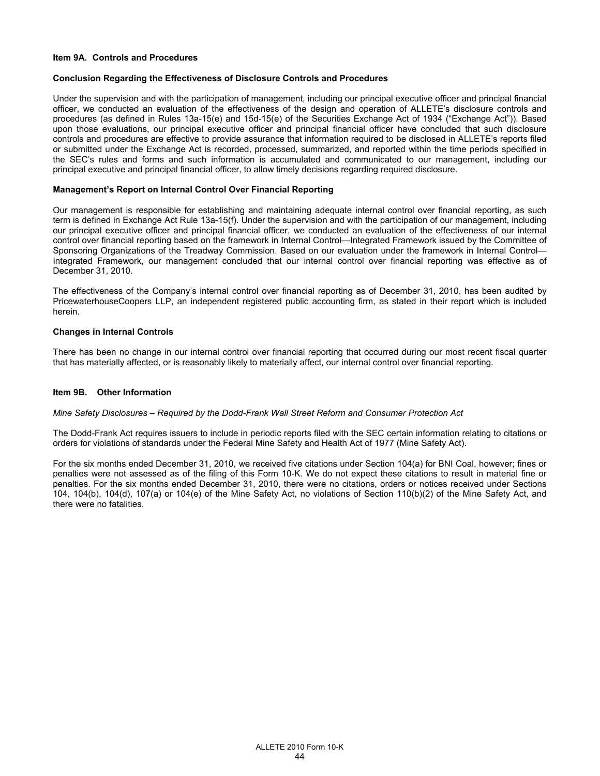### **Item 9A. Controls and Procedures**

### **Conclusion Regarding the Effectiveness of Disclosure Controls and Procedures**

Under the supervision and with the participation of management, including our principal executive officer and principal financial officer, we conducted an evaluation of the effectiveness of the design and operation of ALLETE's disclosure controls and procedures (as defined in Rules 13a-15(e) and 15d-15(e) of the Securities Exchange Act of 1934 ("Exchange Act")). Based upon those evaluations, our principal executive officer and principal financial officer have concluded that such disclosure controls and procedures are effective to provide assurance that information required to be disclosed in ALLETE's reports filed or submitted under the Exchange Act is recorded, processed, summarized, and reported within the time periods specified in the SEC's rules and forms and such information is accumulated and communicated to our management, including our principal executive and principal financial officer, to allow timely decisions regarding required disclosure.

### **Management's Report on Internal Control Over Financial Reporting**

Our management is responsible for establishing and maintaining adequate internal control over financial reporting, as such term is defined in Exchange Act Rule 13a-15(f). Under the supervision and with the participation of our management, including our principal executive officer and principal financial officer, we conducted an evaluation of the effectiveness of our internal control over financial reporting based on the framework in Internal Control—Integrated Framework issued by the Committee of Sponsoring Organizations of the Treadway Commission. Based on our evaluation under the framework in Internal Control— Integrated Framework, our management concluded that our internal control over financial reporting was effective as of December 31, 2010.

The effectiveness of the Company's internal control over financial reporting as of December 31, 2010, has been audited by PricewaterhouseCoopers LLP, an independent registered public accounting firm, as stated in their report which is included herein.

### **Changes in Internal Controls**

There has been no change in our internal control over financial reporting that occurred during our most recent fiscal quarter that has materially affected, or is reasonably likely to materially affect, our internal control over financial reporting.

### **Item 9B. Other Information**

### *Mine Safety Disclosures – Required by the Dodd-Frank Wall Street Reform and Consumer Protection Act*

The Dodd-Frank Act requires issuers to include in periodic reports filed with the SEC certain information relating to citations or orders for violations of standards under the Federal Mine Safety and Health Act of 1977 (Mine Safety Act).

For the six months ended December 31, 2010, we received five citations under Section 104(a) for BNI Coal, however; fines or penalties were not assessed as of the filing of this Form 10-K. We do not expect these citations to result in material fine or penalties. For the six months ended December 31, 2010, there were no citations, orders or notices received under Sections 104, 104(b), 104(d), 107(a) or 104(e) of the Mine Safety Act, no violations of Section 110(b)(2) of the Mine Safety Act, and there were no fatalities.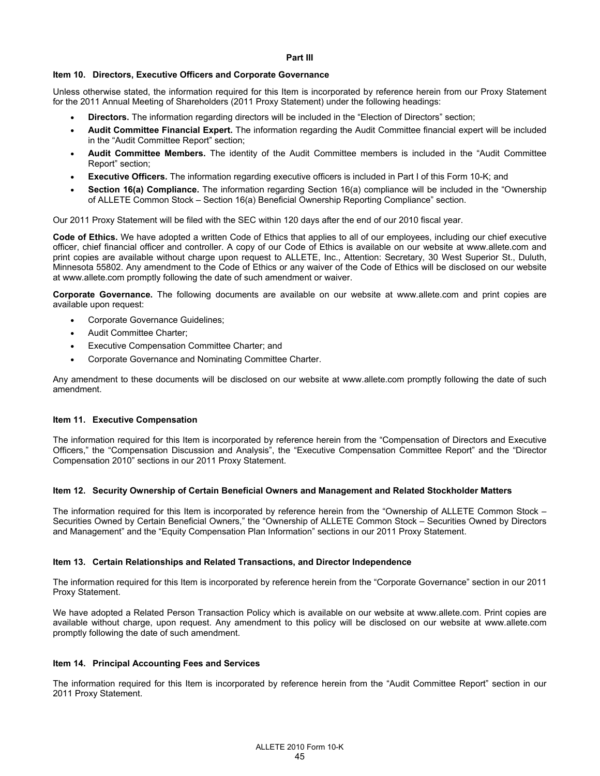### **Part III**

## **Item 10. Directors, Executive Officers and Corporate Governance**

Unless otherwise stated, the information required for this Item is incorporated by reference herein from our Proxy Statement for the 2011 Annual Meeting of Shareholders (2011 Proxy Statement) under the following headings:

- **Directors.** The information regarding directors will be included in the "Election of Directors" section;
- **Audit Committee Financial Expert.** The information regarding the Audit Committee financial expert will be included in the "Audit Committee Report" section;
- **Audit Committee Members.** The identity of the Audit Committee members is included in the "Audit Committee Report" section;
- **Executive Officers.** The information regarding executive officers is included in Part I of this Form 10-K; and
- **Section 16(a) Compliance.** The information regarding Section 16(a) compliance will be included in the "Ownership of ALLETE Common Stock – Section 16(a) Beneficial Ownership Reporting Compliance" section.

Our 2011 Proxy Statement will be filed with the SEC within 120 days after the end of our 2010 fiscal year.

**Code of Ethics.** We have adopted a written Code of Ethics that applies to all of our employees, including our chief executive officer, chief financial officer and controller. A copy of our Code of Ethics is available on our website at www.allete.com and print copies are available without charge upon request to ALLETE, Inc., Attention: Secretary, 30 West Superior St., Duluth, Minnesota 55802. Any amendment to the Code of Ethics or any waiver of the Code of Ethics will be disclosed on our website at www.allete.com promptly following the date of such amendment or waiver.

**Corporate Governance.** The following documents are available on our website at www.allete.com and print copies are available upon request:

- Corporate Governance Guidelines;
- Audit Committee Charter;
- Executive Compensation Committee Charter; and
- Corporate Governance and Nominating Committee Charter.

Any amendment to these documents will be disclosed on our website at www.allete.com promptly following the date of such amendment.

### **Item 11. Executive Compensation**

The information required for this Item is incorporated by reference herein from the "Compensation of Directors and Executive Officers," the "Compensation Discussion and Analysis", the "Executive Compensation Committee Report" and the "Director Compensation 2010" sections in our 2011 Proxy Statement.

### **Item 12. Security Ownership of Certain Beneficial Owners and Management and Related Stockholder Matters**

The information required for this Item is incorporated by reference herein from the "Ownership of ALLETE Common Stock – Securities Owned by Certain Beneficial Owners," the "Ownership of ALLETE Common Stock – Securities Owned by Directors and Management" and the "Equity Compensation Plan Information" sections in our 2011 Proxy Statement.

### **Item 13. Certain Relationships and Related Transactions, and Director Independence**

The information required for this Item is incorporated by reference herein from the "Corporate Governance" section in our 2011 Proxy Statement.

We have adopted a Related Person Transaction Policy which is available on our website at www.allete.com. Print copies are available without charge, upon request. Any amendment to this policy will be disclosed on our website at www.allete.com promptly following the date of such amendment.

### **Item 14. Principal Accounting Fees and Services**

The information required for this Item is incorporated by reference herein from the "Audit Committee Report" section in our 2011 Proxy Statement.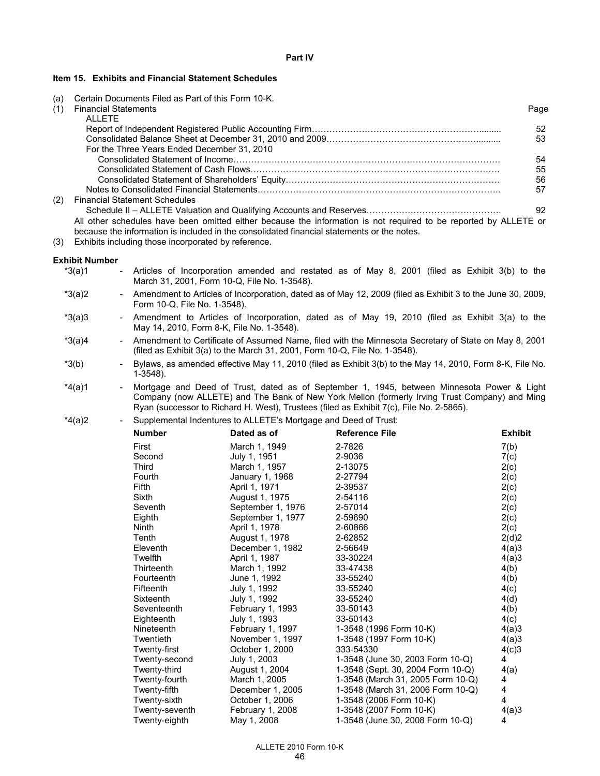## **Item 15. Exhibits and Financial Statement Schedules**

(a) Certain Documents Filed as Part of this Form 10-K.

| (1) | <b>Financial Statements</b>                                                                                                                                                                                    | Page |
|-----|----------------------------------------------------------------------------------------------------------------------------------------------------------------------------------------------------------------|------|
|     | <b>ALLETE</b>                                                                                                                                                                                                  |      |
|     |                                                                                                                                                                                                                | 52   |
|     |                                                                                                                                                                                                                | 53   |
|     | For the Three Years Ended December 31, 2010                                                                                                                                                                    |      |
|     |                                                                                                                                                                                                                | 54   |
|     |                                                                                                                                                                                                                | 55   |
|     |                                                                                                                                                                                                                | 56   |
|     |                                                                                                                                                                                                                | 57   |
| (2) | <b>Financial Statement Schedules</b>                                                                                                                                                                           |      |
|     |                                                                                                                                                                                                                | 92   |
|     | All other schedules have been omitted either because the information is not required to be reported by ALLETE or<br>because the information is included in the consolidated financial statements or the notes. |      |

(3) Exhibits including those incorporated by reference.

### **Exhibit Number**

- $*3(a)1$  Articles of Incorporation amended and restated as of May 8, 2001 (filed as Exhibit 3(b) to the March 31, 2001, Form 10-Q, File No. 1-3548).
- \*3(a)2 Amendment to Articles of Incorporation, dated as of May 12, 2009 (filed as Exhibit 3 to the June 30, 2009, Form 10-Q, File No. 1-3548).
- \*3(a)3 Amendment to Articles of Incorporation, dated as of May 19, 2010 (filed as Exhibit 3(a) to the May 14, 2010, Form 8-K, File No. 1-3548).
- \*3(a)4 Amendment to Certificate of Assumed Name, filed with the Minnesota Secretary of State on May 8, 2001 (filed as Exhibit 3(a) to the March 31, 2001, Form 10-Q, File No. 1-3548).
- \*3(b) Bylaws, as amended effective May 11, 2010 (filed as Exhibit 3(b) to the May 14, 2010, Form 8-K, File No. 1-3548).
- \*4(a)1 Mortgage and Deed of Trust, dated as of September 1, 1945, between Minnesota Power & Light Company (now ALLETE) and The Bank of New York Mellon (formerly Irving Trust Company) and Ming Ryan (successor to Richard H. West), Trustees (filed as Exhibit 7(c), File No. 2-5865).

\*4(a)2 - Supplemental Indentures to ALLETE's Mortgage and Deed of Trust:

| −(aj∠ |                | ouppicmental indentiales to ALLETE's inortyage and Decu or Trust. |                                   |                |  |  |  |  |  |
|-------|----------------|-------------------------------------------------------------------|-----------------------------------|----------------|--|--|--|--|--|
|       | <b>Number</b>  | Dated as of                                                       | <b>Reference File</b>             | <b>Exhibit</b> |  |  |  |  |  |
|       | First          | March 1, 1949                                                     | 2-7826                            | 7(b)           |  |  |  |  |  |
|       | Second         | July 1, 1951                                                      | 2-9036                            | 7(c)           |  |  |  |  |  |
|       | Third          | March 1, 1957                                                     | 2-13075                           | 2(c)           |  |  |  |  |  |
|       | Fourth         | January 1, 1968                                                   | 2-27794                           | 2(c)           |  |  |  |  |  |
|       | Fifth          | April 1, 1971                                                     | 2-39537                           | 2(c)           |  |  |  |  |  |
|       | Sixth          | August 1, 1975                                                    | 2-54116                           | 2(c)           |  |  |  |  |  |
|       | Seventh        | September 1, 1976                                                 | 2-57014                           | 2(c)           |  |  |  |  |  |
|       | Eighth         | September 1, 1977                                                 | 2-59690                           | 2(c)           |  |  |  |  |  |
|       | Ninth          | April 1, 1978                                                     | 2-60866                           | 2(c)           |  |  |  |  |  |
|       | Tenth          | August 1, 1978                                                    | 2-62852                           | 2(d)2          |  |  |  |  |  |
|       | Eleventh       | December 1, 1982                                                  | 2-56649                           | 4(a)3          |  |  |  |  |  |
|       | Twelfth        | April 1, 1987                                                     | 33-30224                          | 4(a)3          |  |  |  |  |  |
|       | Thirteenth     | March 1, 1992                                                     | 33-47438                          | 4(b)           |  |  |  |  |  |
|       | Fourteenth     | June 1, 1992                                                      | 33-55240                          | 4(b)           |  |  |  |  |  |
|       | Fifteenth      | July 1, 1992                                                      | 33-55240                          | 4(c)           |  |  |  |  |  |
|       | Sixteenth      | July 1, 1992                                                      | 33-55240                          | 4(d)           |  |  |  |  |  |
|       | Seventeenth    | February 1, 1993                                                  | 33-50143                          | 4(b)           |  |  |  |  |  |
|       | Eighteenth     | July 1, 1993                                                      | 33-50143                          | 4(c)           |  |  |  |  |  |
|       | Nineteenth     | February 1, 1997                                                  | 1-3548 (1996 Form 10-K)           | 4(a)3          |  |  |  |  |  |
|       | Twentieth      | November 1, 1997                                                  | 1-3548 (1997 Form 10-K)           | 4(a)3          |  |  |  |  |  |
|       | Twenty-first   | October 1, 2000                                                   | 333-54330                         | 4(c)3          |  |  |  |  |  |
|       | Twenty-second  | July 1, 2003                                                      | 1-3548 (June 30, 2003 Form 10-Q)  | 4              |  |  |  |  |  |
|       | Twenty-third   | August 1, 2004                                                    | 1-3548 (Sept. 30, 2004 Form 10-Q) | 4(a)           |  |  |  |  |  |
|       | Twenty-fourth  | March 1, 2005                                                     | 1-3548 (March 31, 2005 Form 10-Q) | 4              |  |  |  |  |  |
|       | Twenty-fifth   | December 1, 2005                                                  | 1-3548 (March 31, 2006 Form 10-Q) | 4              |  |  |  |  |  |
|       | Twenty-sixth   | October 1, 2006                                                   | 1-3548 (2006 Form 10-K)           | 4              |  |  |  |  |  |
|       | Twenty-seventh | February 1, 2008                                                  | 1-3548 (2007 Form 10-K)           | 4(a)3          |  |  |  |  |  |
|       | Twenty-eighth  | May 1, 2008                                                       | 1-3548 (June 30, 2008 Form 10-Q)  | 4              |  |  |  |  |  |
|       |                |                                                                   |                                   |                |  |  |  |  |  |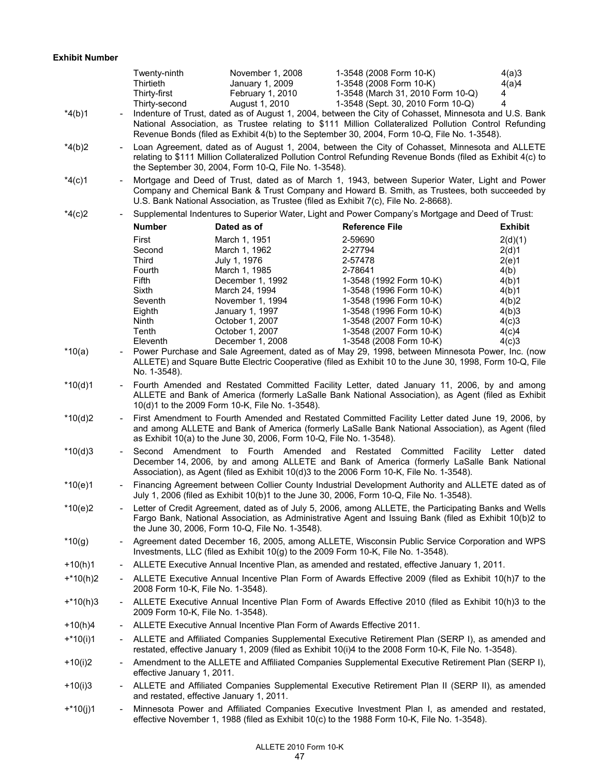|            |                | Twenty-ninth<br>Thirtieth<br>Thirty-first                                        | November 1, 2008<br>January 1, 2009<br>February 1, 2010                                                                                                                                                                                                                                 | 1-3548 (2008 Form 10-K)<br>1-3548 (2008 Form 10-K)<br>1-3548 (March 31, 2010 Form 10-Q)                                                                                                                                                                                                                                                             | 4(a)3<br>4(a)4<br>4                                                   |  |  |  |
|------------|----------------|----------------------------------------------------------------------------------|-----------------------------------------------------------------------------------------------------------------------------------------------------------------------------------------------------------------------------------------------------------------------------------------|-----------------------------------------------------------------------------------------------------------------------------------------------------------------------------------------------------------------------------------------------------------------------------------------------------------------------------------------------------|-----------------------------------------------------------------------|--|--|--|
| $*4(b)1$   |                | Thirty-second                                                                    | August 1, 2010                                                                                                                                                                                                                                                                          | 1-3548 (Sept. 30, 2010 Form 10-Q)<br>Indenture of Trust, dated as of August 1, 2004, between the City of Cohasset, Minnesota and U.S. Bank<br>National Association, as Trustee relating to \$111 Million Collateralized Pollution Control Refunding<br>Revenue Bonds (filed as Exhibit 4(b) to the September 30, 2004, Form 10-Q, File No. 1-3548). | 4                                                                     |  |  |  |
| $*4(b)2$   |                |                                                                                  | the September 30, 2004, Form 10-Q, File No. 1-3548).                                                                                                                                                                                                                                    | Loan Agreement, dated as of August 1, 2004, between the City of Cohasset, Minnesota and ALLETE<br>relating to \$111 Million Collateralized Pollution Control Refunding Revenue Bonds (filed as Exhibit 4(c) to                                                                                                                                      |                                                                       |  |  |  |
| $*4(c)1$   |                |                                                                                  | Mortgage and Deed of Trust, dated as of March 1, 1943, between Superior Water, Light and Power<br>Company and Chemical Bank & Trust Company and Howard B. Smith, as Trustees, both succeeded by<br>U.S. Bank National Association, as Trustee (filed as Exhibit 7(c), File No. 2-8668). |                                                                                                                                                                                                                                                                                                                                                     |                                                                       |  |  |  |
| $*4(c)2$   |                |                                                                                  |                                                                                                                                                                                                                                                                                         | Supplemental Indentures to Superior Water, Light and Power Company's Mortgage and Deed of Trust:                                                                                                                                                                                                                                                    |                                                                       |  |  |  |
|            |                | <b>Number</b>                                                                    | Dated as of                                                                                                                                                                                                                                                                             | <b>Reference File</b>                                                                                                                                                                                                                                                                                                                               | <b>Exhibit</b>                                                        |  |  |  |
|            |                | First<br>Second<br><b>Third</b><br>Fourth<br>Fifth<br>Sixth<br>Seventh<br>Eighth | March 1, 1951<br>March 1, 1962<br>July 1, 1976<br>March 1, 1985<br>December 1, 1992<br>March 24, 1994<br>November 1, 1994<br>January 1, 1997                                                                                                                                            | 2-59690<br>2-27794<br>2-57478<br>2-78641<br>1-3548 (1992 Form 10-K)<br>1-3548 (1996 Form 10-K)<br>1-3548 (1996 Form 10-K)<br>1-3548 (1996 Form 10-K)                                                                                                                                                                                                | 2(d)(1)<br>2(d)1<br>2(e)1<br>4(b)<br>4(b)1<br>4(b)1<br>4(b)2<br>4(b)3 |  |  |  |
|            |                | Ninth                                                                            | October 1, 2007                                                                                                                                                                                                                                                                         | 1-3548 (2007 Form 10-K)                                                                                                                                                                                                                                                                                                                             | 4(c)3                                                                 |  |  |  |
|            |                | Tenth                                                                            | October 1, 2007                                                                                                                                                                                                                                                                         | 1-3548 (2007 Form 10-K)                                                                                                                                                                                                                                                                                                                             | 4(c)4                                                                 |  |  |  |
|            |                | Eleventh                                                                         | December 1, 2008                                                                                                                                                                                                                                                                        | 1-3548 (2008 Form 10-K)                                                                                                                                                                                                                                                                                                                             | 4(c)3                                                                 |  |  |  |
| *10(a)     |                | No. 1-3548).                                                                     |                                                                                                                                                                                                                                                                                         | Power Purchase and Sale Agreement, dated as of May 29, 1998, between Minnesota Power, Inc. (now<br>ALLETE) and Square Butte Electric Cooperative (filed as Exhibit 10 to the June 30, 1998, Form 10-Q, File                                                                                                                                         |                                                                       |  |  |  |
| $*10(d)1$  |                |                                                                                  | 10(d)1 to the 2009 Form 10-K, File No. 1-3548).                                                                                                                                                                                                                                         | Fourth Amended and Restated Committed Facility Letter, dated January 11, 2006, by and among<br>ALLETE and Bank of America (formerly LaSalle Bank National Association), as Agent (filed as Exhibit                                                                                                                                                  |                                                                       |  |  |  |
| $*10(d)2$  |                |                                                                                  | First Amendment to Fourth Amended and Restated Committed Facility Letter dated June 19, 2006, by<br>and among ALLETE and Bank of America (formerly LaSalle Bank National Association), as Agent (filed<br>as Exhibit 10(a) to the June 30, 2006, Form 10-Q, File No. 1-3548).           |                                                                                                                                                                                                                                                                                                                                                     |                                                                       |  |  |  |
| $*10(d)3$  | $\blacksquare$ |                                                                                  |                                                                                                                                                                                                                                                                                         | Second Amendment to Fourth Amended and Restated Committed Facility Letter dated<br>December 14, 2006, by and among ALLETE and Bank of America (formerly LaSalle Bank National<br>Association), as Agent (filed as Exhibit 10(d)3 to the 2006 Form 10-K, File No. 1-3548).                                                                           |                                                                       |  |  |  |
| $*10(e)1$  |                |                                                                                  |                                                                                                                                                                                                                                                                                         | Financing Agreement between Collier County Industrial Development Authority and ALLETE dated as of<br>July 1, 2006 (filed as Exhibit 10(b)1 to the June 30, 2006, Form 10-Q, File No. 1-3548).                                                                                                                                                      |                                                                       |  |  |  |
| $*10(e)2$  |                |                                                                                  | the June 30, 2006, Form 10-Q, File No. 1-3548).                                                                                                                                                                                                                                         | Letter of Credit Agreement, dated as of July 5, 2006, among ALLETE, the Participating Banks and Wells<br>Fargo Bank, National Association, as Administrative Agent and Issuing Bank (filed as Exhibit 10(b)2 to                                                                                                                                     |                                                                       |  |  |  |
| *10(g)     |                |                                                                                  |                                                                                                                                                                                                                                                                                         | Agreement dated December 16, 2005, among ALLETE, Wisconsin Public Service Corporation and WPS<br>Investments, LLC (filed as Exhibit 10(g) to the 2009 Form 10-K, File No. 1-3548).                                                                                                                                                                  |                                                                       |  |  |  |
| $+10(h)1$  |                |                                                                                  |                                                                                                                                                                                                                                                                                         | ALLETE Executive Annual Incentive Plan, as amended and restated, effective January 1, 2011.                                                                                                                                                                                                                                                         |                                                                       |  |  |  |
| $+*10(h)2$ |                | 2008 Form 10-K, File No. 1-3548).                                                |                                                                                                                                                                                                                                                                                         | ALLETE Executive Annual Incentive Plan Form of Awards Effective 2009 (filed as Exhibit 10(h)7 to the                                                                                                                                                                                                                                                |                                                                       |  |  |  |
| $+*10(h)3$ |                | 2009 Form 10-K, File No. 1-3548).                                                |                                                                                                                                                                                                                                                                                         | ALLETE Executive Annual Incentive Plan Form of Awards Effective 2010 (filed as Exhibit 10(h)3 to the                                                                                                                                                                                                                                                |                                                                       |  |  |  |
| +10(h)4    |                |                                                                                  | ALLETE Executive Annual Incentive Plan Form of Awards Effective 2011.                                                                                                                                                                                                                   |                                                                                                                                                                                                                                                                                                                                                     |                                                                       |  |  |  |
| $+*10(i)1$ |                |                                                                                  |                                                                                                                                                                                                                                                                                         | ALLETE and Affiliated Companies Supplemental Executive Retirement Plan (SERP I), as amended and<br>restated, effective January 1, 2009 (filed as Exhibit 10(i)4 to the 2008 Form 10-K, File No. 1-3548).                                                                                                                                            |                                                                       |  |  |  |
| $+10(i)2$  |                | effective January 1, 2011.                                                       |                                                                                                                                                                                                                                                                                         | Amendment to the ALLETE and Affiliated Companies Supplemental Executive Retirement Plan (SERP I),                                                                                                                                                                                                                                                   |                                                                       |  |  |  |
| $+10(i)3$  |                | and restated, effective January 1, 2011.                                         |                                                                                                                                                                                                                                                                                         | ALLETE and Affiliated Companies Supplemental Executive Retirement Plan II (SERP II), as amended                                                                                                                                                                                                                                                     |                                                                       |  |  |  |
| $+*10(j)1$ |                |                                                                                  |                                                                                                                                                                                                                                                                                         | Minnesota Power and Affiliated Companies Executive Investment Plan I, as amended and restated,<br>effective November 1, 1988 (filed as Exhibit 10(c) to the 1988 Form 10-K, File No. 1-3548).                                                                                                                                                       |                                                                       |  |  |  |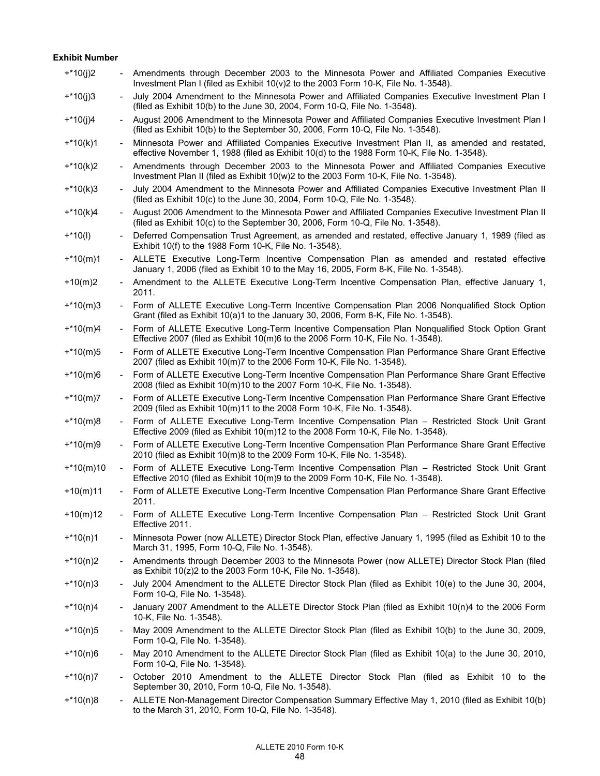# **Exhibit Number**

| $+*10(j)2$  |                          | Amendments through December 2003 to the Minnesota Power and Affiliated Companies Executive<br>Investment Plan I (filed as Exhibit 10(v)2 to the 2003 Form 10-K, File No. 1-3548).              |
|-------------|--------------------------|------------------------------------------------------------------------------------------------------------------------------------------------------------------------------------------------|
| $+*10(j)3$  |                          | July 2004 Amendment to the Minnesota Power and Affiliated Companies Executive Investment Plan I<br>(filed as Exhibit 10(b) to the June 30, 2004, Form 10-Q, File No. 1-3548).                  |
| $+*10(j)4$  |                          | August 2006 Amendment to the Minnesota Power and Affiliated Companies Executive Investment Plan I<br>(filed as Exhibit 10(b) to the September 30, 2006, Form 10-Q, File No. 1-3548).           |
| $+*10(k)1$  | $\sim$                   | Minnesota Power and Affiliated Companies Executive Investment Plan II, as amended and restated,<br>effective November 1, 1988 (filed as Exhibit 10(d) to the 1988 Form 10-K, File No. 1-3548). |
| $+*10(k)2$  | $\sim$                   | Amendments through December 2003 to the Minnesota Power and Affiliated Companies Executive<br>Investment Plan II (filed as Exhibit 10(w)2 to the 2003 Form 10-K, File No. 1-3548).             |
| $+*10(k)3$  |                          | July 2004 Amendment to the Minnesota Power and Affiliated Companies Executive Investment Plan II<br>(filed as Exhibit 10(c) to the June 30, 2004, Form 10-Q, File No. 1-3548).                 |
| $+*10(k)4$  |                          | August 2006 Amendment to the Minnesota Power and Affiliated Companies Executive Investment Plan II<br>(filed as Exhibit 10(c) to the September 30, 2006, Form 10-Q, File No. 1-3548).          |
| $+*10(l)$   | $\overline{\phantom{a}}$ | Deferred Compensation Trust Agreement, as amended and restated, effective January 1, 1989 (filed as<br>Exhibit 10(f) to the 1988 Form 10-K, File No. 1-3548).                                  |
| $+*10(m)1$  | $\overline{\phantom{a}}$ | ALLETE Executive Long-Term Incentive Compensation Plan as amended and restated effective<br>January 1, 2006 (filed as Exhibit 10 to the May 16, 2005, Form 8-K, File No. 1-3548).              |
| $+10(m)2$   |                          | Amendment to the ALLETE Executive Long-Term Incentive Compensation Plan, effective January 1,<br>2011.                                                                                         |
| $+*10(m)3$  |                          | Form of ALLETE Executive Long-Term Incentive Compensation Plan 2006 Nonqualified Stock Option<br>Grant (filed as Exhibit 10(a)1 to the January 30, 2006, Form 8-K, File No. 1-3548).           |
| $+*10(m)4$  |                          | Form of ALLETE Executive Long-Term Incentive Compensation Plan Nonqualified Stock Option Grant<br>Effective 2007 (filed as Exhibit 10(m)6 to the 2006 Form 10-K, File No. 1-3548).             |
| $+*10(m)5$  |                          | Form of ALLETE Executive Long-Term Incentive Compensation Plan Performance Share Grant Effective<br>2007 (filed as Exhibit 10(m)7 to the 2006 Form 10-K, File No. 1-3548).                     |
| $+*10(m)6$  |                          | Form of ALLETE Executive Long-Term Incentive Compensation Plan Performance Share Grant Effective<br>2008 (filed as Exhibit 10(m)10 to the 2007 Form 10-K, File No. 1-3548).                    |
| $+*10(m)7$  |                          | Form of ALLETE Executive Long-Term Incentive Compensation Plan Performance Share Grant Effective<br>2009 (filed as Exhibit 10(m)11 to the 2008 Form 10-K, File No. 1-3548).                    |
| $+*10(m)8$  |                          | Form of ALLETE Executive Long-Term Incentive Compensation Plan - Restricted Stock Unit Grant<br>Effective 2009 (filed as Exhibit 10(m)12 to the 2008 Form 10-K, File No. 1-3548).              |
| $+*10(m)9$  |                          | Form of ALLETE Executive Long-Term Incentive Compensation Plan Performance Share Grant Effective<br>2010 (filed as Exhibit 10(m)8 to the 2009 Form 10-K, File No. 1-3548).                     |
| $+*10(m)10$ |                          | Form of ALLETE Executive Long-Term Incentive Compensation Plan - Restricted Stock Unit Grant<br>Effective 2010 (filed as Exhibit 10(m)9 to the 2009 Form 10-K, File No. 1-3548).               |
| $+10(m)11$  |                          | Form of ALLETE Executive Long-Term Incentive Compensation Plan Performance Share Grant Effective<br>2011.                                                                                      |
| $+10(m)12$  |                          | Form of ALLETE Executive Long-Term Incentive Compensation Plan - Restricted Stock Unit Grant<br>Effective 2011.                                                                                |
| $+*10(n)1$  |                          | Minnesota Power (now ALLETE) Director Stock Plan, effective January 1, 1995 (filed as Exhibit 10 to the<br>March 31, 1995, Form 10-Q, File No. 1-3548).                                        |
| $+*10(n)2$  |                          | Amendments through December 2003 to the Minnesota Power (now ALLETE) Director Stock Plan (filed<br>as Exhibit 10(z)2 to the 2003 Form 10-K, File No. 1-3548).                                  |
| $+*10(n)3$  |                          | July 2004 Amendment to the ALLETE Director Stock Plan (filed as Exhibit 10(e) to the June 30, 2004,<br>Form 10-Q, File No. 1-3548).                                                            |
| $+*10(n)4$  |                          | January 2007 Amendment to the ALLETE Director Stock Plan (filed as Exhibit 10(n)4 to the 2006 Form<br>10-K, File No. 1-3548).                                                                  |
| $+*10(n)5$  |                          | May 2009 Amendment to the ALLETE Director Stock Plan (filed as Exhibit 10(b) to the June 30, 2009,<br>Form 10-Q, File No. 1-3548).                                                             |
| $+*10(n)6$  |                          | May 2010 Amendment to the ALLETE Director Stock Plan (filed as Exhibit 10(a) to the June 30, 2010,<br>Form 10-Q, File No. 1-3548).                                                             |
| $+*10(n)7$  | $\overline{\phantom{a}}$ | October 2010 Amendment to the ALLETE Director Stock Plan (filed as Exhibit 10 to the<br>September 30, 2010, Form 10-Q, File No. 1-3548).                                                       |
| $+*10(n)8$  |                          | ALLETE Non-Management Director Compensation Summary Effective May 1, 2010 (filed as Exhibit 10(b)<br>to the March 31, 2010, Form 10-Q, File No. 1-3548).                                       |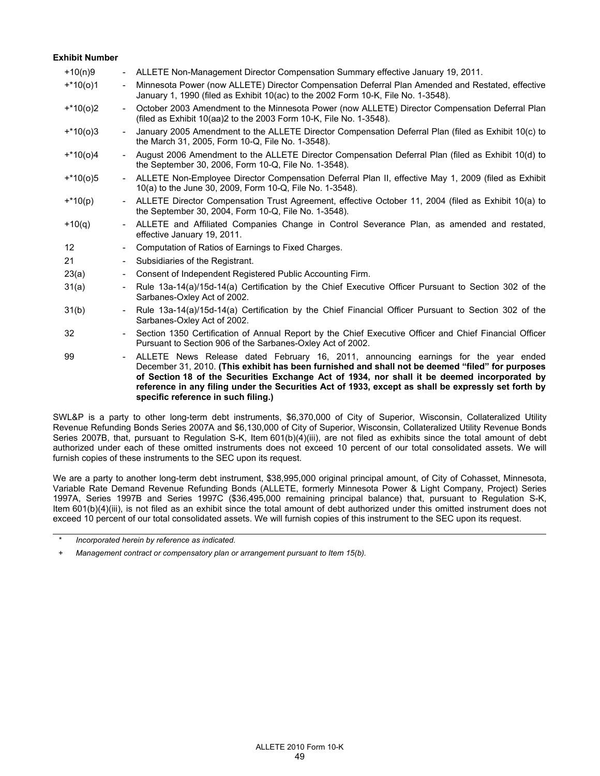### **Exhibit Number**

| $+10(n)9$       | $\overline{\phantom{a}}$     | ALLETE Non-Management Director Compensation Summary effective January 19, 2011.                                                                                                                                                                                                                                                                                                                                                       |
|-----------------|------------------------------|---------------------------------------------------------------------------------------------------------------------------------------------------------------------------------------------------------------------------------------------------------------------------------------------------------------------------------------------------------------------------------------------------------------------------------------|
| $+*10(0)1$      | $\overline{\phantom{a}}$     | Minnesota Power (now ALLETE) Director Compensation Deferral Plan Amended and Restated, effective<br>January 1, 1990 (filed as Exhibit 10(ac) to the 2002 Form 10-K, File No. 1-3548).                                                                                                                                                                                                                                                 |
| $+*10(0)2$      | $\qquad \qquad \blacksquare$ | October 2003 Amendment to the Minnesota Power (now ALLETE) Director Compensation Deferral Plan<br>(filed as Exhibit 10(aa)2 to the 2003 Form 10-K, File No. 1-3548).                                                                                                                                                                                                                                                                  |
| $+*10(0)3$      |                              | January 2005 Amendment to the ALLETE Director Compensation Deferral Plan (filed as Exhibit 10(c) to<br>the March 31, 2005, Form 10-Q, File No. 1-3548).                                                                                                                                                                                                                                                                               |
| $+*10(0)4$      |                              | August 2006 Amendment to the ALLETE Director Compensation Deferral Plan (filed as Exhibit 10(d) to<br>the September 30, 2006, Form 10-Q, File No. 1-3548).                                                                                                                                                                                                                                                                            |
| $+*10(0)5$      |                              | ALLETE Non-Employee Director Compensation Deferral Plan II, effective May 1, 2009 (filed as Exhibit<br>10(a) to the June 30, 2009, Form 10-Q, File No. 1-3548).                                                                                                                                                                                                                                                                       |
| $+*10(p)$       | $\overline{\phantom{0}}$     | ALLETE Director Compensation Trust Agreement, effective October 11, 2004 (filed as Exhibit 10(a) to<br>the September 30, 2004, Form 10-Q, File No. 1-3548).                                                                                                                                                                                                                                                                           |
| $+10(q)$        | $\overline{\phantom{a}}$     | ALLETE and Affiliated Companies Change in Control Severance Plan, as amended and restated,<br>effective January 19, 2011.                                                                                                                                                                                                                                                                                                             |
| 12 <sup>°</sup> | $\overline{\phantom{a}}$     | Computation of Ratios of Earnings to Fixed Charges.                                                                                                                                                                                                                                                                                                                                                                                   |
| 21              | $\overline{\phantom{a}}$     | Subsidiaries of the Registrant.                                                                                                                                                                                                                                                                                                                                                                                                       |
| 23(a)           | $\overline{\phantom{a}}$     | Consent of Independent Registered Public Accounting Firm.                                                                                                                                                                                                                                                                                                                                                                             |
| 31(a)           | $\overline{\phantom{a}}$     | Rule 13a-14(a)/15d-14(a) Certification by the Chief Executive Officer Pursuant to Section 302 of the<br>Sarbanes-Oxley Act of 2002.                                                                                                                                                                                                                                                                                                   |
| 31(b)           | $\overline{a}$               | Rule 13a-14(a)/15d-14(a) Certification by the Chief Financial Officer Pursuant to Section 302 of the<br>Sarbanes-Oxley Act of 2002.                                                                                                                                                                                                                                                                                                   |
| 32              | $\overline{\phantom{a}}$     | Section 1350 Certification of Annual Report by the Chief Executive Officer and Chief Financial Officer<br>Pursuant to Section 906 of the Sarbanes-Oxley Act of 2002.                                                                                                                                                                                                                                                                  |
| 99              | $\frac{1}{2}$                | ALLETE News Release dated February 16, 2011, announcing earnings for the year ended<br>December 31, 2010. (This exhibit has been furnished and shall not be deemed "filed" for purposes<br>of Section 18 of the Securities Exchange Act of 1934, nor shall it be deemed incorporated by<br>reference in any filing under the Securities Act of 1933, except as shall be expressly set forth by<br>specific reference in such filing.) |

SWL&P is a party to other long-term debt instruments, \$6,370,000 of City of Superior, Wisconsin, Collateralized Utility Revenue Refunding Bonds Series 2007A and \$6,130,000 of City of Superior, Wisconsin, Collateralized Utility Revenue Bonds Series 2007B, that, pursuant to Regulation S-K, Item 601(b)(4)(iii), are not filed as exhibits since the total amount of debt authorized under each of these omitted instruments does not exceed 10 percent of our total consolidated assets. We will furnish copies of these instruments to the SEC upon its request.

We are a party to another long-term debt instrument, \$38,995,000 original principal amount, of City of Cohasset, Minnesota, Variable Rate Demand Revenue Refunding Bonds (ALLETE, formerly Minnesota Power & Light Company, Project) Series 1997A, Series 1997B and Series 1997C (\$36,495,000 remaining principal balance) that, pursuant to Regulation S-K, Item 601(b)(4)(iii), is not filed as an exhibit since the total amount of debt authorized under this omitted instrument does not exceed 10 percent of our total consolidated assets. We will furnish copies of this instrument to the SEC upon its request.

*Incorporated herein by reference as indicated.* 

*<sup>+</sup> Management contract or compensatory plan or arrangement pursuant to Item 15(b).*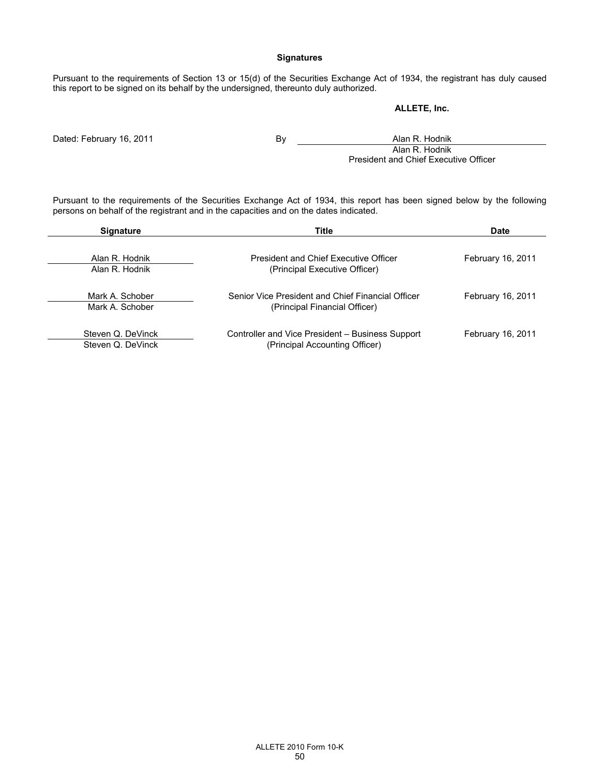# **Signatures**

Pursuant to the requirements of Section 13 or 15(d) of the Securities Exchange Act of 1934, the registrant has duly caused this report to be signed on its behalf by the undersigned, thereunto duly authorized.

# **ALLETE, Inc.**

Dated: February 16, 2011 **By Alan R. Hodnik** By **Alan R. Hodnik** Alan R. Hodnik President and Chief Executive Officer

Pursuant to the requirements of the Securities Exchange Act of 1934, this report has been signed below by the following persons on behalf of the registrant and in the capacities and on the dates indicated.

| <b>Signature</b>                       | Title                                                                              | Date              |
|----------------------------------------|------------------------------------------------------------------------------------|-------------------|
| Alan R. Hodnik<br>Alan R. Hodnik       | President and Chief Executive Officer<br>(Principal Executive Officer)             | February 16, 2011 |
| Mark A. Schober<br>Mark A. Schober     | Senior Vice President and Chief Financial Officer<br>(Principal Financial Officer) | February 16, 2011 |
| Steven Q. DeVinck<br>Steven Q. DeVinck | Controller and Vice President – Business Support<br>(Principal Accounting Officer) | February 16, 2011 |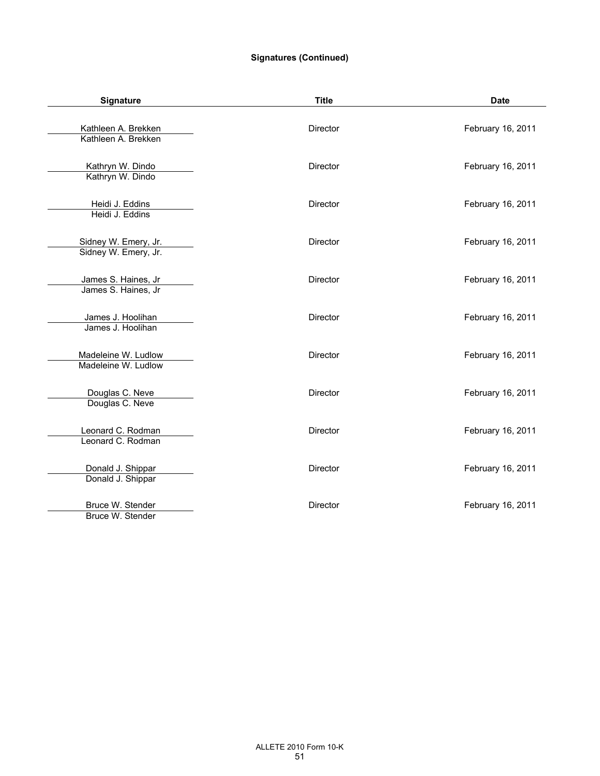# **Signatures (Continued)**

| Signature                                    | <b>Title</b>    | <b>Date</b>       |
|----------------------------------------------|-----------------|-------------------|
| Kathleen A. Brekken<br>Kathleen A. Brekken   | Director        | February 16, 2011 |
| Kathryn W. Dindo<br>Kathryn W. Dindo         | <b>Director</b> | February 16, 2011 |
| Heidi J. Eddins<br>Heidi J. Eddins           | <b>Director</b> | February 16, 2011 |
| Sidney W. Emery, Jr.<br>Sidney W. Emery, Jr. | <b>Director</b> | February 16, 2011 |
| James S. Haines, Jr<br>James S. Haines, Jr   | Director        | February 16, 2011 |
| James J. Hoolihan<br>James J. Hoolihan       | <b>Director</b> | February 16, 2011 |
| Madeleine W. Ludlow<br>Madeleine W. Ludlow   | <b>Director</b> | February 16, 2011 |
| Douglas C. Neve<br>Douglas C. Neve           | Director        | February 16, 2011 |
| Leonard C. Rodman<br>Leonard C. Rodman       | <b>Director</b> | February 16, 2011 |
| Donald J. Shippar<br>Donald J. Shippar       | Director        | February 16, 2011 |
| Bruce W. Stender<br>Bruce W. Stender         | <b>Director</b> | February 16, 2011 |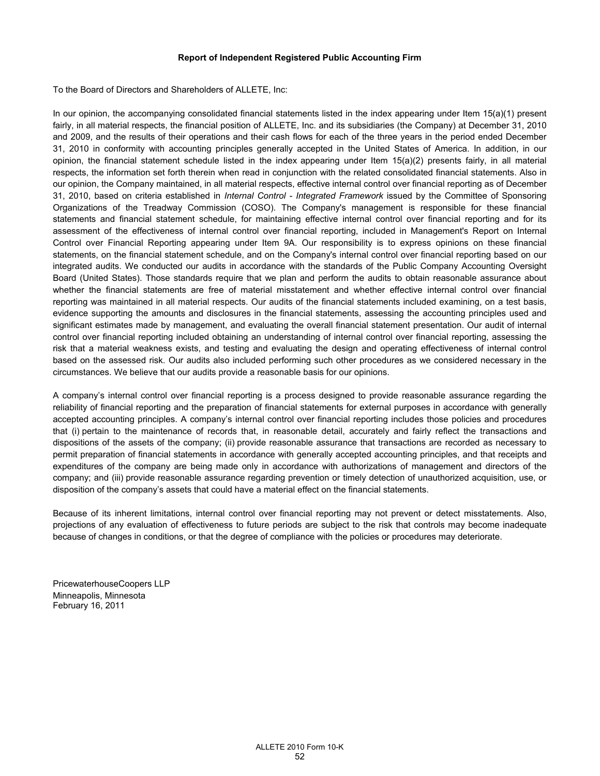# **Report of Independent Registered Public Accounting Firm**

To the Board of Directors and Shareholders of ALLETE, Inc:

In our opinion, the accompanying consolidated financial statements listed in the index appearing under Item 15(a)(1) present fairly, in all material respects, the financial position of ALLETE, Inc. and its subsidiaries (the Company) at December 31, 2010 and 2009, and the results of their operations and their cash flows for each of the three years in the period ended December 31, 2010 in conformity with accounting principles generally accepted in the United States of America. In addition, in our opinion, the financial statement schedule listed in the index appearing under Item  $15(a)(2)$  presents fairly, in all material respects, the information set forth therein when read in conjunction with the related consolidated financial statements. Also in our opinion, the Company maintained, in all material respects, effective internal control over financial reporting as of December 31, 2010, based on criteria established in *Internal Control - Integrated Framework* issued by the Committee of Sponsoring Organizations of the Treadway Commission (COSO). The Company's management is responsible for these financial statements and financial statement schedule, for maintaining effective internal control over financial reporting and for its assessment of the effectiveness of internal control over financial reporting, included in Management's Report on Internal Control over Financial Reporting appearing under Item 9A. Our responsibility is to express opinions on these financial statements, on the financial statement schedule, and on the Company's internal control over financial reporting based on our integrated audits. We conducted our audits in accordance with the standards of the Public Company Accounting Oversight Board (United States). Those standards require that we plan and perform the audits to obtain reasonable assurance about whether the financial statements are free of material misstatement and whether effective internal control over financial reporting was maintained in all material respects. Our audits of the financial statements included examining, on a test basis, evidence supporting the amounts and disclosures in the financial statements, assessing the accounting principles used and significant estimates made by management, and evaluating the overall financial statement presentation. Our audit of internal control over financial reporting included obtaining an understanding of internal control over financial reporting, assessing the risk that a material weakness exists, and testing and evaluating the design and operating effectiveness of internal control based on the assessed risk. Our audits also included performing such other procedures as we considered necessary in the circumstances. We believe that our audits provide a reasonable basis for our opinions.

A company's internal control over financial reporting is a process designed to provide reasonable assurance regarding the reliability of financial reporting and the preparation of financial statements for external purposes in accordance with generally accepted accounting principles. A company's internal control over financial reporting includes those policies and procedures that (i) pertain to the maintenance of records that, in reasonable detail, accurately and fairly reflect the transactions and dispositions of the assets of the company; (ii) provide reasonable assurance that transactions are recorded as necessary to permit preparation of financial statements in accordance with generally accepted accounting principles, and that receipts and expenditures of the company are being made only in accordance with authorizations of management and directors of the company; and (iii) provide reasonable assurance regarding prevention or timely detection of unauthorized acquisition, use, or disposition of the company's assets that could have a material effect on the financial statements.

Because of its inherent limitations, internal control over financial reporting may not prevent or detect misstatements. Also, projections of any evaluation of effectiveness to future periods are subject to the risk that controls may become inadequate because of changes in conditions, or that the degree of compliance with the policies or procedures may deteriorate.

PricewaterhouseCoopers LLP Minneapolis, Minnesota February 16, 2011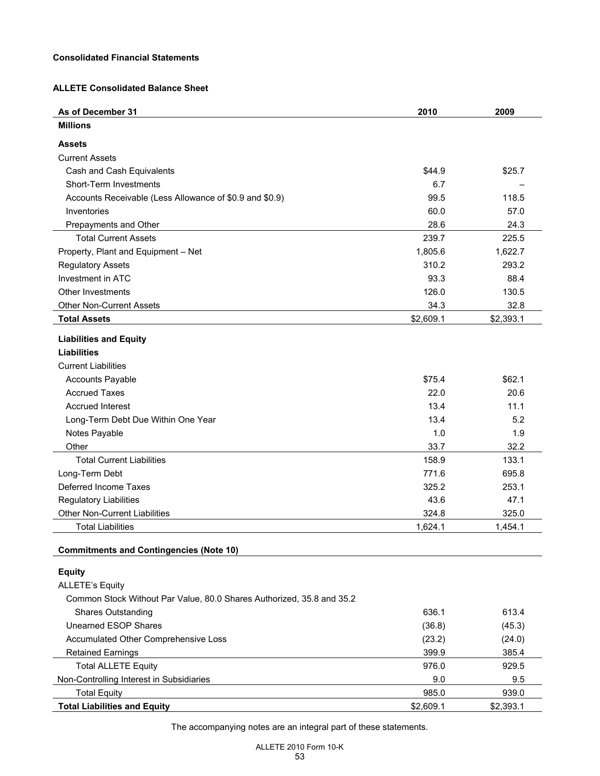# **Consolidated Financial Statements**

# **ALLETE Consolidated Balance Sheet**

| As of December 31                                                     | 2010      | 2009      |
|-----------------------------------------------------------------------|-----------|-----------|
| <b>Millions</b>                                                       |           |           |
| <b>Assets</b>                                                         |           |           |
| <b>Current Assets</b>                                                 |           |           |
| Cash and Cash Equivalents                                             | \$44.9    | \$25.7    |
| <b>Short-Term Investments</b>                                         | 6.7       |           |
| Accounts Receivable (Less Allowance of \$0.9 and \$0.9)               | 99.5      | 118.5     |
| Inventories                                                           | 60.0      | 57.0      |
| Prepayments and Other                                                 | 28.6      | 24.3      |
| <b>Total Current Assets</b>                                           | 239.7     | 225.5     |
| Property, Plant and Equipment - Net                                   | 1,805.6   | 1,622.7   |
| <b>Regulatory Assets</b>                                              | 310.2     | 293.2     |
| Investment in ATC                                                     | 93.3      | 88.4      |
| <b>Other Investments</b>                                              | 126.0     | 130.5     |
| <b>Other Non-Current Assets</b>                                       | 34.3      | 32.8      |
| <b>Total Assets</b>                                                   | \$2,609.1 | \$2,393.1 |
| <b>Liabilities and Equity</b>                                         |           |           |
| <b>Liabilities</b>                                                    |           |           |
| <b>Current Liabilities</b>                                            |           |           |
| <b>Accounts Payable</b>                                               | \$75.4    | \$62.1    |
| <b>Accrued Taxes</b>                                                  | 22.0      | 20.6      |
| <b>Accrued Interest</b>                                               | 13.4      | 11.1      |
| Long-Term Debt Due Within One Year                                    | 13.4      | 5.2       |
| Notes Payable                                                         | 1.0       | 1.9       |
| Other                                                                 | 33.7      | 32.2      |
| <b>Total Current Liabilities</b>                                      | 158.9     | 133.1     |
| Long-Term Debt                                                        | 771.6     | 695.8     |
| Deferred Income Taxes                                                 | 325.2     | 253.1     |
| <b>Regulatory Liabilities</b>                                         | 43.6      | 47.1      |
| Other Non-Current Liabilities                                         | 324.8     | 325.0     |
| <b>Total Liabilities</b>                                              | 1,624.1   | 1,454.1   |
| <b>Commitments and Contingencies (Note 10)</b>                        |           |           |
| <b>Equity</b>                                                         |           |           |
| <b>ALLETE's Equity</b>                                                |           |           |
| Common Stock Without Par Value, 80.0 Shares Authorized, 35.8 and 35.2 |           |           |
| <b>Shares Outstanding</b>                                             | 636.1     | 613.4     |
| <b>Unearned ESOP Shares</b>                                           | (36.8)    | (45.3)    |
| Accumulated Other Comprehensive Loss                                  | (23.2)    | (24.0)    |
| <b>Retained Earnings</b>                                              | 399.9     | 385.4     |
| <b>Total ALLETE Equity</b>                                            | 976.0     | 929.5     |
| Non-Controlling Interest in Subsidiaries                              | 9.0       | 9.5       |
| <b>Total Equity</b>                                                   | 985.0     | 939.0     |
| <b>Total Liabilities and Equity</b>                                   | \$2,609.1 | \$2,393.1 |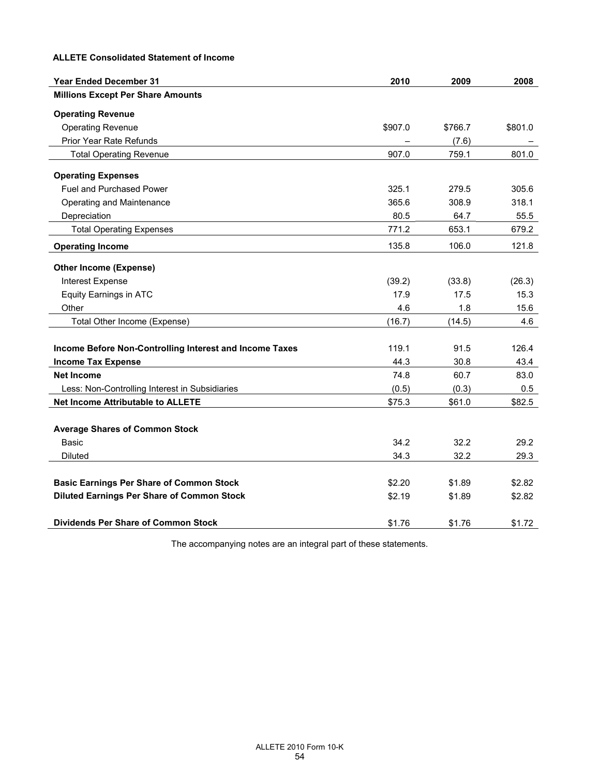# **ALLETE Consolidated Statement of Income**

| <b>Year Ended December 31</b>                           | 2010    | 2009    | 2008    |
|---------------------------------------------------------|---------|---------|---------|
| <b>Millions Except Per Share Amounts</b>                |         |         |         |
| <b>Operating Revenue</b>                                |         |         |         |
| <b>Operating Revenue</b>                                | \$907.0 | \$766.7 | \$801.0 |
| Prior Year Rate Refunds                                 |         | (7.6)   |         |
| <b>Total Operating Revenue</b>                          | 907.0   | 759.1   | 801.0   |
| <b>Operating Expenses</b>                               |         |         |         |
| <b>Fuel and Purchased Power</b>                         | 325.1   | 279.5   | 305.6   |
| Operating and Maintenance                               | 365.6   | 308.9   | 318.1   |
| Depreciation                                            | 80.5    | 64.7    | 55.5    |
| <b>Total Operating Expenses</b>                         | 771.2   | 653.1   | 679.2   |
| <b>Operating Income</b>                                 | 135.8   | 106.0   | 121.8   |
| <b>Other Income (Expense)</b>                           |         |         |         |
| Interest Expense                                        | (39.2)  | (33.8)  | (26.3)  |
| <b>Equity Earnings in ATC</b>                           | 17.9    | 17.5    | 15.3    |
| Other                                                   | 4.6     | 1.8     | 15.6    |
| Total Other Income (Expense)                            | (16.7)  | (14.5)  | 4.6     |
|                                                         |         |         |         |
| Income Before Non-Controlling Interest and Income Taxes | 119.1   | 91.5    | 126.4   |
| <b>Income Tax Expense</b>                               | 44.3    | 30.8    | 43.4    |
| <b>Net Income</b>                                       | 74.8    | 60.7    | 83.0    |
| Less: Non-Controlling Interest in Subsidiaries          | (0.5)   | (0.3)   | 0.5     |
| <b>Net Income Attributable to ALLETE</b>                | \$75.3  | \$61.0  | \$82.5  |
|                                                         |         |         |         |
| <b>Average Shares of Common Stock</b>                   |         |         |         |
| Basic                                                   | 34.2    | 32.2    | 29.2    |
| <b>Diluted</b>                                          | 34.3    | 32.2    | 29.3    |
|                                                         |         |         |         |
| <b>Basic Earnings Per Share of Common Stock</b>         | \$2.20  | \$1.89  | \$2.82  |
| <b>Diluted Earnings Per Share of Common Stock</b>       | \$2.19  | \$1.89  | \$2.82  |
| <b>Dividends Per Share of Common Stock</b>              | \$1.76  | \$1.76  | \$1.72  |
|                                                         |         |         |         |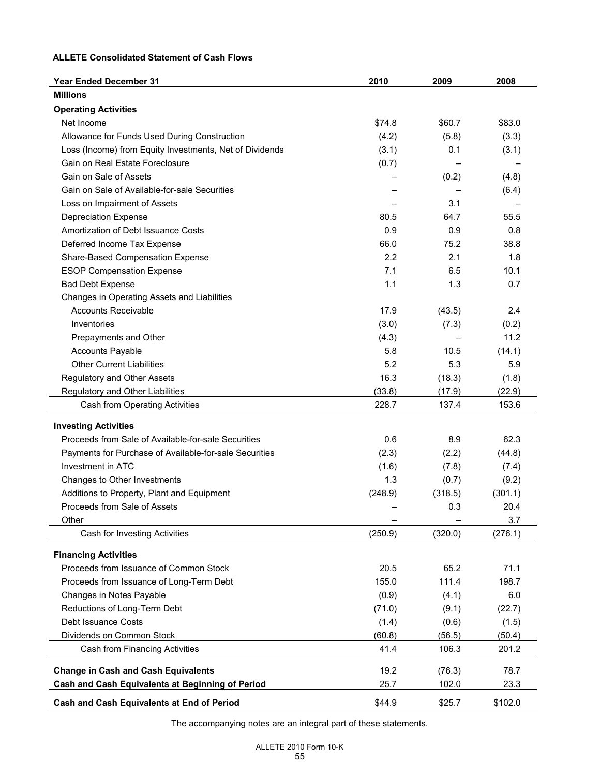# **ALLETE Consolidated Statement of Cash Flows**

| <b>Year Ended December 31</b>                           | 2010          | 2009          | 2008          |
|---------------------------------------------------------|---------------|---------------|---------------|
| <b>Millions</b>                                         |               |               |               |
| <b>Operating Activities</b>                             |               |               |               |
| Net Income                                              | \$74.8        | \$60.7        | \$83.0        |
| Allowance for Funds Used During Construction            | (4.2)         | (5.8)         | (3.3)         |
| Loss (Income) from Equity Investments, Net of Dividends | (3.1)         | 0.1           | (3.1)         |
| Gain on Real Estate Foreclosure                         | (0.7)         |               |               |
| Gain on Sale of Assets                                  |               | (0.2)         | (4.8)         |
| Gain on Sale of Available-for-sale Securities           |               |               | (6.4)         |
| Loss on Impairment of Assets                            |               | 3.1           |               |
| <b>Depreciation Expense</b>                             | 80.5          | 64.7          | 55.5          |
| Amortization of Debt Issuance Costs                     | 0.9           | 0.9           | 0.8           |
| Deferred Income Tax Expense                             | 66.0          | 75.2          | 38.8          |
| Share-Based Compensation Expense                        | 2.2           | 2.1           | 1.8           |
| <b>ESOP Compensation Expense</b>                        | 7.1           | 6.5           | 10.1          |
| <b>Bad Debt Expense</b>                                 | 1.1           | 1.3           | 0.7           |
| Changes in Operating Assets and Liabilities             |               |               |               |
| <b>Accounts Receivable</b>                              | 17.9          | (43.5)        | 2.4           |
| Inventories                                             | (3.0)         | (7.3)         | (0.2)         |
| Prepayments and Other                                   | (4.3)         |               | 11.2          |
| <b>Accounts Payable</b>                                 | 5.8           | 10.5          | (14.1)        |
| <b>Other Current Liabilities</b>                        | 5.2           | 5.3           | 5.9           |
| Regulatory and Other Assets                             | 16.3          | (18.3)        | (1.8)         |
| Regulatory and Other Liabilities                        | (33.8)        | (17.9)        | (22.9)        |
| Cash from Operating Activities                          | 228.7         | 137.4         | 153.6         |
| <b>Investing Activities</b>                             |               |               |               |
| Proceeds from Sale of Available-for-sale Securities     | 0.6           | 8.9           | 62.3          |
| Payments for Purchase of Available-for-sale Securities  | (2.3)         | (2.2)         | (44.8)        |
| Investment in ATC                                       | (1.6)         | (7.8)         | (7.4)         |
| Changes to Other Investments                            | 1.3           | (0.7)         | (9.2)         |
| Additions to Property, Plant and Equipment              | (248.9)       | (318.5)       | (301.1)       |
| Proceeds from Sale of Assets                            |               | 0.3           | 20.4          |
| Other                                                   |               |               | 3.7           |
| Cash for Investing Activities                           | (250.9)       | (320.0)       | (276.1)       |
|                                                         |               |               |               |
| <b>Financing Activities</b>                             |               |               |               |
| Proceeds from Issuance of Common Stock                  | 20.5<br>155.0 | 65.2<br>111.4 | 71.1<br>198.7 |
| Proceeds from Issuance of Long-Term Debt                |               |               |               |
| Changes in Notes Payable                                | (0.9)         | (4.1)         | 6.0           |
| Reductions of Long-Term Debt                            | (71.0)        | (9.1)         | (22.7)        |
| <b>Debt Issuance Costs</b>                              | (1.4)         | (0.6)         | (1.5)         |
| Dividends on Common Stock                               | (60.8)        | (56.5)        | (50.4)        |
| Cash from Financing Activities                          | 41.4          | 106.3         | 201.2         |
| <b>Change in Cash and Cash Equivalents</b>              | 19.2          | (76.3)        | 78.7          |
| Cash and Cash Equivalents at Beginning of Period        | 25.7          | 102.0         | 23.3          |
| Cash and Cash Equivalents at End of Period              | \$44.9        | \$25.7        | \$102.0       |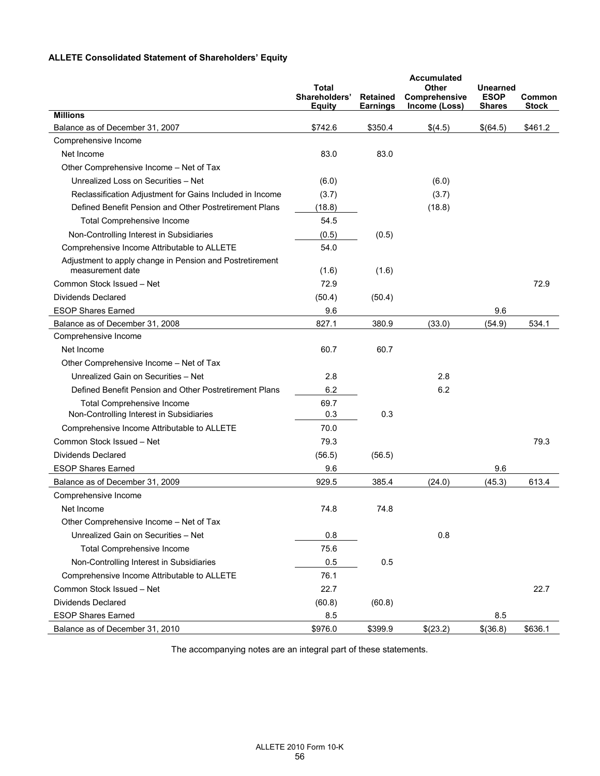# **ALLETE Consolidated Statement of Shareholders' Equity**

|                                                                              | Total<br>Shareholders'<br>Equity | <b>Retained</b><br><b>Earnings</b> | Accumulated<br>Other<br>Comprehensive<br>Income (Loss) | Unearned<br><b>ESOP</b><br><b>Shares</b> | Common<br><b>Stock</b> |
|------------------------------------------------------------------------------|----------------------------------|------------------------------------|--------------------------------------------------------|------------------------------------------|------------------------|
| <b>Millions</b>                                                              |                                  |                                    |                                                        |                                          |                        |
| Balance as of December 31, 2007                                              | \$742.6                          | \$350.4                            | \$(4.5)                                                | \$(64.5)                                 | \$461.2                |
| Comprehensive Income                                                         |                                  |                                    |                                                        |                                          |                        |
| Net Income                                                                   | 83.0                             | 83.0                               |                                                        |                                          |                        |
| Other Comprehensive Income - Net of Tax                                      |                                  |                                    |                                                        |                                          |                        |
| Unrealized Loss on Securities - Net                                          | (6.0)                            |                                    | (6.0)                                                  |                                          |                        |
| Reclassification Adjustment for Gains Included in Income                     | (3.7)                            |                                    | (3.7)                                                  |                                          |                        |
| Defined Benefit Pension and Other Postretirement Plans                       | (18.8)                           |                                    | (18.8)                                                 |                                          |                        |
| <b>Total Comprehensive Income</b>                                            | 54.5                             |                                    |                                                        |                                          |                        |
| Non-Controlling Interest in Subsidiaries                                     | (0.5)                            | (0.5)                              |                                                        |                                          |                        |
| Comprehensive Income Attributable to ALLETE                                  | 54.0                             |                                    |                                                        |                                          |                        |
| Adjustment to apply change in Pension and Postretirement<br>measurement date | (1.6)                            | (1.6)                              |                                                        |                                          |                        |
| Common Stock Issued - Net                                                    | 72.9                             |                                    |                                                        |                                          | 72.9                   |
| Dividends Declared                                                           | (50.4)                           | (50.4)                             |                                                        |                                          |                        |
| <b>ESOP Shares Earned</b>                                                    | 9.6                              |                                    |                                                        | 9.6                                      |                        |
| Balance as of December 31, 2008                                              | 827.1                            | 380.9                              | (33.0)                                                 | (54.9)                                   | 534.1                  |
| Comprehensive Income                                                         |                                  |                                    |                                                        |                                          |                        |
| Net Income                                                                   | 60.7                             | 60.7                               |                                                        |                                          |                        |
| Other Comprehensive Income - Net of Tax                                      |                                  |                                    |                                                        |                                          |                        |
| Unrealized Gain on Securities - Net                                          | 2.8                              |                                    | 2.8                                                    |                                          |                        |
| Defined Benefit Pension and Other Postretirement Plans                       | 6.2                              |                                    | 6.2                                                    |                                          |                        |
| <b>Total Comprehensive Income</b>                                            | 69.7                             |                                    |                                                        |                                          |                        |
| Non-Controlling Interest in Subsidiaries                                     | 0.3                              | 0.3                                |                                                        |                                          |                        |
| Comprehensive Income Attributable to ALLETE                                  | 70.0                             |                                    |                                                        |                                          |                        |
| Common Stock Issued - Net                                                    | 79.3                             |                                    |                                                        |                                          | 79.3                   |
| Dividends Declared                                                           | (56.5)                           | (56.5)                             |                                                        |                                          |                        |
| <b>ESOP Shares Earned</b>                                                    | 9.6                              |                                    |                                                        | 9.6                                      |                        |
| Balance as of December 31, 2009                                              | 929.5                            | 385.4                              | (24.0)                                                 | (45.3)                                   | 613.4                  |
| Comprehensive Income                                                         |                                  |                                    |                                                        |                                          |                        |
| Net Income                                                                   | 74.8                             | 74.8                               |                                                        |                                          |                        |
| Other Comprehensive Income - Net of Tax                                      |                                  |                                    |                                                        |                                          |                        |
| Unrealized Gain on Securities - Net                                          | 0.8                              |                                    | 0.8                                                    |                                          |                        |
| <b>Total Comprehensive Income</b>                                            | 75.6                             |                                    |                                                        |                                          |                        |
| Non-Controlling Interest in Subsidiaries                                     | 0.5                              | 0.5                                |                                                        |                                          |                        |
| Comprehensive Income Attributable to ALLETE                                  | 76.1                             |                                    |                                                        |                                          |                        |
| Common Stock Issued - Net                                                    | 22.7                             |                                    |                                                        |                                          | 22.7                   |
| Dividends Declared                                                           | (60.8)                           | (60.8)                             |                                                        |                                          |                        |
| <b>ESOP Shares Earned</b>                                                    | 8.5                              |                                    |                                                        | 8.5                                      |                        |
| Balance as of December 31, 2010                                              | \$976.0                          | \$399.9                            | \$(23.2)                                               | \$(36.8)                                 | \$636.1                |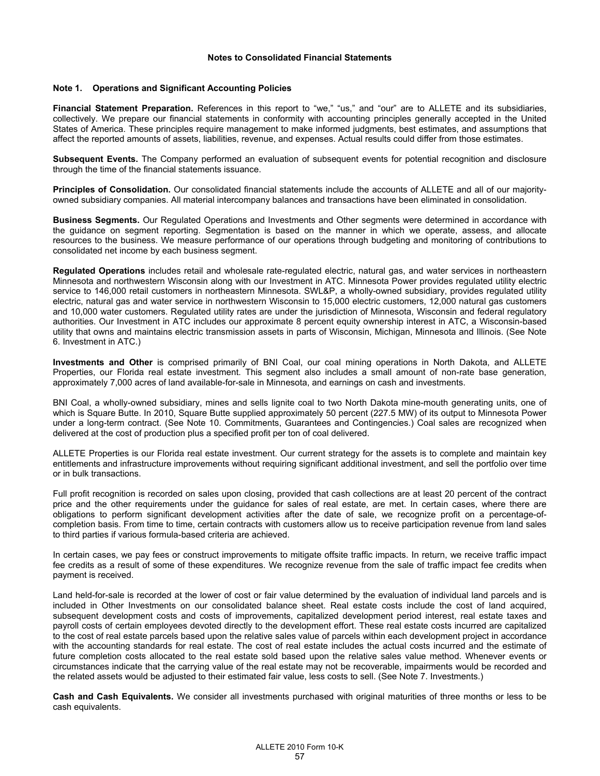### **Notes to Consolidated Financial Statements**

### **Note 1. Operations and Significant Accounting Policies**

**Financial Statement Preparation.** References in this report to "we," "us," and "our" are to ALLETE and its subsidiaries, collectively. We prepare our financial statements in conformity with accounting principles generally accepted in the United States of America. These principles require management to make informed judgments, best estimates, and assumptions that affect the reported amounts of assets, liabilities, revenue, and expenses. Actual results could differ from those estimates.

**Subsequent Events.** The Company performed an evaluation of subsequent events for potential recognition and disclosure through the time of the financial statements issuance.

**Principles of Consolidation.** Our consolidated financial statements include the accounts of ALLETE and all of our majorityowned subsidiary companies. All material intercompany balances and transactions have been eliminated in consolidation.

**Business Segments.** Our Regulated Operations and Investments and Other segments were determined in accordance with the guidance on segment reporting. Segmentation is based on the manner in which we operate, assess, and allocate resources to the business. We measure performance of our operations through budgeting and monitoring of contributions to consolidated net income by each business segment.

**Regulated Operations** includes retail and wholesale rate-regulated electric, natural gas, and water services in northeastern Minnesota and northwestern Wisconsin along with our Investment in ATC. Minnesota Power provides regulated utility electric service to 146,000 retail customers in northeastern Minnesota. SWL&P, a wholly-owned subsidiary, provides regulated utility electric, natural gas and water service in northwestern Wisconsin to 15,000 electric customers, 12,000 natural gas customers and 10,000 water customers. Regulated utility rates are under the jurisdiction of Minnesota, Wisconsin and federal regulatory authorities. Our Investment in ATC includes our approximate 8 percent equity ownership interest in ATC, a Wisconsin-based utility that owns and maintains electric transmission assets in parts of Wisconsin, Michigan, Minnesota and Illinois. (See Note 6. Investment in ATC.)

**Investments and Other** is comprised primarily of BNI Coal, our coal mining operations in North Dakota, and ALLETE Properties, our Florida real estate investment. This segment also includes a small amount of non-rate base generation, approximately 7,000 acres of land available-for-sale in Minnesota, and earnings on cash and investments.

BNI Coal, a wholly-owned subsidiary, mines and sells lignite coal to two North Dakota mine-mouth generating units, one of which is Square Butte. In 2010, Square Butte supplied approximately 50 percent (227.5 MW) of its output to Minnesota Power under a long-term contract. (See Note 10. Commitments, Guarantees and Contingencies.) Coal sales are recognized when delivered at the cost of production plus a specified profit per ton of coal delivered.

ALLETE Properties is our Florida real estate investment. Our current strategy for the assets is to complete and maintain key entitlements and infrastructure improvements without requiring significant additional investment, and sell the portfolio over time or in bulk transactions.

Full profit recognition is recorded on sales upon closing, provided that cash collections are at least 20 percent of the contract price and the other requirements under the guidance for sales of real estate, are met. In certain cases, where there are obligations to perform significant development activities after the date of sale, we recognize profit on a percentage-ofcompletion basis. From time to time, certain contracts with customers allow us to receive participation revenue from land sales to third parties if various formula-based criteria are achieved.

In certain cases, we pay fees or construct improvements to mitigate offsite traffic impacts. In return, we receive traffic impact fee credits as a result of some of these expenditures. We recognize revenue from the sale of traffic impact fee credits when payment is received.

Land held-for-sale is recorded at the lower of cost or fair value determined by the evaluation of individual land parcels and is included in Other Investments on our consolidated balance sheet. Real estate costs include the cost of land acquired, subsequent development costs and costs of improvements, capitalized development period interest, real estate taxes and payroll costs of certain employees devoted directly to the development effort. These real estate costs incurred are capitalized to the cost of real estate parcels based upon the relative sales value of parcels within each development project in accordance with the accounting standards for real estate. The cost of real estate includes the actual costs incurred and the estimate of future completion costs allocated to the real estate sold based upon the relative sales value method. Whenever events or circumstances indicate that the carrying value of the real estate may not be recoverable, impairments would be recorded and the related assets would be adjusted to their estimated fair value, less costs to sell. (See Note 7. Investments.)

**Cash and Cash Equivalents.** We consider all investments purchased with original maturities of three months or less to be cash equivalents.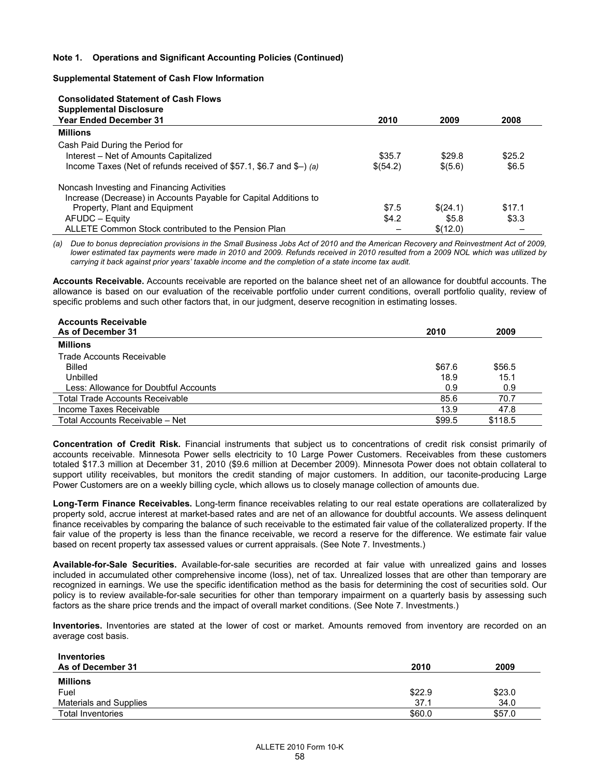## **Note 1. Operations and Significant Accounting Policies (Continued)**

### **Supplemental Statement of Cash Flow Information**

#### **Consolidated Statement of Cash Flows Supplemental Disclosure**

| Supplemental Disclosure                                             |          |          |        |
|---------------------------------------------------------------------|----------|----------|--------|
| <b>Year Ended December 31</b>                                       | 2010     | 2009     | 2008   |
| <b>Millions</b>                                                     |          |          |        |
| Cash Paid During the Period for                                     |          |          |        |
| Interest – Net of Amounts Capitalized                               | \$35.7   | \$29.8   | \$25.2 |
| Income Taxes (Net of refunds received of \$57.1, \$6.7 and \$–) (a) | \$(54.2) | \$(5.6)  | \$6.5  |
| Noncash Investing and Financing Activities                          |          |          |        |
| Increase (Decrease) in Accounts Payable for Capital Additions to    |          |          |        |
| Property, Plant and Equipment                                       | \$7.5    | \$(24.1) | \$17.1 |
| AFUDC - Equity                                                      | \$4.2    | \$5.8    | \$3.3  |
| ALLETE Common Stock contributed to the Pension Plan                 |          | \$(12.0) |        |

*(a) Due to bonus depreciation provisions in the Small Business Jobs Act of 2010 and the American Recovery and Reinvestment Act of 2009, lower estimated tax payments were made in 2010 and 2009. Refunds received in 2010 resulted from a 2009 NOL which was utilized by carrying it back against prior years' taxable income and the completion of a state income tax audit.* 

**Accounts Receivable.** Accounts receivable are reported on the balance sheet net of an allowance for doubtful accounts. The allowance is based on our evaluation of the receivable portfolio under current conditions, overall portfolio quality, review of specific problems and such other factors that, in our judgment, deserve recognition in estimating losses.

| <b>Accounts Receivable</b>             |        |         |
|----------------------------------------|--------|---------|
| As of December 31                      | 2010   | 2009    |
| <b>Millions</b>                        |        |         |
| Trade Accounts Receivable              |        |         |
| Billed                                 | \$67.6 | \$56.5  |
| Unbilled                               | 18.9   | 15.1    |
| Less: Allowance for Doubtful Accounts  | 0.9    | 0.9     |
| <b>Total Trade Accounts Receivable</b> | 85.6   | 70.7    |
| Income Taxes Receivable                | 13.9   | 47.8    |
| Total Accounts Receivable - Net        | \$99.5 | \$118.5 |

**Concentration of Credit Risk.** Financial instruments that subject us to concentrations of credit risk consist primarily of accounts receivable. Minnesota Power sells electricity to 10 Large Power Customers. Receivables from these customers totaled \$17.3 million at December 31, 2010 (\$9.6 million at December 2009). Minnesota Power does not obtain collateral to support utility receivables, but monitors the credit standing of major customers. In addition, our taconite-producing Large Power Customers are on a weekly billing cycle, which allows us to closely manage collection of amounts due.

**Long-Term Finance Receivables.** Long-term finance receivables relating to our real estate operations are collateralized by property sold, accrue interest at market-based rates and are net of an allowance for doubtful accounts. We assess delinquent finance receivables by comparing the balance of such receivable to the estimated fair value of the collateralized property. If the fair value of the property is less than the finance receivable, we record a reserve for the difference. We estimate fair value based on recent property tax assessed values or current appraisals. (See Note 7. Investments.)

**Available-for-Sale Securities.** Available-for-sale securities are recorded at fair value with unrealized gains and losses included in accumulated other comprehensive income (loss), net of tax. Unrealized losses that are other than temporary are recognized in earnings. We use the specific identification method as the basis for determining the cost of securities sold. Our policy is to review available-for-sale securities for other than temporary impairment on a quarterly basis by assessing such factors as the share price trends and the impact of overall market conditions. (See Note 7. Investments.)

**Inventories.** Inventories are stated at the lower of cost or market. Amounts removed from inventory are recorded on an average cost basis.

| <b>Inventories</b>       |        |        |
|--------------------------|--------|--------|
| As of December 31        | 2010   | 2009   |
| <b>Millions</b>          |        |        |
| Fuel                     | \$22.9 | \$23.0 |
| Materials and Supplies   | 37.1   | 34.0   |
| <b>Total Inventories</b> | \$60.0 | \$57.0 |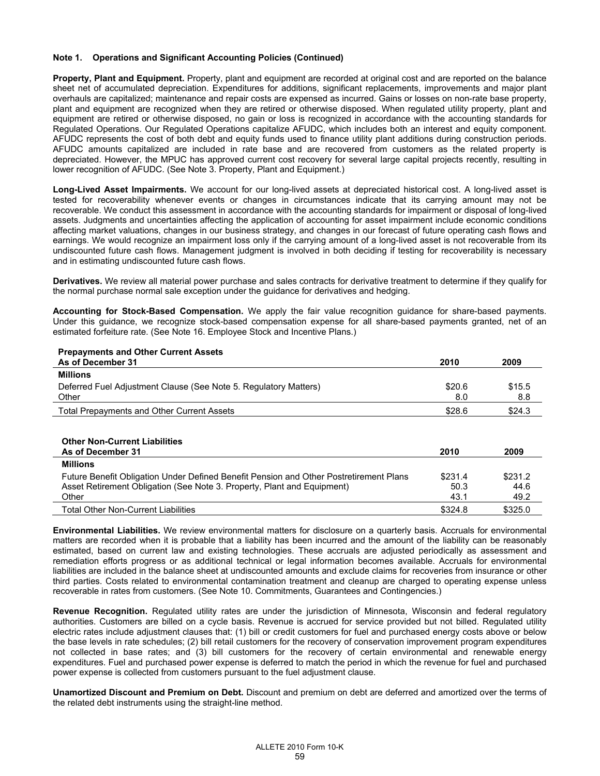## **Note 1. Operations and Significant Accounting Policies (Continued)**

**Property, Plant and Equipment.** Property, plant and equipment are recorded at original cost and are reported on the balance sheet net of accumulated depreciation. Expenditures for additions, significant replacements, improvements and major plant overhauls are capitalized; maintenance and repair costs are expensed as incurred. Gains or losses on non-rate base property, plant and equipment are recognized when they are retired or otherwise disposed. When regulated utility property, plant and equipment are retired or otherwise disposed, no gain or loss is recognized in accordance with the accounting standards for Regulated Operations. Our Regulated Operations capitalize AFUDC, which includes both an interest and equity component. AFUDC represents the cost of both debt and equity funds used to finance utility plant additions during construction periods. AFUDC amounts capitalized are included in rate base and are recovered from customers as the related property is depreciated. However, the MPUC has approved current cost recovery for several large capital projects recently, resulting in lower recognition of AFUDC. (See Note 3. Property, Plant and Equipment.)

**Long-Lived Asset Impairments.** We account for our long-lived assets at depreciated historical cost. A long-lived asset is tested for recoverability whenever events or changes in circumstances indicate that its carrying amount may not be recoverable. We conduct this assessment in accordance with the accounting standards for impairment or disposal of long-lived assets. Judgments and uncertainties affecting the application of accounting for asset impairment include economic conditions affecting market valuations, changes in our business strategy, and changes in our forecast of future operating cash flows and earnings. We would recognize an impairment loss only if the carrying amount of a long-lived asset is not recoverable from its undiscounted future cash flows. Management judgment is involved in both deciding if testing for recoverability is necessary and in estimating undiscounted future cash flows.

**Derivatives.** We review all material power purchase and sales contracts for derivative treatment to determine if they qualify for the normal purchase normal sale exception under the guidance for derivatives and hedging.

**Accounting for Stock-Based Compensation.** We apply the fair value recognition guidance for share-based payments. Under this guidance, we recognize stock-based compensation expense for all share-based payments granted, net of an estimated forfeiture rate. (See Note 16. Employee Stock and Incentive Plans.)

| <b>Prepayments and Other Current Assets</b><br>As of December 31 | 2010   | 2009   |
|------------------------------------------------------------------|--------|--------|
| <b>Millions</b>                                                  |        |        |
| Deferred Fuel Adjustment Clause (See Note 5. Regulatory Matters) | \$20.6 | \$15.5 |
| Other                                                            | 8.0    | 8.8    |
| <b>Total Prepayments and Other Current Assets</b>                | \$28.6 | \$24.3 |

# **Other Non-Current Liabilities As of December 31 2010 2009 Millions**  Future Benefit Obligation Under Defined Benefit Pension and Other Postretirement Plans \$231.4 \$231.2 Asset Retirement Obligation (See Note 3. Property, Plant and Equipment) 50.3 44.6 Other 49.2 Total Other Non-Current Liabilities **\$325.0** \$325.0

**Environmental Liabilities.** We review environmental matters for disclosure on a quarterly basis. Accruals for environmental matters are recorded when it is probable that a liability has been incurred and the amount of the liability can be reasonably estimated, based on current law and existing technologies. These accruals are adjusted periodically as assessment and remediation efforts progress or as additional technical or legal information becomes available. Accruals for environmental liabilities are included in the balance sheet at undiscounted amounts and exclude claims for recoveries from insurance or other third parties. Costs related to environmental contamination treatment and cleanup are charged to operating expense unless recoverable in rates from customers. (See Note 10. Commitments, Guarantees and Contingencies.)

**Revenue Recognition.** Regulated utility rates are under the jurisdiction of Minnesota, Wisconsin and federal regulatory authorities. Customers are billed on a cycle basis. Revenue is accrued for service provided but not billed. Regulated utility electric rates include adjustment clauses that: (1) bill or credit customers for fuel and purchased energy costs above or below the base levels in rate schedules; (2) bill retail customers for the recovery of conservation improvement program expenditures not collected in base rates; and (3) bill customers for the recovery of certain environmental and renewable energy expenditures. Fuel and purchased power expense is deferred to match the period in which the revenue for fuel and purchased power expense is collected from customers pursuant to the fuel adjustment clause.

**Unamortized Discount and Premium on Debt.** Discount and premium on debt are deferred and amortized over the terms of the related debt instruments using the straight-line method.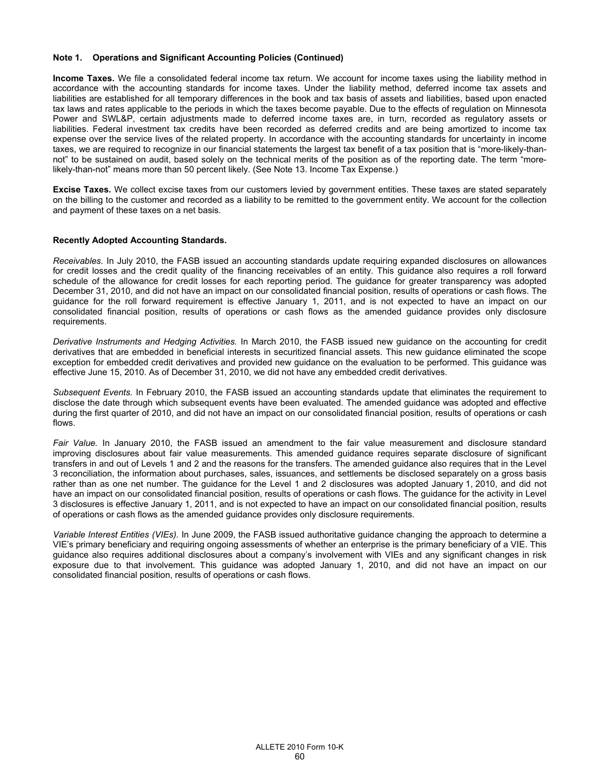### **Note 1. Operations and Significant Accounting Policies (Continued)**

**Income Taxes.** We file a consolidated federal income tax return. We account for income taxes using the liability method in accordance with the accounting standards for income taxes. Under the liability method, deferred income tax assets and liabilities are established for all temporary differences in the book and tax basis of assets and liabilities, based upon enacted tax laws and rates applicable to the periods in which the taxes become payable. Due to the effects of regulation on Minnesota Power and SWL&P, certain adjustments made to deferred income taxes are, in turn, recorded as regulatory assets or liabilities. Federal investment tax credits have been recorded as deferred credits and are being amortized to income tax expense over the service lives of the related property. In accordance with the accounting standards for uncertainty in income taxes, we are required to recognize in our financial statements the largest tax benefit of a tax position that is "more-likely-thannot" to be sustained on audit, based solely on the technical merits of the position as of the reporting date. The term "morelikely-than-not" means more than 50 percent likely. (See Note 13. Income Tax Expense.)

**Excise Taxes.** We collect excise taxes from our customers levied by government entities. These taxes are stated separately on the billing to the customer and recorded as a liability to be remitted to the government entity. We account for the collection and payment of these taxes on a net basis.

### **Recently Adopted Accounting Standards.**

*Receivables*. In July 2010, the FASB issued an accounting standards update requiring expanded disclosures on allowances for credit losses and the credit quality of the financing receivables of an entity. This guidance also requires a roll forward schedule of the allowance for credit losses for each reporting period. The guidance for greater transparency was adopted December 31, 2010, and did not have an impact on our consolidated financial position, results of operations or cash flows. The guidance for the roll forward requirement is effective January 1, 2011, and is not expected to have an impact on our consolidated financial position, results of operations or cash flows as the amended guidance provides only disclosure requirements.

*Derivative Instruments and Hedging Activities.* In March 2010, the FASB issued new guidance on the accounting for credit derivatives that are embedded in beneficial interests in securitized financial assets. This new guidance eliminated the scope exception for embedded credit derivatives and provided new guidance on the evaluation to be performed. This guidance was effective June 15, 2010. As of December 31, 2010, we did not have any embedded credit derivatives.

*Subsequent Events.* In February 2010, the FASB issued an accounting standards update that eliminates the requirement to disclose the date through which subsequent events have been evaluated. The amended guidance was adopted and effective during the first quarter of 2010, and did not have an impact on our consolidated financial position, results of operations or cash flows.

*Fair Value.* In January 2010, the FASB issued an amendment to the fair value measurement and disclosure standard improving disclosures about fair value measurements. This amended guidance requires separate disclosure of significant transfers in and out of Levels 1 and 2 and the reasons for the transfers. The amended guidance also requires that in the Level 3 reconciliation, the information about purchases, sales, issuances, and settlements be disclosed separately on a gross basis rather than as one net number. The guidance for the Level 1 and 2 disclosures was adopted January 1, 2010, and did not have an impact on our consolidated financial position, results of operations or cash flows. The guidance for the activity in Level 3 disclosures is effective January 1, 2011, and is not expected to have an impact on our consolidated financial position, results of operations or cash flows as the amended guidance provides only disclosure requirements.

*Variable Interest Entities (VIEs).* In June 2009, the FASB issued authoritative guidance changing the approach to determine a VIE's primary beneficiary and requiring ongoing assessments of whether an enterprise is the primary beneficiary of a VIE. This guidance also requires additional disclosures about a company's involvement with VIEs and any significant changes in risk exposure due to that involvement. This guidance was adopted January 1, 2010, and did not have an impact on our consolidated financial position, results of operations or cash flows.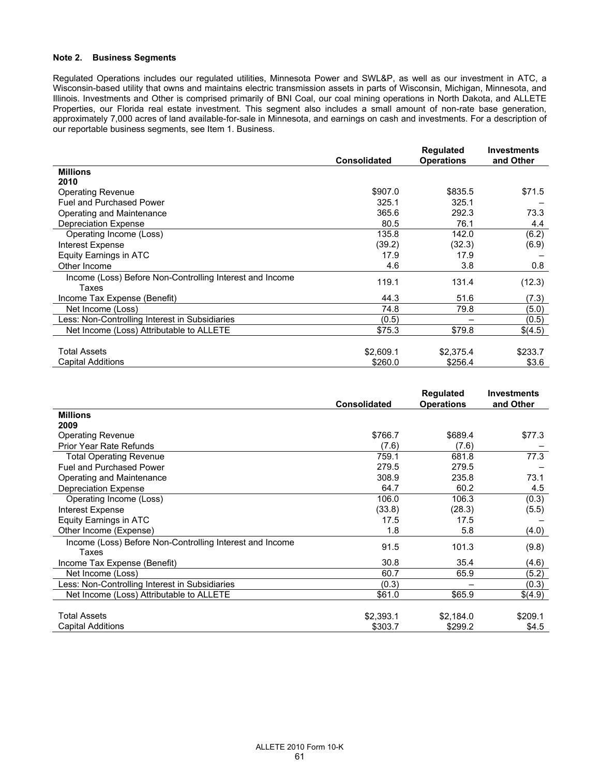## **Note 2. Business Segments**

Regulated Operations includes our regulated utilities, Minnesota Power and SWL&P, as well as our investment in ATC, a Wisconsin-based utility that owns and maintains electric transmission assets in parts of Wisconsin, Michigan, Minnesota, and Illinois. Investments and Other is comprised primarily of BNI Coal, our coal mining operations in North Dakota, and ALLETE Properties, our Florida real estate investment. This segment also includes a small amount of non-rate base generation, approximately 7,000 acres of land available-for-sale in Minnesota, and earnings on cash and investments. For a description of our reportable business segments, see Item 1. Business.

|                                                          | <b>Consolidated</b> | <b>Regulated</b><br><b>Operations</b> | <b>Investments</b><br>and Other |
|----------------------------------------------------------|---------------------|---------------------------------------|---------------------------------|
| <b>Millions</b>                                          |                     |                                       |                                 |
| 2010                                                     |                     |                                       |                                 |
| <b>Operating Revenue</b>                                 | \$907.0             | \$835.5                               | \$71.5                          |
| <b>Fuel and Purchased Power</b>                          | 325.1               | 325.1                                 |                                 |
| Operating and Maintenance                                | 365.6               | 292.3                                 | 73.3                            |
| <b>Depreciation Expense</b>                              | 80.5                | 76.1                                  | 4.4                             |
| Operating Income (Loss)                                  | 135.8               | 142.0                                 | (6.2)                           |
| Interest Expense                                         | (39.2)              | (32.3)                                | (6.9)                           |
| Equity Earnings in ATC                                   | 17.9                | 17.9                                  |                                 |
| Other Income                                             | 4.6                 | 3.8                                   | 0.8                             |
| Income (Loss) Before Non-Controlling Interest and Income | 119.1               | 131.4                                 |                                 |
| Taxes                                                    |                     |                                       | (12.3)                          |
| Income Tax Expense (Benefit)                             | 44.3                | 51.6                                  | (7.3)                           |
| Net Income (Loss)                                        | 74.8                | 79.8                                  | (5.0)                           |
| Less: Non-Controlling Interest in Subsidiaries           | (0.5)               |                                       | (0.5)                           |
| Net Income (Loss) Attributable to ALLETE                 | \$75.3              | \$79.8                                | \$(4.5)                         |
|                                                          |                     |                                       |                                 |
| <b>Total Assets</b>                                      | \$2,609.1           | \$2,375.4                             | \$233.7                         |
| <b>Capital Additions</b>                                 | \$260.0             | \$256.4                               | \$3.6                           |

|                                                          |                     | <b>Regulated</b>  | <b>Investments</b> |
|----------------------------------------------------------|---------------------|-------------------|--------------------|
|                                                          | <b>Consolidated</b> | <b>Operations</b> | and Other          |
| <b>Millions</b>                                          |                     |                   |                    |
| 2009                                                     |                     |                   |                    |
| <b>Operating Revenue</b>                                 | \$766.7             | \$689.4           | \$77.3             |
| Prior Year Rate Refunds                                  | (7.6)               | (7.6)             |                    |
| Total Operating Revenue                                  | 759.1               | 681.8             | 77.3               |
| <b>Fuel and Purchased Power</b>                          | 279.5               | 279.5             |                    |
| Operating and Maintenance                                | 308.9               | 235.8             | 73.1               |
| Depreciation Expense                                     | 64.7                | 60.2              | 4.5                |
| Operating Income (Loss)                                  | 106.0               | 106.3             | (0.3)              |
| Interest Expense                                         | (33.8)              | (28.3)            | (5.5)              |
| <b>Equity Earnings in ATC</b>                            | 17.5                | 17.5              |                    |
| Other Income (Expense)                                   | 1.8                 | 5.8               | (4.0)              |
| Income (Loss) Before Non-Controlling Interest and Income |                     |                   |                    |
| Taxes                                                    | 91.5                | 101.3             | (9.8)              |
| Income Tax Expense (Benefit)                             | 30.8                | 35.4              | (4.6)              |
| Net Income (Loss)                                        | 60.7                | 65.9              | (5.2)              |
| Less: Non-Controlling Interest in Subsidiaries           | (0.3)               |                   | (0.3)              |
| Net Income (Loss) Attributable to ALLETE                 | \$61.0              | \$65.9            | \$(4.9)            |
|                                                          |                     |                   |                    |
| <b>Total Assets</b>                                      | \$2,393.1           | \$2,184.0         | \$209.1            |
| <b>Capital Additions</b>                                 | \$303.7             | \$299.2           | \$4.5              |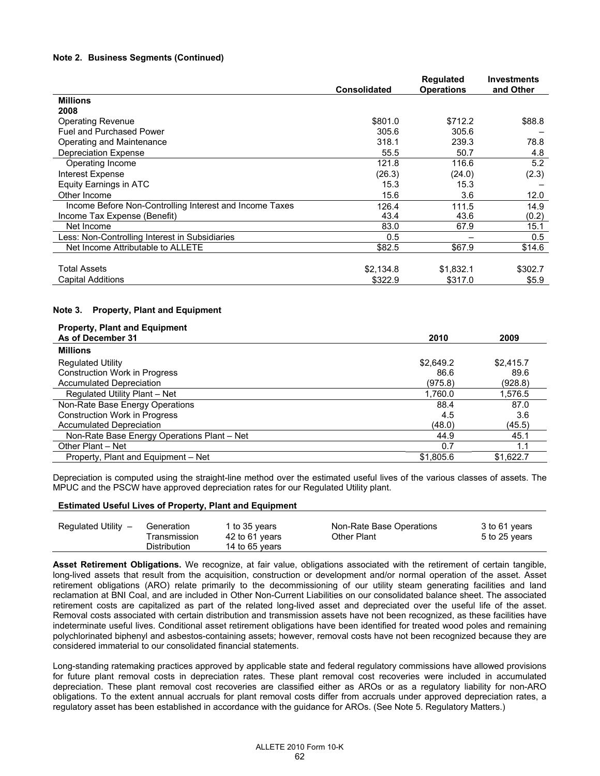## **Note 2. Business Segments (Continued)**

|                                                         | <b>Consolidated</b> | <b>Regulated</b><br><b>Operations</b> | <b>Investments</b><br>and Other |
|---------------------------------------------------------|---------------------|---------------------------------------|---------------------------------|
| <b>Millions</b>                                         |                     |                                       |                                 |
| 2008                                                    |                     |                                       |                                 |
| <b>Operating Revenue</b>                                | \$801.0             | \$712.2                               | \$88.8                          |
| <b>Fuel and Purchased Power</b>                         | 305.6               | 305.6                                 |                                 |
| Operating and Maintenance                               | 318.1               | 239.3                                 | 78.8                            |
| <b>Depreciation Expense</b>                             | 55.5                | 50.7                                  | 4.8                             |
| Operating Income                                        | 121.8               | 116.6                                 | 5.2                             |
| Interest Expense                                        | (26.3)              | (24.0)                                | (2.3)                           |
| Equity Earnings in ATC                                  | 15.3                | 15.3                                  |                                 |
| Other Income                                            | 15.6                | 3.6                                   | 12.0                            |
| Income Before Non-Controlling Interest and Income Taxes | 126.4               | 111.5                                 | 14.9                            |
| Income Tax Expense (Benefit)                            | 43.4                | 43.6                                  | (0.2)                           |
| Net Income                                              | 83.0                | 67.9                                  | 15.1                            |
| Less: Non-Controlling Interest in Subsidiaries          | 0.5                 |                                       | 0.5                             |
| Net Income Attributable to ALLETE                       | \$82.5              | \$67.9                                | \$14.6                          |
|                                                         |                     |                                       |                                 |
| <b>Total Assets</b>                                     | \$2,134.8           | \$1,832.1                             | \$302.7                         |
| <b>Capital Additions</b>                                | \$322.9             | \$317.0                               | \$5.9                           |

## **Note 3. Property, Plant and Equipment**

| <b>Property, Plant and Equipment</b><br>As of December 31 | 2010      | 2009      |
|-----------------------------------------------------------|-----------|-----------|
|                                                           |           |           |
| <b>Millions</b>                                           |           |           |
| <b>Regulated Utility</b>                                  | \$2,649.2 | \$2.415.7 |
| <b>Construction Work in Progress</b>                      | 86.6      | 89.6      |
| Accumulated Depreciation                                  | (975.8)   | (928.8)   |
| Regulated Utility Plant - Net                             | 1.760.0   | 1,576.5   |
| Non-Rate Base Energy Operations                           | 88.4      | 87.0      |
| <b>Construction Work in Progress</b>                      | 4.5       | 3.6       |
| <b>Accumulated Depreciation</b>                           | (48.0)    | (45.5)    |
| Non-Rate Base Energy Operations Plant - Net               | 44.9      | 45.1      |
| Other Plant - Net                                         | 0.7       | 1.1       |
| Property, Plant and Equipment - Net                       | \$1,805.6 | \$1.622.7 |

Depreciation is computed using the straight-line method over the estimated useful lives of the various classes of assets. The MPUC and the PSCW have approved depreciation rates for our Regulated Utility plant.

### **Estimated Useful Lives of Property, Plant and Equipment**

| Regulated Utility - | Generation                   | 1 to 35 years                    | Non-Rate Base Operations | 3 to 61 years |
|---------------------|------------------------------|----------------------------------|--------------------------|---------------|
|                     | Transmission<br>Distribution | 42 to 61 years<br>14 to 65 vears | Other Plant              | 5 to 25 years |

**Asset Retirement Obligations.** We recognize, at fair value, obligations associated with the retirement of certain tangible, long-lived assets that result from the acquisition, construction or development and/or normal operation of the asset. Asset retirement obligations (ARO) relate primarily to the decommissioning of our utility steam generating facilities and land reclamation at BNI Coal, and are included in Other Non-Current Liabilities on our consolidated balance sheet. The associated retirement costs are capitalized as part of the related long-lived asset and depreciated over the useful life of the asset. Removal costs associated with certain distribution and transmission assets have not been recognized, as these facilities have indeterminate useful lives. Conditional asset retirement obligations have been identified for treated wood poles and remaining polychlorinated biphenyl and asbestos-containing assets; however, removal costs have not been recognized because they are considered immaterial to our consolidated financial statements.

Long-standing ratemaking practices approved by applicable state and federal regulatory commissions have allowed provisions for future plant removal costs in depreciation rates. These plant removal cost recoveries were included in accumulated depreciation. These plant removal cost recoveries are classified either as AROs or as a regulatory liability for non-ARO obligations. To the extent annual accruals for plant removal costs differ from accruals under approved depreciation rates, a regulatory asset has been established in accordance with the guidance for AROs. (See Note 5. Regulatory Matters.)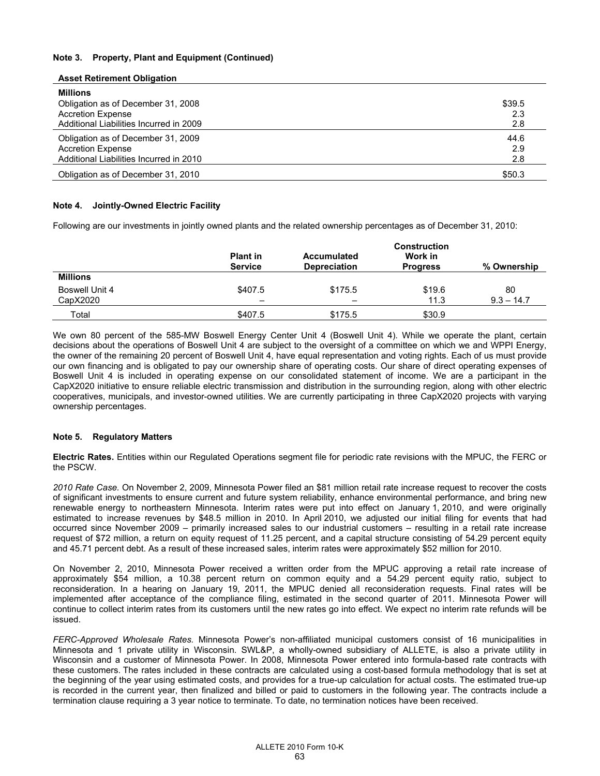## **Note 3. Property, Plant and Equipment (Continued)**

| Asset Retirement Obligation                                                                                                  |                      |
|------------------------------------------------------------------------------------------------------------------------------|----------------------|
| <b>Millions</b><br>Obligation as of December 31, 2008<br><b>Accretion Expense</b><br>Additional Liabilities Incurred in 2009 | \$39.5<br>2.3<br>2.8 |
| Obligation as of December 31, 2009<br><b>Accretion Expense</b><br>Additional Liabilities Incurred in 2010                    | 44.6<br>2.9<br>2.8   |
| Obligation as of December 31, 2010                                                                                           | \$50.3               |

## **Note 4. Jointly-Owned Electric Facility**

**Asset Retirement Obligation** 

Following are our investments in jointly owned plants and the related ownership percentages as of December 31, 2010:

|                            | <b>Plant in</b><br><b>Service</b> | Accumulated<br><b>Depreciation</b> | <b>Construction</b><br>Work in<br><b>Progress</b> | % Ownership        |
|----------------------------|-----------------------------------|------------------------------------|---------------------------------------------------|--------------------|
| <b>Millions</b>            |                                   |                                    |                                                   |                    |
| Boswell Unit 4<br>CapX2020 | \$407.5                           | \$175.5<br>-                       | \$19.6<br>11.3                                    | 80<br>$9.3 - 14.7$ |
| Total                      | \$407.5                           | \$175.5                            | \$30.9                                            |                    |

We own 80 percent of the 585-MW Boswell Energy Center Unit 4 (Boswell Unit 4). While we operate the plant, certain decisions about the operations of Boswell Unit 4 are subject to the oversight of a committee on which we and WPPI Energy, the owner of the remaining 20 percent of Boswell Unit 4, have equal representation and voting rights. Each of us must provide our own financing and is obligated to pay our ownership share of operating costs. Our share of direct operating expenses of Boswell Unit 4 is included in operating expense on our consolidated statement of income. We are a participant in the CapX2020 initiative to ensure reliable electric transmission and distribution in the surrounding region, along with other electric cooperatives, municipals, and investor-owned utilities. We are currently participating in three CapX2020 projects with varying ownership percentages.

### **Note 5. Regulatory Matters**

**Electric Rates.** Entities within our Regulated Operations segment file for periodic rate revisions with the MPUC, the FERC or the PSCW.

*2010 Rate Case.* On November 2, 2009, Minnesota Power filed an \$81 million retail rate increase request to recover the costs of significant investments to ensure current and future system reliability, enhance environmental performance, and bring new renewable energy to northeastern Minnesota. Interim rates were put into effect on January 1, 2010, and were originally estimated to increase revenues by \$48.5 million in 2010. In April 2010, we adjusted our initial filing for events that had occurred since November 2009 – primarily increased sales to our industrial customers – resulting in a retail rate increase request of \$72 million, a return on equity request of 11.25 percent, and a capital structure consisting of 54.29 percent equity and 45.71 percent debt. As a result of these increased sales, interim rates were approximately \$52 million for 2010.

On November 2, 2010, Minnesota Power received a written order from the MPUC approving a retail rate increase of approximately \$54 million, a 10.38 percent return on common equity and a 54.29 percent equity ratio, subject to reconsideration. In a hearing on January 19, 2011, the MPUC denied all reconsideration requests. Final rates will be implemented after acceptance of the compliance filing, estimated in the second quarter of 2011. Minnesota Power will continue to collect interim rates from its customers until the new rates go into effect. We expect no interim rate refunds will be issued.

*FERC-Approved Wholesale Rates.* Minnesota Power's non-affiliated municipal customers consist of 16 municipalities in Minnesota and 1 private utility in Wisconsin. SWL&P, a wholly-owned subsidiary of ALLETE, is also a private utility in Wisconsin and a customer of Minnesota Power. In 2008, Minnesota Power entered into formula-based rate contracts with these customers. The rates included in these contracts are calculated using a cost-based formula methodology that is set at the beginning of the year using estimated costs, and provides for a true-up calculation for actual costs. The estimated true-up is recorded in the current year, then finalized and billed or paid to customers in the following year. The contracts include a termination clause requiring a 3 year notice to terminate. To date, no termination notices have been received.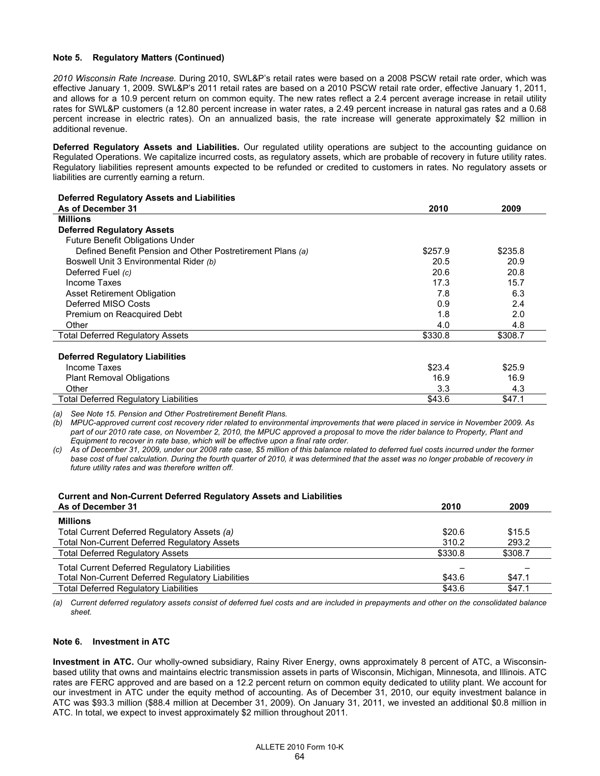# **Note 5. Regulatory Matters (Continued)**

*2010 Wisconsin Rate Increase.* During 2010, SWL&P's retail rates were based on a 2008 PSCW retail rate order, which was effective January 1, 2009. SWL&P's 2011 retail rates are based on a 2010 PSCW retail rate order, effective January 1, 2011, and allows for a 10.9 percent return on common equity. The new rates reflect a 2.4 percent average increase in retail utility rates for SWL&P customers (a 12.80 percent increase in water rates, a 2.49 percent increase in natural gas rates and a 0.68 percent increase in electric rates). On an annualized basis, the rate increase will generate approximately \$2 million in additional revenue.

**Deferred Regulatory Assets and Liabilities.** Our regulated utility operations are subject to the accounting guidance on Regulated Operations. We capitalize incurred costs, as regulatory assets, which are probable of recovery in future utility rates. Regulatory liabilities represent amounts expected to be refunded or credited to customers in rates. No regulatory assets or liabilities are currently earning a return.

| <b>Deferred Regulatory Assets and Liabilities</b>          |         |         |
|------------------------------------------------------------|---------|---------|
| As of December 31                                          | 2010    | 2009    |
| <b>Millions</b>                                            |         |         |
| <b>Deferred Regulatory Assets</b>                          |         |         |
| Future Benefit Obligations Under                           |         |         |
| Defined Benefit Pension and Other Postretirement Plans (a) | \$257.9 | \$235.8 |
| Boswell Unit 3 Environmental Rider (b)                     | 20.5    | 20.9    |
| Deferred Fuel (c)                                          | 20.6    | 20.8    |
| Income Taxes                                               | 17.3    | 15.7    |
| <b>Asset Retirement Obligation</b>                         | 7.8     | 6.3     |
| Deferred MISO Costs                                        | 0.9     | 2.4     |
| Premium on Reacquired Debt                                 | 1.8     | 2.0     |
| Other                                                      | 4.0     | 4.8     |
| <b>Total Deferred Regulatory Assets</b>                    | \$330.8 | \$308.7 |
| <b>Deferred Regulatory Liabilities</b>                     |         |         |
| Income Taxes                                               | \$23.4  | \$25.9  |
| <b>Plant Removal Obligations</b>                           | 16.9    | 16.9    |
| Other                                                      | 3.3     | 4.3     |
| Total Deferred Regulatory Liabilities                      | \$43.6  | \$47.1  |
|                                                            |         |         |

*(a) See Note 15. Pension and Other Postretirement Benefit Plans.* 

*(b) MPUC-approved current cost recovery rider related to environmental improvements that were placed in service in November 2009. As part of our 2010 rate case, on November 2, 2010, the MPUC approved a proposal to move the rider balance to Property, Plant and Equipment to recover in rate base, which will be effective upon a final rate order.* 

*(c) As of December 31, 2009, under our 2008 rate case, \$5 million of this balance related to deferred fuel costs incurred under the former base cost of fuel calculation. During the fourth quarter of 2010, it was determined that the asset was no longer probable of recovery in future utility rates and was therefore written off.* 

| <b>Current and Non-Current Deferred Regulatory Assets and Liabilities</b> | 2010    |         |
|---------------------------------------------------------------------------|---------|---------|
| As of December 31                                                         |         | 2009    |
| <b>Millions</b>                                                           |         |         |
| Total Current Deferred Regulatory Assets (a)                              | \$20.6  | \$15.5  |
| <b>Total Non-Current Deferred Regulatory Assets</b>                       | 310.2   | 293.2   |
| <b>Total Deferred Regulatory Assets</b>                                   | \$330.8 | \$308.7 |
| <b>Total Current Deferred Regulatory Liabilities</b>                      |         |         |
| <b>Total Non-Current Deferred Regulatory Liabilities</b>                  | \$43.6  | \$47.1  |
| <b>Total Deferred Requlatory Liabilities</b>                              | \$43.6  | \$47.1  |

*(a) Current deferred regulatory assets consist of deferred fuel costs and are included in prepayments and other on the consolidated balance sheet.* 

## **Note 6. Investment in ATC**

**Investment in ATC.** Our wholly-owned subsidiary, Rainy River Energy, owns approximately 8 percent of ATC, a Wisconsinbased utility that owns and maintains electric transmission assets in parts of Wisconsin, Michigan, Minnesota, and Illinois. ATC rates are FERC approved and are based on a 12.2 percent return on common equity dedicated to utility plant. We account for our investment in ATC under the equity method of accounting. As of December 31, 2010, our equity investment balance in ATC was \$93.3 million (\$88.4 million at December 31, 2009). On January 31, 2011, we invested an additional \$0.8 million in ATC. In total, we expect to invest approximately \$2 million throughout 2011.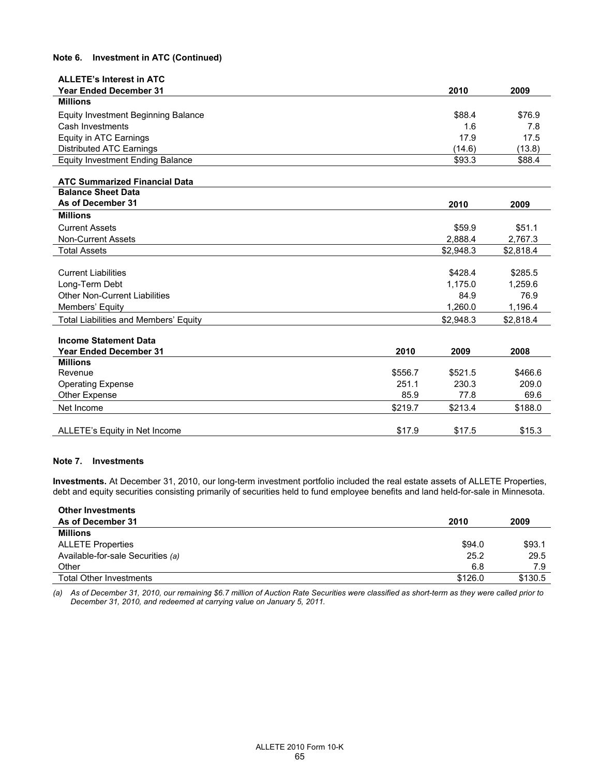# **Note 6. Investment in ATC (Continued)**

| <b>ALLETE's Interest in ATC</b>                                   |         |           |           |
|-------------------------------------------------------------------|---------|-----------|-----------|
| <b>Year Ended December 31</b>                                     |         | 2010      | 2009      |
| <b>Millions</b>                                                   |         |           |           |
| Equity Investment Beginning Balance                               |         | \$88.4    | \$76.9    |
| Cash Investments                                                  |         | 1.6       | 7.8       |
| Equity in ATC Earnings                                            |         | 17.9      | 17.5      |
| Distributed ATC Earnings                                          |         | (14.6)    | (13.8)    |
| <b>Equity Investment Ending Balance</b>                           |         | \$93.3    | \$88.4    |
|                                                                   |         |           |           |
| <b>ATC Summarized Financial Data</b><br><b>Balance Sheet Data</b> |         |           |           |
| As of December 31                                                 |         | 2010      | 2009      |
| <b>Millions</b>                                                   |         |           |           |
| <b>Current Assets</b>                                             |         | \$59.9    | \$51.1    |
| <b>Non-Current Assets</b>                                         |         | 2.888.4   | 2,767.3   |
| <b>Total Assets</b>                                               |         | \$2.948.3 | \$2,818.4 |
|                                                                   |         |           |           |
| <b>Current Liabilities</b>                                        |         | \$428.4   | \$285.5   |
| Long-Term Debt                                                    |         | 1,175.0   | 1,259.6   |
| <b>Other Non-Current Liabilities</b>                              |         | 84.9      | 76.9      |
| Members' Equity                                                   |         | 1,260.0   | 1,196.4   |
| Total Liabilities and Members' Equity                             |         | \$2,948.3 | \$2,818.4 |
|                                                                   |         |           |           |
| <b>Income Statement Data</b>                                      |         |           |           |
| <b>Year Ended December 31</b>                                     | 2010    | 2009      | 2008      |
| <b>Millions</b>                                                   |         |           |           |
| Revenue                                                           | \$556.7 | \$521.5   | \$466.6   |
| <b>Operating Expense</b>                                          | 251.1   | 230.3     | 209.0     |
| <b>Other Expense</b>                                              | 85.9    | 77.8      | 69.6      |
| Net Income                                                        | \$219.7 | \$213.4   | \$188.0   |
| ALLETE's Equity in Net Income                                     | \$17.9  | \$17.5    | \$15.3    |

## **Note 7. Investments**

**Investments.** At December 31, 2010, our long-term investment portfolio included the real estate assets of ALLETE Properties, debt and equity securities consisting primarily of securities held to fund employee benefits and land held-for-sale in Minnesota.

| <b>Other Investments</b>          |         |         |
|-----------------------------------|---------|---------|
| As of December 31                 | 2010    | 2009    |
| <b>Millions</b>                   |         |         |
| <b>ALLETE Properties</b>          | \$94.0  | \$93.1  |
| Available-for-sale Securities (a) | 25.2    | 29.5    |
| Other                             | 6.8     | 7.9     |
| Total Other Investments           | \$126.0 | \$130.5 |

*(a) As of December 31, 2010, our remaining \$6.7 million of Auction Rate Securities were classified as short-term as they were called prior to December 31, 2010, and redeemed at carrying value on January 5, 2011.*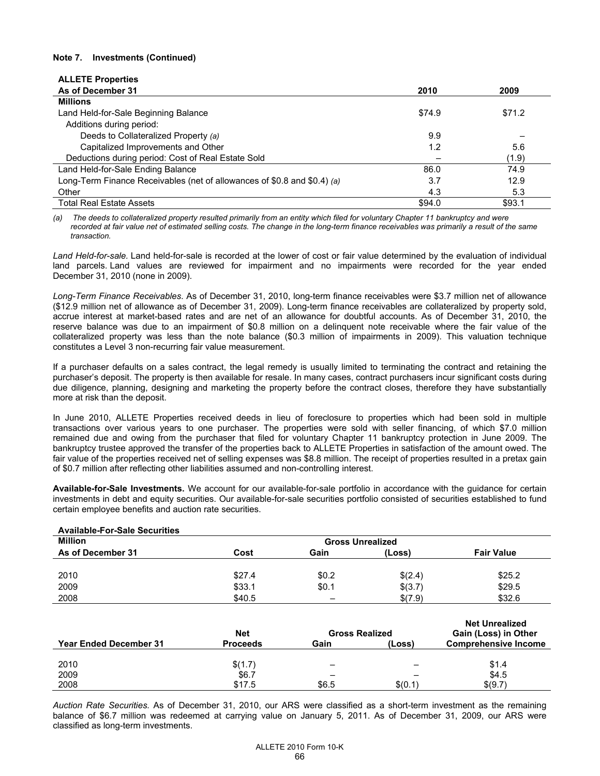## **Note 7. Investments (Continued)**

| <b>ALLETE Properties</b>                                                 |        |        |
|--------------------------------------------------------------------------|--------|--------|
| As of December 31                                                        | 2010   | 2009   |
| <b>Millions</b>                                                          |        |        |
| Land Held-for-Sale Beginning Balance                                     | \$74.9 | \$71.2 |
| Additions during period:                                                 |        |        |
| Deeds to Collateralized Property (a)                                     | 9.9    |        |
| Capitalized Improvements and Other                                       | 1.2    | 5.6    |
| Deductions during period: Cost of Real Estate Sold                       |        | (1.9)  |
| Land Held-for-Sale Ending Balance                                        | 86.0   | 74.9   |
| Long-Term Finance Receivables (net of allowances of \$0.8 and \$0.4) (a) | 3.7    | 12.9   |
| Other                                                                    | 4.3    | 5.3    |
| <b>Total Real Estate Assets</b>                                          | \$94.0 | \$93.1 |

*(a) The deeds to collateralized property resulted primarily from an entity which filed for voluntary Chapter 11 bankruptcy and were*  recorded at fair value net of estimated selling costs. The change in the long-term finance receivables was primarily a result of the same *transaction.* 

*Land Held-for-sale.* Land held-for-sale is recorded at the lower of cost or fair value determined by the evaluation of individual land parcels. Land values are reviewed for impairment and no impairments were recorded for the year ended December 31, 2010 (none in 2009).

*Long-Term Finance Receivables*. As of December 31, 2010, long-term finance receivables were \$3.7 million net of allowance (\$12.9 million net of allowance as of December 31, 2009). Long-term finance receivables are collateralized by property sold, accrue interest at market-based rates and are net of an allowance for doubtful accounts. As of December 31, 2010, the reserve balance was due to an impairment of \$0.8 million on a delinquent note receivable where the fair value of the collateralized property was less than the note balance (\$0.3 million of impairments in 2009). This valuation technique constitutes a Level 3 non-recurring fair value measurement.

If a purchaser defaults on a sales contract, the legal remedy is usually limited to terminating the contract and retaining the purchaser's deposit. The property is then available for resale. In many cases, contract purchasers incur significant costs during due diligence, planning, designing and marketing the property before the contract closes, therefore they have substantially more at risk than the deposit.

In June 2010, ALLETE Properties received deeds in lieu of foreclosure to properties which had been sold in multiple transactions over various years to one purchaser. The properties were sold with seller financing, of which \$7.0 million remained due and owing from the purchaser that filed for voluntary Chapter 11 bankruptcy protection in June 2009. The bankruptcy trustee approved the transfer of the properties back to ALLETE Properties in satisfaction of the amount owed. The fair value of the properties received net of selling expenses was \$8.8 million. The receipt of properties resulted in a pretax gain of \$0.7 million after reflecting other liabilities assumed and non-controlling interest.

**Available-for-Sale Investments.** We account for our available-for-sale portfolio in accordance with the guidance for certain investments in debt and equity securities. Our available-for-sale securities portfolio consisted of securities established to fund certain employee benefits and auction rate securities.

| <b>Available-For-Sale Securities</b> |                         |                          |         |                   |
|--------------------------------------|-------------------------|--------------------------|---------|-------------------|
| <b>Million</b>                       | <b>Gross Unrealized</b> |                          |         |                   |
| As of December 31                    | Cost                    | Gain                     | (Loss)  | <b>Fair Value</b> |
|                                      |                         |                          |         |                   |
| 2010                                 | \$27.4                  | \$0.2                    | \$(2.4) | \$25.2            |
| 2009                                 | \$33.1                  | \$0.1                    | \$(3.7) | \$29.5            |
| 2008                                 | \$40.5                  | $\overline{\phantom{0}}$ | \$(7.9) | \$32.6            |

|                               | <b>Net</b>      | <b>Gross Realized</b> |         | <b>Net Unrealized</b><br>Gain (Loss) in Other |
|-------------------------------|-----------------|-----------------------|---------|-----------------------------------------------|
| <b>Year Ended December 31</b> | <b>Proceeds</b> | Gain                  | (Loss)  | <b>Comprehensive Income</b>                   |
|                               |                 |                       |         |                                               |
| 2010                          | \$(1.7)         | -                     |         | \$1.4                                         |
| 2009                          | \$6.7           |                       |         | \$4.5                                         |
| 2008                          | \$17.5          | \$6.5                 | \$(0.1) | \$(9.7)                                       |

*Auction Rate Securities.* As of December 31, 2010, our ARS were classified as a short-term investment as the remaining balance of \$6.7 million was redeemed at carrying value on January 5, 2011. As of December 31, 2009, our ARS were classified as long-term investments.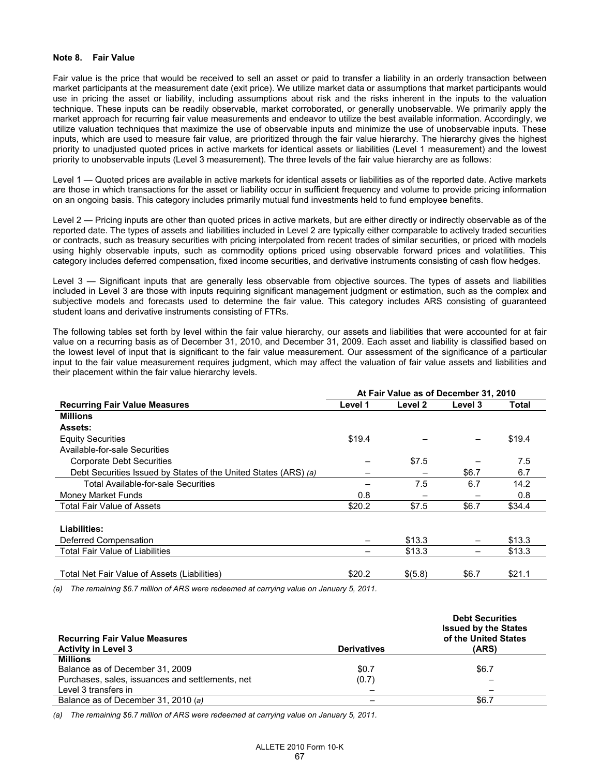### **Note 8. Fair Value**

Fair value is the price that would be received to sell an asset or paid to transfer a liability in an orderly transaction between market participants at the measurement date (exit price). We utilize market data or assumptions that market participants would use in pricing the asset or liability, including assumptions about risk and the risks inherent in the inputs to the valuation technique. These inputs can be readily observable, market corroborated, or generally unobservable. We primarily apply the market approach for recurring fair value measurements and endeavor to utilize the best available information. Accordingly, we utilize valuation techniques that maximize the use of observable inputs and minimize the use of unobservable inputs. These inputs, which are used to measure fair value, are prioritized through the fair value hierarchy. The hierarchy gives the highest priority to unadjusted quoted prices in active markets for identical assets or liabilities (Level 1 measurement) and the lowest priority to unobservable inputs (Level 3 measurement). The three levels of the fair value hierarchy are as follows:

Level 1 — Quoted prices are available in active markets for identical assets or liabilities as of the reported date. Active markets are those in which transactions for the asset or liability occur in sufficient frequency and volume to provide pricing information on an ongoing basis. This category includes primarily mutual fund investments held to fund employee benefits.

Level 2 — Pricing inputs are other than quoted prices in active markets, but are either directly or indirectly observable as of the reported date. The types of assets and liabilities included in Level 2 are typically either comparable to actively traded securities or contracts, such as treasury securities with pricing interpolated from recent trades of similar securities, or priced with models using highly observable inputs, such as commodity options priced using observable forward prices and volatilities. This category includes deferred compensation, fixed income securities, and derivative instruments consisting of cash flow hedges.

Level 3 — Significant inputs that are generally less observable from objective sources. The types of assets and liabilities included in Level 3 are those with inputs requiring significant management judgment or estimation, such as the complex and subjective models and forecasts used to determine the fair value. This category includes ARS consisting of guaranteed student loans and derivative instruments consisting of FTRs.

The following tables set forth by level within the fair value hierarchy, our assets and liabilities that were accounted for at fair value on a recurring basis as of December 31, 2010, and December 31, 2009. Each asset and liability is classified based on the lowest level of input that is significant to the fair value measurement. Our assessment of the significance of a particular input to the fair value measurement requires judgment, which may affect the valuation of fair value assets and liabilities and their placement within the fair value hierarchy levels.

|                                                                 | At Fair Value as of December 31, 2010 |         |         |        |
|-----------------------------------------------------------------|---------------------------------------|---------|---------|--------|
| <b>Recurring Fair Value Measures</b>                            | Level 1                               | Level 2 | Level 3 | Total  |
| <b>Millions</b>                                                 |                                       |         |         |        |
| <b>Assets:</b>                                                  |                                       |         |         |        |
| <b>Equity Securities</b>                                        | \$19.4                                |         |         | \$19.4 |
| Available-for-sale Securities                                   |                                       |         |         |        |
| <b>Corporate Debt Securities</b>                                |                                       | \$7.5   |         | 7.5    |
| Debt Securities Issued by States of the United States (ARS) (a) |                                       |         | \$6.7   | 6.7    |
| Total Available-for-sale Securities                             |                                       | 7.5     | 6.7     | 14.2   |
| Money Market Funds                                              | 0.8                                   |         |         | 0.8    |
| <b>Total Fair Value of Assets</b>                               | \$20.2                                | \$7.5   | \$6.7   | \$34.4 |
|                                                                 |                                       |         |         |        |
| Liabilities:                                                    |                                       |         |         |        |
| Deferred Compensation                                           |                                       | \$13.3  |         | \$13.3 |
| <b>Total Fair Value of Liabilities</b>                          |                                       | \$13.3  |         | \$13.3 |
|                                                                 |                                       |         |         |        |
| Total Net Fair Value of Assets (Liabilities)                    | \$20.2                                | \$(5.8) | \$6.7   | \$21.1 |

*(a) The remaining \$6.7 million of ARS were redeemed at carrying value on January 5, 2011.* 

| <b>Recurring Fair Value Measures</b><br><b>Activity in Level 3</b> | <b>Derivatives</b> | <b>Debt Securities</b><br><b>Issued by the States</b><br>of the United States<br>(ARS) |
|--------------------------------------------------------------------|--------------------|----------------------------------------------------------------------------------------|
| <b>Millions</b>                                                    |                    |                                                                                        |
| Balance as of December 31, 2009                                    | \$0.7              | \$6.7                                                                                  |
| Purchases, sales, issuances and settlements, net                   | (0.7)              |                                                                                        |
| Level 3 transfers in                                               |                    |                                                                                        |
| Balance as of December 31, 2010 (a)                                |                    | \$6.7                                                                                  |

*(a) The remaining \$6.7 million of ARS were redeemed at carrying value on January 5, 2011.*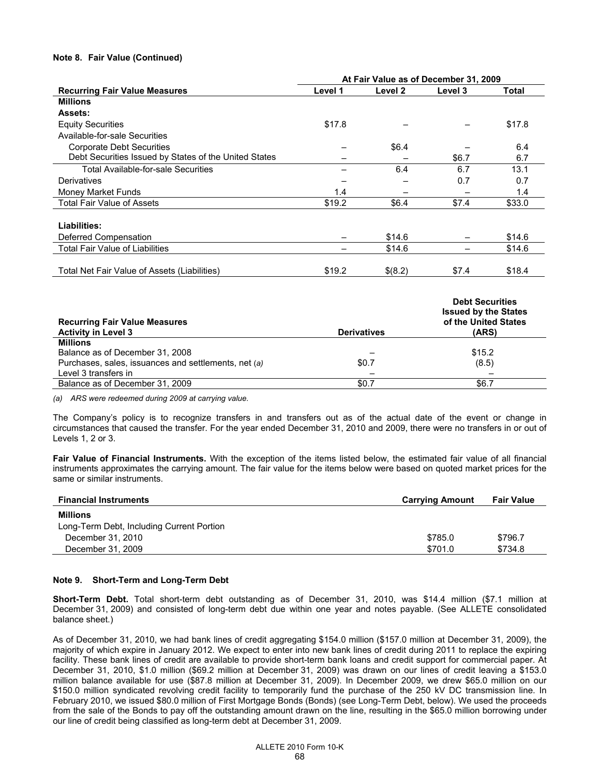## **Note 8. Fair Value (Continued)**

|                                                       | At Fair Value as of December 31, 2009 |         |         |        |
|-------------------------------------------------------|---------------------------------------|---------|---------|--------|
| <b>Recurring Fair Value Measures</b>                  | Level 1                               | Level 2 | Level 3 | Total  |
| <b>Millions</b>                                       |                                       |         |         |        |
| <b>Assets:</b>                                        |                                       |         |         |        |
| <b>Equity Securities</b>                              | \$17.8                                |         |         | \$17.8 |
| Available-for-sale Securities                         |                                       |         |         |        |
| Corporate Debt Securities                             |                                       | \$6.4   |         | 6.4    |
| Debt Securities Issued by States of the United States |                                       |         | \$6.7   | 6.7    |
| <b>Total Available-for-sale Securities</b>            |                                       | 6.4     | 6.7     | 13.1   |
| Derivatives                                           |                                       |         | 0.7     | 0.7    |
| Money Market Funds                                    | 1.4                                   |         |         | 1.4    |
| <b>Total Fair Value of Assets</b>                     | \$19.2                                | \$6.4   | \$7.4   | \$33.0 |
|                                                       |                                       |         |         |        |
| Liabilities:                                          |                                       |         |         |        |
| Deferred Compensation                                 |                                       | \$14.6  |         | \$14.6 |
| <b>Total Fair Value of Liabilities</b>                |                                       | \$14.6  |         | \$14.6 |
| Total Net Fair Value of Assets (Liabilities)          | \$19.2                                | \$(8.2) | \$7.4   | \$18.4 |
|                                                       |                                       |         |         |        |

|                    | <b>Debt Securities</b><br><b>Issued by the States</b> |
|--------------------|-------------------------------------------------------|
|                    | of the United States                                  |
| <b>Derivatives</b> | (ARS)                                                 |
|                    |                                                       |
|                    | \$15.2                                                |
| \$0.7              | (8.5)                                                 |
|                    |                                                       |
| \$0.7              | \$6.7                                                 |
|                    |                                                       |

*(a) ARS were redeemed during 2009 at carrying value.* 

The Company's policy is to recognize transfers in and transfers out as of the actual date of the event or change in circumstances that caused the transfer. For the year ended December 31, 2010 and 2009, there were no transfers in or out of Levels 1, 2 or 3.

**Fair Value of Financial Instruments.** With the exception of the items listed below, the estimated fair value of all financial instruments approximates the carrying amount. The fair value for the items below were based on quoted market prices for the same or similar instruments.

| <b>Financial Instruments</b>              | <b>Carrying Amount</b> | <b>Fair Value</b> |
|-------------------------------------------|------------------------|-------------------|
| <b>Millions</b>                           |                        |                   |
| Long-Term Debt, Including Current Portion |                        |                   |
| December 31, 2010                         | \$785.0                | \$796.7           |
| December 31, 2009                         | \$701.0                | \$734.8           |

## **Note 9. Short-Term and Long-Term Debt**

**Short-Term Debt.** Total short-term debt outstanding as of December 31, 2010, was \$14.4 million (\$7.1 million at December 31, 2009) and consisted of long-term debt due within one year and notes payable. (See ALLETE consolidated balance sheet.)

As of December 31, 2010, we had bank lines of credit aggregating \$154.0 million (\$157.0 million at December 31, 2009), the majority of which expire in January 2012. We expect to enter into new bank lines of credit during 2011 to replace the expiring facility. These bank lines of credit are available to provide short-term bank loans and credit support for commercial paper. At December 31, 2010, \$1.0 million (\$69.2 million at December 31, 2009) was drawn on our lines of credit leaving a \$153.0 million balance available for use (\$87.8 million at December 31, 2009). In December 2009, we drew \$65.0 million on our \$150.0 million syndicated revolving credit facility to temporarily fund the purchase of the 250 kV DC transmission line. In February 2010, we issued \$80.0 million of First Mortgage Bonds (Bonds) (see Long-Term Debt, below). We used the proceeds from the sale of the Bonds to pay off the outstanding amount drawn on the line, resulting in the \$65.0 million borrowing under our line of credit being classified as long-term debt at December 31, 2009.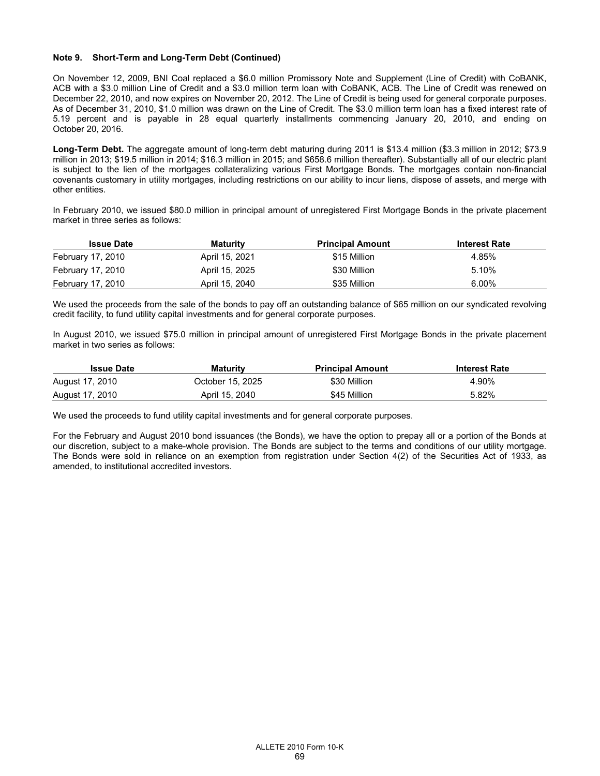## **Note 9. Short-Term and Long-Term Debt (Continued)**

On November 12, 2009, BNI Coal replaced a \$6.0 million Promissory Note and Supplement (Line of Credit) with CoBANK, ACB with a \$3.0 million Line of Credit and a \$3.0 million term loan with CoBANK, ACB. The Line of Credit was renewed on December 22, 2010, and now expires on November 20, 2012. The Line of Credit is being used for general corporate purposes. As of December 31, 2010, \$1.0 million was drawn on the Line of Credit. The \$3.0 million term loan has a fixed interest rate of 5.19 percent and is payable in 28 equal quarterly installments commencing January 20, 2010, and ending on October 20, 2016.

**Long-Term Debt.** The aggregate amount of long-term debt maturing during 2011 is \$13.4 million (\$3.3 million in 2012; \$73.9 million in 2013; \$19.5 million in 2014; \$16.3 million in 2015; and \$658.6 million thereafter). Substantially all of our electric plant is subject to the lien of the mortgages collateralizing various First Mortgage Bonds. The mortgages contain non-financial covenants customary in utility mortgages, including restrictions on our ability to incur liens, dispose of assets, and merge with other entities.

In February 2010, we issued \$80.0 million in principal amount of unregistered First Mortgage Bonds in the private placement market in three series as follows:

| <b>Issue Date</b> | <b>Maturity</b> | <b>Principal Amount</b> | <b>Interest Rate</b> |
|-------------------|-----------------|-------------------------|----------------------|
| February 17, 2010 | April 15, 2021  | \$15 Million            | 4.85%                |
| February 17, 2010 | April 15, 2025  | \$30 Million            | 5.10%                |
| February 17, 2010 | April 15, 2040  | \$35 Million            | 6.00%                |

We used the proceeds from the sale of the bonds to pay off an outstanding balance of \$65 million on our syndicated revolving credit facility, to fund utility capital investments and for general corporate purposes.

In August 2010, we issued \$75.0 million in principal amount of unregistered First Mortgage Bonds in the private placement market in two series as follows:

| <b>Issue Date</b> | <b>Maturity</b>  | <b>Principal Amount</b> | <b>Interest Rate</b> |
|-------------------|------------------|-------------------------|----------------------|
| August 17, 2010   | October 15, 2025 | \$30 Million            | 4.90%                |
| August 17, 2010   | April 15, 2040   | \$45 Million            | 5.82%                |

We used the proceeds to fund utility capital investments and for general corporate purposes.

For the February and August 2010 bond issuances (the Bonds), we have the option to prepay all or a portion of the Bonds at our discretion, subject to a make-whole provision. The Bonds are subject to the terms and conditions of our utility mortgage. The Bonds were sold in reliance on an exemption from registration under Section 4(2) of the Securities Act of 1933, as amended, to institutional accredited investors.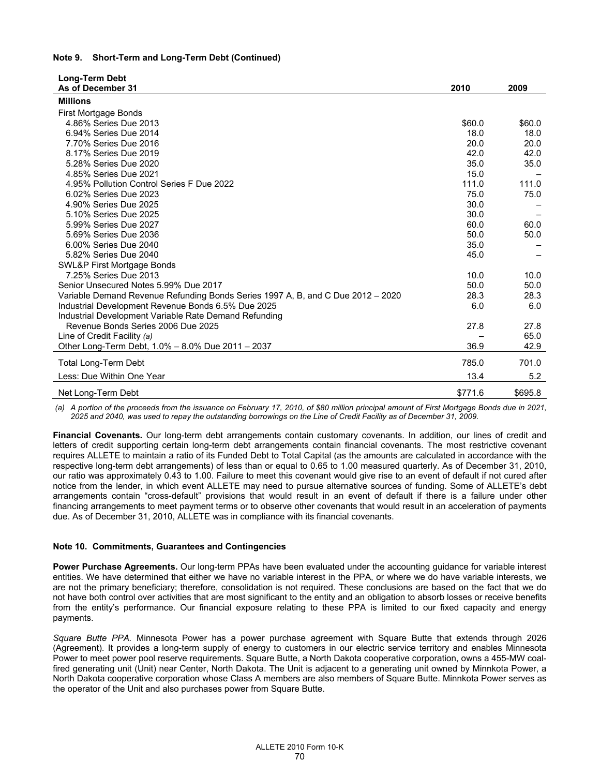### **Note 9. Short-Term and Long-Term Debt (Continued)**

| <b>Long-Term Debt</b>                                                           |         |         |
|---------------------------------------------------------------------------------|---------|---------|
| As of December 31                                                               | 2010    | 2009    |
| <b>Millions</b>                                                                 |         |         |
| First Mortgage Bonds                                                            |         |         |
| 4.86% Series Due 2013                                                           | \$60.0  | \$60.0  |
| 6.94% Series Due 2014                                                           | 18.0    | 18.0    |
| 7.70% Series Due 2016                                                           | 20.0    | 20.0    |
| 8.17% Series Due 2019                                                           | 42.0    | 42.0    |
| 5.28% Series Due 2020                                                           | 35.0    | 35.0    |
| 4.85% Series Due 2021                                                           | 15.0    |         |
| 4.95% Pollution Control Series F Due 2022                                       | 111.0   | 111.0   |
| 6.02% Series Due 2023                                                           | 75.0    | 75.0    |
| 4.90% Series Due 2025                                                           | 30.0    |         |
| 5.10% Series Due 2025                                                           | 30.0    |         |
| 5.99% Series Due 2027                                                           | 60.0    | 60.0    |
| 5.69% Series Due 2036                                                           | 50.0    | 50.0    |
| 6.00% Series Due 2040                                                           | 35.0    |         |
| 5.82% Series Due 2040                                                           | 45.0    |         |
| SWL&P First Mortgage Bonds                                                      |         |         |
| 7.25% Series Due 2013                                                           | 10.0    | 10.0    |
| Senior Unsecured Notes 5.99% Due 2017                                           | 50.0    | 50.0    |
| Variable Demand Revenue Refunding Bonds Series 1997 A, B, and C Due 2012 – 2020 | 28.3    | 28.3    |
| Industrial Development Revenue Bonds 6.5% Due 2025                              | 6.0     | 6.0     |
| Industrial Development Variable Rate Demand Refunding                           |         |         |
| Revenue Bonds Series 2006 Due 2025                                              | 27.8    | 27.8    |
| Line of Credit Facility (a)                                                     |         | 65.0    |
| Other Long-Term Debt, 1.0% - 8.0% Due 2011 - 2037                               | 36.9    | 42.9    |
| Total Long-Term Debt                                                            | 785.0   | 701.0   |
| Less: Due Within One Year                                                       | 13.4    | 5.2     |
| Net Long-Term Debt                                                              | \$771.6 | \$695.8 |

 *(a) A portion of the proceeds from the issuance on February 17, 2010, of \$80 million principal amount of First Mortgage Bonds due in 2021, 2025 and 2040, was used to repay the outstanding borrowings on the Line of Credit Facility as of December 31, 2009.* 

**Financial Covenants.** Our long-term debt arrangements contain customary covenants. In addition, our lines of credit and letters of credit supporting certain long-term debt arrangements contain financial covenants. The most restrictive covenant requires ALLETE to maintain a ratio of its Funded Debt to Total Capital (as the amounts are calculated in accordance with the respective long-term debt arrangements) of less than or equal to 0.65 to 1.00 measured quarterly. As of December 31, 2010, our ratio was approximately 0.43 to 1.00. Failure to meet this covenant would give rise to an event of default if not cured after notice from the lender, in which event ALLETE may need to pursue alternative sources of funding. Some of ALLETE's debt arrangements contain "cross-default" provisions that would result in an event of default if there is a failure under other financing arrangements to meet payment terms or to observe other covenants that would result in an acceleration of payments due. As of December 31, 2010, ALLETE was in compliance with its financial covenants.

## **Note 10. Commitments, Guarantees and Contingencies**

**Power Purchase Agreements.** Our long-term PPAs have been evaluated under the accounting guidance for variable interest entities. We have determined that either we have no variable interest in the PPA, or where we do have variable interests, we are not the primary beneficiary; therefore, consolidation is not required. These conclusions are based on the fact that we do not have both control over activities that are most significant to the entity and an obligation to absorb losses or receive benefits from the entity's performance. Our financial exposure relating to these PPA is limited to our fixed capacity and energy payments.

*Square Butte PPA.* Minnesota Power has a power purchase agreement with Square Butte that extends through 2026 (Agreement). It provides a long-term supply of energy to customers in our electric service territory and enables Minnesota Power to meet power pool reserve requirements. Square Butte, a North Dakota cooperative corporation, owns a 455-MW coalfired generating unit (Unit) near Center, North Dakota. The Unit is adjacent to a generating unit owned by Minnkota Power, a North Dakota cooperative corporation whose Class A members are also members of Square Butte. Minnkota Power serves as the operator of the Unit and also purchases power from Square Butte.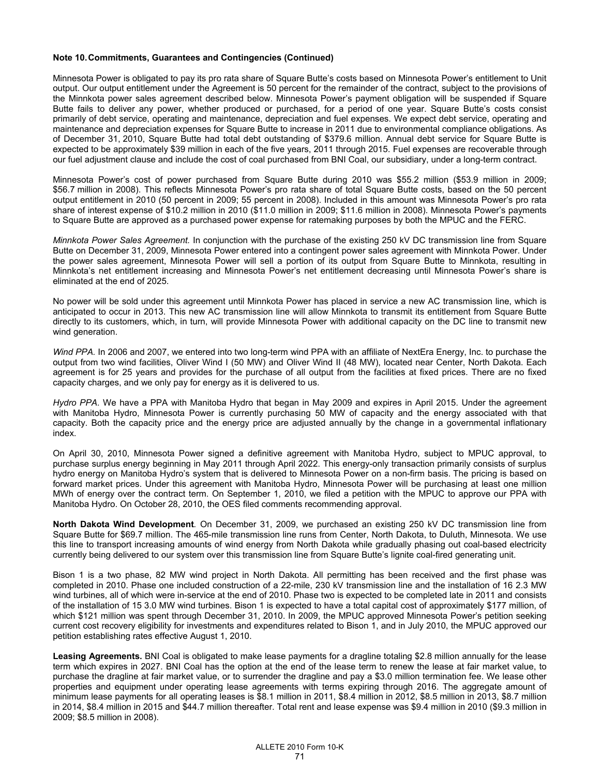### **Note 10. Commitments, Guarantees and Contingencies (Continued)**

Minnesota Power is obligated to pay its pro rata share of Square Butte's costs based on Minnesota Power's entitlement to Unit output. Our output entitlement under the Agreement is 50 percent for the remainder of the contract, subject to the provisions of the Minnkota power sales agreement described below. Minnesota Power's payment obligation will be suspended if Square Butte fails to deliver any power, whether produced or purchased, for a period of one year. Square Butte's costs consist primarily of debt service, operating and maintenance, depreciation and fuel expenses. We expect debt service, operating and maintenance and depreciation expenses for Square Butte to increase in 2011 due to environmental compliance obligations. As of December 31, 2010, Square Butte had total debt outstanding of \$379.6 million. Annual debt service for Square Butte is expected to be approximately \$39 million in each of the five years, 2011 through 2015. Fuel expenses are recoverable through our fuel adjustment clause and include the cost of coal purchased from BNI Coal, our subsidiary, under a long-term contract.

Minnesota Power's cost of power purchased from Square Butte during 2010 was \$55.2 million (\$53.9 million in 2009; \$56.7 million in 2008). This reflects Minnesota Power's pro rata share of total Square Butte costs, based on the 50 percent output entitlement in 2010 (50 percent in 2009; 55 percent in 2008). Included in this amount was Minnesota Power's pro rata share of interest expense of \$10.2 million in 2010 (\$11.0 million in 2009; \$11.6 million in 2008). Minnesota Power's payments to Square Butte are approved as a purchased power expense for ratemaking purposes by both the MPUC and the FERC.

*Minnkota Power Sales Agreement.* In conjunction with the purchase of the existing 250 kV DC transmission line from Square Butte on December 31, 2009, Minnesota Power entered into a contingent power sales agreement with Minnkota Power. Under the power sales agreement, Minnesota Power will sell a portion of its output from Square Butte to Minnkota, resulting in Minnkota's net entitlement increasing and Minnesota Power's net entitlement decreasing until Minnesota Power's share is eliminated at the end of 2025.

No power will be sold under this agreement until Minnkota Power has placed in service a new AC transmission line, which is anticipated to occur in 2013. This new AC transmission line will allow Minnkota to transmit its entitlement from Square Butte directly to its customers, which, in turn, will provide Minnesota Power with additional capacity on the DC line to transmit new wind generation.

*Wind PPA.* In 2006 and 2007, we entered into two long-term wind PPA with an affiliate of NextEra Energy, Inc. to purchase the output from two wind facilities, Oliver Wind I (50 MW) and Oliver Wind II (48 MW), located near Center, North Dakota. Each agreement is for 25 years and provides for the purchase of all output from the facilities at fixed prices. There are no fixed capacity charges, and we only pay for energy as it is delivered to us.

*Hydro PPA.* We have a PPA with Manitoba Hydro that began in May 2009 and expires in April 2015. Under the agreement with Manitoba Hydro, Minnesota Power is currently purchasing 50 MW of capacity and the energy associated with that capacity. Both the capacity price and the energy price are adjusted annually by the change in a governmental inflationary index.

On April 30, 2010, Minnesota Power signed a definitive agreement with Manitoba Hydro, subject to MPUC approval, to purchase surplus energy beginning in May 2011 through April 2022. This energy-only transaction primarily consists of surplus hydro energy on Manitoba Hydro's system that is delivered to Minnesota Power on a non-firm basis. The pricing is based on forward market prices. Under this agreement with Manitoba Hydro, Minnesota Power will be purchasing at least one million MWh of energy over the contract term. On September 1, 2010, we filed a petition with the MPUC to approve our PPA with Manitoba Hydro. On October 28, 2010, the OES filed comments recommending approval.

**North Dakota Wind Development***.* On December 31, 2009, we purchased an existing 250 kV DC transmission line from Square Butte for \$69.7 million. The 465-mile transmission line runs from Center, North Dakota, to Duluth, Minnesota. We use this line to transport increasing amounts of wind energy from North Dakota while gradually phasing out coal-based electricity currently being delivered to our system over this transmission line from Square Butte's lignite coal-fired generating unit.

Bison 1 is a two phase, 82 MW wind project in North Dakota. All permitting has been received and the first phase was completed in 2010. Phase one included construction of a 22-mile, 230 kV transmission line and the installation of 16 2.3 MW wind turbines, all of which were in-service at the end of 2010. Phase two is expected to be completed late in 2011 and consists of the installation of 15 3.0 MW wind turbines. Bison 1 is expected to have a total capital cost of approximately \$177 million, of which \$121 million was spent through December 31, 2010. In 2009, the MPUC approved Minnesota Power's petition seeking current cost recovery eligibility for investments and expenditures related to Bison 1, and in July 2010, the MPUC approved our petition establishing rates effective August 1, 2010.

**Leasing Agreements.** BNI Coal is obligated to make lease payments for a dragline totaling \$2.8 million annually for the lease term which expires in 2027. BNI Coal has the option at the end of the lease term to renew the lease at fair market value, to purchase the dragline at fair market value, or to surrender the dragline and pay a \$3.0 million termination fee. We lease other properties and equipment under operating lease agreements with terms expiring through 2016. The aggregate amount of minimum lease payments for all operating leases is \$8.1 million in 2011, \$8.4 million in 2012, \$8.5 million in 2013, \$8.7 million in 2014, \$8.4 million in 2015 and \$44.7 million thereafter. Total rent and lease expense was \$9.4 million in 2010 (\$9.3 million in 2009; \$8.5 million in 2008).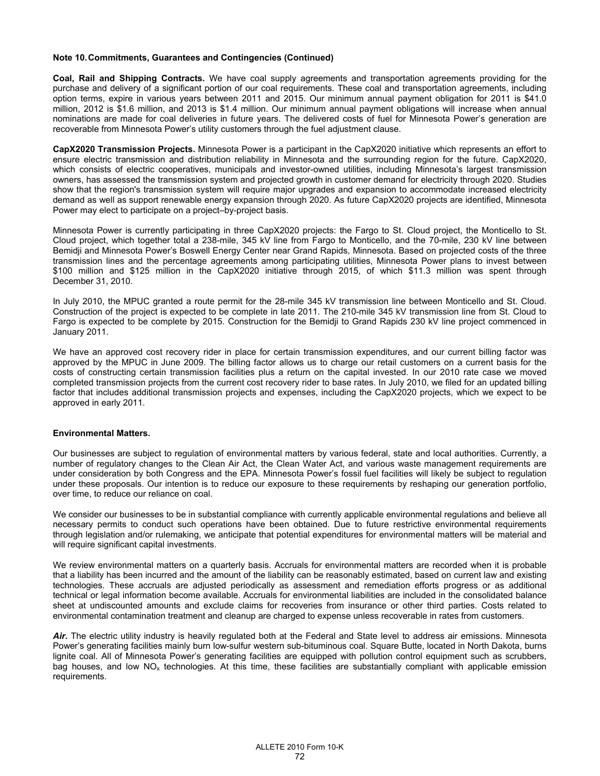### **Note 10. Commitments, Guarantees and Contingencies (Continued)**

**Coal, Rail and Shipping Contracts.** We have coal supply agreements and transportation agreements providing for the purchase and delivery of a significant portion of our coal requirements. These coal and transportation agreements, including option terms, expire in various years between 2011 and 2015. Our minimum annual payment obligation for 2011 is \$41.0 million, 2012 is \$1.6 million, and 2013 is \$1.4 million. Our minimum annual payment obligations will increase when annual nominations are made for coal deliveries in future years. The delivered costs of fuel for Minnesota Power's generation are recoverable from Minnesota Power's utility customers through the fuel adjustment clause.

**CapX2020 Transmission Projects.** Minnesota Power is a participant in the CapX2020 initiative which represents an effort to ensure electric transmission and distribution reliability in Minnesota and the surrounding region for the future. CapX2020, which consists of electric cooperatives, municipals and investor-owned utilities, including Minnesota's largest transmission owners, has assessed the transmission system and projected growth in customer demand for electricity through 2020. Studies show that the region's transmission system will require major upgrades and expansion to accommodate increased electricity demand as well as support renewable energy expansion through 2020. As future CapX2020 projects are identified, Minnesota Power may elect to participate on a project–by-project basis.

Minnesota Power is currently participating in three CapX2020 projects: the Fargo to St. Cloud project, the Monticello to St. Cloud project, which together total a 238-mile, 345 kV line from Fargo to Monticello, and the 70-mile, 230 kV line between Bemidji and Minnesota Power's Boswell Energy Center near Grand Rapids, Minnesota. Based on projected costs of the three transmission lines and the percentage agreements among participating utilities, Minnesota Power plans to invest between \$100 million and \$125 million in the CapX2020 initiative through 2015, of which \$11.3 million was spent through December 31, 2010.

In July 2010, the MPUC granted a route permit for the 28-mile 345 kV transmission line between Monticello and St. Cloud. Construction of the project is expected to be complete in late 2011. The 210-mile 345 kV transmission line from St. Cloud to Fargo is expected to be complete by 2015. Construction for the Bemidji to Grand Rapids 230 kV line project commenced in January 2011.

We have an approved cost recovery rider in place for certain transmission expenditures, and our current billing factor was approved by the MPUC in June 2009. The billing factor allows us to charge our retail customers on a current basis for the costs of constructing certain transmission facilities plus a return on the capital invested. In our 2010 rate case we moved completed transmission projects from the current cost recovery rider to base rates. In July 2010, we filed for an updated billing factor that includes additional transmission projects and expenses, including the CapX2020 projects, which we expect to be approved in early 2011.

### **Environmental Matters.**

Our businesses are subject to regulation of environmental matters by various federal, state and local authorities. Currently, a number of regulatory changes to the Clean Air Act, the Clean Water Act, and various waste management requirements are under consideration by both Congress and the EPA. Minnesota Power's fossil fuel facilities will likely be subject to regulation under these proposals. Our intention is to reduce our exposure to these requirements by reshaping our generation portfolio, over time, to reduce our reliance on coal.

We consider our businesses to be in substantial compliance with currently applicable environmental regulations and believe all necessary permits to conduct such operations have been obtained. Due to future restrictive environmental requirements through legislation and/or rulemaking, we anticipate that potential expenditures for environmental matters will be material and will require significant capital investments.

We review environmental matters on a quarterly basis. Accruals for environmental matters are recorded when it is probable that a liability has been incurred and the amount of the liability can be reasonably estimated, based on current law and existing technologies. These accruals are adjusted periodically as assessment and remediation efforts progress or as additional technical or legal information become available. Accruals for environmental liabilities are included in the consolidated balance sheet at undiscounted amounts and exclude claims for recoveries from insurance or other third parties. Costs related to environmental contamination treatment and cleanup are charged to expense unless recoverable in rates from customers.

Air. The electric utility industry is heavily regulated both at the Federal and State level to address air emissions. Minnesota Power's generating facilities mainly burn low-sulfur western sub-bituminous coal. Square Butte, located in North Dakota, burns lignite coal. All of Minnesota Power's generating facilities are equipped with pollution control equipment such as scrubbers, bag houses, and low  $NO_x$  technologies. At this time, these facilities are substantially compliant with applicable emission requirements.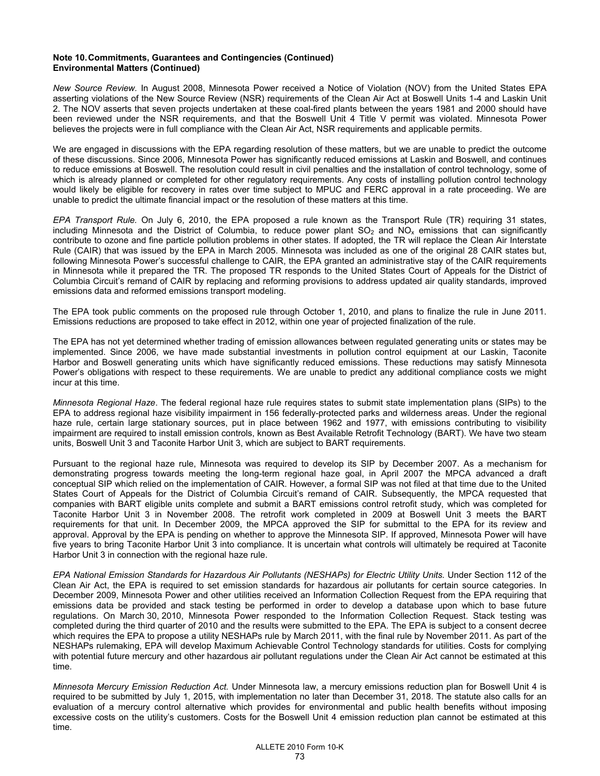#### **Note 10. Commitments, Guarantees and Contingencies (Continued) Environmental Matters (Continued)**

*New Source Review.* In August 2008, Minnesota Power received a Notice of Violation (NOV) from the United States EPA asserting violations of the New Source Review (NSR) requirements of the Clean Air Act at Boswell Units 1-4 and Laskin Unit 2. The NOV asserts that seven projects undertaken at these coal-fired plants between the years 1981 and 2000 should have been reviewed under the NSR requirements, and that the Boswell Unit 4 Title V permit was violated. Minnesota Power believes the projects were in full compliance with the Clean Air Act, NSR requirements and applicable permits.

We are engaged in discussions with the EPA regarding resolution of these matters, but we are unable to predict the outcome of these discussions. Since 2006, Minnesota Power has significantly reduced emissions at Laskin and Boswell, and continues to reduce emissions at Boswell. The resolution could result in civil penalties and the installation of control technology, some of which is already planned or completed for other regulatory requirements. Any costs of installing pollution control technology would likely be eligible for recovery in rates over time subject to MPUC and FERC approval in a rate proceeding. We are unable to predict the ultimate financial impact or the resolution of these matters at this time.

*EPA Transport Rule.* On July 6, 2010, the EPA proposed a rule known as the Transport Rule (TR) requiring 31 states, including Minnesota and the District of Columbia, to reduce power plant  $SO<sub>2</sub>$  and  $NO<sub>x</sub>$  emissions that can significantly contribute to ozone and fine particle pollution problems in other states. If adopted, the TR will replace the Clean Air Interstate Rule (CAIR) that was issued by the EPA in March 2005. Minnesota was included as one of the original 28 CAIR states but, following Minnesota Power's successful challenge to CAIR, the EPA granted an administrative stay of the CAIR requirements in Minnesota while it prepared the TR. The proposed TR responds to the United States Court of Appeals for the District of Columbia Circuit's remand of CAIR by replacing and reforming provisions to address updated air quality standards, improved emissions data and reformed emissions transport modeling.

The EPA took public comments on the proposed rule through October 1, 2010, and plans to finalize the rule in June 2011. Emissions reductions are proposed to take effect in 2012, within one year of projected finalization of the rule.

The EPA has not yet determined whether trading of emission allowances between regulated generating units or states may be implemented. Since 2006, we have made substantial investments in pollution control equipment at our Laskin, Taconite Harbor and Boswell generating units which have significantly reduced emissions. These reductions may satisfy Minnesota Power's obligations with respect to these requirements. We are unable to predict any additional compliance costs we might incur at this time.

*Minnesota Regional Haze*. The federal regional haze rule requires states to submit state implementation plans (SIPs) to the EPA to address regional haze visibility impairment in 156 federally-protected parks and wilderness areas. Under the regional haze rule, certain large stationary sources, put in place between 1962 and 1977, with emissions contributing to visibility impairment are required to install emission controls, known as Best Available Retrofit Technology (BART). We have two steam units, Boswell Unit 3 and Taconite Harbor Unit 3, which are subject to BART requirements.

Pursuant to the regional haze rule, Minnesota was required to develop its SIP by December 2007. As a mechanism for demonstrating progress towards meeting the long-term regional haze goal, in April 2007 the MPCA advanced a draft conceptual SIP which relied on the implementation of CAIR. However, a formal SIP was not filed at that time due to the United States Court of Appeals for the District of Columbia Circuit's remand of CAIR. Subsequently, the MPCA requested that companies with BART eligible units complete and submit a BART emissions control retrofit study, which was completed for Taconite Harbor Unit 3 in November 2008. The retrofit work completed in 2009 at Boswell Unit 3 meets the BART requirements for that unit. In December 2009, the MPCA approved the SIP for submittal to the EPA for its review and approval. Approval by the EPA is pending on whether to approve the Minnesota SIP. If approved, Minnesota Power will have five years to bring Taconite Harbor Unit 3 into compliance. It is uncertain what controls will ultimately be required at Taconite Harbor Unit 3 in connection with the regional haze rule.

*EPA National Emission Standards for Hazardous Air Pollutants (NESHAPs) for Electric Utility Units.* Under Section 112 of the Clean Air Act, the EPA is required to set emission standards for hazardous air pollutants for certain source categories. In December 2009, Minnesota Power and other utilities received an Information Collection Request from the EPA requiring that emissions data be provided and stack testing be performed in order to develop a database upon which to base future regulations. On March 30, 2010, Minnesota Power responded to the Information Collection Request. Stack testing was completed during the third quarter of 2010 and the results were submitted to the EPA. The EPA is subject to a consent decree which requires the EPA to propose a utility NESHAPs rule by March 2011, with the final rule by November 2011. As part of the NESHAPs rulemaking, EPA will develop Maximum Achievable Control Technology standards for utilities. Costs for complying with potential future mercury and other hazardous air pollutant regulations under the Clean Air Act cannot be estimated at this time.

*Minnesota Mercury Emission Reduction Act.* Under Minnesota law, a mercury emissions reduction plan for Boswell Unit 4 is required to be submitted by July 1, 2015, with implementation no later than December 31, 2018. The statute also calls for an evaluation of a mercury control alternative which provides for environmental and public health benefits without imposing excessive costs on the utility's customers. Costs for the Boswell Unit 4 emission reduction plan cannot be estimated at this time.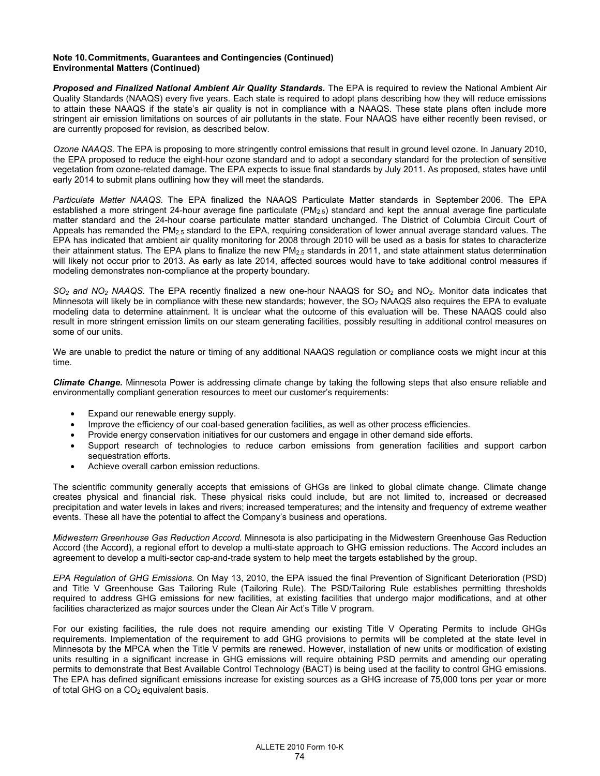#### **Note 10. Commitments, Guarantees and Contingencies (Continued) Environmental Matters (Continued)**

**Proposed and Finalized National Ambient Air Quality Standards.** The EPA is required to review the National Ambient Air Quality Standards (NAAQS) every five years. Each state is required to adopt plans describing how they will reduce emissions to attain these NAAQS if the state's air quality is not in compliance with a NAAQS. These state plans often include more stringent air emission limitations on sources of air pollutants in the state. Four NAAQS have either recently been revised, or are currently proposed for revision, as described below.

*Ozone NAAQS.* The EPA is proposing to more stringently control emissions that result in ground level ozone. In January 2010, the EPA proposed to reduce the eight-hour ozone standard and to adopt a secondary standard for the protection of sensitive vegetation from ozone-related damage. The EPA expects to issue final standards by July 2011. As proposed, states have until early 2014 to submit plans outlining how they will meet the standards.

*Particulate Matter NAAQS.* The EPA finalized the NAAQS Particulate Matter standards in September 2006. The EPA established a more stringent 24-hour average fine particulate  $(PM_{2.5})$  standard and kept the annual average fine particulate matter standard and the 24-hour coarse particulate matter standard unchanged. The District of Columbia Circuit Court of Appeals has remanded the PM<sub>2.5</sub> standard to the EPA, requiring consideration of lower annual average standard values. The EPA has indicated that ambient air quality monitoring for 2008 through 2010 will be used as a basis for states to characterize their attainment status. The EPA plans to finalize the new PM2.5 standards in 2011, and state attainment status determination will likely not occur prior to 2013. As early as late 2014, affected sources would have to take additional control measures if modeling demonstrates non-compliance at the property boundary.

*SO<sub>2</sub> and NO<sub>2</sub> NAAQS.* The EPA recently finalized a new one-hour NAAQS for SO<sub>2</sub> and NO<sub>2</sub>. Monitor data indicates that Minnesota will likely be in compliance with these new standards; however, the SO<sub>2</sub> NAAQS also requires the EPA to evaluate modeling data to determine attainment. It is unclear what the outcome of this evaluation will be. These NAAQS could also result in more stringent emission limits on our steam generating facilities, possibly resulting in additional control measures on some of our units.

We are unable to predict the nature or timing of any additional NAAQS regulation or compliance costs we might incur at this time.

*Climate Change.* Minnesota Power is addressing climate change by taking the following steps that also ensure reliable and environmentally compliant generation resources to meet our customer's requirements:

- Expand our renewable energy supply.
- Improve the efficiency of our coal-based generation facilities, as well as other process efficiencies.
- Provide energy conservation initiatives for our customers and engage in other demand side efforts.
- Support research of technologies to reduce carbon emissions from generation facilities and support carbon sequestration efforts.
- Achieve overall carbon emission reductions.

The scientific community generally accepts that emissions of GHGs are linked to global climate change. Climate change creates physical and financial risk. These physical risks could include, but are not limited to, increased or decreased precipitation and water levels in lakes and rivers; increased temperatures; and the intensity and frequency of extreme weather events. These all have the potential to affect the Company's business and operations.

*Midwestern Greenhouse Gas Reduction Accord.* Minnesota is also participating in the Midwestern Greenhouse Gas Reduction Accord (the Accord), a regional effort to develop a multi-state approach to GHG emission reductions. The Accord includes an agreement to develop a multi-sector cap-and-trade system to help meet the targets established by the group.

*EPA Regulation of GHG Emissions.* On May 13, 2010, the EPA issued the final Prevention of Significant Deterioration (PSD) and Title V Greenhouse Gas Tailoring Rule (Tailoring Rule). The PSD/Tailoring Rule establishes permitting thresholds required to address GHG emissions for new facilities, at existing facilities that undergo major modifications, and at other facilities characterized as major sources under the Clean Air Act's Title V program.

For our existing facilities, the rule does not require amending our existing Title V Operating Permits to include GHGs requirements. Implementation of the requirement to add GHG provisions to permits will be completed at the state level in Minnesota by the MPCA when the Title V permits are renewed. However, installation of new units or modification of existing units resulting in a significant increase in GHG emissions will require obtaining PSD permits and amending our operating permits to demonstrate that Best Available Control Technology (BACT) is being used at the facility to control GHG emissions. The EPA has defined significant emissions increase for existing sources as a GHG increase of 75,000 tons per year or more of total GHG on a  $CO<sub>2</sub>$  equivalent basis.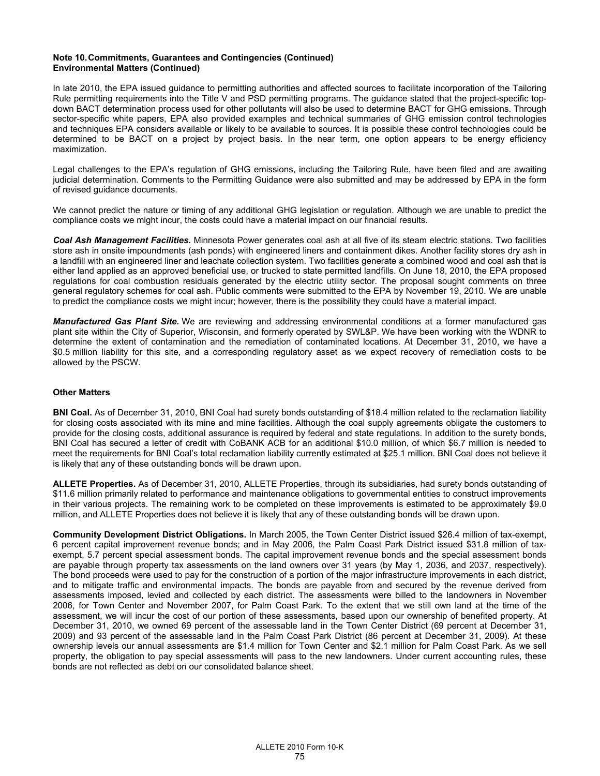#### **Note 10. Commitments, Guarantees and Contingencies (Continued) Environmental Matters (Continued)**

In late 2010, the EPA issued guidance to permitting authorities and affected sources to facilitate incorporation of the Tailoring Rule permitting requirements into the Title V and PSD permitting programs. The guidance stated that the project-specific topdown BACT determination process used for other pollutants will also be used to determine BACT for GHG emissions. Through sector-specific white papers, EPA also provided examples and technical summaries of GHG emission control technologies and techniques EPA considers available or likely to be available to sources. It is possible these control technologies could be determined to be BACT on a project by project basis. In the near term, one option appears to be energy efficiency maximization.

Legal challenges to the EPA's regulation of GHG emissions, including the Tailoring Rule, have been filed and are awaiting judicial determination. Comments to the Permitting Guidance were also submitted and may be addressed by EPA in the form of revised guidance documents.

We cannot predict the nature or timing of any additional GHG legislation or regulation. Although we are unable to predict the compliance costs we might incur, the costs could have a material impact on our financial results.

*Coal Ash Management Facilities.* Minnesota Power generates coal ash at all five of its steam electric stations. Two facilities store ash in onsite impoundments (ash ponds) with engineered liners and containment dikes. Another facility stores dry ash in a landfill with an engineered liner and leachate collection system. Two facilities generate a combined wood and coal ash that is either land applied as an approved beneficial use, or trucked to state permitted landfills. On June 18, 2010, the EPA proposed regulations for coal combustion residuals generated by the electric utility sector. The proposal sought comments on three general regulatory schemes for coal ash. Public comments were submitted to the EPA by November 19, 2010. We are unable to predict the compliance costs we might incur; however, there is the possibility they could have a material impact.

*Manufactured Gas Plant Site.* We are reviewing and addressing environmental conditions at a former manufactured gas plant site within the City of Superior, Wisconsin, and formerly operated by SWL&P. We have been working with the WDNR to determine the extent of contamination and the remediation of contaminated locations. At December 31, 2010, we have a \$0.5 million liability for this site, and a corresponding regulatory asset as we expect recovery of remediation costs to be allowed by the PSCW.

### **Other Matters**

**BNI Coal.** As of December 31, 2010, BNI Coal had surety bonds outstanding of \$18.4 million related to the reclamation liability for closing costs associated with its mine and mine facilities. Although the coal supply agreements obligate the customers to provide for the closing costs, additional assurance is required by federal and state regulations. In addition to the surety bonds, BNI Coal has secured a letter of credit with CoBANK ACB for an additional \$10.0 million, of which \$6.7 million is needed to meet the requirements for BNI Coal's total reclamation liability currently estimated at \$25.1 million. BNI Coal does not believe it is likely that any of these outstanding bonds will be drawn upon.

**ALLETE Properties.** As of December 31, 2010, ALLETE Properties, through its subsidiaries, had surety bonds outstanding of \$11.6 million primarily related to performance and maintenance obligations to governmental entities to construct improvements in their various projects. The remaining work to be completed on these improvements is estimated to be approximately \$9.0 million, and ALLETE Properties does not believe it is likely that any of these outstanding bonds will be drawn upon.

**Community Development District Obligations.** In March 2005, the Town Center District issued \$26.4 million of tax-exempt, 6 percent capital improvement revenue bonds; and in May 2006, the Palm Coast Park District issued \$31.8 million of taxexempt, 5.7 percent special assessment bonds. The capital improvement revenue bonds and the special assessment bonds are payable through property tax assessments on the land owners over 31 years (by May 1, 2036, and 2037, respectively). The bond proceeds were used to pay for the construction of a portion of the major infrastructure improvements in each district, and to mitigate traffic and environmental impacts. The bonds are payable from and secured by the revenue derived from assessments imposed, levied and collected by each district. The assessments were billed to the landowners in November 2006, for Town Center and November 2007, for Palm Coast Park. To the extent that we still own land at the time of the assessment, we will incur the cost of our portion of these assessments, based upon our ownership of benefited property. At December 31, 2010, we owned 69 percent of the assessable land in the Town Center District (69 percent at December 31, 2009) and 93 percent of the assessable land in the Palm Coast Park District (86 percent at December 31, 2009). At these ownership levels our annual assessments are \$1.4 million for Town Center and \$2.1 million for Palm Coast Park. As we sell property, the obligation to pay special assessments will pass to the new landowners. Under current accounting rules, these bonds are not reflected as debt on our consolidated balance sheet.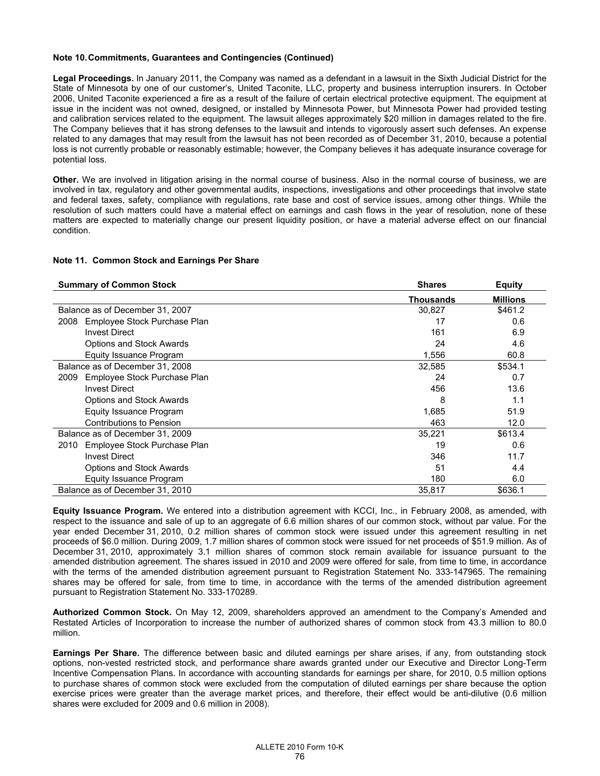#### **Note 10. Commitments, Guarantees and Contingencies (Continued)**

**Legal Proceedings.** In January 2011, the Company was named as a defendant in a lawsuit in the Sixth Judicial District for the State of Minnesota by one of our customer's, United Taconite, LLC, property and business interruption insurers. In October 2006, United Taconite experienced a fire as a result of the failure of certain electrical protective equipment. The equipment at issue in the incident was not owned, designed, or installed by Minnesota Power, but Minnesota Power had provided testing and calibration services related to the equipment. The lawsuit alleges approximately \$20 million in damages related to the fire. The Company believes that it has strong defenses to the lawsuit and intends to vigorously assert such defenses. An expense related to any damages that may result from the lawsuit has not been recorded as of December 31, 2010, because a potential loss is not currently probable or reasonably estimable; however, the Company believes it has adequate insurance coverage for potential loss.

**Other.** We are involved in litigation arising in the normal course of business. Also in the normal course of business, we are involved in tax, regulatory and other governmental audits, inspections, investigations and other proceedings that involve state and federal taxes, safety, compliance with regulations, rate base and cost of service issues, among other things. While the resolution of such matters could have a material effect on earnings and cash flows in the year of resolution, none of these matters are expected to materially change our present liquidity position, or have a material adverse effect on our financial condition.

#### **Note 11. Common Stock and Earnings Per Share**

| <b>Summary of Common Stock</b>       | <b>Shares</b>    | <b>Equity</b>   |
|--------------------------------------|------------------|-----------------|
|                                      | <b>Thousands</b> | <b>Millions</b> |
| Balance as of December 31, 2007      | 30,827           | \$461.2         |
| Employee Stock Purchase Plan<br>2008 | 17               | 0.6             |
| <b>Invest Direct</b>                 | 161              | 6.9             |
| <b>Options and Stock Awards</b>      | 24               | 4.6             |
| Equity Issuance Program              | 1,556            | 60.8            |
| Balance as of December 31, 2008      | 32,585           | \$534.1         |
| Employee Stock Purchase Plan<br>2009 | 24               | 0.7             |
| <b>Invest Direct</b>                 | 456              | 13.6            |
| <b>Options and Stock Awards</b>      | 8                | 1.1             |
| Equity Issuance Program              | 1,685            | 51.9            |
| Contributions to Pension             | 463              | 12.0            |
| Balance as of December 31, 2009      | 35.221           | \$613.4         |
| Employee Stock Purchase Plan<br>2010 | 19               | 0.6             |
| <b>Invest Direct</b>                 | 346              | 11.7            |
| <b>Options and Stock Awards</b>      | 51               | 4.4             |
| Equity Issuance Program              | 180              | 6.0             |
| Balance as of December 31, 2010      | 35,817           | \$636.1         |

**Equity Issuance Program.** We entered into a distribution agreement with KCCI, Inc., in February 2008, as amended, with respect to the issuance and sale of up to an aggregate of 6.6 million shares of our common stock, without par value. For the year ended December 31, 2010, 0.2 million shares of common stock were issued under this agreement resulting in net proceeds of \$6.0 million. During 2009, 1.7 million shares of common stock were issued for net proceeds of \$51.9 million. As of December 31, 2010, approximately 3.1 million shares of common stock remain available for issuance pursuant to the amended distribution agreement. The shares issued in 2010 and 2009 were offered for sale, from time to time, in accordance with the terms of the amended distribution agreement pursuant to Registration Statement No. 333-147965. The remaining shares may be offered for sale, from time to time, in accordance with the terms of the amended distribution agreement pursuant to Registration Statement No. 333-170289.

**Authorized Common Stock.** On May 12, 2009, shareholders approved an amendment to the Company's Amended and Restated Articles of Incorporation to increase the number of authorized shares of common stock from 43.3 million to 80.0 million.

**Earnings Per Share.** The difference between basic and diluted earnings per share arises, if any, from outstanding stock options, non-vested restricted stock, and performance share awards granted under our Executive and Director Long-Term Incentive Compensation Plans. In accordance with accounting standards for earnings per share, for 2010, 0.5 million options to purchase shares of common stock were excluded from the computation of diluted earnings per share because the option exercise prices were greater than the average market prices, and therefore, their effect would be anti-dilutive (0.6 million shares were excluded for 2009 and 0.6 million in 2008).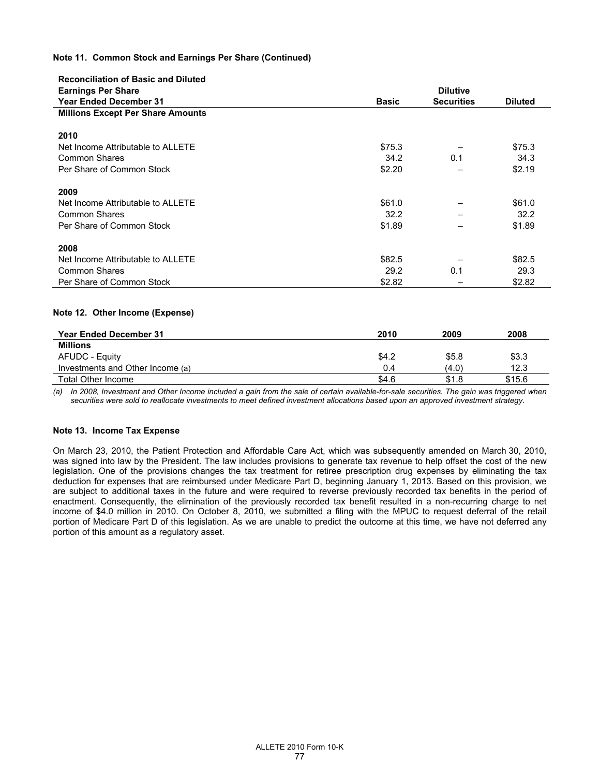### **Note 11. Common Stock and Earnings Per Share (Continued)**

| <b>Reconciliation of Basic and Diluted</b> |              |                   |                |
|--------------------------------------------|--------------|-------------------|----------------|
| <b>Earnings Per Share</b>                  |              | <b>Dilutive</b>   |                |
| <b>Year Ended December 31</b>              | <b>Basic</b> | <b>Securities</b> | <b>Diluted</b> |
| <b>Millions Except Per Share Amounts</b>   |              |                   |                |
|                                            |              |                   |                |
| 2010                                       |              |                   |                |
| Net Income Attributable to ALLETE          | \$75.3       |                   | \$75.3         |
| <b>Common Shares</b>                       | 34.2         | 0.1               | 34.3           |
| Per Share of Common Stock                  | \$2.20       |                   | \$2.19         |
| 2009                                       |              |                   |                |
| Net Income Attributable to ALLETE          | \$61.0       |                   | \$61.0         |
| Common Shares                              | 32.2         |                   | 32.2           |
| Per Share of Common Stock                  | \$1.89       |                   | \$1.89         |
| 2008                                       |              |                   |                |
| Net Income Attributable to ALLETE          | \$82.5       |                   | \$82.5         |
| <b>Common Shares</b>                       | 29.2         | 0.1               | 29.3           |
| Per Share of Common Stock                  | \$2.82       |                   | \$2.82         |

#### **Note 12. Other Income (Expense)**

| <b>Year Ended December 31</b>    | 2010  | 2009  | 2008   |
|----------------------------------|-------|-------|--------|
| <b>Millions</b>                  |       |       |        |
| AFUDC - Equity                   | \$4.2 | \$5.8 | \$3.3  |
| Investments and Other Income (a) | 0.4   | (4.0) | 12.3   |
| Total Other Income               | \$4.6 | \$1.8 | \$15.6 |

*(a) In 2008, Investment and Other Income included a gain from the sale of certain available-for-sale securities. The gain was triggered when securities were sold to reallocate investments to meet defined investment allocations based upon an approved investment strategy.* 

### **Note 13. Income Tax Expense**

On March 23, 2010, the Patient Protection and Affordable Care Act, which was subsequently amended on March 30, 2010, was signed into law by the President. The law includes provisions to generate tax revenue to help offset the cost of the new legislation. One of the provisions changes the tax treatment for retiree prescription drug expenses by eliminating the tax deduction for expenses that are reimbursed under Medicare Part D, beginning January 1, 2013. Based on this provision, we are subject to additional taxes in the future and were required to reverse previously recorded tax benefits in the period of enactment. Consequently, the elimination of the previously recorded tax benefit resulted in a non-recurring charge to net income of \$4.0 million in 2010. On October 8, 2010, we submitted a filing with the MPUC to request deferral of the retail portion of Medicare Part D of this legislation. As we are unable to predict the outcome at this time, we have not deferred any portion of this amount as a regulatory asset.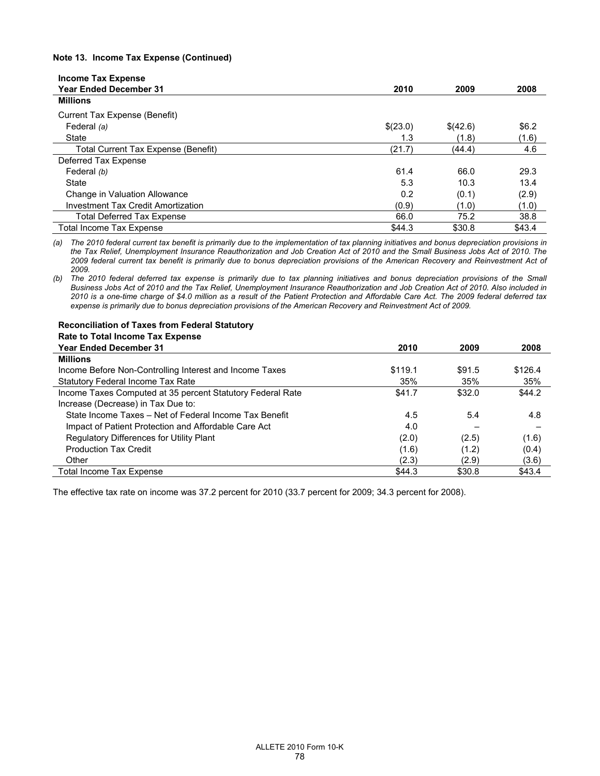### **Note 13. Income Tax Expense (Continued)**

| <b>Income Tax Expense</b>           |          |          |        |
|-------------------------------------|----------|----------|--------|
| <b>Year Ended December 31</b>       | 2010     | 2009     | 2008   |
| <b>Millions</b>                     |          |          |        |
| Current Tax Expense (Benefit)       |          |          |        |
| Federal (a)                         | \$(23.0) | \$(42.6) | \$6.2  |
| State                               | 1.3      | (1.8)    | (1.6)  |
| Total Current Tax Expense (Benefit) | (21.7)   | (44.4)   | 4.6    |
| Deferred Tax Expense                |          |          |        |
| Federal (b)                         | 61.4     | 66.0     | 29.3   |
| State                               | 5.3      | 10.3     | 13.4   |
| Change in Valuation Allowance       | 0.2      | (0.1)    | (2.9)  |
| Investment Tax Credit Amortization  | (0.9)    | (1.0)    | (1.0)  |
| <b>Total Deferred Tax Expense</b>   | 66.0     | 75.2     | 38.8   |
| <b>Total Income Tax Expense</b>     | \$44.3   | \$30.8   | \$43.4 |

*(a) The 2010 federal current tax benefit is primarily due to the implementation of tax planning initiatives and bonus depreciation provisions in the Tax Relief, Unemployment Insurance Reauthorization and Job Creation Act of 2010 and the Small Business Jobs Act of 2010. The 2009 federal current tax benefit is primarily due to bonus depreciation provisions of the American Recovery and Reinvestment Act of 2009.* 

*(b) The 2010 federal deferred tax expense is primarily due to tax planning initiatives and bonus depreciation provisions of the Small Business Jobs Act of 2010 and the Tax Relief, Unemployment Insurance Reauthorization and Job Creation Act of 2010. Also included in 2010 is a one-time charge of \$4.0 million as a result of the Patient Protection and Affordable Care Act. The 2009 federal deferred tax expense is primarily due to bonus depreciation provisions of the American Recovery and Reinvestment Act of 2009.* 

#### **Reconciliation of Taxes from Federal Statutory Rate to Total Income Tax Expense**

| <b>Year Ended December 31</b>                              | 2010    | 2009   | 2008    |
|------------------------------------------------------------|---------|--------|---------|
| <b>Millions</b>                                            |         |        |         |
| Income Before Non-Controlling Interest and Income Taxes    | \$119.1 | \$91.5 | \$126.4 |
| <b>Statutory Federal Income Tax Rate</b>                   | 35%     | 35%    | 35%     |
| Income Taxes Computed at 35 percent Statutory Federal Rate | \$41.7  | \$32.0 | \$44.2  |
| Increase (Decrease) in Tax Due to:                         |         |        |         |
| State Income Taxes - Net of Federal Income Tax Benefit     | 4.5     | 5.4    | 4.8     |
| Impact of Patient Protection and Affordable Care Act       | 4.0     |        |         |
| <b>Regulatory Differences for Utility Plant</b>            | (2.0)   | (2.5)  | (1.6)   |
| <b>Production Tax Credit</b>                               | (1.6)   | (1.2)  | (0.4)   |
| Other                                                      | (2.3)   | (2.9)  | (3.6)   |
| <b>Total Income Tax Expense</b>                            | \$44.3  | \$30.8 | \$43.4  |

The effective tax rate on income was 37.2 percent for 2010 (33.7 percent for 2009; 34.3 percent for 2008).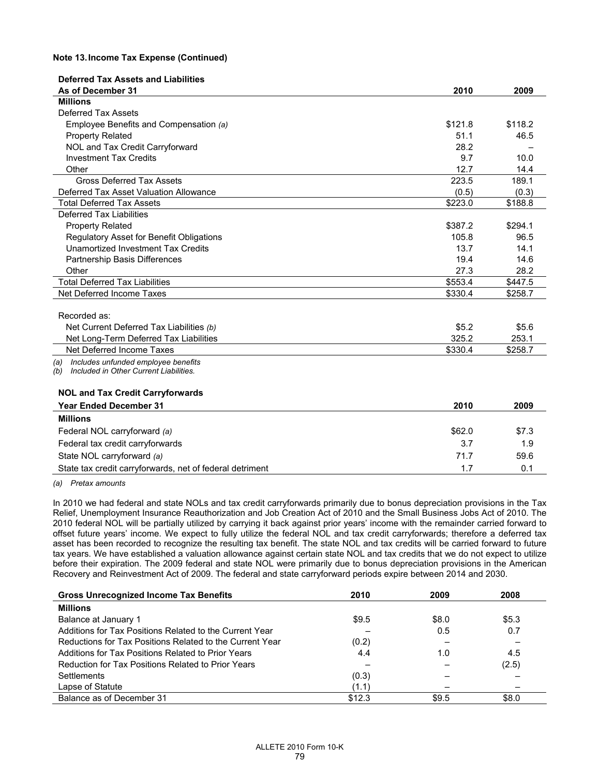#### **Note 13. Income Tax Expense (Continued)**

| <b>Deferred Tax Assets and Liabilities</b>                                                  |         |         |
|---------------------------------------------------------------------------------------------|---------|---------|
| As of December 31<br><b>Millions</b>                                                        | 2010    | 2009    |
| <b>Deferred Tax Assets</b>                                                                  |         |         |
|                                                                                             | \$121.8 | \$118.2 |
| Employee Benefits and Compensation (a)                                                      | 51.1    |         |
| <b>Property Related</b>                                                                     |         | 46.5    |
| NOL and Tax Credit Carryforward                                                             | 28.2    |         |
| <b>Investment Tax Credits</b>                                                               | 9.7     | 10.0    |
| Other                                                                                       | 12.7    | 14.4    |
| <b>Gross Deferred Tax Assets</b>                                                            | 223.5   | 189.1   |
| Deferred Tax Asset Valuation Allowance                                                      | (0.5)   | (0.3)   |
| <b>Total Deferred Tax Assets</b>                                                            | \$223.0 | \$188.8 |
| Deferred Tax Liabilities                                                                    |         |         |
| <b>Property Related</b>                                                                     | \$387.2 | \$294.1 |
| Regulatory Asset for Benefit Obligations                                                    | 105.8   | 96.5    |
| Unamortized Investment Tax Credits                                                          | 13.7    | 14.1    |
| Partnership Basis Differences                                                               | 19.4    | 14.6    |
| Other                                                                                       | 27.3    | 28.2    |
| <b>Total Deferred Tax Liabilities</b>                                                       | \$553.4 | \$447.5 |
| Net Deferred Income Taxes                                                                   | \$330.4 | \$258.7 |
| Recorded as:                                                                                |         |         |
| Net Current Deferred Tax Liabilities (b)                                                    | \$5.2   | \$5.6   |
| Net Long-Term Deferred Tax Liabilities                                                      | 325.2   | 253.1   |
| Net Deferred Income Taxes                                                                   | \$330.4 | \$258.7 |
|                                                                                             |         |         |
| Includes unfunded employee benefits<br>(a)<br>Included in Other Current Liabilities.<br>(b) |         |         |
| <b>NOL and Tax Credit Carryforwards</b>                                                     |         |         |
| <b>Year Ended December 31</b>                                                               | 2010    | 2009    |
| <b>Millions</b>                                                                             |         |         |
| Federal NOL carryforward (a)                                                                | \$62.0  | \$7.3   |
| Federal tax credit carryforwards                                                            | 3.7     | 1.9     |
| State NOL carryforward (a)                                                                  | 71.7    | 59.6    |
| State tax credit carryforwards, net of federal detriment                                    | 1.7     | 0.1     |

*(a) Pretax amounts* 

In 2010 we had federal and state NOLs and tax credit carryforwards primarily due to bonus depreciation provisions in the Tax Relief, Unemployment Insurance Reauthorization and Job Creation Act of 2010 and the Small Business Jobs Act of 2010. The 2010 federal NOL will be partially utilized by carrying it back against prior years' income with the remainder carried forward to offset future years' income. We expect to fully utilize the federal NOL and tax credit carryforwards; therefore a deferred tax asset has been recorded to recognize the resulting tax benefit. The state NOL and tax credits will be carried forward to future tax years. We have established a valuation allowance against certain state NOL and tax credits that we do not expect to utilize before their expiration. The 2009 federal and state NOL were primarily due to bonus depreciation provisions in the American Recovery and Reinvestment Act of 2009. The federal and state carryforward periods expire between 2014 and 2030.

| <b>Gross Unrecognized Income Tax Benefits</b>            | 2010   | 2009  | 2008  |
|----------------------------------------------------------|--------|-------|-------|
| <b>Millions</b>                                          |        |       |       |
| Balance at January 1                                     | \$9.5  | \$8.0 | \$5.3 |
| Additions for Tax Positions Related to the Current Year  |        | 0.5   | 0.7   |
| Reductions for Tax Positions Related to the Current Year | (0.2)  |       |       |
| Additions for Tax Positions Related to Prior Years       | 4.4    | 1.0   | 4.5   |
| Reduction for Tax Positions Related to Prior Years       |        |       | (2.5) |
| <b>Settlements</b>                                       | (0.3)  |       |       |
| Lapse of Statute                                         | (1.1)  |       |       |
| Balance as of December 31                                | \$12.3 | \$9.5 | \$8.0 |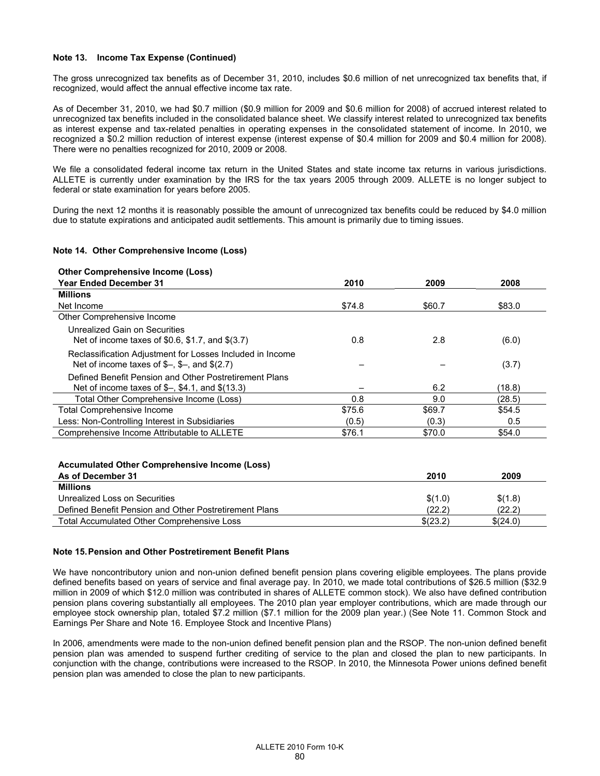#### **Note 13. Income Tax Expense (Continued)**

The gross unrecognized tax benefits as of December 31, 2010, includes \$0.6 million of net unrecognized tax benefits that, if recognized, would affect the annual effective income tax rate.

As of December 31, 2010, we had \$0.7 million (\$0.9 million for 2009 and \$0.6 million for 2008) of accrued interest related to unrecognized tax benefits included in the consolidated balance sheet. We classify interest related to unrecognized tax benefits as interest expense and tax-related penalties in operating expenses in the consolidated statement of income. In 2010, we recognized a \$0.2 million reduction of interest expense (interest expense of \$0.4 million for 2009 and \$0.4 million for 2008). There were no penalties recognized for 2010, 2009 or 2008.

We file a consolidated federal income tax return in the United States and state income tax returns in various jurisdictions. ALLETE is currently under examination by the IRS for the tax years 2005 through 2009. ALLETE is no longer subject to federal or state examination for years before 2005.

During the next 12 months it is reasonably possible the amount of unrecognized tax benefits could be reduced by \$4.0 million due to statute expirations and anticipated audit settlements. This amount is primarily due to timing issues.

#### **Note 14. Other Comprehensive Income (Loss)**

# **Other Comprehensive Income (Loss)**

| <b>Year Ended December 31</b>                                                                                                             | 2010   | 2009    | 2008    |
|-------------------------------------------------------------------------------------------------------------------------------------------|--------|---------|---------|
| <b>Millions</b>                                                                                                                           |        |         |         |
| Net Income                                                                                                                                | \$74.8 | \$60.7  | \$83.0  |
| Other Comprehensive Income                                                                                                                |        |         |         |
| Unrealized Gain on Securities<br>Net of income taxes of \$0.6, \$1.7, and \$(3.7)                                                         | 0.8    | 2.8     | (6.0)   |
| Reclassification Adjustment for Losses Included in Income<br>Net of income taxes of $\frac{6}{3}$ , $\frac{6}{3}$ , and $\frac{6}{2}$ .7) |        |         | (3.7)   |
| Defined Benefit Pension and Other Postretirement Plans<br>Net of income taxes of $\frac{6}{3}$ , \$4.1, and \$(13.3)                      |        | 6.2     | (18.8)  |
| Total Other Comprehensive Income (Loss)                                                                                                   | 0.8    | 9.0     | (28.5)  |
| Total Comprehensive Income                                                                                                                | \$75.6 | \$69.7  | \$54.5  |
| Less: Non-Controlling Interest in Subsidiaries                                                                                            | (0.5)  | (0.3)   | 0.5     |
| Comprehensive Income Attributable to ALLETE                                                                                               | \$76.1 | \$70.0  | \$54.0  |
| <b>Accumulated Other Comprehensive Income (Loss)</b><br>As of December 31                                                                 |        | 2010    | 2009    |
| <b>Millions</b>                                                                                                                           |        |         |         |
| Unrealized Loss on Securities                                                                                                             |        | \$(1.0) | \$(1.8) |
| Defined Benefit Pension and Other Postretirement Plans                                                                                    |        | (22.2)  | (22.2)  |

#### **Note 15. Pension and Other Postretirement Benefit Plans**

We have noncontributory union and non-union defined benefit pension plans covering eligible employees. The plans provide defined benefits based on years of service and final average pay. In 2010, we made total contributions of \$26.5 million (\$32.9 million in 2009 of which \$12.0 million was contributed in shares of ALLETE common stock). We also have defined contribution pension plans covering substantially all employees. The 2010 plan year employer contributions, which are made through our employee stock ownership plan, totaled \$7.2 million (\$7.1 million for the 2009 plan year.) (See Note 11. Common Stock and Earnings Per Share and Note 16. Employee Stock and Incentive Plans)

Total Accumulated Other Comprehensive Loss  $$(23.2)$   $$(24.0)$ 

In 2006, amendments were made to the non-union defined benefit pension plan and the RSOP. The non-union defined benefit pension plan was amended to suspend further crediting of service to the plan and closed the plan to new participants. In conjunction with the change, contributions were increased to the RSOP. In 2010, the Minnesota Power unions defined benefit pension plan was amended to close the plan to new participants.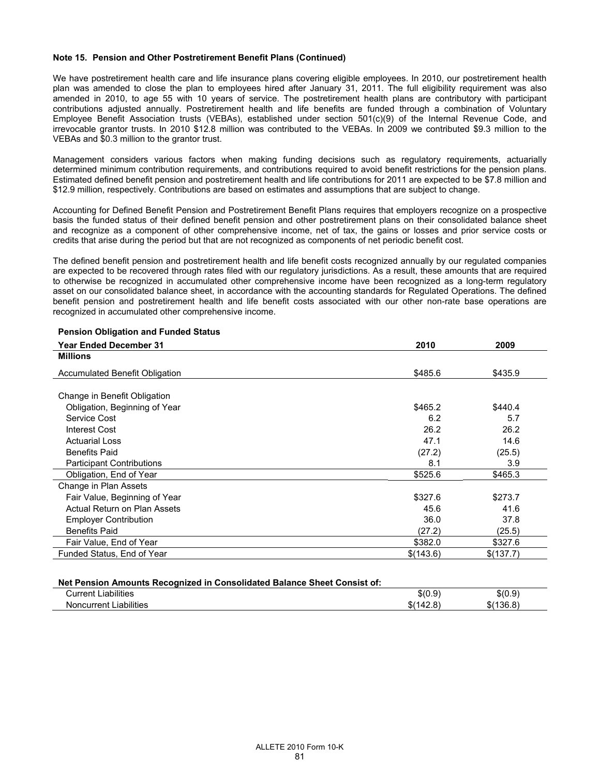We have postretirement health care and life insurance plans covering eligible employees. In 2010, our postretirement health plan was amended to close the plan to employees hired after January 31, 2011. The full eligibility requirement was also amended in 2010, to age 55 with 10 years of service. The postretirement health plans are contributory with participant contributions adjusted annually. Postretirement health and life benefits are funded through a combination of Voluntary Employee Benefit Association trusts (VEBAs), established under section 501(c)(9) of the Internal Revenue Code, and irrevocable grantor trusts. In 2010 \$12.8 million was contributed to the VEBAs. In 2009 we contributed \$9.3 million to the VEBAs and \$0.3 million to the grantor trust.

Management considers various factors when making funding decisions such as regulatory requirements, actuarially determined minimum contribution requirements, and contributions required to avoid benefit restrictions for the pension plans. Estimated defined benefit pension and postretirement health and life contributions for 2011 are expected to be \$7.8 million and \$12.9 million, respectively. Contributions are based on estimates and assumptions that are subject to change.

Accounting for Defined Benefit Pension and Postretirement Benefit Plans requires that employers recognize on a prospective basis the funded status of their defined benefit pension and other postretirement plans on their consolidated balance sheet and recognize as a component of other comprehensive income, net of tax, the gains or losses and prior service costs or credits that arise during the period but that are not recognized as components of net periodic benefit cost.

The defined benefit pension and postretirement health and life benefit costs recognized annually by our regulated companies are expected to be recovered through rates filed with our regulatory jurisdictions. As a result, these amounts that are required to otherwise be recognized in accumulated other comprehensive income have been recognized as a long-term regulatory asset on our consolidated balance sheet, in accordance with the accounting standards for Regulated Operations. The defined benefit pension and postretirement health and life benefit costs associated with our other non-rate base operations are recognized in accumulated other comprehensive income.

| <b>Year Ended December 31</b>         | 2010      | 2009      |
|---------------------------------------|-----------|-----------|
| <b>Millions</b>                       |           |           |
| <b>Accumulated Benefit Obligation</b> | \$485.6   | \$435.9   |
| Change in Benefit Obligation          |           |           |
| Obligation, Beginning of Year         | \$465.2   | \$440.4   |
| Service Cost                          | 6.2       | 5.7       |
| <b>Interest Cost</b>                  | 26.2      | 26.2      |
| <b>Actuarial Loss</b>                 | 47.1      | 14.6      |
| <b>Benefits Paid</b>                  | (27.2)    | (25.5)    |
| <b>Participant Contributions</b>      | 8.1       | 3.9       |
| Obligation, End of Year               | \$525.6   | \$465.3   |
| Change in Plan Assets                 |           |           |
| Fair Value, Beginning of Year         | \$327.6   | \$273.7   |
| Actual Return on Plan Assets          | 45.6      | 41.6      |
| <b>Employer Contribution</b>          | 36.0      | 37.8      |
| <b>Benefits Paid</b>                  | (27.2)    | (25.5)    |
| Fair Value, End of Year               | \$382.0   | \$327.6   |
| Funded Status, End of Year            | \$(143.6) | \$(137.7) |
|                                       |           |           |

# **Pension Obligation and Funded Status**

| Net Pension Amounts Recognized in Consolidated Balance Sheet Consist of: |           |           |
|--------------------------------------------------------------------------|-----------|-----------|
| <b>Current Liabilities</b>                                               | \$(0.9)   | \$(0.9)   |
| Noncurrent Liabilities                                                   | \$(142.8) | \$(136.8) |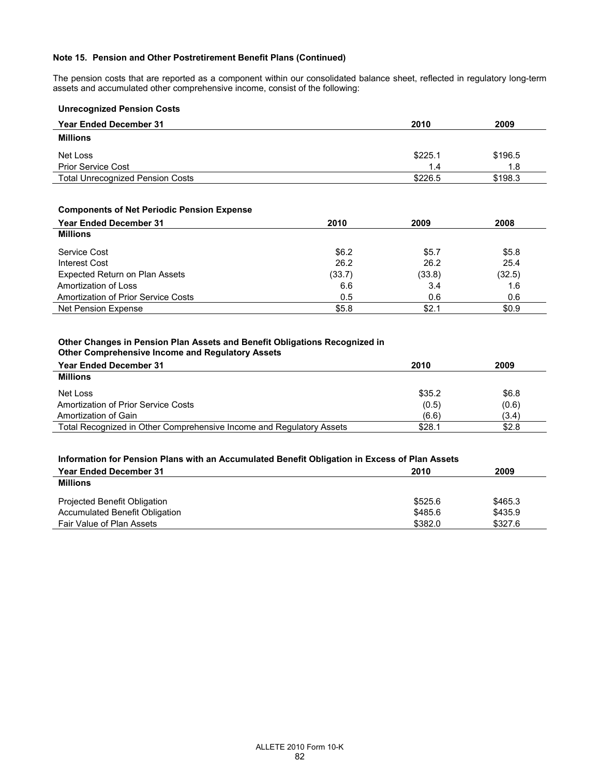The pension costs that are reported as a component within our consolidated balance sheet, reflected in regulatory long-term assets and accumulated other comprehensive income, consist of the following:

| <b>Unrecognized Pension Costs</b>       |         |         |
|-----------------------------------------|---------|---------|
| <b>Year Ended December 31</b>           | 2010    | 2009    |
| <b>Millions</b>                         |         |         |
| Net Loss                                | \$225.1 | \$196.5 |
| <b>Prior Service Cost</b>               | 1.4     | 1.8     |
| <b>Total Unrecognized Pension Costs</b> | \$226.5 | \$198.3 |

# **Components of Net Periodic Pension Expense**

| <b>Year Ended December 31</b>         | 2010   | 2009   | 2008   |
|---------------------------------------|--------|--------|--------|
| <b>Millions</b>                       |        |        |        |
| Service Cost                          | \$6.2  | \$5.7  | \$5.8  |
| Interest Cost                         | 26.2   | 26.2   | 25.4   |
| <b>Expected Return on Plan Assets</b> | (33.7) | (33.8) | (32.5) |
| Amortization of Loss                  | 6.6    | 3.4    | 1.6    |
| Amortization of Prior Service Costs   | 0.5    | 0.6    | 0.6    |
| Net Pension Expense                   | \$5.8  | \$2.1  | \$0.9  |

# **Other Changes in Pension Plan Assets and Benefit Obligations Recognized in Other Comprehensive Income and Regulatory Assets**

| <b>Year Ended December 31</b>                                        | 2010   | 2009  |
|----------------------------------------------------------------------|--------|-------|
| <b>Millions</b>                                                      |        |       |
| Net Loss                                                             | \$35.2 | \$6.8 |
| Amortization of Prior Service Costs                                  | (0.5)  | (0.6) |
| Amortization of Gain                                                 | (6.6)  | (3.4) |
| Total Recognized in Other Comprehensive Income and Regulatory Assets | \$28.1 | \$2.8 |

# **Information for Pension Plans with an Accumulated Benefit Obligation in Excess of Plan Assets**

| <b>Year Ended December 31</b><br><b>Millions</b> | 2010    | 2009    |
|--------------------------------------------------|---------|---------|
| <b>Projected Benefit Obligation</b>              | \$525.6 | \$465.3 |
| Accumulated Benefit Obligation                   | \$485.6 | \$435.9 |
| Fair Value of Plan Assets                        | \$382.0 | \$327.6 |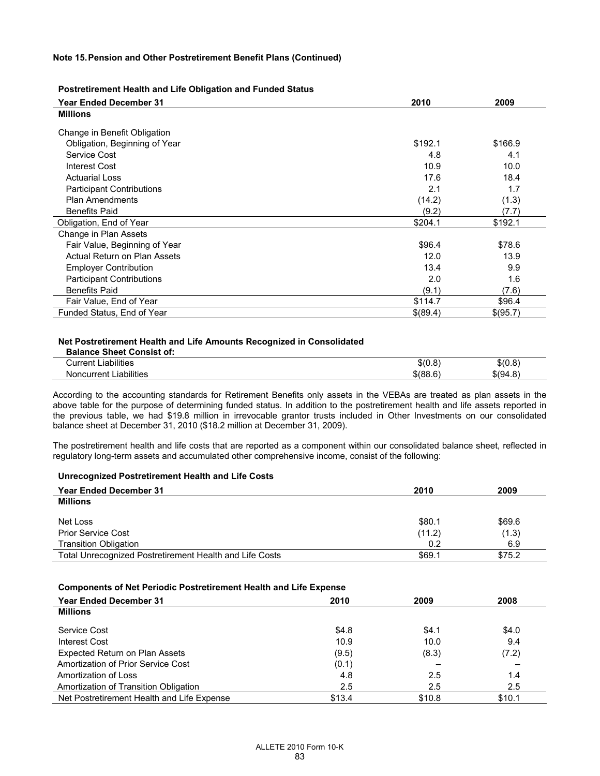#### **Postretirement Health and Life Obligation and Funded Status**

| <b>Year Ended December 31</b>    | 2010     | 2009     |
|----------------------------------|----------|----------|
| <b>Millions</b>                  |          |          |
| Change in Benefit Obligation     |          |          |
| Obligation, Beginning of Year    | \$192.1  | \$166.9  |
| Service Cost                     | 4.8      | 4.1      |
| <b>Interest Cost</b>             | 10.9     | 10.0     |
| <b>Actuarial Loss</b>            | 17.6     | 18.4     |
| <b>Participant Contributions</b> | 2.1      | 1.7      |
| <b>Plan Amendments</b>           | (14.2)   | (1.3)    |
| <b>Benefits Paid</b>             | (9.2)    | (7.7)    |
| Obligation, End of Year          | \$204.1  | \$192.1  |
| Change in Plan Assets            |          |          |
| Fair Value, Beginning of Year    | \$96.4   | \$78.6   |
| Actual Return on Plan Assets     | 12.0     | 13.9     |
| <b>Employer Contribution</b>     | 13.4     | 9.9      |
| <b>Participant Contributions</b> | 2.0      | 1.6      |
| <b>Benefits Paid</b>             | (9.1)    | (7.6)    |
| Fair Value, End of Year          | \$114.7  | \$96.4   |
| Funded Status, End of Year       | \$(89.4) | \$(95.7) |

#### **Net Postretirement Health and Life Amounts Recognized in Consolidated**

| <b>Balance Sheet Consist of:</b> |          |          |
|----------------------------------|----------|----------|
| Current Liabilities              | \$(0.8)  | \$(0.8)  |
| <b>Noncurrent Liabilities</b>    | \$(88.6) | \$(94.8) |

According to the accounting standards for Retirement Benefits only assets in the VEBAs are treated as plan assets in the above table for the purpose of determining funded status. In addition to the postretirement health and life assets reported in the previous table, we had \$19.8 million in irrevocable grantor trusts included in Other Investments on our consolidated balance sheet at December 31, 2010 (\$18.2 million at December 31, 2009).

The postretirement health and life costs that are reported as a component within our consolidated balance sheet, reflected in regulatory long-term assets and accumulated other comprehensive income, consist of the following:

#### **Unrecognized Postretirement Health and Life Costs**

| <b>Year Ended December 31</b>                           | 2010   | 2009   |
|---------------------------------------------------------|--------|--------|
| <b>Millions</b>                                         |        |        |
| Net Loss                                                | \$80.1 | \$69.6 |
| <b>Prior Service Cost</b>                               | (11.2) | (1.3)  |
| <b>Transition Obligation</b>                            | 0.2    | 6.9    |
| Total Unrecognized Postretirement Health and Life Costs | \$69.1 | \$75.2 |

# **Components of Net Periodic Postretirement Health and Life Expense**

| <b>Year Ended December 31</b>              | 2010   | 2009   | 2008   |
|--------------------------------------------|--------|--------|--------|
| <b>Millions</b>                            |        |        |        |
| Service Cost                               | \$4.8  | \$4.1  | \$4.0  |
| Interest Cost                              | 10.9   | 10.0   | 9.4    |
| <b>Expected Return on Plan Assets</b>      | (9.5)  | (8.3)  | (7.2)  |
| Amortization of Prior Service Cost         | (0.1)  |        |        |
| Amortization of Loss                       | 4.8    | 2.5    | 1.4    |
| Amortization of Transition Obligation      | 2.5    | 2.5    | 2.5    |
| Net Postretirement Health and Life Expense | \$13.4 | \$10.8 | \$10.1 |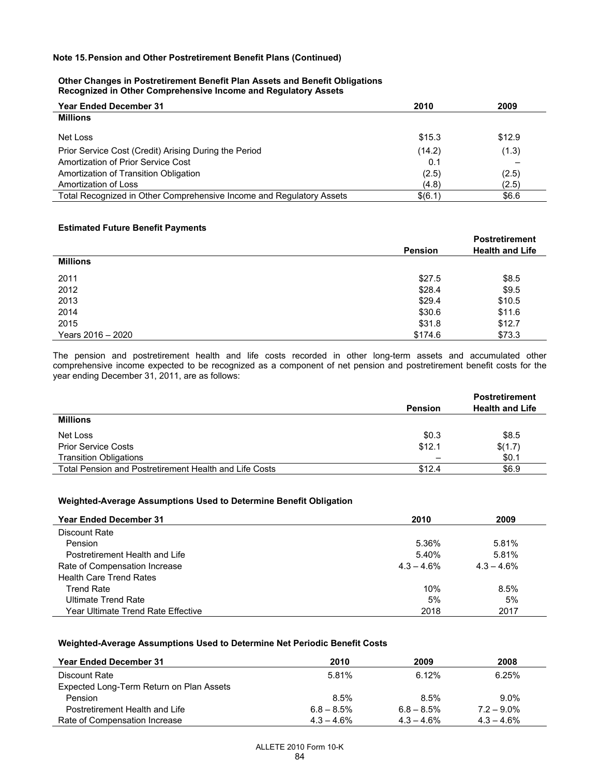#### **Other Changes in Postretirement Benefit Plan Assets and Benefit Obligations Recognized in Other Comprehensive Income and Regulatory Assets**

| <b>Year Ended December 31</b>                                        | 2010    | 2009   |
|----------------------------------------------------------------------|---------|--------|
| <b>Millions</b>                                                      |         |        |
| Net Loss                                                             | \$15.3  | \$12.9 |
| Prior Service Cost (Credit) Arising During the Period                | (14.2)  | (1.3)  |
| Amortization of Prior Service Cost                                   | 0.1     |        |
| Amortization of Transition Obligation                                | (2.5)   | (2.5)  |
| Amortization of Loss                                                 | (4.8)   | (2.5)  |
| Total Recognized in Other Comprehensive Income and Regulatory Assets | \$(6.1) | \$6.6  |

# **Estimated Future Benefit Payments**

|                   |                | <b>Postretirement</b>  |
|-------------------|----------------|------------------------|
|                   | <b>Pension</b> | <b>Health and Life</b> |
| <b>Millions</b>   |                |                        |
| 2011              | \$27.5         | \$8.5                  |
| 2012              | \$28.4         | \$9.5                  |
| 2013              | \$29.4         | \$10.5                 |
| 2014              | \$30.6         | \$11.6                 |
| 2015              | \$31.8         | \$12.7                 |
| Years 2016 - 2020 | \$174.6        | \$73.3                 |

The pension and postretirement health and life costs recorded in other long-term assets and accumulated other comprehensive income expected to be recognized as a component of net pension and postretirement benefit costs for the year ending December 31, 2011, are as follows:

|                                                        |                | <b>Postretirement</b>  |
|--------------------------------------------------------|----------------|------------------------|
|                                                        | <b>Pension</b> | <b>Health and Life</b> |
| <b>Millions</b>                                        |                |                        |
| Net Loss                                               | \$0.3          | \$8.5                  |
| <b>Prior Service Costs</b>                             | \$12.1         | \$(1.7)                |
| <b>Transition Obligations</b>                          |                | \$0.1                  |
| Total Pension and Postretirement Health and Life Costs | \$12.4         | \$6.9                  |

#### **Weighted-Average Assumptions Used to Determine Benefit Obligation**

| <b>Year Ended December 31</b>      | 2010          | 2009         |
|------------------------------------|---------------|--------------|
| Discount Rate                      |               |              |
| Pension                            | 5.36%         | 5.81%        |
| Postretirement Health and Life     | 5.40%         | 5.81%        |
| Rate of Compensation Increase      | $4.3 - 4.6\%$ | $4.3 - 4.6%$ |
| <b>Health Care Trend Rates</b>     |               |              |
| <b>Trend Rate</b>                  | 10%           | 8.5%         |
| Ultimate Trend Rate                | 5%            | 5%           |
| Year Ultimate Trend Rate Effective | 2018          | 2017         |

## **Weighted-Average Assumptions Used to Determine Net Periodic Benefit Costs**

| <b>Year Ended December 31</b>            | 2010          | 2009          | 2008          |
|------------------------------------------|---------------|---------------|---------------|
| Discount Rate                            | 5.81%         | 6.12%         | 6.25%         |
| Expected Long-Term Return on Plan Assets |               |               |               |
| Pension                                  | 8.5%          | 8.5%          | $9.0\%$       |
| Postretirement Health and Life           | $6.8 - 8.5\%$ | $6.8 - 8.5\%$ | $7.2 - 9.0\%$ |
| Rate of Compensation Increase            | $4.3 - 4.6\%$ | $4.3 - 4.6\%$ | $4.3 - 4.6\%$ |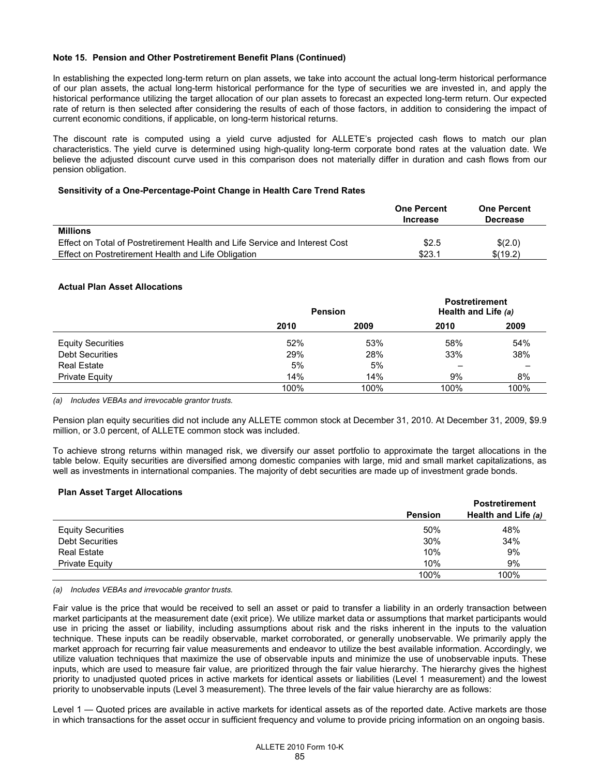In establishing the expected long-term return on plan assets, we take into account the actual long-term historical performance of our plan assets, the actual long-term historical performance for the type of securities we are invested in, and apply the historical performance utilizing the target allocation of our plan assets to forecast an expected long-term return. Our expected rate of return is then selected after considering the results of each of those factors, in addition to considering the impact of current economic conditions, if applicable, on long-term historical returns.

The discount rate is computed using a yield curve adjusted for ALLETE's projected cash flows to match our plan characteristics. The yield curve is determined using high-quality long-term corporate bond rates at the valuation date. We believe the adjusted discount curve used in this comparison does not materially differ in duration and cash flows from our pension obligation.

#### **Sensitivity of a One-Percentage-Point Change in Health Care Trend Rates**

|                                                                             | <b>One Percent</b> | <b>One Percent</b> |
|-----------------------------------------------------------------------------|--------------------|--------------------|
|                                                                             | <b>Increase</b>    | <b>Decrease</b>    |
| <b>Millions</b>                                                             |                    |                    |
| Effect on Total of Postretirement Health and Life Service and Interest Cost | \$2.5              | \$(2.0)            |
| Effect on Postretirement Health and Life Obligation                         | \$23.1             | \$(19.2)           |

#### **Actual Plan Asset Allocations**

|                          | <b>Pension</b> |      | <b>Postretirement</b><br>Health and Life (a) |      |
|--------------------------|----------------|------|----------------------------------------------|------|
|                          | 2010           | 2009 | 2010                                         | 2009 |
| <b>Equity Securities</b> | 52%            | 53%  | 58%                                          | 54%  |
| <b>Debt Securities</b>   | 29%            | 28%  | 33%                                          | 38%  |
| <b>Real Estate</b>       | 5%             | 5%   | -                                            |      |
| Private Equity           | 14%            | 14%  | 9%                                           | 8%   |
|                          | 100%           | 100% | 100%                                         | 100% |

*(a) Includes VEBAs and irrevocable grantor trusts.* 

Pension plan equity securities did not include any ALLETE common stock at December 31, 2010. At December 31, 2009, \$9.9 million, or 3.0 percent, of ALLETE common stock was included.

To achieve strong returns within managed risk, we diversify our asset portfolio to approximate the target allocations in the table below. Equity securities are diversified among domestic companies with large, mid and small market capitalizations, as well as investments in international companies. The majority of debt securities are made up of investment grade bonds.

### **Plan Asset Target Allocations**

|                          |                | <b>Postretirement</b> |
|--------------------------|----------------|-----------------------|
|                          | <b>Pension</b> | Health and Life (a)   |
| <b>Equity Securities</b> | 50%            | 48%                   |
| <b>Debt Securities</b>   | 30%            | 34%                   |
| <b>Real Estate</b>       | 10%            | 9%                    |
| Private Equity           | 10%            | 9%                    |
|                          | 100%           | 100%                  |

*(a) Includes VEBAs and irrevocable grantor trusts.* 

Fair value is the price that would be received to sell an asset or paid to transfer a liability in an orderly transaction between market participants at the measurement date (exit price). We utilize market data or assumptions that market participants would use in pricing the asset or liability, including assumptions about risk and the risks inherent in the inputs to the valuation technique. These inputs can be readily observable, market corroborated, or generally unobservable. We primarily apply the market approach for recurring fair value measurements and endeavor to utilize the best available information. Accordingly, we utilize valuation techniques that maximize the use of observable inputs and minimize the use of unobservable inputs. These inputs, which are used to measure fair value, are prioritized through the fair value hierarchy. The hierarchy gives the highest priority to unadjusted quoted prices in active markets for identical assets or liabilities (Level 1 measurement) and the lowest priority to unobservable inputs (Level 3 measurement). The three levels of the fair value hierarchy are as follows:

Level 1 — Quoted prices are available in active markets for identical assets as of the reported date. Active markets are those in which transactions for the asset occur in sufficient frequency and volume to provide pricing information on an ongoing basis.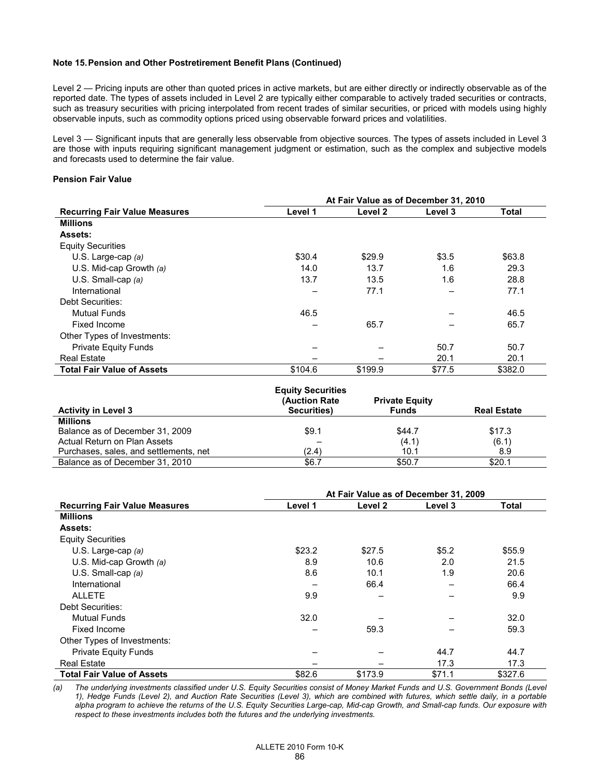Level 2 — Pricing inputs are other than quoted prices in active markets, but are either directly or indirectly observable as of the reported date. The types of assets included in Level 2 are typically either comparable to actively traded securities or contracts, such as treasury securities with pricing interpolated from recent trades of similar securities, or priced with models using highly observable inputs, such as commodity options priced using observable forward prices and volatilities.

Level 3 — Significant inputs that are generally less observable from objective sources. The types of assets included in Level 3 are those with inputs requiring significant management judgment or estimation, such as the complex and subjective models and forecasts used to determine the fair value.

# **Pension Fair Value**

|                                      | At Fair Value as of December 31, 2010 |                    |         |              |
|--------------------------------------|---------------------------------------|--------------------|---------|--------------|
| <b>Recurring Fair Value Measures</b> | Level 1                               | Level <sub>2</sub> | Level 3 | <b>Total</b> |
| <b>Millions</b>                      |                                       |                    |         |              |
| <b>Assets:</b>                       |                                       |                    |         |              |
| <b>Equity Securities</b>             |                                       |                    |         |              |
| U.S. Large-cap (a)                   | \$30.4                                | \$29.9             | \$3.5   | \$63.8       |
| U.S. Mid-cap Growth $(a)$            | 14.0                                  | 13.7               | 1.6     | 29.3         |
| U.S. Small-cap $(a)$                 | 13.7                                  | 13.5               | 1.6     | 28.8         |
| International                        |                                       | 77.1               |         | 77.1         |
| Debt Securities:                     |                                       |                    |         |              |
| Mutual Funds                         | 46.5                                  |                    |         | 46.5         |
| Fixed Income                         |                                       | 65.7               |         | 65.7         |
| Other Types of Investments:          |                                       |                    |         |              |
| <b>Private Equity Funds</b>          |                                       |                    | 50.7    | 50.7         |
| <b>Real Estate</b>                   |                                       |                    | 20.1    | 20.1         |
| <b>Total Fair Value of Assets</b>    | \$104.6                               | \$199.9            | \$77.5  | \$382.0      |

| <b>Activity in Level 3</b>             | <b>Equity Securities</b><br>(Auction Rate)<br>Securities) | <b>Private Equity</b><br><b>Funds</b> | <b>Real Estate</b> |
|----------------------------------------|-----------------------------------------------------------|---------------------------------------|--------------------|
| <b>Millions</b>                        |                                                           |                                       |                    |
| Balance as of December 31, 2009        | \$9.1                                                     | \$44.7                                | \$17.3             |
| Actual Return on Plan Assets           |                                                           | (4.1)                                 | (6.1)              |
| Purchases, sales, and settlements, net | (2.4)                                                     | 10.1                                  | 8.9                |
| Balance as of December 31, 2010        | \$6.7                                                     | \$50.7                                | \$20.1             |

|                                      | At Fair Value as of December 31, 2009 |                    |         |         |  |
|--------------------------------------|---------------------------------------|--------------------|---------|---------|--|
| <b>Recurring Fair Value Measures</b> | Level 1                               | Level <sub>2</sub> | Level 3 | Total   |  |
| <b>Millions</b>                      |                                       |                    |         |         |  |
| <b>Assets:</b>                       |                                       |                    |         |         |  |
| <b>Equity Securities</b>             |                                       |                    |         |         |  |
| U.S. Large-cap $(a)$                 | \$23.2                                | \$27.5             | \$5.2   | \$55.9  |  |
| U.S. Mid-cap Growth $(a)$            | 8.9                                   | 10.6               | 2.0     | 21.5    |  |
| U.S. Small-cap $(a)$                 | 8.6                                   | 10.1               | 1.9     | 20.6    |  |
| International                        |                                       | 66.4               |         | 66.4    |  |
| <b>ALLETE</b>                        | 9.9                                   |                    |         | 9.9     |  |
| Debt Securities:                     |                                       |                    |         |         |  |
| <b>Mutual Funds</b>                  | 32.0                                  |                    |         | 32.0    |  |
| Fixed Income                         |                                       | 59.3               |         | 59.3    |  |
| Other Types of Investments:          |                                       |                    |         |         |  |
| <b>Private Equity Funds</b>          |                                       |                    | 44.7    | 44.7    |  |
| <b>Real Estate</b>                   |                                       |                    | 17.3    | 17.3    |  |
| <b>Total Fair Value of Assets</b>    | \$82.6                                | \$173.9            | \$71.1  | \$327.6 |  |

*(a) The underlying investments classified under U.S. Equity Securities consist of Money Market Funds and U.S. Government Bonds (Level 1), Hedge Funds (Level 2), and Auction Rate Securities (Level 3), which are combined with futures, which settle daily, in a portable alpha program to achieve the returns of the U.S. Equity Securities Large-cap, Mid-cap Growth, and Small-cap funds. Our exposure with respect to these investments includes both the futures and the underlying investments.*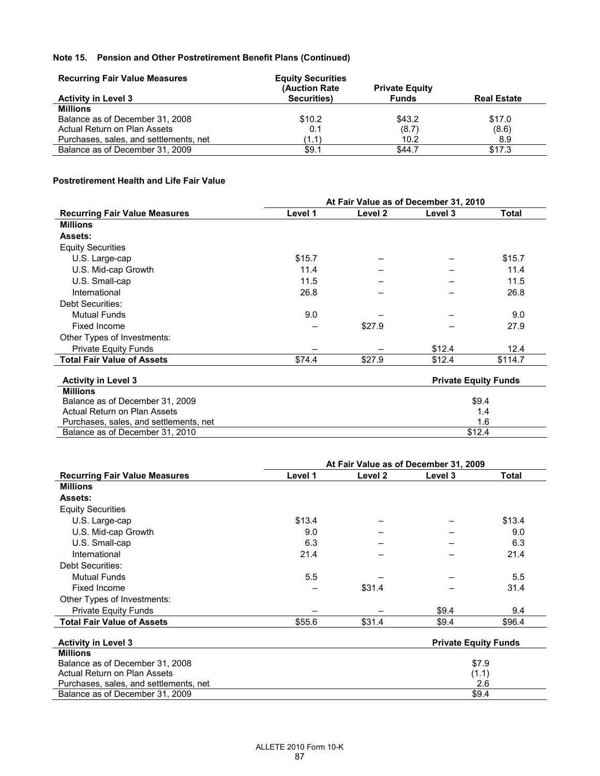| <b>Recurring Fair Value Measures</b>   | <b>Equity Securities</b> |                       |                    |
|----------------------------------------|--------------------------|-----------------------|--------------------|
|                                        | (Auction Rate)           | <b>Private Equity</b> |                    |
| <b>Activity in Level 3</b>             | Securities)              | <b>Funds</b>          | <b>Real Estate</b> |
| <b>Millions</b>                        |                          |                       |                    |
| Balance as of December 31, 2008        | \$10.2                   | \$43.2                | \$17.0             |
| Actual Return on Plan Assets           | 0.1                      | (8.7)                 | (8.6)              |
| Purchases, sales, and settlements, net | (1.1)                    | 10.2                  | 8.9                |
| Balance as of December 31, 2009        | \$9.1                    | \$44.7                | \$17.3             |

# **Postretirement Health and Life Fair Value**

|                                        |         |         | At Fair Value as of December 31, 2010 |                             |
|----------------------------------------|---------|---------|---------------------------------------|-----------------------------|
| <b>Recurring Fair Value Measures</b>   | Level 1 | Level 2 | Level 3                               | Total                       |
| <b>Millions</b>                        |         |         |                                       |                             |
| <b>Assets:</b>                         |         |         |                                       |                             |
| <b>Equity Securities</b>               |         |         |                                       |                             |
| U.S. Large-cap                         | \$15.7  |         |                                       | \$15.7                      |
| U.S. Mid-cap Growth                    | 11.4    |         |                                       | 11.4                        |
| U.S. Small-cap                         | 11.5    |         |                                       | 11.5                        |
| International                          | 26.8    |         |                                       | 26.8                        |
| Debt Securities:                       |         |         |                                       |                             |
| <b>Mutual Funds</b>                    | 9.0     |         |                                       | 9.0                         |
| Fixed Income                           |         | \$27.9  |                                       | 27.9                        |
| Other Types of Investments:            |         |         |                                       |                             |
| <b>Private Equity Funds</b>            |         |         | \$12.4                                | 12.4                        |
| <b>Total Fair Value of Assets</b>      | \$74.4  | \$27.9  | \$12.4                                | \$114.7                     |
| <b>Activity in Level 3</b>             |         |         |                                       | <b>Private Equity Funds</b> |
| <b>Millions</b>                        |         |         |                                       |                             |
| Balance as of December 31, 2009        |         |         |                                       | \$9.4                       |
| Actual Return on Plan Assets           |         |         |                                       | 1.4                         |
| Purchases, sales, and settlements, net |         |         |                                       | 1.6                         |
| Balance as of December 31, 2010        |         |         |                                       | \$12.4                      |

|                                      | At Fair Value as of December 31, 2009 |         |         |              |  |
|--------------------------------------|---------------------------------------|---------|---------|--------------|--|
| <b>Recurring Fair Value Measures</b> | Level 1                               | Level 2 | Level 3 | <b>Total</b> |  |
| <b>Millions</b>                      |                                       |         |         |              |  |
| <b>Assets:</b>                       |                                       |         |         |              |  |
| <b>Equity Securities</b>             |                                       |         |         |              |  |
| U.S. Large-cap                       | \$13.4                                |         |         | \$13.4       |  |
| U.S. Mid-cap Growth                  | 9.0                                   |         |         | 9.0          |  |
| U.S. Small-cap                       | 6.3                                   |         |         | 6.3          |  |
| International                        | 21.4                                  |         |         | 21.4         |  |
| Debt Securities:                     |                                       |         |         |              |  |
| <b>Mutual Funds</b>                  | 5.5                                   |         |         | 5.5          |  |
| Fixed Income                         |                                       | \$31.4  |         | 31.4         |  |
| Other Types of Investments:          |                                       |         |         |              |  |
| <b>Private Equity Funds</b>          |                                       |         | \$9.4   | 9.4          |  |
| <b>Total Fair Value of Assets</b>    | \$55.6                                | \$31.4  | \$9.4   | \$96.4       |  |
| <b>Activity in Level 3</b>           | <b>Private Equity Funds</b>           |         |         |              |  |

| <b>Millions</b>                        |       |
|----------------------------------------|-------|
| Balance as of December 31, 2008        | \$7.9 |
| Actual Return on Plan Assets           | (1.1) |
| Purchases, sales, and settlements, net | 2.6   |
| Balance as of December 31, 2009        | \$9.4 |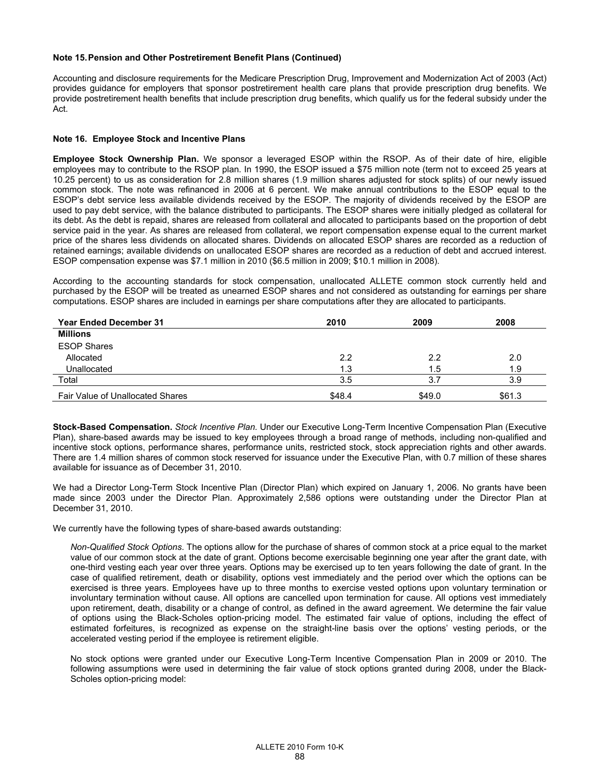Accounting and disclosure requirements for the Medicare Prescription Drug, Improvement and Modernization Act of 2003 (Act) provides guidance for employers that sponsor postretirement health care plans that provide prescription drug benefits. We provide postretirement health benefits that include prescription drug benefits, which qualify us for the federal subsidy under the Act.

#### **Note 16. Employee Stock and Incentive Plans**

**Employee Stock Ownership Plan.** We sponsor a leveraged ESOP within the RSOP. As of their date of hire, eligible employees may to contribute to the RSOP plan. In 1990, the ESOP issued a \$75 million note (term not to exceed 25 years at 10.25 percent) to us as consideration for 2.8 million shares (1.9 million shares adjusted for stock splits) of our newly issued common stock. The note was refinanced in 2006 at 6 percent. We make annual contributions to the ESOP equal to the ESOP's debt service less available dividends received by the ESOP. The majority of dividends received by the ESOP are used to pay debt service, with the balance distributed to participants. The ESOP shares were initially pledged as collateral for its debt. As the debt is repaid, shares are released from collateral and allocated to participants based on the proportion of debt service paid in the year. As shares are released from collateral, we report compensation expense equal to the current market price of the shares less dividends on allocated shares. Dividends on allocated ESOP shares are recorded as a reduction of retained earnings; available dividends on unallocated ESOP shares are recorded as a reduction of debt and accrued interest. ESOP compensation expense was \$7.1 million in 2010 (\$6.5 million in 2009; \$10.1 million in 2008).

According to the accounting standards for stock compensation, unallocated ALLETE common stock currently held and purchased by the ESOP will be treated as unearned ESOP shares and not considered as outstanding for earnings per share computations. ESOP shares are included in earnings per share computations after they are allocated to participants.

| <b>Year Ended December 31</b>    | 2010   | 2009   | 2008   |
|----------------------------------|--------|--------|--------|
| <b>Millions</b>                  |        |        |        |
| <b>ESOP Shares</b>               |        |        |        |
| Allocated                        | 2.2    | 2.2    | 2.0    |
| Unallocated                      | 1.3    | 1.5    | 1.9    |
| Total                            | 3.5    | 3.7    | 3.9    |
| Fair Value of Unallocated Shares | \$48.4 | \$49.0 | \$61.3 |

**Stock-Based Compensation.** *Stock Incentive Plan.* Under our Executive Long-Term Incentive Compensation Plan (Executive Plan), share-based awards may be issued to key employees through a broad range of methods, including non-qualified and incentive stock options, performance shares, performance units, restricted stock, stock appreciation rights and other awards. There are 1.4 million shares of common stock reserved for issuance under the Executive Plan, with 0.7 million of these shares available for issuance as of December 31, 2010.

We had a Director Long-Term Stock Incentive Plan (Director Plan) which expired on January 1, 2006. No grants have been made since 2003 under the Director Plan. Approximately 2,586 options were outstanding under the Director Plan at December 31, 2010.

We currently have the following types of share-based awards outstanding:

*Non-Qualified Stock Options*. The options allow for the purchase of shares of common stock at a price equal to the market value of our common stock at the date of grant. Options become exercisable beginning one year after the grant date, with one-third vesting each year over three years. Options may be exercised up to ten years following the date of grant. In the case of qualified retirement, death or disability, options vest immediately and the period over which the options can be exercised is three years. Employees have up to three months to exercise vested options upon voluntary termination or involuntary termination without cause. All options are cancelled upon termination for cause. All options vest immediately upon retirement, death, disability or a change of control, as defined in the award agreement. We determine the fair value of options using the Black-Scholes option-pricing model. The estimated fair value of options, including the effect of estimated forfeitures, is recognized as expense on the straight-line basis over the options' vesting periods, or the accelerated vesting period if the employee is retirement eligible.

No stock options were granted under our Executive Long-Term Incentive Compensation Plan in 2009 or 2010. The following assumptions were used in determining the fair value of stock options granted during 2008, under the Black-Scholes option-pricing model: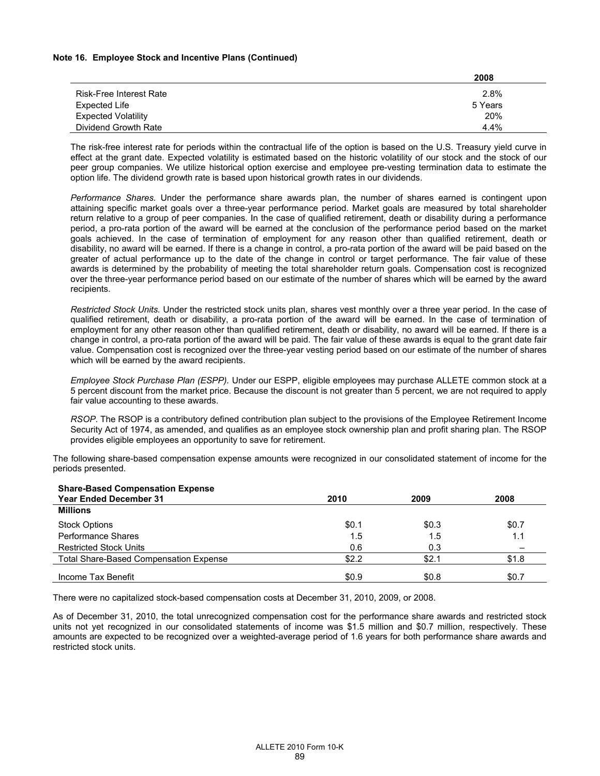#### **Note 16. Employee Stock and Incentive Plans (Continued)**

|                                | 2008    |
|--------------------------------|---------|
| <b>Risk-Free Interest Rate</b> | 2.8%    |
| Expected Life                  | 5 Years |
| <b>Expected Volatility</b>     | 20%     |
| Dividend Growth Rate           | 4.4%    |

The risk-free interest rate for periods within the contractual life of the option is based on the U.S. Treasury yield curve in effect at the grant date. Expected volatility is estimated based on the historic volatility of our stock and the stock of our peer group companies. We utilize historical option exercise and employee pre-vesting termination data to estimate the option life. The dividend growth rate is based upon historical growth rates in our dividends.

*Performance Shares.* Under the performance share awards plan, the number of shares earned is contingent upon attaining specific market goals over a three-year performance period. Market goals are measured by total shareholder return relative to a group of peer companies. In the case of qualified retirement, death or disability during a performance period, a pro-rata portion of the award will be earned at the conclusion of the performance period based on the market goals achieved. In the case of termination of employment for any reason other than qualified retirement, death or disability, no award will be earned. If there is a change in control, a pro-rata portion of the award will be paid based on the greater of actual performance up to the date of the change in control or target performance. The fair value of these awards is determined by the probability of meeting the total shareholder return goals. Compensation cost is recognized over the three-year performance period based on our estimate of the number of shares which will be earned by the award recipients.

*Restricted Stock Units.* Under the restricted stock units plan, shares vest monthly over a three year period. In the case of qualified retirement, death or disability, a pro-rata portion of the award will be earned. In the case of termination of employment for any other reason other than qualified retirement, death or disability, no award will be earned. If there is a change in control, a pro-rata portion of the award will be paid. The fair value of these awards is equal to the grant date fair value. Compensation cost is recognized over the three-year vesting period based on our estimate of the number of shares which will be earned by the award recipients.

*Employee Stock Purchase Plan (ESPP).* Under our ESPP, eligible employees may purchase ALLETE common stock at a 5 percent discount from the market price. Because the discount is not greater than 5 percent, we are not required to apply fair value accounting to these awards.

*RSOP*. The RSOP is a contributory defined contribution plan subject to the provisions of the Employee Retirement Income Security Act of 1974, as amended, and qualifies as an employee stock ownership plan and profit sharing plan. The RSOP provides eligible employees an opportunity to save for retirement.

The following share-based compensation expense amounts were recognized in our consolidated statement of income for the periods presented.

| <b>Share-Based Compensation Expense</b>       |       |       |       |
|-----------------------------------------------|-------|-------|-------|
| <b>Year Ended December 31</b>                 | 2010  | 2009  | 2008  |
| <b>Millions</b>                               |       |       |       |
| <b>Stock Options</b>                          | \$0.1 | \$0.3 | \$0.7 |
| Performance Shares                            | 1.5   | 1.5   | 1.1   |
| <b>Restricted Stock Units</b>                 | 0.6   | 0.3   |       |
| <b>Total Share-Based Compensation Expense</b> | \$2.2 | \$2.1 | \$1.8 |
| Income Tax Benefit                            | \$0.9 | \$0.8 | \$0.7 |

There were no capitalized stock-based compensation costs at December 31, 2010, 2009, or 2008.

As of December 31, 2010, the total unrecognized compensation cost for the performance share awards and restricted stock units not yet recognized in our consolidated statements of income was \$1.5 million and \$0.7 million, respectively. These amounts are expected to be recognized over a weighted-average period of 1.6 years for both performance share awards and restricted stock units.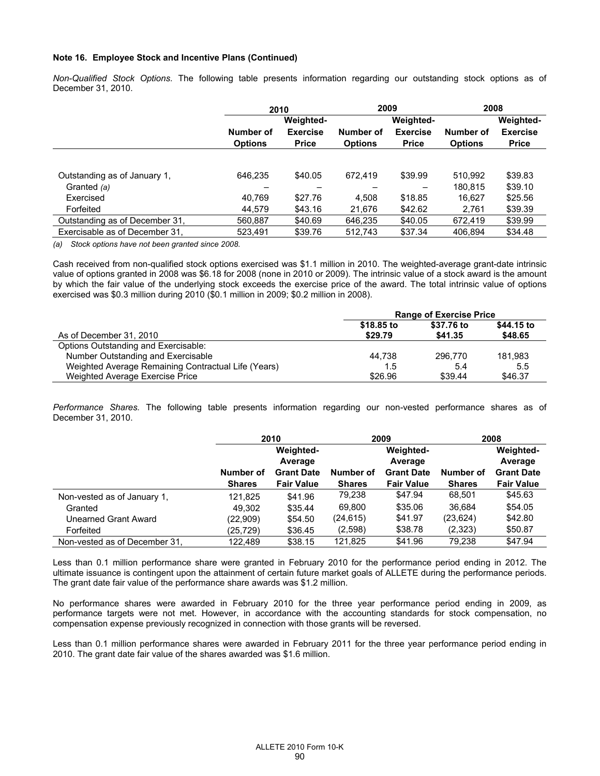#### **Note 16. Employee Stock and Incentive Plans (Continued)**

*Non-Qualified Stock Options.* The following table presents information regarding our outstanding stock options as of December 31, 2010.

|                                | 2010           |                 | 2009           |                  |                | 2008             |  |
|--------------------------------|----------------|-----------------|----------------|------------------|----------------|------------------|--|
|                                |                | Weighted-       |                | <b>Weighted-</b> |                | <b>Weighted-</b> |  |
|                                | Number of      | <b>Exercise</b> | Number of      | <b>Exercise</b>  | Number of      | <b>Exercise</b>  |  |
|                                | <b>Options</b> | <b>Price</b>    | <b>Options</b> | <b>Price</b>     | <b>Options</b> | <b>Price</b>     |  |
|                                |                |                 |                |                  |                |                  |  |
| Outstanding as of January 1,   | 646.235        | \$40.05         | 672.419        | \$39.99          | 510,992        | \$39.83          |  |
| Granted (a)                    |                |                 |                |                  | 180.815        | \$39.10          |  |
| Exercised                      | 40.769         | \$27.76         | 4.508          | \$18.85          | 16.627         | \$25.56          |  |
| Forfeited                      | 44,579         | \$43.16         | 21,676         | \$42.62          | 2,761          | \$39.39          |  |
| Outstanding as of December 31, | 560,887        | \$40.69         | 646.235        | \$40.05          | 672.419        | \$39.99          |  |
| Exercisable as of December 31. | 523.491        | \$39.76         | 512.743        | \$37.34          | 406.894        | \$34.48          |  |

*(a) Stock options have not been granted since 2008.* 

Cash received from non-qualified stock options exercised was \$1.1 million in 2010. The weighted-average grant-date intrinsic value of options granted in 2008 was \$6.18 for 2008 (none in 2010 or 2009). The intrinsic value of a stock award is the amount by which the fair value of the underlying stock exceeds the exercise price of the award. The total intrinsic value of options exercised was \$0.3 million during 2010 (\$0.1 million in 2009; \$0.2 million in 2008).

|                                                     | <b>Range of Exercise Price</b> |                       |                       |  |  |
|-----------------------------------------------------|--------------------------------|-----------------------|-----------------------|--|--|
| As of December 31, 2010                             | \$18,85 to<br>\$29.79          | \$37.76 to<br>\$41.35 | \$44.15 to<br>\$48.65 |  |  |
| Options Outstanding and Exercisable:                |                                |                       |                       |  |  |
| Number Outstanding and Exercisable                  | 44.738                         | 296,770               | 181.983               |  |  |
| Weighted Average Remaining Contractual Life (Years) | 1.5                            | 5.4                   | 5.5                   |  |  |
| Weighted Average Exercise Price                     | \$26.96                        | \$39.44               | \$46.37               |  |  |

*Performance Shares.* The following table presents information regarding our non-vested performance shares as of December 31, 2010.

|                               | 2010                        |                   | 2009          |                             | 2008          |                             |
|-------------------------------|-----------------------------|-------------------|---------------|-----------------------------|---------------|-----------------------------|
|                               | <b>Weighted-</b><br>Average |                   |               | <b>Weighted-</b><br>Average |               | <b>Weighted-</b><br>Average |
|                               | Number of                   | <b>Grant Date</b> | Number of     | <b>Grant Date</b>           | Number of     | <b>Grant Date</b>           |
|                               | <b>Shares</b>               | <b>Fair Value</b> | <b>Shares</b> | <b>Fair Value</b>           | <b>Shares</b> | <b>Fair Value</b>           |
| Non-vested as of January 1,   | 121.825                     | \$41.96           | 79,238        | \$47.94                     | 68,501        | \$45.63                     |
| Granted                       | 49.302                      | \$35.44           | 69,800        | \$35.06                     | 36.684        | \$54.05                     |
| Unearned Grant Award          | (22,909)                    | \$54.50           | (24, 615)     | \$41.97                     | (23, 624)     | \$42.80                     |
| Forfeited                     | (25,729)                    | \$36.45           | (2,598)       | \$38.78                     | (2,323)       | \$50.87                     |
| Non-vested as of December 31, | 122.489                     | \$38.15           | 121.825       | \$41.96                     | 79.238        | \$47.94                     |

Less than 0.1 million performance share were granted in February 2010 for the performance period ending in 2012. The ultimate issuance is contingent upon the attainment of certain future market goals of ALLETE during the performance periods. The grant date fair value of the performance share awards was \$1.2 million.

No performance shares were awarded in February 2010 for the three year performance period ending in 2009, as performance targets were not met. However, in accordance with the accounting standards for stock compensation, no compensation expense previously recognized in connection with those grants will be reversed.

Less than 0.1 million performance shares were awarded in February 2011 for the three year performance period ending in 2010. The grant date fair value of the shares awarded was \$1.6 million.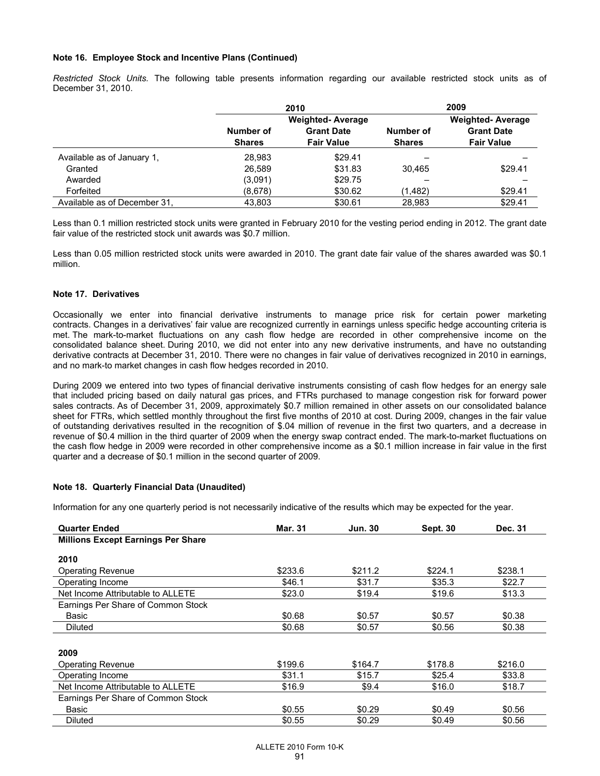#### **Note 16. Employee Stock and Incentive Plans (Continued)**

*Restricted Stock Units.* The following table presents information regarding our available restricted stock units as of December 31, 2010.

|                              |                            | 2010                                                              |         | 2009                                                              |
|------------------------------|----------------------------|-------------------------------------------------------------------|---------|-------------------------------------------------------------------|
|                              | Number of<br><b>Shares</b> | <b>Weighted-Average</b><br><b>Grant Date</b><br><b>Fair Value</b> |         | <b>Weighted-Average</b><br><b>Grant Date</b><br><b>Fair Value</b> |
| Available as of January 1.   | 28.983                     | \$29.41                                                           |         |                                                                   |
| Granted                      | 26.589                     | \$31.83                                                           | 30,465  | \$29.41                                                           |
| Awarded                      | (3,091)                    | \$29.75                                                           |         |                                                                   |
| Forfeited                    | (8,678)                    | \$30.62                                                           | (1,482) | \$29.41                                                           |
| Available as of December 31, | 43.803                     | \$30.61                                                           | 28,983  | \$29.41                                                           |

Less than 0.1 million restricted stock units were granted in February 2010 for the vesting period ending in 2012. The grant date fair value of the restricted stock unit awards was \$0.7 million.

Less than 0.05 million restricted stock units were awarded in 2010. The grant date fair value of the shares awarded was \$0.1 million.

#### **Note 17. Derivatives**

Occasionally we enter into financial derivative instruments to manage price risk for certain power marketing contracts. Changes in a derivatives' fair value are recognized currently in earnings unless specific hedge accounting criteria is met. The mark-to-market fluctuations on any cash flow hedge are recorded in other comprehensive income on the consolidated balance sheet. During 2010, we did not enter into any new derivative instruments, and have no outstanding derivative contracts at December 31, 2010. There were no changes in fair value of derivatives recognized in 2010 in earnings, and no mark-to market changes in cash flow hedges recorded in 2010.

During 2009 we entered into two types of financial derivative instruments consisting of cash flow hedges for an energy sale that included pricing based on daily natural gas prices, and FTRs purchased to manage congestion risk for forward power sales contracts. As of December 31, 2009, approximately \$0.7 million remained in other assets on our consolidated balance sheet for FTRs, which settled monthly throughout the first five months of 2010 at cost. During 2009, changes in the fair value of outstanding derivatives resulted in the recognition of \$.04 million of revenue in the first two quarters, and a decrease in revenue of \$0.4 million in the third quarter of 2009 when the energy swap contract ended. The mark-to-market fluctuations on the cash flow hedge in 2009 were recorded in other comprehensive income as a \$0.1 million increase in fair value in the first quarter and a decrease of \$0.1 million in the second quarter of 2009.

#### **Note 18. Quarterly Financial Data (Unaudited)**

Information for any one quarterly period is not necessarily indicative of the results which may be expected for the year.

| <b>Quarter Ended</b>                      | <b>Mar. 31</b> | <b>Jun. 30</b> | <b>Sept. 30</b> | Dec. 31 |
|-------------------------------------------|----------------|----------------|-----------------|---------|
| <b>Millions Except Earnings Per Share</b> |                |                |                 |         |
|                                           |                |                |                 |         |
| 2010                                      |                |                |                 |         |
| <b>Operating Revenue</b>                  | \$233.6        | \$211.2        | \$224.1         | \$238.1 |
| Operating Income                          | \$46.1         | \$31.7         | \$35.3          | \$22.7  |
| Net Income Attributable to ALLETE         | \$23.0         | \$19.4         | \$19.6          | \$13.3  |
| Earnings Per Share of Common Stock        |                |                |                 |         |
| Basic                                     | \$0.68         | \$0.57         | \$0.57          | \$0.38  |
| Diluted                                   | \$0.68         | \$0.57         | \$0.56          | \$0.38  |
|                                           |                |                |                 |         |
| 2009                                      |                |                |                 |         |
| <b>Operating Revenue</b>                  | \$199.6        | \$164.7        | \$178.8         | \$216.0 |
| Operating Income                          | \$31.1         | \$15.7         | \$25.4          | \$33.8  |
| Net Income Attributable to ALLETE         | \$16.9         | \$9.4          | \$16.0          | \$18.7  |
| Earnings Per Share of Common Stock        |                |                |                 |         |
| Basic                                     | \$0.55         | \$0.29         | \$0.49          | \$0.56  |
| <b>Diluted</b>                            | \$0.55         | \$0.29         | \$0.49          | \$0.56  |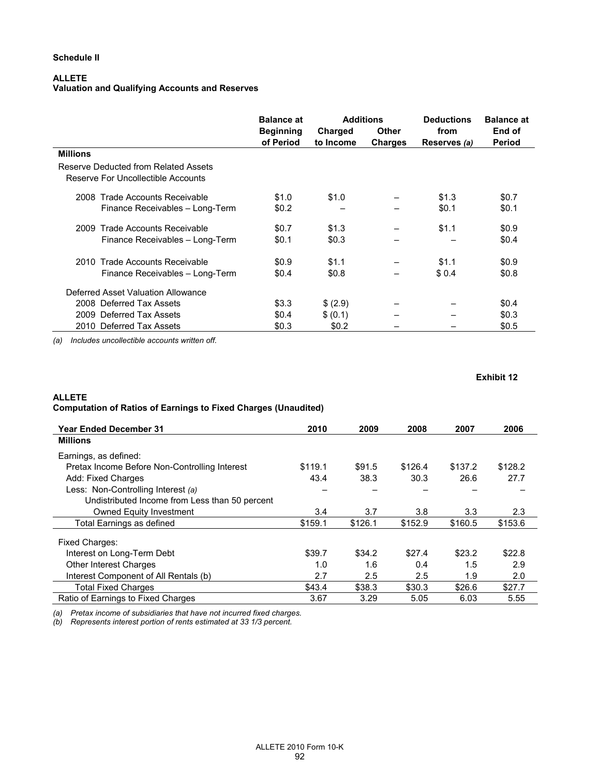# **ALLETE**

# **Valuation and Qualifying Accounts and Reserves**

|                                                                            | <b>Balance at</b><br><b>Beginning</b><br>of Period | <b>Additions</b><br>Charged<br>to Income | <b>Other</b><br><b>Charges</b> | <b>Deductions</b><br>from<br>Reserves (a) | <b>Balance at</b><br>End of<br>Period |
|----------------------------------------------------------------------------|----------------------------------------------------|------------------------------------------|--------------------------------|-------------------------------------------|---------------------------------------|
| <b>Millions</b>                                                            |                                                    |                                          |                                |                                           |                                       |
| Reserve Deducted from Related Assets<br>Reserve For Uncollectible Accounts |                                                    |                                          |                                |                                           |                                       |
| 2008 Trade Accounts Receivable                                             | \$1.0                                              | \$1.0                                    |                                | \$1.3                                     | \$0.7                                 |
| Finance Receivables - Long-Term                                            | \$0.2                                              |                                          |                                | \$0.1                                     | \$0.1                                 |
| 2009 Trade Accounts Receivable                                             | \$0.7                                              | \$1.3                                    |                                | \$1.1                                     | \$0.9                                 |
| Finance Receivables - Long-Term                                            | \$0.1                                              | \$0.3                                    |                                |                                           | \$0.4                                 |
| Trade Accounts Receivable<br>2010                                          | \$0.9                                              | \$1.1                                    |                                | \$1.1                                     | \$0.9                                 |
| Finance Receivables - Long-Term                                            | \$0.4                                              | \$0.8                                    |                                | \$0.4                                     | \$0.8                                 |
| Deferred Asset Valuation Allowance                                         |                                                    |                                          |                                |                                           |                                       |
| 2008 Deferred Tax Assets                                                   | \$3.3                                              | \$ (2.9)                                 |                                |                                           | \$0.4                                 |
| 2009 Deferred Tax Assets                                                   | \$0.4                                              | \$(0.1)                                  |                                |                                           | \$0.3                                 |
| 2010 Deferred Tax Assets                                                   | \$0.3                                              | \$0.2                                    |                                |                                           | \$0.5                                 |

*(a) Includes uncollectible accounts written off.* 

#### **Exhibit 12**

# **ALLETE Computation of Ratios of Earnings to Fixed Charges (Unaudited)**

| <b>Year Ended December 31</b>                  | 2010    | 2009    | 2008    | 2007    | 2006    |
|------------------------------------------------|---------|---------|---------|---------|---------|
| <b>Millions</b>                                |         |         |         |         |         |
| Earnings, as defined:                          |         |         |         |         |         |
| Pretax Income Before Non-Controlling Interest  | \$119.1 | \$91.5  | \$126.4 | \$137.2 | \$128.2 |
| Add: Fixed Charges                             | 43.4    | 38.3    | 30.3    | 26.6    | 27.7    |
| Less: Non-Controlling Interest (a)             |         |         |         |         |         |
| Undistributed Income from Less than 50 percent |         |         |         |         |         |
| <b>Owned Equity Investment</b>                 | 3.4     | 3.7     | 3.8     | 3.3     | 2.3     |
| Total Earnings as defined                      | \$159.1 | \$126.1 | \$152.9 | \$160.5 | \$153.6 |
| Fixed Charges:                                 |         |         |         |         |         |
| Interest on Long-Term Debt                     | \$39.7  | \$34.2  | \$27.4  | \$23.2  | \$22.8  |
| <b>Other Interest Charges</b>                  | 1.0     | 1.6     | 0.4     | 1.5     | 2.9     |
| Interest Component of All Rentals (b)          | 2.7     | 2.5     | 2.5     | 1.9     | 2.0     |
| <b>Total Fixed Charges</b>                     | \$43.4  | \$38.3  | \$30.3  | \$26.6  | \$27.7  |
| Ratio of Earnings to Fixed Charges             | 3.67    | 3.29    | 5.05    | 6.03    | 5.55    |

*(a) Pretax income of subsidiaries that have not incurred fixed charges.* 

*(b) Represents interest portion of rents estimated at 33 1/3 percent.*